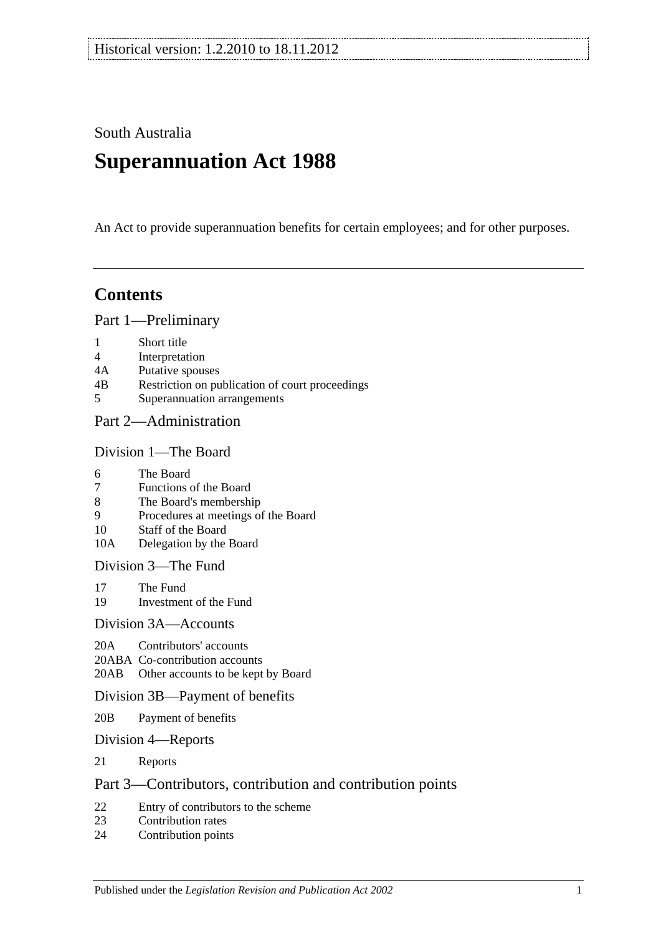South Australia

# **Superannuation Act 1988**

An Act to provide superannuation benefits for certain employees; and for other purposes.

# **Contents**

[Part 1—Preliminary](#page-6-0)

- 1 [Short title](#page-6-1)
- 4 [Interpretation](#page-6-2)
- 4A [Putative spouses](#page-13-0)
- 4B [Restriction on publication of court proceedings](#page-14-0)
- 5 [Superannuation arrangements](#page-14-1)

# [Part 2—Administration](#page-18-0)

#### [Division 1—The Board](#page-18-1)

- 6 [The Board](#page-18-2)
- 7 [Functions of the Board](#page-18-3)
- 8 [The Board's membership](#page-18-4)
- 9 [Procedures at meetings of the Board](#page-19-0)
- 10 [Staff of the Board](#page-19-1)
- 10A [Delegation by the Board](#page-19-2)

[Division 3—The Fund](#page-20-0)

- 17 [The Fund](#page-20-1)<br>19 Investmen
- [Investment of the Fund](#page-21-0)

#### [Division 3A—Accounts](#page-21-1)

- 20A [Contributors' accounts](#page-21-2)
- 20ABA [Co-contribution accounts](#page-22-0)
- 20AB [Other accounts to be kept by Board](#page-22-1)

#### [Division 3B—Payment of benefits](#page-23-0)

- 20B [Payment of benefits](#page-23-1)
- [Division 4—Reports](#page-23-2)
- 21 [Reports](#page-23-3)

# [Part 3—Contributors, contribution and contribution points](#page-24-0)

- 22 [Entry of contributors to the scheme](#page-24-1)<br>23 Contribution rates
- [Contribution rates](#page-26-0)
- 24 [Contribution points](#page-28-0)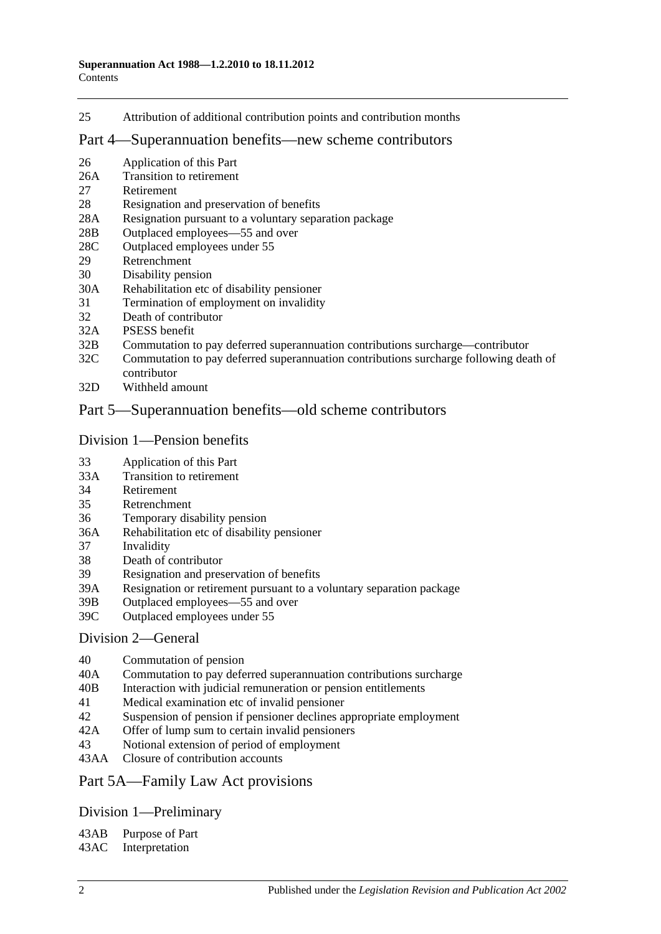25 [Attribution of additional contribution points and contribution months](#page-29-0)

#### [Part 4—Superannuation benefits—new scheme contributors](#page-30-0)

- 26 [Application of this Part](#page-30-1)
- 26A [Transition to retirement](#page-30-2)
- 27 [Retirement](#page-33-0)
- 28 [Resignation and preservation of benefits](#page-34-0)
- 28A [Resignation pursuant to a voluntary separation package](#page-38-0)
- 28B [Outplaced employees—55 and over](#page-39-0)
- 28C [Outplaced employees under 55](#page-39-1)
- 29 [Retrenchment](#page-40-0)
- 30 [Disability pension](#page-41-0)
- 30A [Rehabilitation etc of disability pensioner](#page-42-0)
- 31 [Termination of employment on invalidity](#page-42-1)
- 32 [Death of contributor](#page-45-0)
- 32A [PSESS benefit](#page-50-0)
- 32B [Commutation to pay deferred superannuation contributions surcharge—contributor](#page-51-0)
- 32C [Commutation to pay deferred superannuation contributions surcharge following death of](#page-52-0)  [contributor](#page-52-0)
- 32D [Withheld amount](#page-54-0)

### [Part 5—Superannuation benefits—old scheme contributors](#page-56-0)

#### [Division 1—Pension benefits](#page-56-1)

- 33 [Application of this Part](#page-56-2)
- 33A [Transition to retirement](#page-56-3)
- 34 [Retirement](#page-59-0)
- 35 [Retrenchment](#page-61-0)
- 36 [Temporary disability pension](#page-63-0)
- 36A [Rehabilitation etc of disability pensioner](#page-64-0)
- 37 [Invalidity](#page-65-0)
- 38 [Death of contributor](#page-68-0)
- 39 [Resignation and preservation of benefits](#page-71-0)
- 39A [Resignation or retirement pursuant to a voluntary separation package](#page-77-0)
- 39B [Outplaced employees—55 and over](#page-79-0)
- 39C [Outplaced employees under 55](#page-80-0)

#### [Division 2—General](#page-81-0)

- 40 [Commutation of pension](#page-81-1)
- 40A [Commutation to pay deferred superannuation contributions surcharge](#page-81-2)
- 40B [Interaction with judicial remuneration or pension entitlements](#page-82-0)
- 41 [Medical examination etc of invalid pensioner](#page-83-0)
- 42 [Suspension of pension if pensioner declines appropriate employment](#page-83-1)
- 42A [Offer of lump sum to certain invalid pensioners](#page-84-0)
- 43 [Notional extension of period of employment](#page-85-0)
- 43AA [Closure of contribution accounts](#page-85-1)

#### [Part 5A—Family Law Act provisions](#page-86-0)

# [Division 1—Preliminary](#page-86-1)

43AB [Purpose of Part](#page-86-2)

43AC [Interpretation](#page-86-3)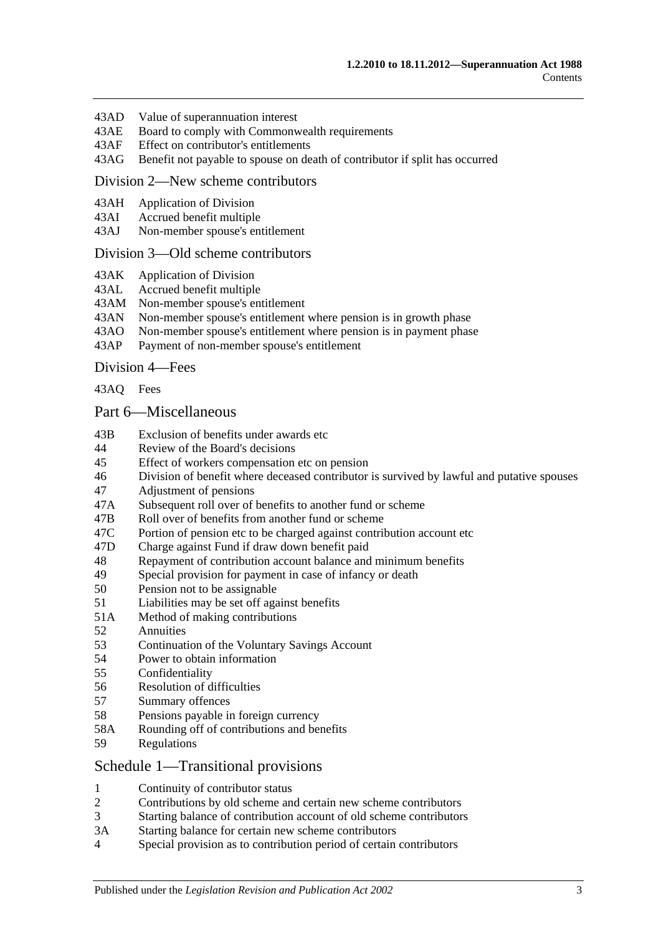- 43AD [Value of superannuation interest](#page-87-0)
- 43AE [Board to comply with Commonwealth requirements](#page-87-1)
- 43AF [Effect on contributor's entitlements](#page-87-2)
- 43AG [Benefit not payable to spouse on death of contributor if split has occurred](#page-88-0)

#### [Division 2—New scheme contributors](#page-88-1)

- 43AH [Application of Division](#page-88-2)
- 43AI [Accrued benefit multiple](#page-88-3)
- 43AJ [Non-member spouse's entitlement](#page-89-0)

#### [Division 3—Old scheme contributors](#page-89-1)

- 43AK [Application of Division](#page-89-2)
- 43AL [Accrued benefit multiple](#page-89-3)
- 43AM [Non-member spouse's entitlement](#page-90-0)
- 43AN [Non-member spouse's entitlement where pension is in growth phase](#page-90-1)
- 43AO [Non-member spouse's entitlement where pension is in payment phase](#page-90-2)<br>43AP Payment of non-member spouse's entitlement
- [Payment of non-member spouse's entitlement](#page-92-0)

[Division 4—Fees](#page-92-1)

[43AQ](#page-92-2) Fees

#### [Part 6—Miscellaneous](#page-94-0)

- 43B [Exclusion of benefits under awards etc](#page-94-1)
- 44 [Review of the Board's decisions](#page-94-2)
- 45 [Effect of workers compensation etc on pension](#page-94-3)
- 46 [Division of benefit where deceased contributor is survived by lawful and putative spouses](#page-96-0)
- 47 [Adjustment of pensions](#page-97-0)
- 47A [Subsequent roll over of benefits to another fund or scheme](#page-98-0)
- 47B [Roll over of benefits from another fund or scheme](#page-98-1)
- 47C [Portion of pension etc to be charged against contribution account etc](#page-98-2)
- 47D [Charge against Fund if draw down benefit paid](#page-98-3)
- 48 [Repayment of contribution account balance and minimum benefits](#page-98-4)
- 49 [Special provision for payment in case of infancy or death](#page-100-0)
- 50 [Pension not to be assignable](#page-100-1)
- 51 [Liabilities may be set off against benefits](#page-100-2)
- 51A [Method of making contributions](#page-100-3)
- 52 [Annuities](#page-100-4)
- 53 [Continuation of the Voluntary Savings Account](#page-100-5)
- 54 [Power to obtain information](#page-101-0)
- 55 [Confidentiality](#page-101-1)
- 56 [Resolution of difficulties](#page-102-0)
- 57 [Summary offences](#page-103-0)
- 58 [Pensions payable in foreign currency](#page-103-1)
- 58A [Rounding off of contributions and benefits](#page-103-2)
- 59 [Regulations](#page-103-3)

#### [Schedule 1—Transitional provisions](#page-104-0)

- 1 [Continuity of contributor status](#page-104-1)
- 2 [Contributions by old scheme and certain new scheme contributors](#page-104-2)
- 3 [Starting balance of contribution account of old scheme contributors](#page-105-0)
- 3A [Starting balance for certain new scheme contributors](#page-105-1)
- 4 [Special provision as to contribution period of certain contributors](#page-105-2)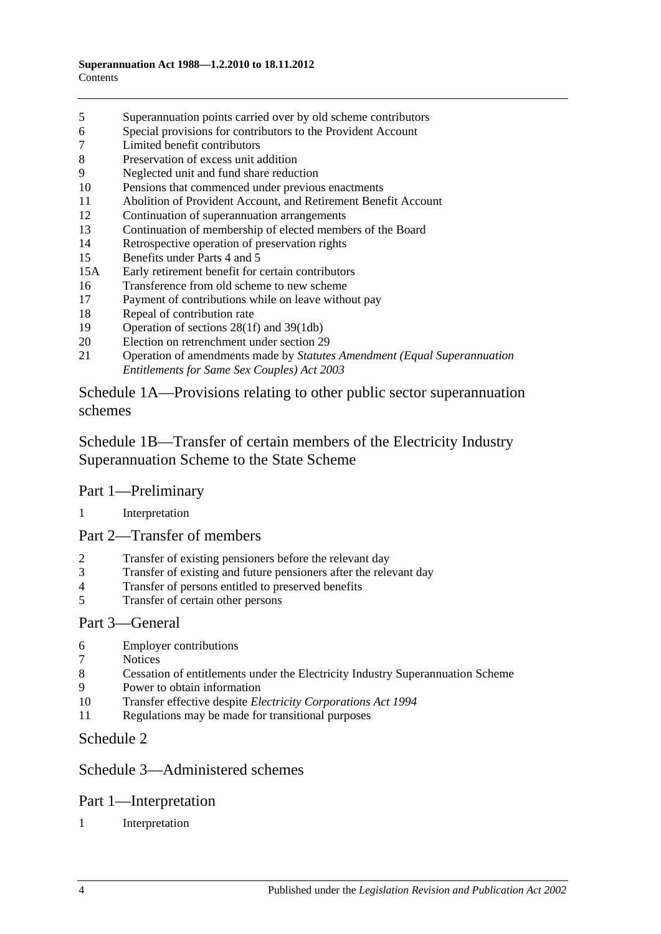- [Superannuation points carried over by old scheme contributors](#page-106-0)
- [Special provisions for contributors to the Provident Account](#page-107-0)
- [Limited benefit contributors](#page-108-0)
- [Preservation of excess unit addition](#page-109-0)
- [Neglected unit and fund share reduction](#page-109-1)
- [Pensions that commenced under previous enactments](#page-109-2)
- [Abolition of Provident Account, and Retirement Benefit Account](#page-110-0)
- [Continuation of superannuation arrangements](#page-110-1)
- [Continuation of membership of elected members of the Board](#page-110-2)
- [Retrospective operation of preservation rights](#page-110-3)
- [Benefits under Parts 4](#page-110-4) and [5](#page-110-4)
- 15A [Early retirement benefit for certain contributors](#page-111-0)
- [Transference from old scheme to new scheme](#page-112-0)
- [Payment of contributions while on leave without pay](#page-113-0)
- [Repeal of contribution rate](#page-113-1)
- [Operation of sections](#page-114-0) 28(1f) and [39\(1db\)](#page-114-0)
- [Election on retrenchment under section](#page-114-1) 29
- Operation of amendments made by *[Statutes Amendment \(Equal Superannuation](#page-114-2)  [Entitlements for Same Sex Couples\) Act 2003](#page-114-2)*

[Schedule 1A—Provisions relating to other public sector superannuation](#page-114-3)  [schemes](#page-114-3)

[Schedule 1B—Transfer of certain members of the Electricity Industry](#page-115-0)  [Superannuation Scheme to the State Scheme](#page-115-0)

# Part 1—Preliminary

#### [Interpretation](#page-115-1)

# Part 2—Transfer of members

- [Transfer of existing pensioners before the relevant day](#page-116-0)
- [Transfer of existing and future pensioners after the relevant day](#page-117-0)
- [Transfer of persons entitled to preserved benefits](#page-119-0)
- [Transfer of certain other persons](#page-121-0)

#### Part 3—General

- [Employer contributions](#page-123-0)
- [Notices](#page-123-1)
- [Cessation of entitlements under the Electricity Industry Superannuation Scheme](#page-123-2)
- [Power to obtain information](#page-123-3)
- Transfer effective despite *[Electricity Corporations Act](#page-123-4) 1994*
- [Regulations may be made for transitional purposes](#page-123-5)

# [Schedule 2](#page-124-0)

# [Schedule 3—Administered schemes](#page-128-0)

# Part 1—Interpretation

#### [Interpretation](#page-128-1)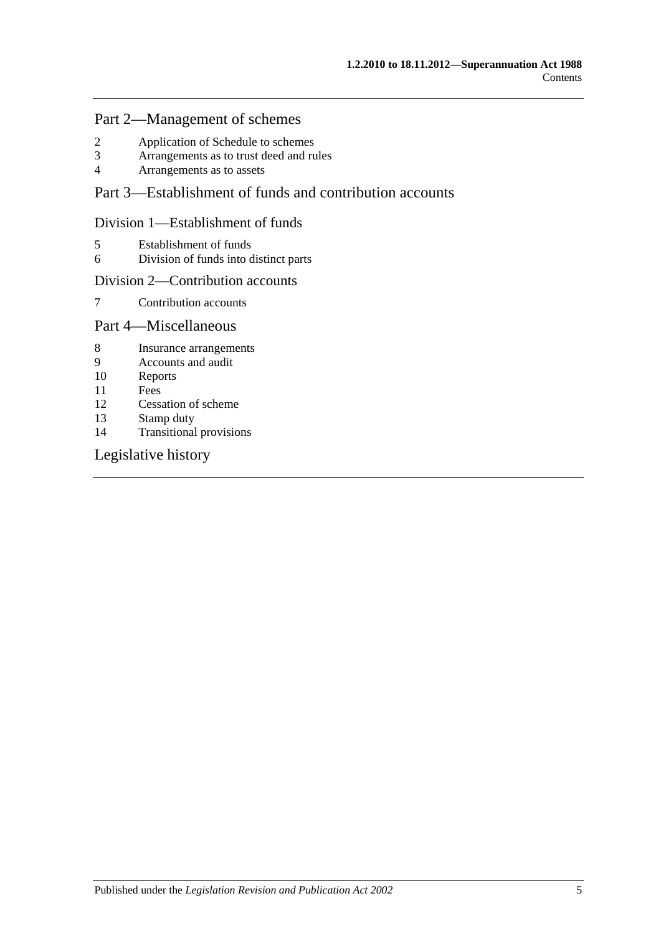# Part 2—Management of schemes

- 2 [Application of Schedule to schemes](#page-129-0)<br>3 Arrangements as to trust deed and ru
- 3 [Arrangements as to trust deed and rules](#page-130-0)<br>4 Arrangements as to assets
- 4 [Arrangements as to assets](#page-131-0)

# Part 3—Establishment of funds and contribution accounts

### Division 1—Establishment of funds

- 5 [Establishment of funds](#page-131-1)
- 6 [Division of funds into distinct parts](#page-132-0)

#### Division 2—Contribution accounts

7 [Contribution accounts](#page-132-1)

# Part 4—Miscellaneous

- 8 [Insurance arrangements](#page-133-0)
- 9 [Accounts and audit](#page-133-1)
- 10 [Reports](#page-134-0)
- 11 [Fees](#page-134-1)
- 12 [Cessation of scheme](#page-135-0)<br>13 Stamp duty
- [Stamp duty](#page-135-1)
- 14 [Transitional provisions](#page-135-2)

# [Legislative history](#page-136-0)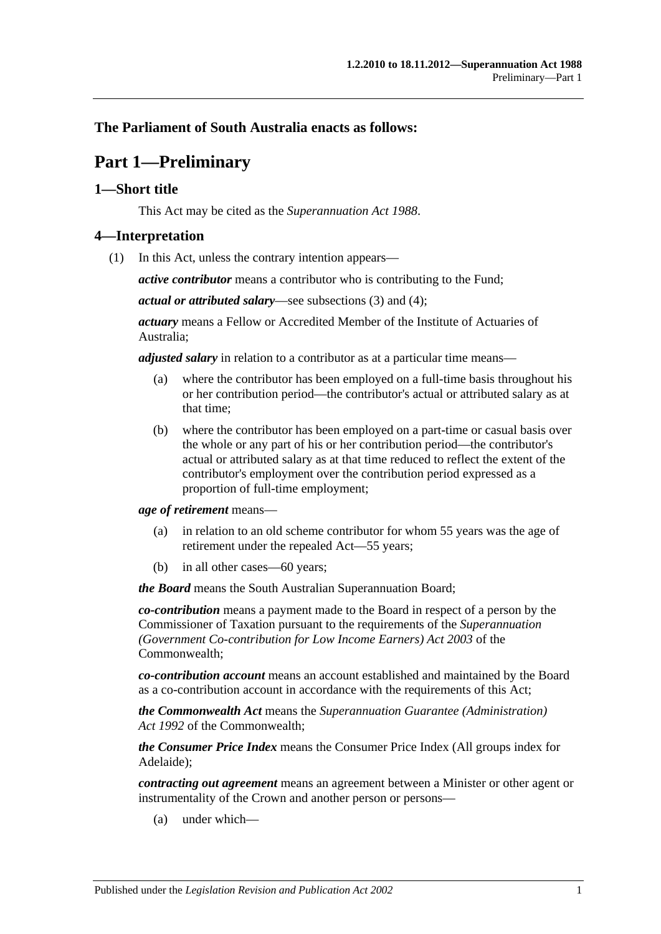# <span id="page-6-0"></span>**The Parliament of South Australia enacts as follows:**

# **Part 1—Preliminary**

# <span id="page-6-1"></span>**1—Short title**

This Act may be cited as the *Superannuation Act 1988*.

#### <span id="page-6-3"></span><span id="page-6-2"></span>**4—Interpretation**

(1) In this Act, unless the contrary intention appears—

*active contributor* means a contributor who is contributing to the Fund;

*actual or attributed salary*—see [subsections](#page-11-0) (3) and [\(4\);](#page-11-1)

*actuary* means a Fellow or Accredited Member of the Institute of Actuaries of Australia;

*adjusted salary* in relation to a contributor as at a particular time means—

- (a) where the contributor has been employed on a full-time basis throughout his or her contribution period—the contributor's actual or attributed salary as at that time;
- (b) where the contributor has been employed on a part-time or casual basis over the whole or any part of his or her contribution period—the contributor's actual or attributed salary as at that time reduced to reflect the extent of the contributor's employment over the contribution period expressed as a proportion of full-time employment;

*age of retirement* means—

- (a) in relation to an old scheme contributor for whom 55 years was the age of retirement under the repealed Act—55 years;
- (b) in all other cases—60 years;

*the Board* means the South Australian Superannuation Board;

*co-contribution* means a payment made to the Board in respect of a person by the Commissioner of Taxation pursuant to the requirements of the *Superannuation (Government Co-contribution for Low Income Earners) Act 2003* of the Commonwealth;

*co-contribution account* means an account established and maintained by the Board as a co-contribution account in accordance with the requirements of this Act;

*the Commonwealth Act* means the *Superannuation Guarantee (Administration) Act 1992* of the Commonwealth;

*the Consumer Price Index* means the Consumer Price Index (All groups index for Adelaide);

*contracting out agreement* means an agreement between a Minister or other agent or instrumentality of the Crown and another person or persons—

(a) under which—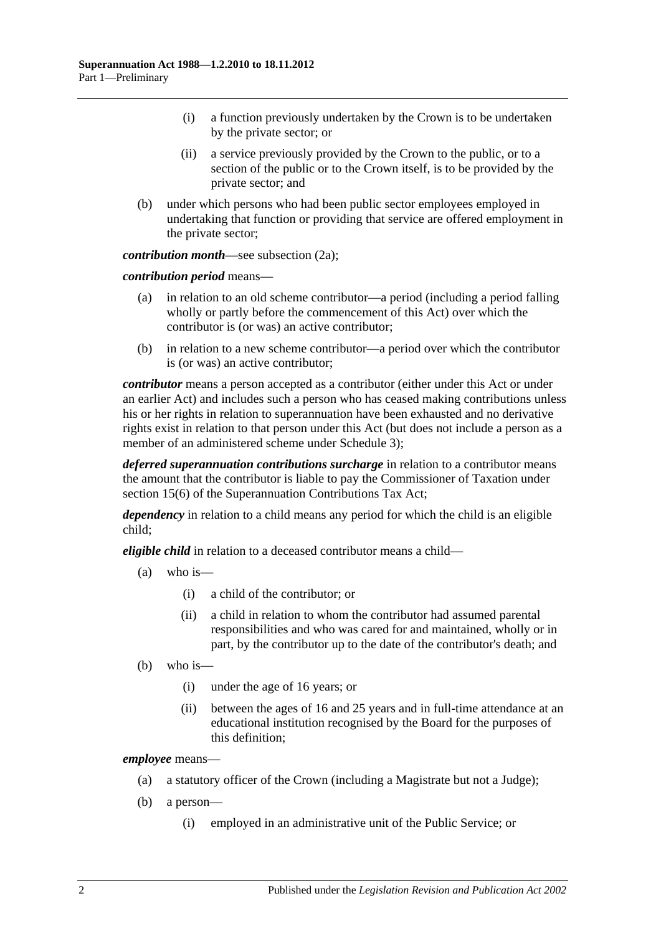- (i) a function previously undertaken by the Crown is to be undertaken by the private sector; or
- (ii) a service previously provided by the Crown to the public, or to a section of the public or to the Crown itself, is to be provided by the private sector; and
- (b) under which persons who had been public sector employees employed in undertaking that function or providing that service are offered employment in the private sector;

*contribution month*—see [subsection](#page-10-0) (2a);

*contribution period* means—

- (a) in relation to an old scheme contributor—a period (including a period falling wholly or partly before the commencement of this Act) over which the contributor is (or was) an active contributor;
- (b) in relation to a new scheme contributor—a period over which the contributor is (or was) an active contributor;

*contributor* means a person accepted as a contributor (either under this Act or under an earlier Act) and includes such a person who has ceased making contributions unless his or her rights in relation to superannuation have been exhausted and no derivative rights exist in relation to that person under this Act (but does not include a person as a member of an administered scheme under [Schedule](#page-128-0) 3);

*deferred superannuation contributions surcharge* in relation to a contributor means the amount that the contributor is liable to pay the Commissioner of Taxation under section 15(6) of the Superannuation Contributions Tax Act;

*dependency* in relation to a child means any period for which the child is an eligible child;

*eligible child* in relation to a deceased contributor means a child—

- (a) who is—
	- (i) a child of the contributor; or
	- (ii) a child in relation to whom the contributor had assumed parental responsibilities and who was cared for and maintained, wholly or in part, by the contributor up to the date of the contributor's death; and
- (b) who is—
	- (i) under the age of 16 years; or
	- (ii) between the ages of 16 and 25 years and in full-time attendance at an educational institution recognised by the Board for the purposes of this definition;

*employee* means—

- (a) a statutory officer of the Crown (including a Magistrate but not a Judge);
- (b) a person—
	- (i) employed in an administrative unit of the Public Service; or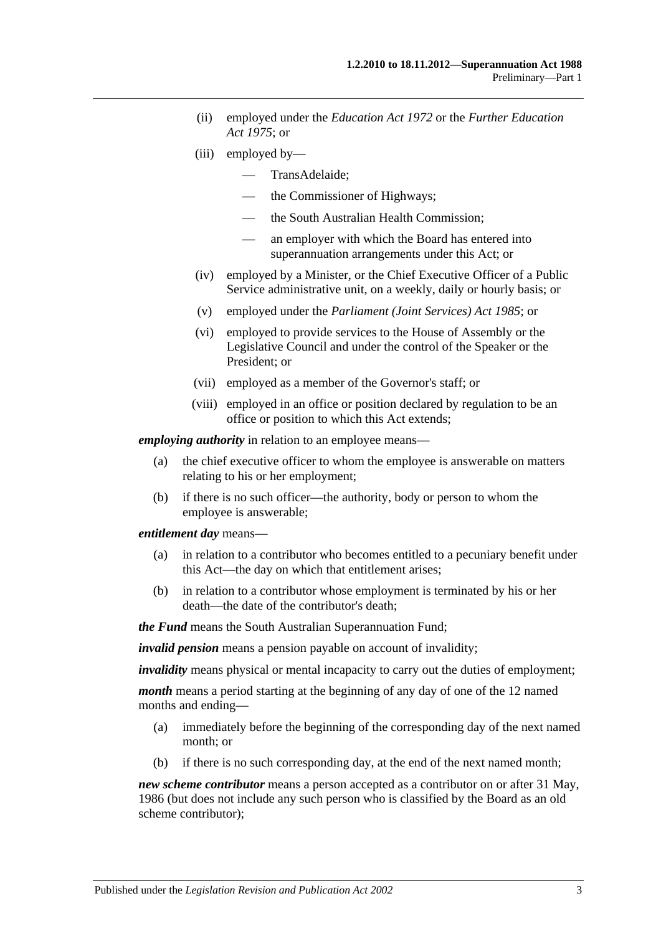- (ii) employed under the *[Education Act](http://www.legislation.sa.gov.au/index.aspx?action=legref&type=act&legtitle=Education%20Act%201972) 1972* or the *[Further Education](http://www.legislation.sa.gov.au/index.aspx?action=legref&type=act&legtitle=Further%20Education%20Act%201975)  Act [1975](http://www.legislation.sa.gov.au/index.aspx?action=legref&type=act&legtitle=Further%20Education%20Act%201975)*; or
- (iii) employed by—
	- TransAdelaide;
	- the Commissioner of Highways;
	- the South Australian Health Commission;
	- an employer with which the Board has entered into superannuation arrangements under this Act; or
- (iv) employed by a Minister, or the Chief Executive Officer of a Public Service administrative unit, on a weekly, daily or hourly basis; or
- (v) employed under the *[Parliament \(Joint Services\) Act](http://www.legislation.sa.gov.au/index.aspx?action=legref&type=act&legtitle=Parliament%20(Joint%20Services)%20Act%201985) 1985*; or
- (vi) employed to provide services to the House of Assembly or the Legislative Council and under the control of the Speaker or the President; or
- (vii) employed as a member of the Governor's staff; or
- (viii) employed in an office or position declared by regulation to be an office or position to which this Act extends;

*employing authority* in relation to an employee means—

- (a) the chief executive officer to whom the employee is answerable on matters relating to his or her employment;
- (b) if there is no such officer—the authority, body or person to whom the employee is answerable;

*entitlement day* means—

- (a) in relation to a contributor who becomes entitled to a pecuniary benefit under this Act—the day on which that entitlement arises;
- (b) in relation to a contributor whose employment is terminated by his or her death—the date of the contributor's death;

*the Fund* means the South Australian Superannuation Fund;

*invalid pension* means a pension payable on account of invalidity;

*invalidity* means physical or mental incapacity to carry out the duties of employment;

*month* means a period starting at the beginning of any day of one of the 12 named months and ending—

- (a) immediately before the beginning of the corresponding day of the next named month; or
- (b) if there is no such corresponding day, at the end of the next named month;

*new scheme contributor* means a person accepted as a contributor on or after 31 May, 1986 (but does not include any such person who is classified by the Board as an old scheme contributor);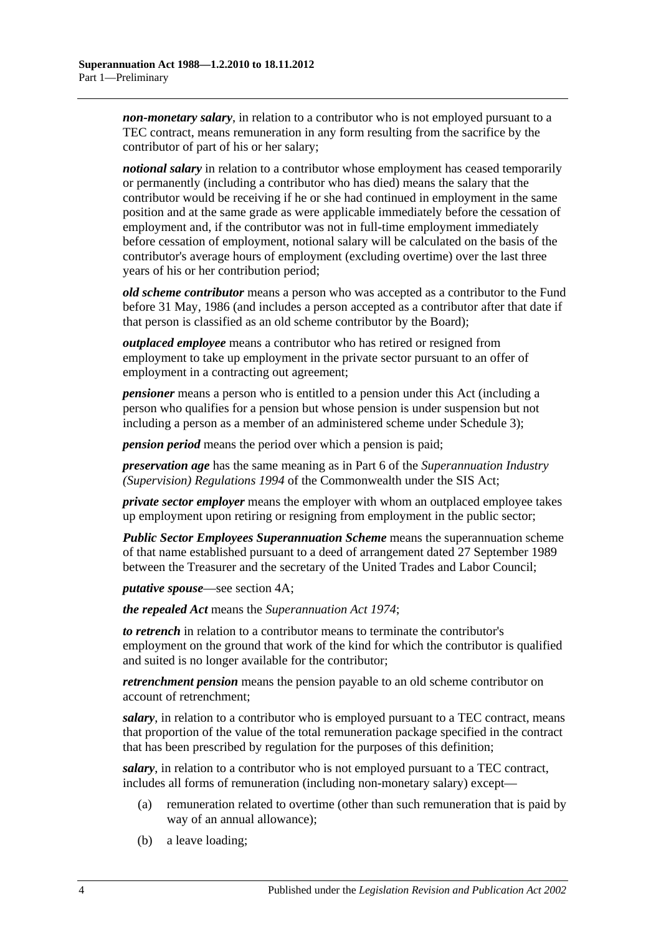*non-monetary salary*, in relation to a contributor who is not employed pursuant to a TEC contract, means remuneration in any form resulting from the sacrifice by the contributor of part of his or her salary;

*notional salary* in relation to a contributor whose employment has ceased temporarily or permanently (including a contributor who has died) means the salary that the contributor would be receiving if he or she had continued in employment in the same position and at the same grade as were applicable immediately before the cessation of employment and, if the contributor was not in full-time employment immediately before cessation of employment, notional salary will be calculated on the basis of the contributor's average hours of employment (excluding overtime) over the last three years of his or her contribution period;

*old scheme contributor* means a person who was accepted as a contributor to the Fund before 31 May, 1986 (and includes a person accepted as a contributor after that date if that person is classified as an old scheme contributor by the Board);

*outplaced employee* means a contributor who has retired or resigned from employment to take up employment in the private sector pursuant to an offer of employment in a contracting out agreement;

*pensioner* means a person who is entitled to a pension under this Act (including a person who qualifies for a pension but whose pension is under suspension but not including a person as a member of an administered scheme under [Schedule 3\)](#page-128-0);

*pension period* means the period over which a pension is paid;

*preservation age* has the same meaning as in Part 6 of the *Superannuation Industry (Supervision) Regulations 1994* of the Commonwealth under the SIS Act;

*private sector employer* means the employer with whom an outplaced employee takes up employment upon retiring or resigning from employment in the public sector;

*Public Sector Employees Superannuation Scheme* means the superannuation scheme of that name established pursuant to a deed of arrangement dated 27 September 1989 between the Treasurer and the secretary of the United Trades and Labor Council;

*putative spouse*—see [section](#page-13-0) 4A;

*the repealed Act* means the *[Superannuation Act](http://www.legislation.sa.gov.au/index.aspx?action=legref&type=act&legtitle=Superannuation%20Act%201974) 1974*;

*to retrench* in relation to a contributor means to terminate the contributor's employment on the ground that work of the kind for which the contributor is qualified and suited is no longer available for the contributor;

*retrenchment pension* means the pension payable to an old scheme contributor on account of retrenchment;

*salary*, in relation to a contributor who is employed pursuant to a TEC contract, means that proportion of the value of the total remuneration package specified in the contract that has been prescribed by regulation for the purposes of this definition;

*salary*, in relation to a contributor who is not employed pursuant to a TEC contract, includes all forms of remuneration (including non-monetary salary) except—

- (a) remuneration related to overtime (other than such remuneration that is paid by way of an annual allowance);
- (b) a leave loading;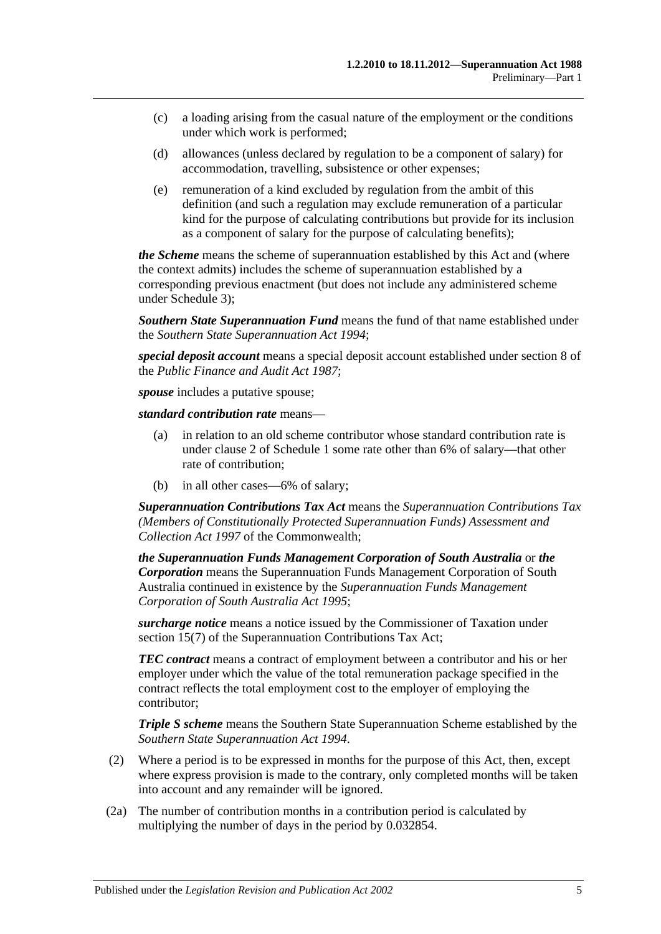- (c) a loading arising from the casual nature of the employment or the conditions under which work is performed;
- (d) allowances (unless declared by regulation to be a component of salary) for accommodation, travelling, subsistence or other expenses;
- (e) remuneration of a kind excluded by regulation from the ambit of this definition (and such a regulation may exclude remuneration of a particular kind for the purpose of calculating contributions but provide for its inclusion as a component of salary for the purpose of calculating benefits);

*the Scheme* means the scheme of superannuation established by this Act and (where the context admits) includes the scheme of superannuation established by a corresponding previous enactment (but does not include any administered scheme under [Schedule 3\)](#page-128-0);

*Southern State Superannuation Fund* means the fund of that name established under the *[Southern State Superannuation Act](http://www.legislation.sa.gov.au/index.aspx?action=legref&type=act&legtitle=Southern%20State%20Superannuation%20Act%201994) 1994*;

*special deposit account* means a special deposit account established under section 8 of the *[Public Finance and Audit Act](http://www.legislation.sa.gov.au/index.aspx?action=legref&type=act&legtitle=Public%20Finance%20and%20Audit%20Act%201987) 1987*;

*spouse* includes a putative spouse;

*standard contribution rate* means—

- (a) in relation to an old scheme contributor whose standard contribution rate is under [clause](#page-104-2) 2 of [Schedule 1](#page-104-0) some rate other than 6% of salary—that other rate of contribution;
- (b) in all other cases—6% of salary;

*Superannuation Contributions Tax Act* means the *Superannuation Contributions Tax (Members of Constitutionally Protected Superannuation Funds) Assessment and Collection Act 1997* of the Commonwealth;

*the Superannuation Funds Management Corporation of South Australia* or *the Corporation* means the Superannuation Funds Management Corporation of South Australia continued in existence by the *[Superannuation Funds Management](http://www.legislation.sa.gov.au/index.aspx?action=legref&type=act&legtitle=Superannuation%20Funds%20Management%20Corporation%20of%20South%20Australia%20Act%201995)  [Corporation of South Australia Act](http://www.legislation.sa.gov.au/index.aspx?action=legref&type=act&legtitle=Superannuation%20Funds%20Management%20Corporation%20of%20South%20Australia%20Act%201995) 1995*;

*surcharge notice* means a notice issued by the Commissioner of Taxation under section 15(7) of the Superannuation Contributions Tax Act;

*TEC contract* means a contract of employment between a contributor and his or her employer under which the value of the total remuneration package specified in the contract reflects the total employment cost to the employer of employing the contributor;

*Triple S scheme* means the Southern State Superannuation Scheme established by the *[Southern State Superannuation Act](http://www.legislation.sa.gov.au/index.aspx?action=legref&type=act&legtitle=Southern%20State%20Superannuation%20Act%201994) 1994*.

- (2) Where a period is to be expressed in months for the purpose of this Act, then, except where express provision is made to the contrary, only completed months will be taken into account and any remainder will be ignored.
- <span id="page-10-0"></span>(2a) The number of contribution months in a contribution period is calculated by multiplying the number of days in the period by 0.032854.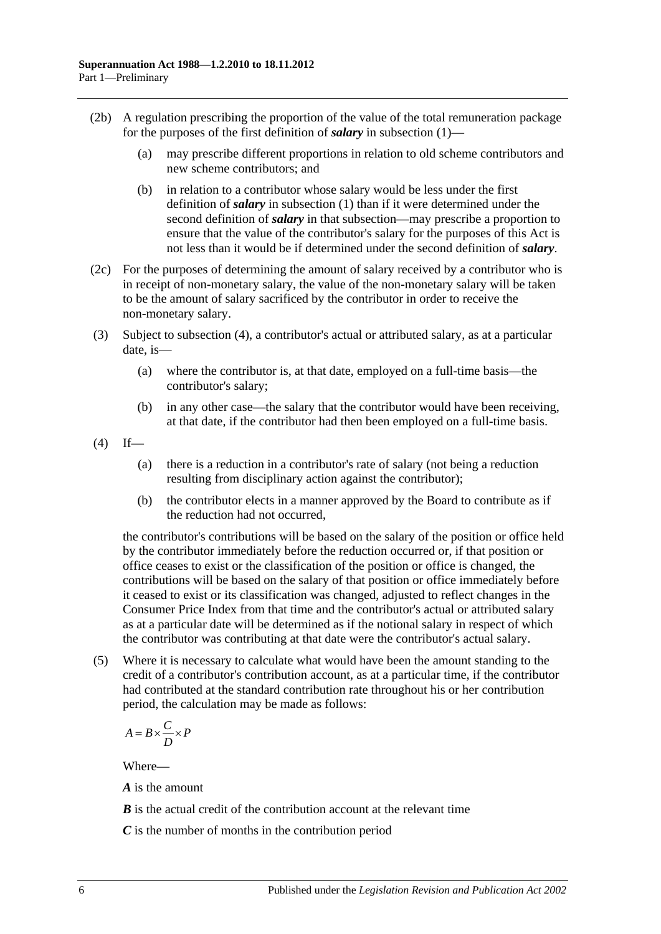- (2b) A regulation prescribing the proportion of the value of the total remuneration package for the purposes of the first definition of *salary* in [subsection](#page-6-3) (1)—
	- (a) may prescribe different proportions in relation to old scheme contributors and new scheme contributors; and
	- (b) in relation to a contributor whose salary would be less under the first definition of *salary* in [subsection](#page-6-3) (1) than if it were determined under the second definition of *salary* in that subsection—may prescribe a proportion to ensure that the value of the contributor's salary for the purposes of this Act is not less than it would be if determined under the second definition of *salary*.
- (2c) For the purposes of determining the amount of salary received by a contributor who is in receipt of non-monetary salary, the value of the non-monetary salary will be taken to be the amount of salary sacrificed by the contributor in order to receive the non-monetary salary.
- <span id="page-11-0"></span>(3) Subject to [subsection](#page-11-1) (4), a contributor's actual or attributed salary, as at a particular date, is—
	- (a) where the contributor is, at that date, employed on a full-time basis—the contributor's salary;
	- (b) in any other case—the salary that the contributor would have been receiving, at that date, if the contributor had then been employed on a full-time basis.
- <span id="page-11-1"></span> $(4)$  If—
	- (a) there is a reduction in a contributor's rate of salary (not being a reduction resulting from disciplinary action against the contributor);
	- (b) the contributor elects in a manner approved by the Board to contribute as if the reduction had not occurred,

the contributor's contributions will be based on the salary of the position or office held by the contributor immediately before the reduction occurred or, if that position or office ceases to exist or the classification of the position or office is changed, the contributions will be based on the salary of that position or office immediately before it ceased to exist or its classification was changed, adjusted to reflect changes in the Consumer Price Index from that time and the contributor's actual or attributed salary as at a particular date will be determined as if the notional salary in respect of which the contributor was contributing at that date were the contributor's actual salary.

(5) Where it is necessary to calculate what would have been the amount standing to the credit of a contributor's contribution account, as at a particular time, if the contributor had contributed at the standard contribution rate throughout his or her contribution period, the calculation may be made as follows:

$$
A = B \times \frac{C}{D} \times P
$$

Where—

*A* is the amount

*B* is the actual credit of the contribution account at the relevant time

*C* is the number of months in the contribution period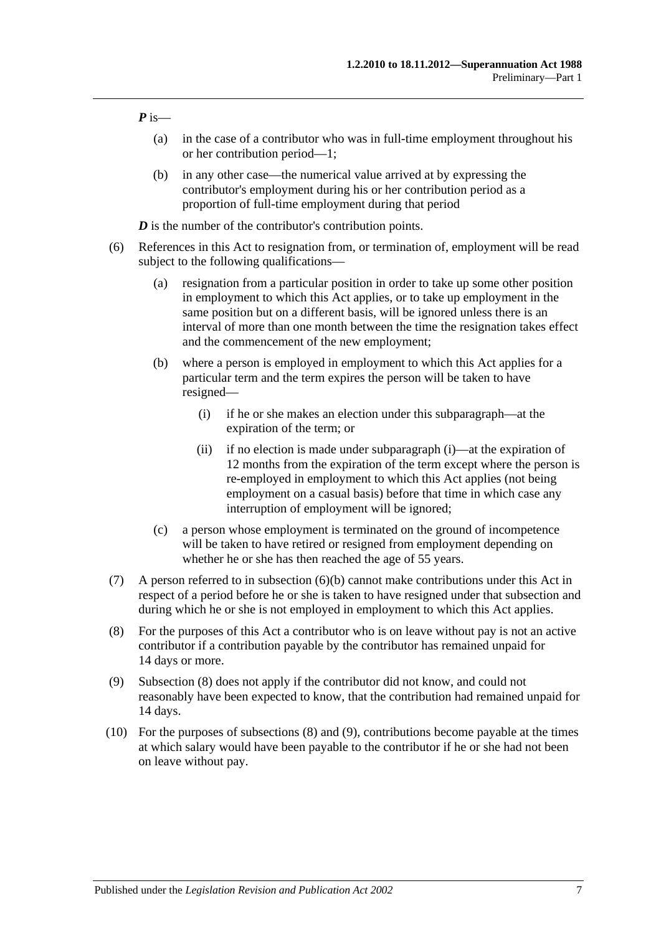*P* is—

- (a) in the case of a contributor who was in full-time employment throughout his or her contribution period—1;
- (b) in any other case—the numerical value arrived at by expressing the contributor's employment during his or her contribution period as a proportion of full-time employment during that period

*D* is the number of the contributor's contribution points.

- <span id="page-12-1"></span><span id="page-12-0"></span>(6) References in this Act to resignation from, or termination of, employment will be read subject to the following qualifications—
	- (a) resignation from a particular position in order to take up some other position in employment to which this Act applies, or to take up employment in the same position but on a different basis, will be ignored unless there is an interval of more than one month between the time the resignation takes effect and the commencement of the new employment;
	- (b) where a person is employed in employment to which this Act applies for a particular term and the term expires the person will be taken to have resigned—
		- (i) if he or she makes an election under this subparagraph—at the expiration of the term; or
		- (ii) if no election is made under [subparagraph](#page-12-0) (i)—at the expiration of 12 months from the expiration of the term except where the person is re-employed in employment to which this Act applies (not being employment on a casual basis) before that time in which case any interruption of employment will be ignored;
	- (c) a person whose employment is terminated on the ground of incompetence will be taken to have retired or resigned from employment depending on whether he or she has then reached the age of 55 years.
- (7) A person referred to in [subsection](#page-12-1) (6)(b) cannot make contributions under this Act in respect of a period before he or she is taken to have resigned under that subsection and during which he or she is not employed in employment to which this Act applies.
- <span id="page-12-2"></span>(8) For the purposes of this Act a contributor who is on leave without pay is not an active contributor if a contribution payable by the contributor has remained unpaid for 14 days or more.
- <span id="page-12-3"></span>(9) [Subsection](#page-12-2) (8) does not apply if the contributor did not know, and could not reasonably have been expected to know, that the contribution had remained unpaid for 14 days.
- (10) For the purposes of [subsections](#page-12-2) (8) and [\(9\),](#page-12-3) contributions become payable at the times at which salary would have been payable to the contributor if he or she had not been on leave without pay.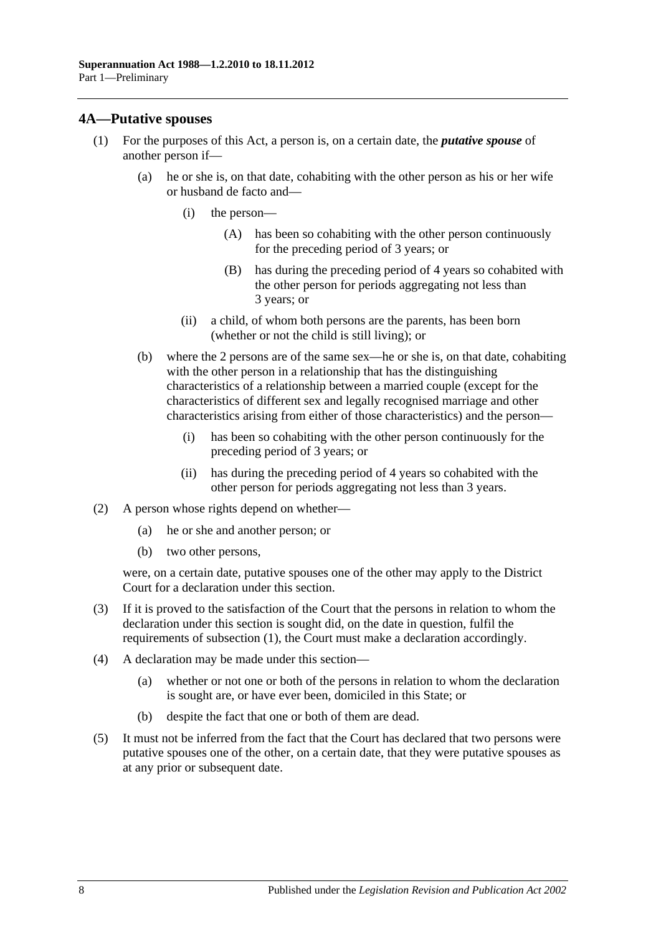#### <span id="page-13-0"></span>**4A—Putative spouses**

- (1) For the purposes of this Act, a person is, on a certain date, the *putative spouse* of another person if—
	- (a) he or she is, on that date, cohabiting with the other person as his or her wife or husband de facto and—
		- (i) the person—
			- (A) has been so cohabiting with the other person continuously for the preceding period of 3 years; or
			- (B) has during the preceding period of 4 years so cohabited with the other person for periods aggregating not less than 3 years; or
		- (ii) a child, of whom both persons are the parents, has been born (whether or not the child is still living); or
	- (b) where the 2 persons are of the same sex—he or she is, on that date, cohabiting with the other person in a relationship that has the distinguishing characteristics of a relationship between a married couple (except for the characteristics of different sex and legally recognised marriage and other characteristics arising from either of those characteristics) and the person—
		- (i) has been so cohabiting with the other person continuously for the preceding period of 3 years; or
		- (ii) has during the preceding period of 4 years so cohabited with the other person for periods aggregating not less than 3 years.
- (2) A person whose rights depend on whether—
	- (a) he or she and another person; or
	- (b) two other persons,

were, on a certain date, putative spouses one of the other may apply to the District Court for a declaration under this section.

- (3) If it is proved to the satisfaction of the Court that the persons in relation to whom the declaration under this section is sought did, on the date in question, fulfil the requirements of subsection (1), the Court must make a declaration accordingly.
- (4) A declaration may be made under this section—
	- (a) whether or not one or both of the persons in relation to whom the declaration is sought are, or have ever been, domiciled in this State; or
	- (b) despite the fact that one or both of them are dead.
- (5) It must not be inferred from the fact that the Court has declared that two persons were putative spouses one of the other, on a certain date, that they were putative spouses as at any prior or subsequent date.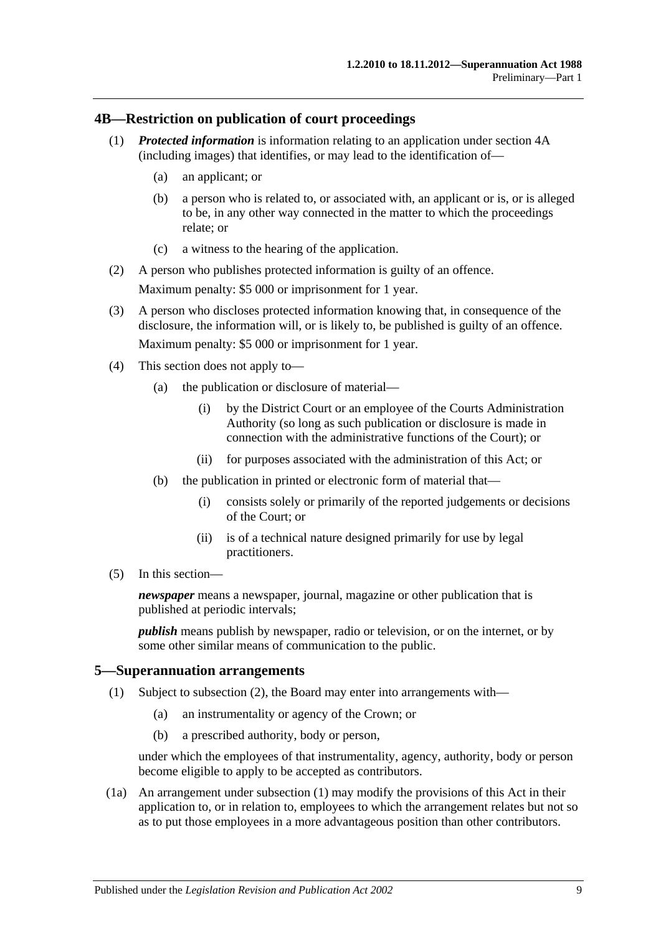#### <span id="page-14-0"></span>**4B—Restriction on publication of court proceedings**

- (1) *Protected information* is information relating to an application under [section](#page-13-0) 4A (including images) that identifies, or may lead to the identification of—
	- (a) an applicant; or
	- (b) a person who is related to, or associated with, an applicant or is, or is alleged to be, in any other way connected in the matter to which the proceedings relate; or
	- (c) a witness to the hearing of the application.
- (2) A person who publishes protected information is guilty of an offence. Maximum penalty: \$5 000 or imprisonment for 1 year.
- (3) A person who discloses protected information knowing that, in consequence of the disclosure, the information will, or is likely to, be published is guilty of an offence. Maximum penalty: \$5 000 or imprisonment for 1 year.
- (4) This section does not apply to—
	- (a) the publication or disclosure of material—
		- (i) by the District Court or an employee of the Courts Administration Authority (so long as such publication or disclosure is made in connection with the administrative functions of the Court); or
		- (ii) for purposes associated with the administration of this Act; or
	- (b) the publication in printed or electronic form of material that—
		- (i) consists solely or primarily of the reported judgements or decisions of the Court; or
		- (ii) is of a technical nature designed primarily for use by legal practitioners.
- (5) In this section—

*newspaper* means a newspaper, journal, magazine or other publication that is published at periodic intervals;

*publish* means publish by newspaper, radio or television, or on the internet, or by some other similar means of communication to the public.

#### <span id="page-14-2"></span><span id="page-14-1"></span>**5—Superannuation arrangements**

- (1) Subject to [subsection](#page-15-0) (2), the Board may enter into arrangements with—
	- (a) an instrumentality or agency of the Crown; or
	- (b) a prescribed authority, body or person,

under which the employees of that instrumentality, agency, authority, body or person become eligible to apply to be accepted as contributors.

(1a) An arrangement under [subsection](#page-14-2) (1) may modify the provisions of this Act in their application to, or in relation to, employees to which the arrangement relates but not so as to put those employees in a more advantageous position than other contributors.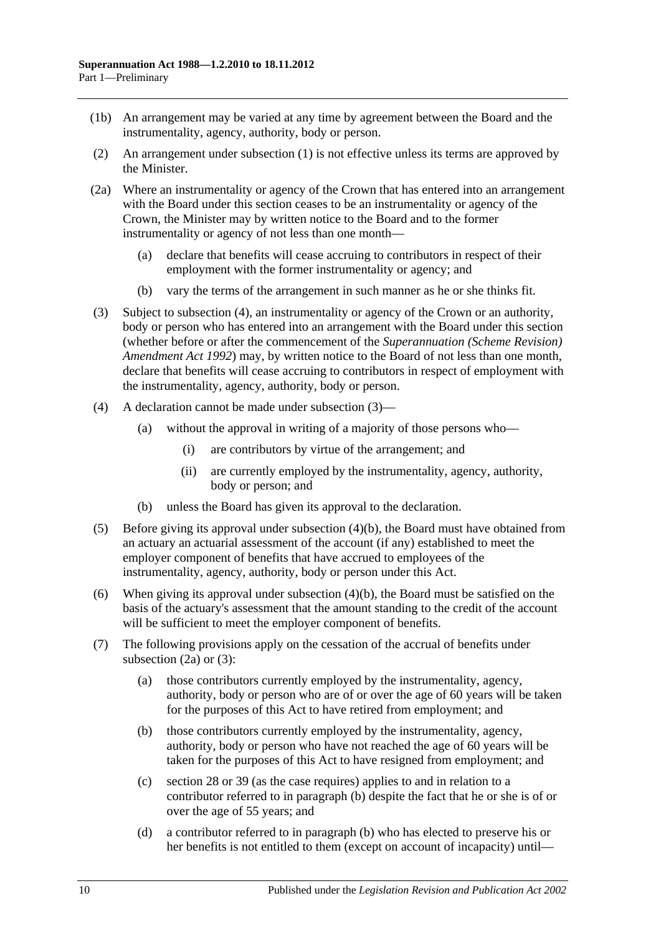- (1b) An arrangement may be varied at any time by agreement between the Board and the instrumentality, agency, authority, body or person.
- <span id="page-15-0"></span>(2) An arrangement under [subsection](#page-14-2) (1) is not effective unless its terms are approved by the Minister.
- <span id="page-15-4"></span>(2a) Where an instrumentality or agency of the Crown that has entered into an arrangement with the Board under this section ceases to be an instrumentality or agency of the Crown, the Minister may by written notice to the Board and to the former instrumentality or agency of not less than one month—
	- (a) declare that benefits will cease accruing to contributors in respect of their employment with the former instrumentality or agency; and
	- (b) vary the terms of the arrangement in such manner as he or she thinks fit.
- <span id="page-15-2"></span>(3) Subject to [subsection](#page-15-1) (4), an instrumentality or agency of the Crown or an authority, body or person who has entered into an arrangement with the Board under this section (whether before or after the commencement of the *[Superannuation \(Scheme Revision\)](http://www.legislation.sa.gov.au/index.aspx?action=legref&type=act&legtitle=Superannuation%20(Scheme%20Revision)%20Amendment%20Act%201992)  [Amendment Act](http://www.legislation.sa.gov.au/index.aspx?action=legref&type=act&legtitle=Superannuation%20(Scheme%20Revision)%20Amendment%20Act%201992) 1992*) may, by written notice to the Board of not less than one month, declare that benefits will cease accruing to contributors in respect of employment with the instrumentality, agency, authority, body or person.
- <span id="page-15-1"></span>(4) A declaration cannot be made under [subsection](#page-15-2) (3)—
	- (a) without the approval in writing of a majority of those persons who—
		- (i) are contributors by virtue of the arrangement; and
		- (ii) are currently employed by the instrumentality, agency, authority, body or person; and
	- (b) unless the Board has given its approval to the declaration.
- <span id="page-15-3"></span>(5) Before giving its approval under [subsection](#page-15-3) (4)(b), the Board must have obtained from an actuary an actuarial assessment of the account (if any) established to meet the employer component of benefits that have accrued to employees of the instrumentality, agency, authority, body or person under this Act.
- (6) When giving its approval under [subsection](#page-15-3) (4)(b), the Board must be satisfied on the basis of the actuary's assessment that the amount standing to the credit of the account will be sufficient to meet the employer component of benefits.
- <span id="page-15-5"></span>(7) The following provisions apply on the cessation of the accrual of benefits under [subsection](#page-15-4)  $(2a)$  or  $(3)$ :
	- (a) those contributors currently employed by the instrumentality, agency, authority, body or person who are of or over the age of 60 years will be taken for the purposes of this Act to have retired from employment; and
	- (b) those contributors currently employed by the instrumentality, agency, authority, body or person who have not reached the age of 60 years will be taken for the purposes of this Act to have resigned from employment; and
	- (c) [section](#page-34-0) 28 or [39](#page-71-0) (as the case requires) applies to and in relation to a contributor referred to in [paragraph](#page-15-5) (b) despite the fact that he or she is of or over the age of 55 years; and
	- (d) a contributor referred to in [paragraph](#page-15-5) (b) who has elected to preserve his or her benefits is not entitled to them (except on account of incapacity) until—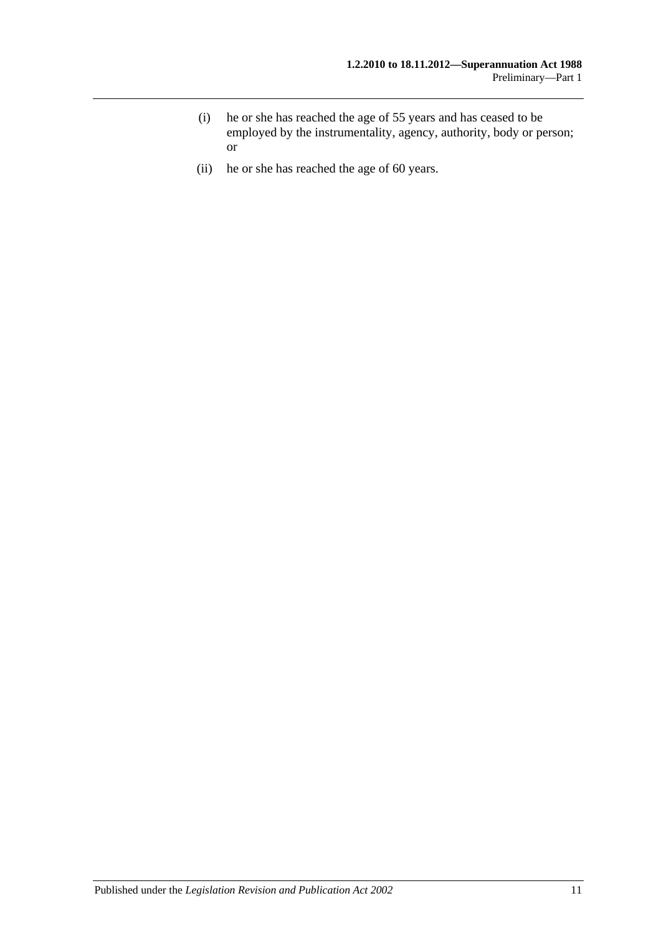- (i) he or she has reached the age of 55 years and has ceased to be employed by the instrumentality, agency, authority, body or person; or
- (ii) he or she has reached the age of 60 years.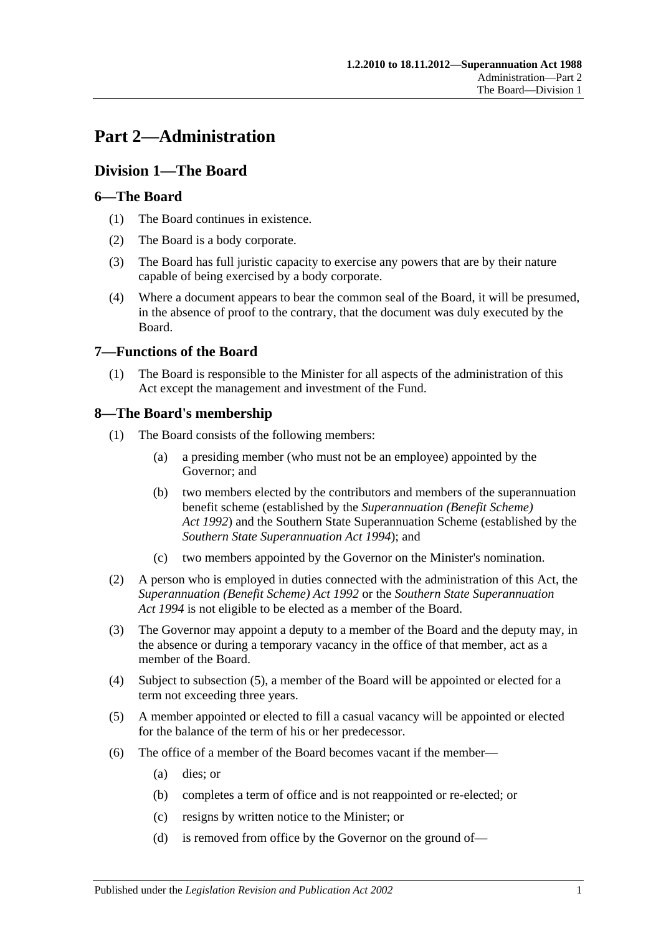# <span id="page-18-0"></span>**Part 2—Administration**

# <span id="page-18-1"></span>**Division 1—The Board**

# <span id="page-18-2"></span>**6—The Board**

- (1) The Board continues in existence.
- (2) The Board is a body corporate.
- (3) The Board has full juristic capacity to exercise any powers that are by their nature capable of being exercised by a body corporate.
- (4) Where a document appears to bear the common seal of the Board, it will be presumed, in the absence of proof to the contrary, that the document was duly executed by the Board.

# <span id="page-18-3"></span>**7—Functions of the Board**

(1) The Board is responsible to the Minister for all aspects of the administration of this Act except the management and investment of the Fund.

# <span id="page-18-4"></span>**8—The Board's membership**

- (1) The Board consists of the following members:
	- (a) a presiding member (who must not be an employee) appointed by the Governor; and
	- (b) two members elected by the contributors and members of the superannuation benefit scheme (established by the *[Superannuation \(Benefit Scheme\)](http://www.legislation.sa.gov.au/index.aspx?action=legref&type=act&legtitle=Superannuation%20(Benefit%20Scheme)%20Act%201992)  Act [1992](http://www.legislation.sa.gov.au/index.aspx?action=legref&type=act&legtitle=Superannuation%20(Benefit%20Scheme)%20Act%201992)*) and the Southern State Superannuation Scheme (established by the *[Southern State Superannuation Act](http://www.legislation.sa.gov.au/index.aspx?action=legref&type=act&legtitle=Southern%20State%20Superannuation%20Act%201994) 1994*); and
	- (c) two members appointed by the Governor on the Minister's nomination.
- (2) A person who is employed in duties connected with the administration of this Act, the *[Superannuation \(Benefit Scheme\) Act](http://www.legislation.sa.gov.au/index.aspx?action=legref&type=act&legtitle=Superannuation%20(Benefit%20Scheme)%20Act%201992) 1992* or the *[Southern State Superannuation](http://www.legislation.sa.gov.au/index.aspx?action=legref&type=act&legtitle=Southern%20State%20Superannuation%20Act%201994)  Act [1994](http://www.legislation.sa.gov.au/index.aspx?action=legref&type=act&legtitle=Southern%20State%20Superannuation%20Act%201994)* is not eligible to be elected as a member of the Board.
- (3) The Governor may appoint a deputy to a member of the Board and the deputy may, in the absence or during a temporary vacancy in the office of that member, act as a member of the Board.
- (4) Subject to [subsection](#page-18-5) (5), a member of the Board will be appointed or elected for a term not exceeding three years.
- <span id="page-18-5"></span>(5) A member appointed or elected to fill a casual vacancy will be appointed or elected for the balance of the term of his or her predecessor.
- (6) The office of a member of the Board becomes vacant if the member—
	- (a) dies; or
	- (b) completes a term of office and is not reappointed or re-elected; or
	- (c) resigns by written notice to the Minister; or
	- (d) is removed from office by the Governor on the ground of—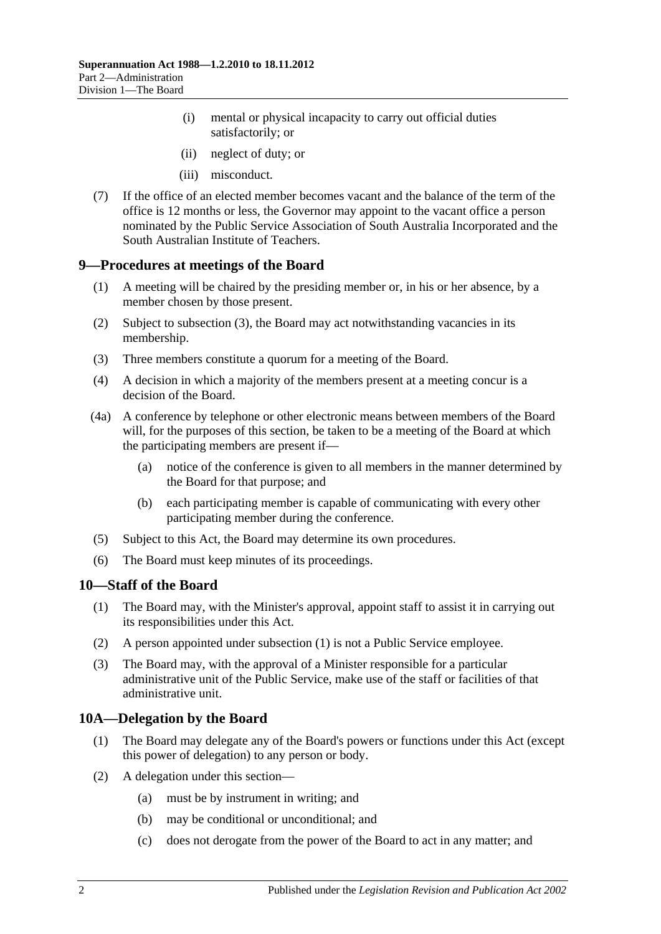- (i) mental or physical incapacity to carry out official duties satisfactorily; or
- (ii) neglect of duty; or
- (iii) misconduct.
- (7) If the office of an elected member becomes vacant and the balance of the term of the office is 12 months or less, the Governor may appoint to the vacant office a person nominated by the Public Service Association of South Australia Incorporated and the South Australian Institute of Teachers.

#### <span id="page-19-0"></span>**9—Procedures at meetings of the Board**

- (1) A meeting will be chaired by the presiding member or, in his or her absence, by a member chosen by those present.
- (2) Subject to [subsection](#page-19-3) (3), the Board may act notwithstanding vacancies in its membership.
- <span id="page-19-3"></span>(3) Three members constitute a quorum for a meeting of the Board.
- (4) A decision in which a majority of the members present at a meeting concur is a decision of the Board.
- (4a) A conference by telephone or other electronic means between members of the Board will, for the purposes of this section, be taken to be a meeting of the Board at which the participating members are present if—
	- (a) notice of the conference is given to all members in the manner determined by the Board for that purpose; and
	- (b) each participating member is capable of communicating with every other participating member during the conference.
- (5) Subject to this Act, the Board may determine its own procedures.
- (6) The Board must keep minutes of its proceedings.

#### <span id="page-19-4"></span><span id="page-19-1"></span>**10—Staff of the Board**

- (1) The Board may, with the Minister's approval, appoint staff to assist it in carrying out its responsibilities under this Act.
- (2) A person appointed under [subsection](#page-19-4) (1) is not a Public Service employee.
- (3) The Board may, with the approval of a Minister responsible for a particular administrative unit of the Public Service, make use of the staff or facilities of that administrative unit.

# <span id="page-19-2"></span>**10A—Delegation by the Board**

- (1) The Board may delegate any of the Board's powers or functions under this Act (except this power of delegation) to any person or body.
- (2) A delegation under this section—
	- (a) must be by instrument in writing; and
	- (b) may be conditional or unconditional; and
	- (c) does not derogate from the power of the Board to act in any matter; and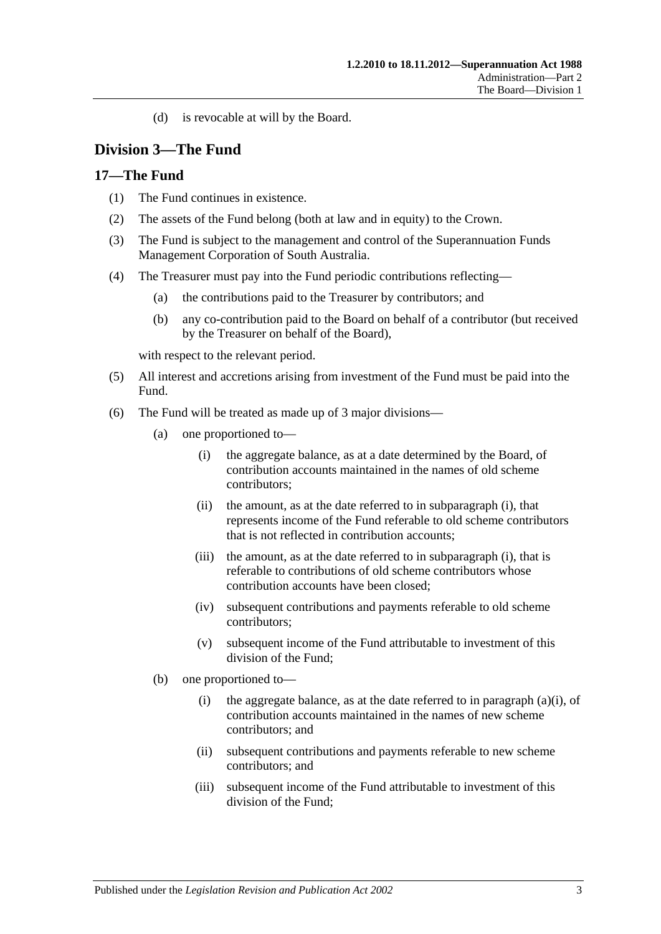(d) is revocable at will by the Board.

# <span id="page-20-0"></span>**Division 3—The Fund**

#### <span id="page-20-1"></span>**17—The Fund**

- (1) The Fund continues in existence.
- (2) The assets of the Fund belong (both at law and in equity) to the Crown.
- (3) The Fund is subject to the management and control of the Superannuation Funds Management Corporation of South Australia.
- (4) The Treasurer must pay into the Fund periodic contributions reflecting—
	- (a) the contributions paid to the Treasurer by contributors; and
	- (b) any co-contribution paid to the Board on behalf of a contributor (but received by the Treasurer on behalf of the Board),

with respect to the relevant period.

- (5) All interest and accretions arising from investment of the Fund must be paid into the Fund.
- <span id="page-20-2"></span>(6) The Fund will be treated as made up of 3 major divisions—
	- (a) one proportioned to—
		- (i) the aggregate balance, as at a date determined by the Board, of contribution accounts maintained in the names of old scheme contributors;
		- (ii) the amount, as at the date referred to in [subparagraph](#page-20-2) (i), that represents income of the Fund referable to old scheme contributors that is not reflected in contribution accounts;
		- (iii) the amount, as at the date referred to in [subparagraph](#page-20-2) (i), that is referable to contributions of old scheme contributors whose contribution accounts have been closed;
		- (iv) subsequent contributions and payments referable to old scheme contributors;
		- (v) subsequent income of the Fund attributable to investment of this division of the Fund;
	- (b) one proportioned to
		- (i) the aggregate balance, as at the date referred to in [paragraph](#page-20-2)  $(a)(i)$ , of contribution accounts maintained in the names of new scheme contributors; and
		- (ii) subsequent contributions and payments referable to new scheme contributors; and
		- (iii) subsequent income of the Fund attributable to investment of this division of the Fund;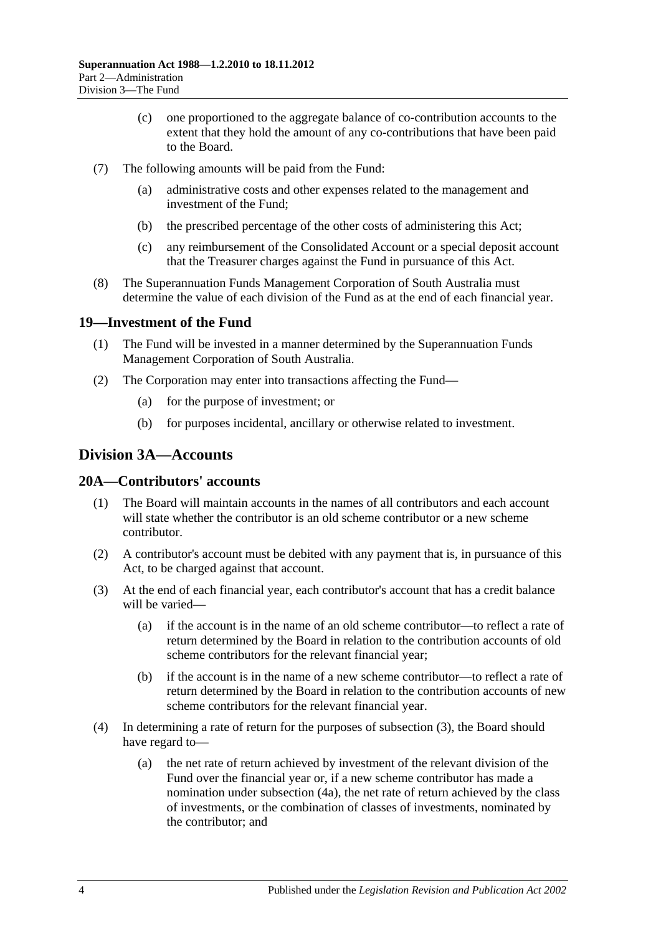- (c) one proportioned to the aggregate balance of co-contribution accounts to the extent that they hold the amount of any co-contributions that have been paid to the Board.
- (7) The following amounts will be paid from the Fund:
	- (a) administrative costs and other expenses related to the management and investment of the Fund;
	- (b) the prescribed percentage of the other costs of administering this Act;
	- (c) any reimbursement of the Consolidated Account or a special deposit account that the Treasurer charges against the Fund in pursuance of this Act.
- (8) The Superannuation Funds Management Corporation of South Australia must determine the value of each division of the Fund as at the end of each financial year.

# <span id="page-21-0"></span>**19—Investment of the Fund**

- (1) The Fund will be invested in a manner determined by the Superannuation Funds Management Corporation of South Australia.
- (2) The Corporation may enter into transactions affecting the Fund—
	- (a) for the purpose of investment; or
	- (b) for purposes incidental, ancillary or otherwise related to investment.

# <span id="page-21-1"></span>**Division 3A—Accounts**

# <span id="page-21-2"></span>**20A—Contributors' accounts**

- (1) The Board will maintain accounts in the names of all contributors and each account will state whether the contributor is an old scheme contributor or a new scheme contributor.
- (2) A contributor's account must be debited with any payment that is, in pursuance of this Act, to be charged against that account.
- <span id="page-21-3"></span>(3) At the end of each financial year, each contributor's account that has a credit balance will be varied—
	- (a) if the account is in the name of an old scheme contributor—to reflect a rate of return determined by the Board in relation to the contribution accounts of old scheme contributors for the relevant financial year;
	- (b) if the account is in the name of a new scheme contributor—to reflect a rate of return determined by the Board in relation to the contribution accounts of new scheme contributors for the relevant financial year.
- (4) In determining a rate of return for the purposes of [subsection](#page-21-3) (3), the Board should have regard to—
	- (a) the net rate of return achieved by investment of the relevant division of the Fund over the financial year or, if a new scheme contributor has made a nomination under [subsection](#page-22-2) (4a), the net rate of return achieved by the class of investments, or the combination of classes of investments, nominated by the contributor; and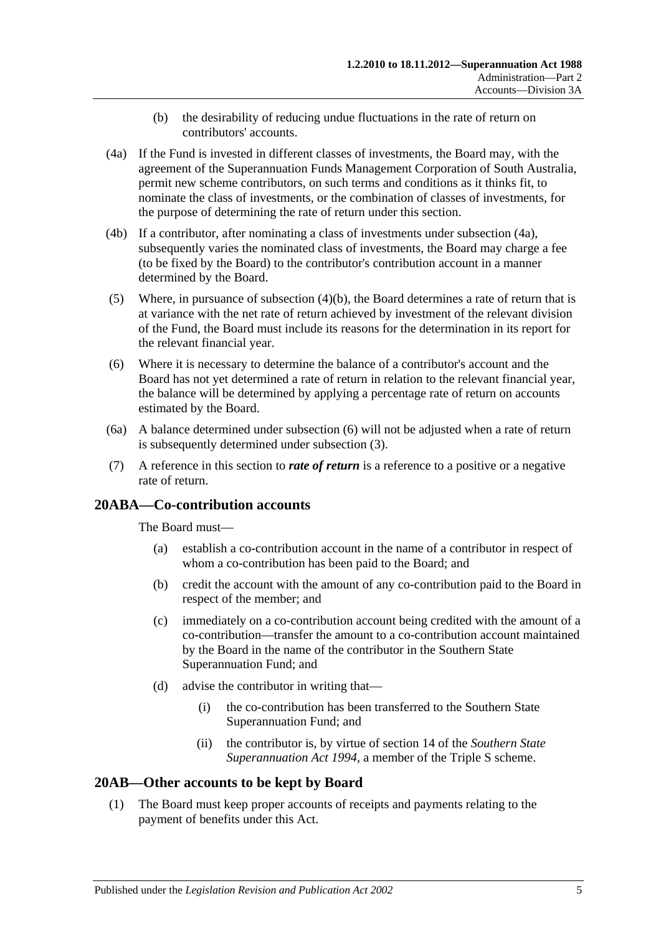- (b) the desirability of reducing undue fluctuations in the rate of return on contributors' accounts.
- <span id="page-22-3"></span><span id="page-22-2"></span>(4a) If the Fund is invested in different classes of investments, the Board may, with the agreement of the Superannuation Funds Management Corporation of South Australia, permit new scheme contributors, on such terms and conditions as it thinks fit, to nominate the class of investments, or the combination of classes of investments, for the purpose of determining the rate of return under this section.
- (4b) If a contributor, after nominating a class of investments under [subsection](#page-22-2) (4a), subsequently varies the nominated class of investments, the Board may charge a fee (to be fixed by the Board) to the contributor's contribution account in a manner determined by the Board.
- (5) Where, in pursuance of [subsection](#page-22-3)  $(4)(b)$ , the Board determines a rate of return that is at variance with the net rate of return achieved by investment of the relevant division of the Fund, the Board must include its reasons for the determination in its report for the relevant financial year.
- <span id="page-22-4"></span>(6) Where it is necessary to determine the balance of a contributor's account and the Board has not yet determined a rate of return in relation to the relevant financial year, the balance will be determined by applying a percentage rate of return on accounts estimated by the Board.
- (6a) A balance determined under [subsection](#page-22-4) (6) will not be adjusted when a rate of return is subsequently determined under [subsection](#page-21-3) (3).
- (7) A reference in this section to *rate of return* is a reference to a positive or a negative rate of return.

# <span id="page-22-0"></span>**20ABA—Co-contribution accounts**

The Board must—

- (a) establish a co-contribution account in the name of a contributor in respect of whom a co-contribution has been paid to the Board; and
- (b) credit the account with the amount of any co-contribution paid to the Board in respect of the member; and
- (c) immediately on a co-contribution account being credited with the amount of a co-contribution—transfer the amount to a co-contribution account maintained by the Board in the name of the contributor in the Southern State Superannuation Fund; and
- (d) advise the contributor in writing that—
	- (i) the co-contribution has been transferred to the Southern State Superannuation Fund; and
	- (ii) the contributor is, by virtue of section 14 of the *[Southern State](http://www.legislation.sa.gov.au/index.aspx?action=legref&type=act&legtitle=Southern%20State%20Superannuation%20Act%201994)  [Superannuation Act](http://www.legislation.sa.gov.au/index.aspx?action=legref&type=act&legtitle=Southern%20State%20Superannuation%20Act%201994) 1994*, a member of the Triple S scheme.

# <span id="page-22-5"></span><span id="page-22-1"></span>**20AB—Other accounts to be kept by Board**

(1) The Board must keep proper accounts of receipts and payments relating to the payment of benefits under this Act.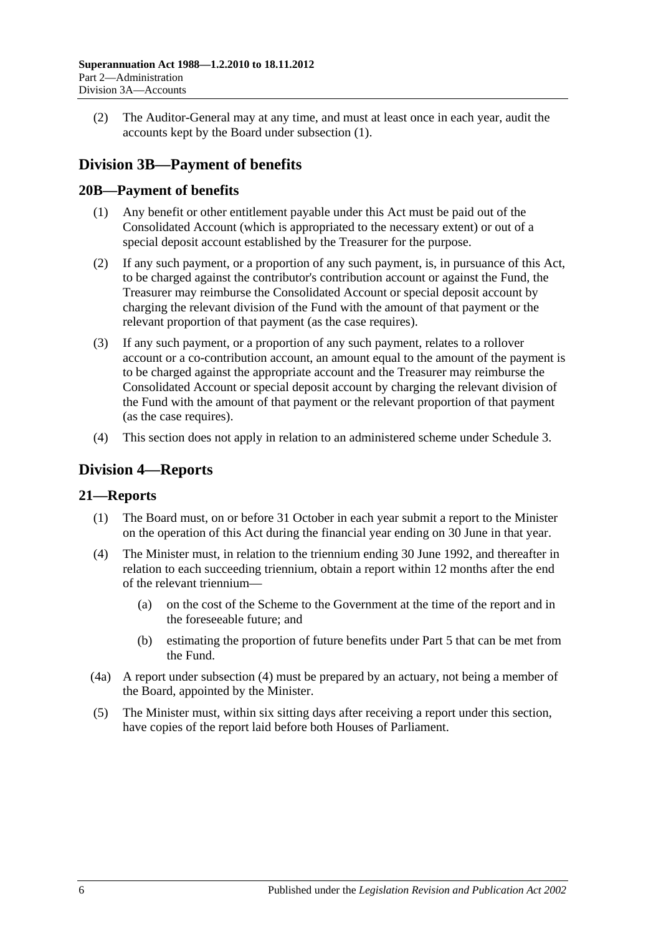(2) The Auditor-General may at any time, and must at least once in each year, audit the accounts kept by the Board under [subsection](#page-22-5) (1).

# <span id="page-23-0"></span>**Division 3B—Payment of benefits**

# <span id="page-23-1"></span>**20B—Payment of benefits**

- (1) Any benefit or other entitlement payable under this Act must be paid out of the Consolidated Account (which is appropriated to the necessary extent) or out of a special deposit account established by the Treasurer for the purpose.
- (2) If any such payment, or a proportion of any such payment, is, in pursuance of this Act, to be charged against the contributor's contribution account or against the Fund, the Treasurer may reimburse the Consolidated Account or special deposit account by charging the relevant division of the Fund with the amount of that payment or the relevant proportion of that payment (as the case requires).
- (3) If any such payment, or a proportion of any such payment, relates to a rollover account or a co-contribution account, an amount equal to the amount of the payment is to be charged against the appropriate account and the Treasurer may reimburse the Consolidated Account or special deposit account by charging the relevant division of the Fund with the amount of that payment or the relevant proportion of that payment (as the case requires).
- (4) This section does not apply in relation to an administered scheme under [Schedule 3.](#page-128-0)

# <span id="page-23-2"></span>**Division 4—Reports**

# <span id="page-23-3"></span>**21—Reports**

- (1) The Board must, on or before 31 October in each year submit a report to the Minister on the operation of this Act during the financial year ending on 30 June in that year.
- <span id="page-23-4"></span>(4) The Minister must, in relation to the triennium ending 30 June 1992, and thereafter in relation to each succeeding triennium, obtain a report within 12 months after the end of the relevant triennium—
	- (a) on the cost of the Scheme to the Government at the time of the report and in the foreseeable future; and
	- (b) estimating the proportion of future benefits under [Part 5](#page-56-0) that can be met from the Fund.
- (4a) A report under [subsection](#page-23-4) (4) must be prepared by an actuary, not being a member of the Board, appointed by the Minister.
- (5) The Minister must, within six sitting days after receiving a report under this section, have copies of the report laid before both Houses of Parliament.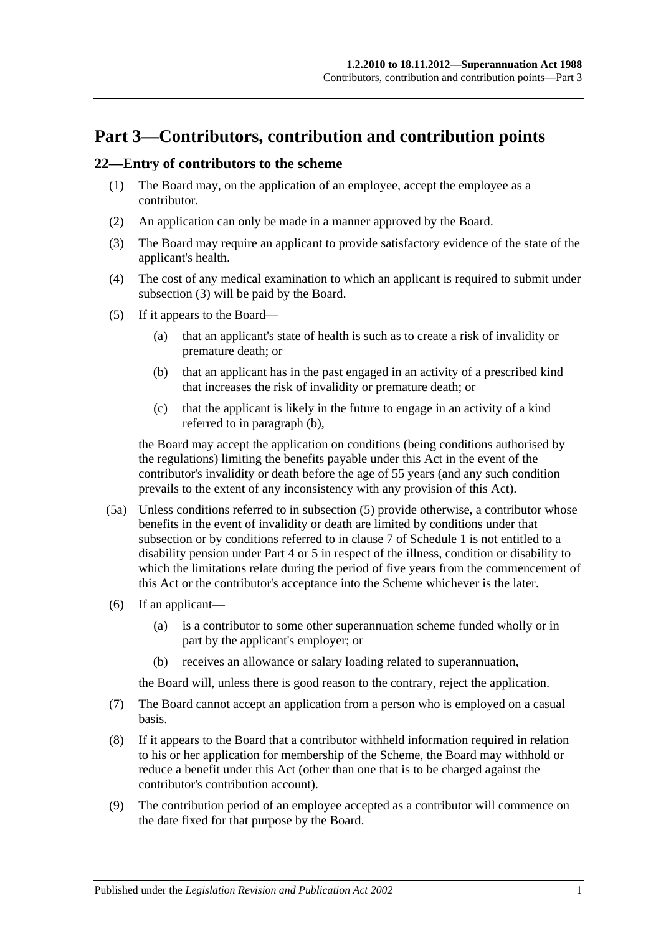# <span id="page-24-0"></span>**Part 3—Contributors, contribution and contribution points**

#### <span id="page-24-5"></span><span id="page-24-1"></span>**22—Entry of contributors to the scheme**

- (1) The Board may, on the application of an employee, accept the employee as a contributor.
- (2) An application can only be made in a manner approved by the Board.
- <span id="page-24-2"></span>(3) The Board may require an applicant to provide satisfactory evidence of the state of the applicant's health.
- (4) The cost of any medical examination to which an applicant is required to submit under [subsection](#page-24-2) (3) will be paid by the Board.
- <span id="page-24-4"></span><span id="page-24-3"></span>(5) If it appears to the Board—
	- (a) that an applicant's state of health is such as to create a risk of invalidity or premature death; or
	- (b) that an applicant has in the past engaged in an activity of a prescribed kind that increases the risk of invalidity or premature death; or
	- (c) that the applicant is likely in the future to engage in an activity of a kind referred to in [paragraph](#page-24-3) (b),

the Board may accept the application on conditions (being conditions authorised by the regulations) limiting the benefits payable under this Act in the event of the contributor's invalidity or death before the age of 55 years (and any such condition prevails to the extent of any inconsistency with any provision of this Act).

- (5a) Unless conditions referred to in [subsection](#page-24-4) (5) provide otherwise, a contributor whose benefits in the event of invalidity or death are limited by conditions under that subsection or by conditions referred to in [clause](#page-108-0) 7 of [Schedule 1](#page-104-0) is not entitled to a disability pension under [Part 4](#page-30-0) or [5](#page-56-0) in respect of the illness, condition or disability to which the limitations relate during the period of five years from the commencement of this Act or the contributor's acceptance into the Scheme whichever is the later.
- (6) If an applicant—
	- (a) is a contributor to some other superannuation scheme funded wholly or in part by the applicant's employer; or
	- (b) receives an allowance or salary loading related to superannuation,

the Board will, unless there is good reason to the contrary, reject the application.

- (7) The Board cannot accept an application from a person who is employed on a casual basis.
- (8) If it appears to the Board that a contributor withheld information required in relation to his or her application for membership of the Scheme, the Board may withhold or reduce a benefit under this Act (other than one that is to be charged against the contributor's contribution account).
- (9) The contribution period of an employee accepted as a contributor will commence on the date fixed for that purpose by the Board.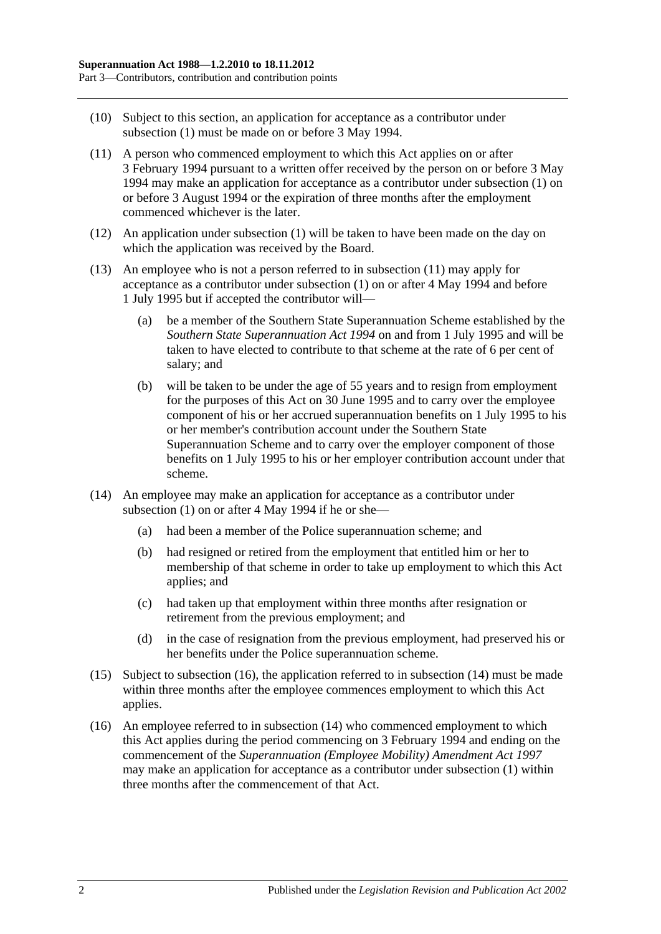- (10) Subject to this section, an application for acceptance as a contributor under [subsection](#page-24-5) (1) must be made on or before 3 May 1994.
- <span id="page-25-0"></span>(11) A person who commenced employment to which this Act applies on or after 3 February 1994 pursuant to a written offer received by the person on or before 3 May 1994 may make an application for acceptance as a contributor under [subsection](#page-24-5) (1) on or before 3 August 1994 or the expiration of three months after the employment commenced whichever is the later.
- (12) An application under [subsection](#page-24-5) (1) will be taken to have been made on the day on which the application was received by the Board.
- (13) An employee who is not a person referred to in [subsection](#page-25-0) (11) may apply for acceptance as a contributor under [subsection](#page-24-5) (1) on or after 4 May 1994 and before 1 July 1995 but if accepted the contributor will—
	- (a) be a member of the Southern State Superannuation Scheme established by the *[Southern State Superannuation Act](http://www.legislation.sa.gov.au/index.aspx?action=legref&type=act&legtitle=Southern%20State%20Superannuation%20Act%201994) 1994* on and from 1 July 1995 and will be taken to have elected to contribute to that scheme at the rate of 6 per cent of salary; and
	- (b) will be taken to be under the age of 55 years and to resign from employment for the purposes of this Act on 30 June 1995 and to carry over the employee component of his or her accrued superannuation benefits on 1 July 1995 to his or her member's contribution account under the Southern State Superannuation Scheme and to carry over the employer component of those benefits on 1 July 1995 to his or her employer contribution account under that scheme.
- <span id="page-25-2"></span>(14) An employee may make an application for acceptance as a contributor under [subsection](#page-24-5)  $(1)$  on or after 4 May 1994 if he or she-
	- (a) had been a member of the Police superannuation scheme; and
	- (b) had resigned or retired from the employment that entitled him or her to membership of that scheme in order to take up employment to which this Act applies; and
	- (c) had taken up that employment within three months after resignation or retirement from the previous employment; and
	- (d) in the case of resignation from the previous employment, had preserved his or her benefits under the Police superannuation scheme.
- (15) Subject to [subsection](#page-25-1) (16), the application referred to in [subsection](#page-25-2) (14) must be made within three months after the employee commences employment to which this Act applies.
- <span id="page-25-1"></span>(16) An employee referred to in [subsection](#page-25-2) (14) who commenced employment to which this Act applies during the period commencing on 3 February 1994 and ending on the commencement of the *[Superannuation \(Employee Mobility\) Amendment Act](http://www.legislation.sa.gov.au/index.aspx?action=legref&type=act&legtitle=Superannuation%20(Employee%20Mobility)%20Amendment%20Act%201997) 1997* may make an application for acceptance as a contributor under [subsection](#page-24-5) (1) within three months after the commencement of that Act.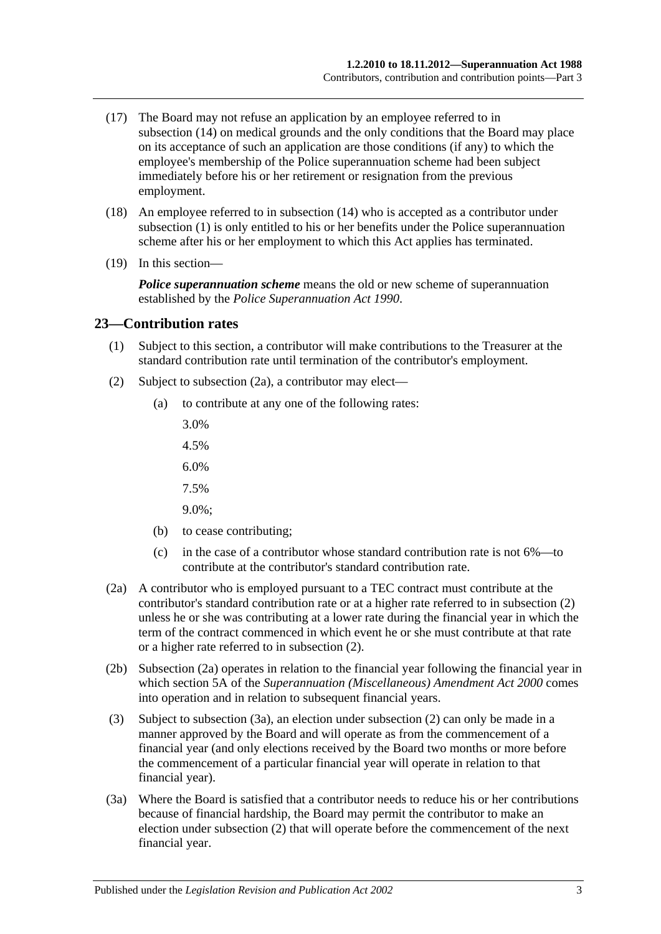- (17) The Board may not refuse an application by an employee referred to in [subsection](#page-25-2) (14) on medical grounds and the only conditions that the Board may place on its acceptance of such an application are those conditions (if any) to which the employee's membership of the Police superannuation scheme had been subject immediately before his or her retirement or resignation from the previous employment.
- (18) An employee referred to in [subsection](#page-25-2) (14) who is accepted as a contributor under [subsection](#page-24-5) (1) is only entitled to his or her benefits under the Police superannuation scheme after his or her employment to which this Act applies has terminated.
- (19) In this section—

*Police superannuation scheme* means the old or new scheme of superannuation established by the *[Police Superannuation Act](http://www.legislation.sa.gov.au/index.aspx?action=legref&type=act&legtitle=Police%20Superannuation%20Act%201990) 1990*.

#### <span id="page-26-0"></span>**23—Contribution rates**

- (1) Subject to this section, a contributor will make contributions to the Treasurer at the standard contribution rate until termination of the contributor's employment.
- <span id="page-26-2"></span>(2) Subject to [subsection](#page-26-1) (2a), a contributor may elect—
	- (a) to contribute at any one of the following rates:
		- 3.0%
		- 4.5%
		- 6.0%
		- 7.5%
		- 9.0%;
	- (b) to cease contributing;
	- (c) in the case of a contributor whose standard contribution rate is not 6%—to contribute at the contributor's standard contribution rate.
- <span id="page-26-1"></span>(2a) A contributor who is employed pursuant to a TEC contract must contribute at the contributor's standard contribution rate or at a higher rate referred to in [subsection](#page-26-2) (2) unless he or she was contributing at a lower rate during the financial year in which the term of the contract commenced in which event he or she must contribute at that rate or a higher rate referred to in [subsection](#page-26-2) (2).
- (2b) [Subsection](#page-26-1) (2a) operates in relation to the financial year following the financial year in which section 5A of the *[Superannuation \(Miscellaneous\) Amendment Act](http://www.legislation.sa.gov.au/index.aspx?action=legref&type=act&legtitle=Superannuation%20(Miscellaneous)%20Amendment%20Act%202000) 2000* comes into operation and in relation to subsequent financial years.
- (3) Subject to [subsection](#page-26-3) (3a), an election under [subsection](#page-26-2) (2) can only be made in a manner approved by the Board and will operate as from the commencement of a financial year (and only elections received by the Board two months or more before the commencement of a particular financial year will operate in relation to that financial year).
- <span id="page-26-3"></span>(3a) Where the Board is satisfied that a contributor needs to reduce his or her contributions because of financial hardship, the Board may permit the contributor to make an election under [subsection](#page-26-2) (2) that will operate before the commencement of the next financial year.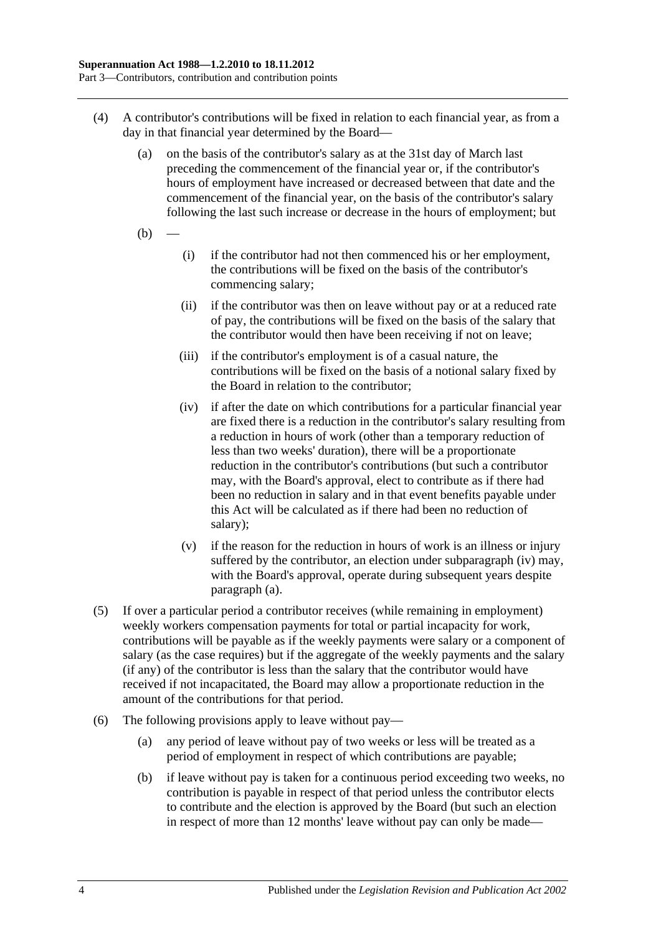- <span id="page-27-1"></span>(4) A contributor's contributions will be fixed in relation to each financial year, as from a day in that financial year determined by the Board—
	- (a) on the basis of the contributor's salary as at the 31st day of March last preceding the commencement of the financial year or, if the contributor's hours of employment have increased or decreased between that date and the commencement of the financial year, on the basis of the contributor's salary following the last such increase or decrease in the hours of employment; but
	- $(b)$
- (i) if the contributor had not then commenced his or her employment, the contributions will be fixed on the basis of the contributor's commencing salary;
- (ii) if the contributor was then on leave without pay or at a reduced rate of pay, the contributions will be fixed on the basis of the salary that the contributor would then have been receiving if not on leave;
- (iii) if the contributor's employment is of a casual nature, the contributions will be fixed on the basis of a notional salary fixed by the Board in relation to the contributor;
- <span id="page-27-0"></span>(iv) if after the date on which contributions for a particular financial year are fixed there is a reduction in the contributor's salary resulting from a reduction in hours of work (other than a temporary reduction of less than two weeks' duration), there will be a proportionate reduction in the contributor's contributions (but such a contributor may, with the Board's approval, elect to contribute as if there had been no reduction in salary and in that event benefits payable under this Act will be calculated as if there had been no reduction of salary);
- (v) if the reason for the reduction in hours of work is an illness or injury suffered by the contributor, an election under [subparagraph](#page-27-0) (iv) may, with the Board's approval, operate during subsequent years despite [paragraph](#page-27-1) (a).
- (5) If over a particular period a contributor receives (while remaining in employment) weekly workers compensation payments for total or partial incapacity for work, contributions will be payable as if the weekly payments were salary or a component of salary (as the case requires) but if the aggregate of the weekly payments and the salary (if any) of the contributor is less than the salary that the contributor would have received if not incapacitated, the Board may allow a proportionate reduction in the amount of the contributions for that period.
- <span id="page-27-2"></span>(6) The following provisions apply to leave without pay—
	- (a) any period of leave without pay of two weeks or less will be treated as a period of employment in respect of which contributions are payable;
	- (b) if leave without pay is taken for a continuous period exceeding two weeks, no contribution is payable in respect of that period unless the contributor elects to contribute and the election is approved by the Board (but such an election in respect of more than 12 months' leave without pay can only be made—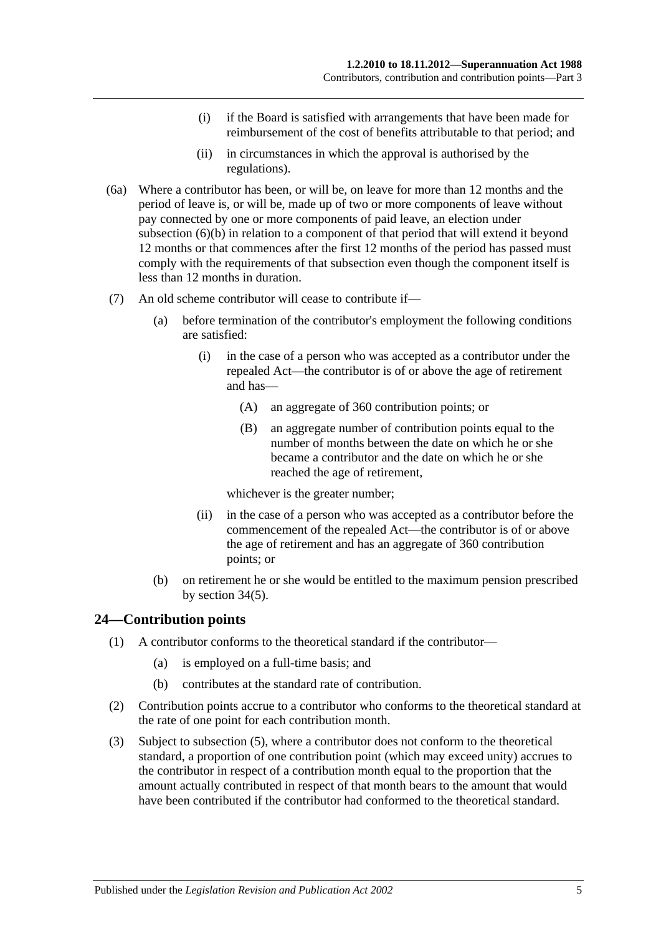- (i) if the Board is satisfied with arrangements that have been made for reimbursement of the cost of benefits attributable to that period; and
- (ii) in circumstances in which the approval is authorised by the regulations).
- (6a) Where a contributor has been, or will be, on leave for more than 12 months and the period of leave is, or will be, made up of two or more components of leave without pay connected by one or more components of paid leave, an election under [subsection](#page-27-2) (6)(b) in relation to a component of that period that will extend it beyond 12 months or that commences after the first 12 months of the period has passed must comply with the requirements of that subsection even though the component itself is less than 12 months in duration.
- (7) An old scheme contributor will cease to contribute if—
	- (a) before termination of the contributor's employment the following conditions are satisfied:
		- (i) in the case of a person who was accepted as a contributor under the repealed Act—the contributor is of or above the age of retirement and has—
			- (A) an aggregate of 360 contribution points; or
			- (B) an aggregate number of contribution points equal to the number of months between the date on which he or she became a contributor and the date on which he or she reached the age of retirement,

whichever is the greater number;

- (ii) in the case of a person who was accepted as a contributor before the commencement of the repealed Act—the contributor is of or above the age of retirement and has an aggregate of 360 contribution points; or
- (b) on retirement he or she would be entitled to the maximum pension prescribed by [section](#page-60-0) 34(5).

# <span id="page-28-0"></span>**24—Contribution points**

- (1) A contributor conforms to the theoretical standard if the contributor—
	- (a) is employed on a full-time basis; and
	- (b) contributes at the standard rate of contribution.
- (2) Contribution points accrue to a contributor who conforms to the theoretical standard at the rate of one point for each contribution month.
- (3) Subject to [subsection](#page-29-1) (5), where a contributor does not conform to the theoretical standard, a proportion of one contribution point (which may exceed unity) accrues to the contributor in respect of a contribution month equal to the proportion that the amount actually contributed in respect of that month bears to the amount that would have been contributed if the contributor had conformed to the theoretical standard.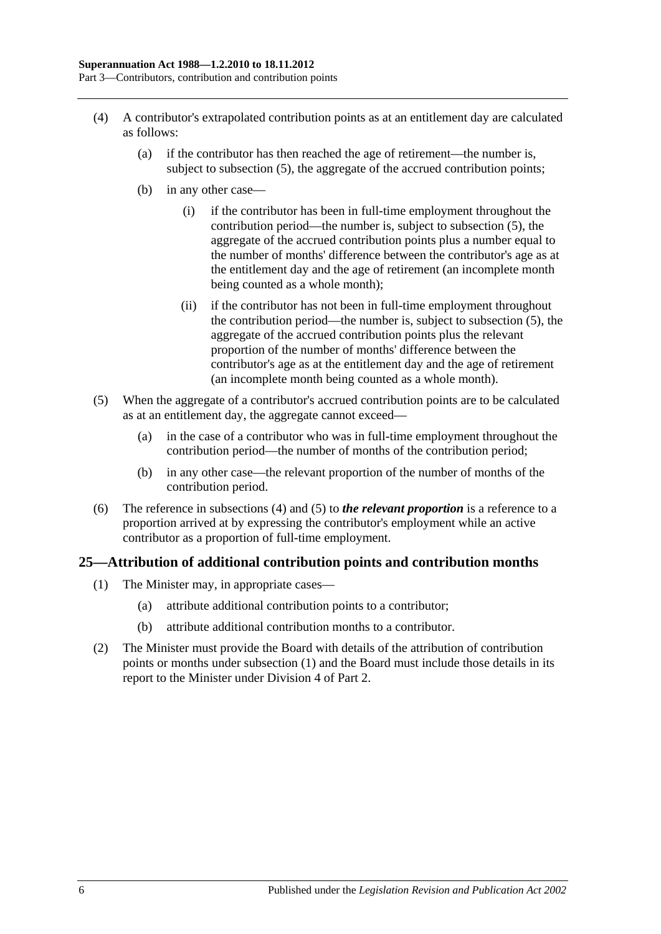- <span id="page-29-2"></span>(4) A contributor's extrapolated contribution points as at an entitlement day are calculated as follows:
	- (a) if the contributor has then reached the age of retirement—the number is, subject to [subsection](#page-29-1) (5), the aggregate of the accrued contribution points;
	- (b) in any other case—
		- (i) if the contributor has been in full-time employment throughout the contribution period—the number is, subject to [subsection](#page-29-1) (5), the aggregate of the accrued contribution points plus a number equal to the number of months' difference between the contributor's age as at the entitlement day and the age of retirement (an incomplete month being counted as a whole month);
		- (ii) if the contributor has not been in full-time employment throughout the contribution period—the number is, subject to [subsection](#page-29-1) (5), the aggregate of the accrued contribution points plus the relevant proportion of the number of months' difference between the contributor's age as at the entitlement day and the age of retirement (an incomplete month being counted as a whole month).
- <span id="page-29-1"></span>(5) When the aggregate of a contributor's accrued contribution points are to be calculated as at an entitlement day, the aggregate cannot exceed—
	- (a) in the case of a contributor who was in full-time employment throughout the contribution period—the number of months of the contribution period;
	- (b) in any other case—the relevant proportion of the number of months of the contribution period.
- (6) The reference in [subsections](#page-29-2) (4) and [\(5\)](#page-29-1) to *the relevant proportion* is a reference to a proportion arrived at by expressing the contributor's employment while an active contributor as a proportion of full-time employment.

# <span id="page-29-3"></span><span id="page-29-0"></span>**25—Attribution of additional contribution points and contribution months**

- (1) The Minister may, in appropriate cases—
	- (a) attribute additional contribution points to a contributor;
	- (b) attribute additional contribution months to a contributor.
- (2) The Minister must provide the Board with details of the attribution of contribution points or months under [subsection](#page-29-3) (1) and the Board must include those details in its report to the Minister under [Division 4](#page-23-2) of [Part 2.](#page-18-0)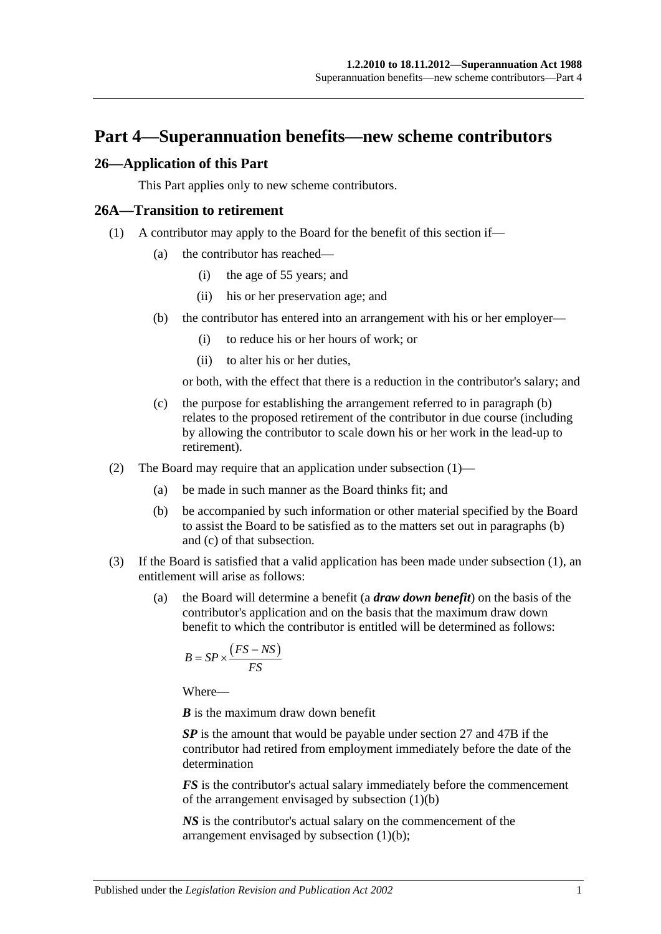# <span id="page-30-0"></span>**Part 4—Superannuation benefits—new scheme contributors**

#### <span id="page-30-1"></span>**26—Application of this Part**

This Part applies only to new scheme contributors.

#### <span id="page-30-4"></span><span id="page-30-2"></span>**26A—Transition to retirement**

- <span id="page-30-3"></span>(1) A contributor may apply to the Board for the benefit of this section if—
	- (a) the contributor has reached—
		- (i) the age of 55 years; and
		- (ii) his or her preservation age; and
	- (b) the contributor has entered into an arrangement with his or her employer—
		- (i) to reduce his or her hours of work; or
		- (ii) to alter his or her duties,

or both, with the effect that there is a reduction in the contributor's salary; and

- <span id="page-30-5"></span>(c) the purpose for establishing the arrangement referred to in [paragraph](#page-30-3) (b) relates to the proposed retirement of the contributor in due course (including by allowing the contributor to scale down his or her work in the lead-up to retirement).
- (2) The Board may require that an application under [subsection](#page-30-4) (1)—
	- (a) be made in such manner as the Board thinks fit; and
	- (b) be accompanied by such information or other material specified by the Board to assist the Board to be satisfied as to the matters set out in [paragraphs](#page-30-3) (b) and [\(c\)](#page-30-5) of that subsection.
- <span id="page-30-7"></span><span id="page-30-6"></span>(3) If the Board is satisfied that a valid application has been made under [subsection](#page-30-4) (1), an entitlement will arise as follows:
	- (a) the Board will determine a benefit (a *draw down benefit*) on the basis of the contributor's application and on the basis that the maximum draw down benefit to which the contributor is entitled will be determined as follows:

$$
B = SP \times \frac{(FS - NS)}{FS}
$$

Where—

*B* is the maximum draw down benefit

*SP* is the amount that would be payable under [section](#page-33-0) 27 and [47B](#page-98-1) if the contributor had retired from employment immediately before the date of the determination

*FS* is the contributor's actual salary immediately before the commencement of the arrangement envisaged by [subsection](#page-30-3) (1)(b)

*NS* is the contributor's actual salary on the commencement of the arrangement envisaged by [subsection](#page-30-3) (1)(b);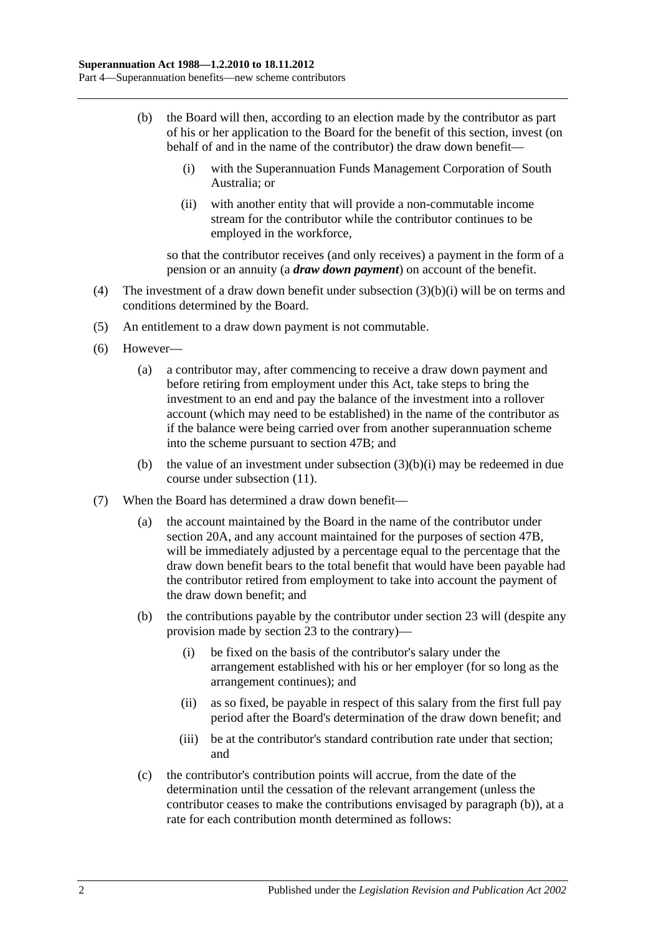- <span id="page-31-2"></span><span id="page-31-0"></span>(b) the Board will then, according to an election made by the contributor as part of his or her application to the Board for the benefit of this section, invest (on behalf of and in the name of the contributor) the draw down benefit—
	- (i) with the Superannuation Funds Management Corporation of South Australia; or
	- (ii) with another entity that will provide a non-commutable income stream for the contributor while the contributor continues to be employed in the workforce,

so that the contributor receives (and only receives) a payment in the form of a pension or an annuity (a *draw down payment*) on account of the benefit.

- (4) The investment of a draw down benefit under [subsection](#page-31-0) (3)(b)(i) will be on terms and conditions determined by the Board.
- (5) An entitlement to a draw down payment is not commutable.
- (6) However—
	- (a) a contributor may, after commencing to receive a draw down payment and before retiring from employment under this Act, take steps to bring the investment to an end and pay the balance of the investment into a rollover account (which may need to be established) in the name of the contributor as if the balance were being carried over from another superannuation scheme into the scheme pursuant to [section](#page-98-1) 47B; and
	- (b) the value of an investment under [subsection](#page-31-0)  $(3)(b)(i)$  may be redeemed in due course under [subsection](#page-32-0) (11).
- <span id="page-31-1"></span>(7) When the Board has determined a draw down benefit—
	- (a) the account maintained by the Board in the name of the contributor under [section](#page-21-2) 20A, and any account maintained for the purposes of [section](#page-98-1) 47B, will be immediately adjusted by a percentage equal to the percentage that the draw down benefit bears to the total benefit that would have been payable had the contributor retired from employment to take into account the payment of the draw down benefit; and
	- (b) the contributions payable by the contributor under [section](#page-26-0) 23 will (despite any provision made by [section](#page-26-0) 23 to the contrary)—
		- (i) be fixed on the basis of the contributor's salary under the arrangement established with his or her employer (for so long as the arrangement continues); and
		- (ii) as so fixed, be payable in respect of this salary from the first full pay period after the Board's determination of the draw down benefit; and
		- (iii) be at the contributor's standard contribution rate under that section; and
	- (c) the contributor's contribution points will accrue, from the date of the determination until the cessation of the relevant arrangement (unless the contributor ceases to make the contributions envisaged by [paragraph](#page-31-1) (b)), at a rate for each contribution month determined as follows: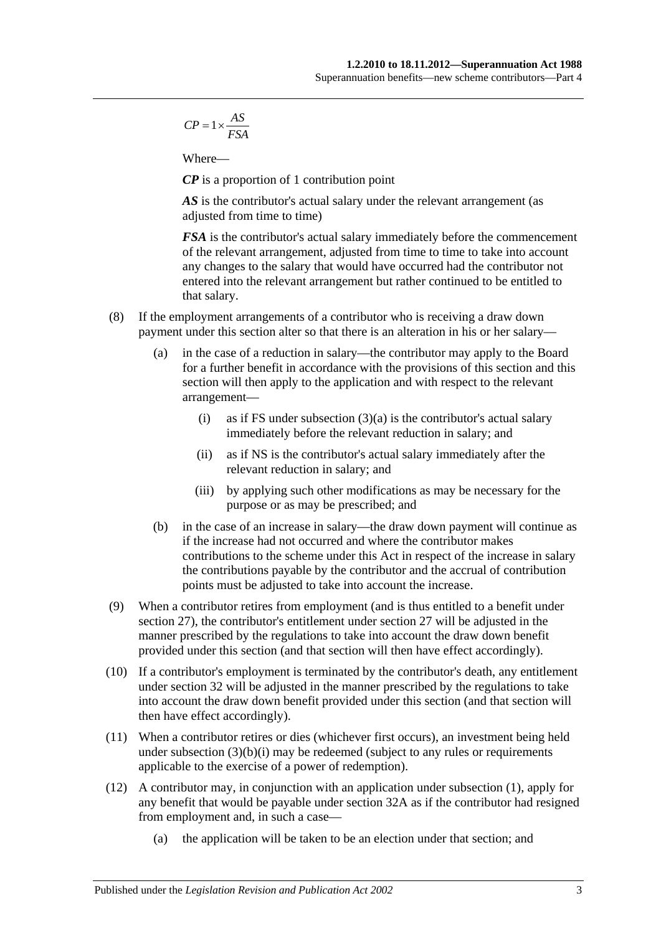$$
CP = 1 \times \frac{AS}{FSA}
$$

Where—

*CP* is a proportion of 1 contribution point

AS is the contributor's actual salary under the relevant arrangement (as adjusted from time to time)

*FSA* is the contributor's actual salary immediately before the commencement of the relevant arrangement, adjusted from time to time to take into account any changes to the salary that would have occurred had the contributor not entered into the relevant arrangement but rather continued to be entitled to that salary.

- (8) If the employment arrangements of a contributor who is receiving a draw down payment under this section alter so that there is an alteration in his or her salary—
	- (a) in the case of a reduction in salary—the contributor may apply to the Board for a further benefit in accordance with the provisions of this section and this section will then apply to the application and with respect to the relevant arrangement
		- (i) as if FS under [subsection](#page-30-6)  $(3)(a)$  is the contributor's actual salary immediately before the relevant reduction in salary; and
		- (ii) as if NS is the contributor's actual salary immediately after the relevant reduction in salary; and
		- (iii) by applying such other modifications as may be necessary for the purpose or as may be prescribed; and
	- (b) in the case of an increase in salary—the draw down payment will continue as if the increase had not occurred and where the contributor makes contributions to the scheme under this Act in respect of the increase in salary the contributions payable by the contributor and the accrual of contribution points must be adjusted to take into account the increase.
- (9) When a contributor retires from employment (and is thus entitled to a benefit under [section](#page-33-0) 27), the contributor's entitlement under [section](#page-33-0) 27 will be adjusted in the manner prescribed by the regulations to take into account the draw down benefit provided under this section (and that section will then have effect accordingly).
- (10) If a contributor's employment is terminated by the contributor's death, any entitlement under [section](#page-45-0) 32 will be adjusted in the manner prescribed by the regulations to take into account the draw down benefit provided under this section (and that section will then have effect accordingly).
- <span id="page-32-0"></span>(11) When a contributor retires or dies (whichever first occurs), an investment being held under [subsection](#page-31-0)  $(3)(b)(i)$  may be redeemed (subject to any rules or requirements applicable to the exercise of a power of redemption).
- (12) A contributor may, in conjunction with an application under [subsection](#page-30-4) (1), apply for any benefit that would be payable under [section](#page-50-0) 32A as if the contributor had resigned from employment and, in such a case—
	- (a) the application will be taken to be an election under that section; and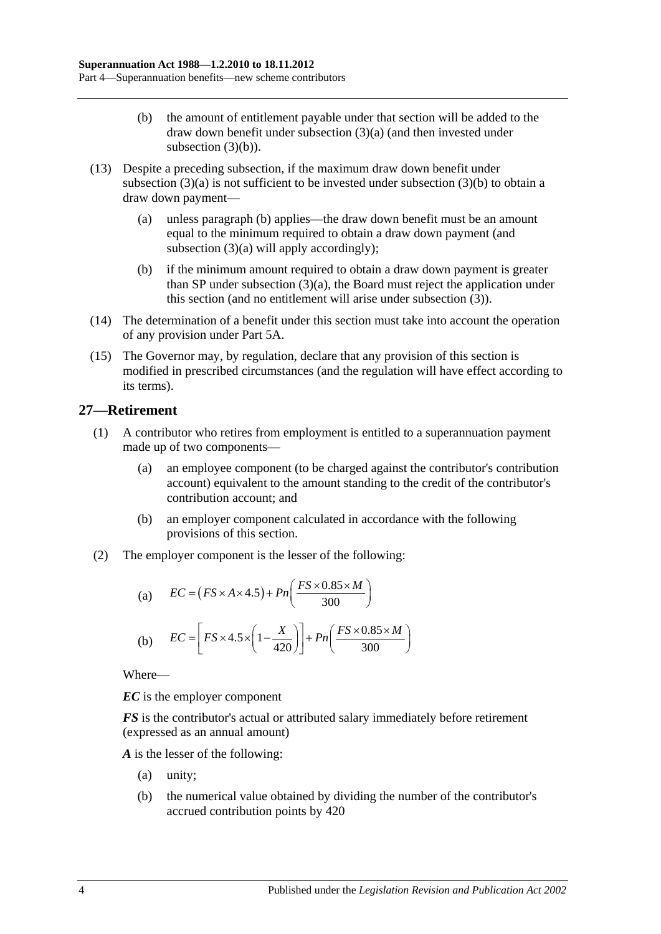- (b) the amount of entitlement payable under that section will be added to the draw down benefit under [subsection](#page-30-6) (3)(a) (and then invested under [subsection](#page-31-2)  $(3)(b)$ ).
- (13) Despite a preceding subsection, if the maximum draw down benefit under [subsection](#page-30-6)  $(3)(a)$  is not sufficient to be invested under [subsection](#page-31-2)  $(3)(b)$  to obtain a draw down payment—
	- (a) unless [paragraph](#page-33-1) (b) applies—the draw down benefit must be an amount equal to the minimum required to obtain a draw down payment (and [subsection](#page-30-6) (3)(a) will apply accordingly);
	- (b) if the minimum amount required to obtain a draw down payment is greater than SP under [subsection](#page-30-6) (3)(a), the Board must reject the application under this section (and no entitlement will arise under [subsection](#page-30-7) (3)).
- <span id="page-33-1"></span>(14) The determination of a benefit under this section must take into account the operation of any provision under [Part 5A.](#page-86-0)
- (15) The Governor may, by regulation, declare that any provision of this section is modified in prescribed circumstances (and the regulation will have effect according to its terms).

# <span id="page-33-0"></span>**27—Retirement**

- (1) A contributor who retires from employment is entitled to a superannuation payment made up of two components—
	- (a) an employee component (to be charged against the contributor's contribution account) equivalent to the amount standing to the credit of the contributor's contribution account; and
	- (b) an employer component calculated in accordance with the following provisions of this section.
- (2) The employer component is the lesser of the following:

(a) 
$$
EC = (FS \times A \times 4.5) + Pn\left(\frac{FS \times 0.85 \times M}{300}\right)
$$
  
(b) 
$$
EC = \left[FS \times 4.5 \times \left(1 - \frac{X}{420}\right)\right] + Pn\left(\frac{FS \times 0.85 \times M}{300}\right)
$$

Where—

*EC* is the employer component

*FS* is the contributor's actual or attributed salary immediately before retirement (expressed as an annual amount)

*A* is the lesser of the following:

- (a) unity;
- (b) the numerical value obtained by dividing the number of the contributor's accrued contribution points by 420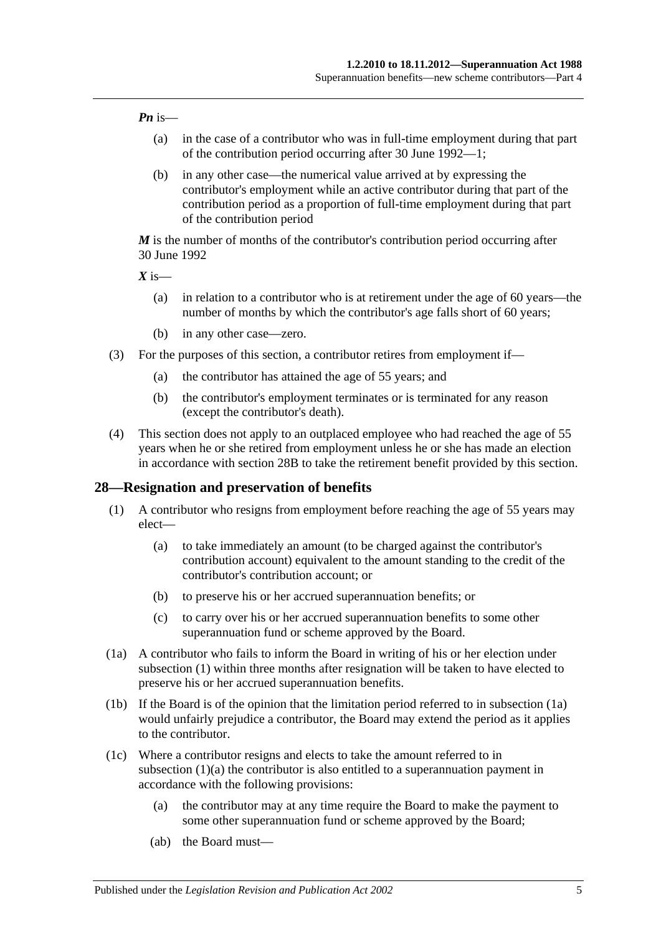#### *Pn* is—

- (a) in the case of a contributor who was in full-time employment during that part of the contribution period occurring after 30 June 1992—1;
- (b) in any other case—the numerical value arrived at by expressing the contributor's employment while an active contributor during that part of the contribution period as a proportion of full-time employment during that part of the contribution period

*M* is the number of months of the contributor's contribution period occurring after 30 June 1992

 $X$  is—

- (a) in relation to a contributor who is at retirement under the age of 60 years—the number of months by which the contributor's age falls short of 60 years;
- (b) in any other case—zero.
- (3) For the purposes of this section, a contributor retires from employment if—
	- (a) the contributor has attained the age of 55 years; and
	- (b) the contributor's employment terminates or is terminated for any reason (except the contributor's death).
- (4) This section does not apply to an outplaced employee who had reached the age of 55 years when he or she retired from employment unless he or she has made an election in accordance with [section](#page-39-0) 28B to take the retirement benefit provided by this section.

#### <span id="page-34-1"></span><span id="page-34-0"></span>**28—Resignation and preservation of benefits**

- <span id="page-34-3"></span>(1) A contributor who resigns from employment before reaching the age of 55 years may elect—
	- (a) to take immediately an amount (to be charged against the contributor's contribution account) equivalent to the amount standing to the credit of the contributor's contribution account; or
	- (b) to preserve his or her accrued superannuation benefits; or
	- (c) to carry over his or her accrued superannuation benefits to some other superannuation fund or scheme approved by the Board.
- <span id="page-34-2"></span>(1a) A contributor who fails to inform the Board in writing of his or her election under [subsection](#page-34-1) (1) within three months after resignation will be taken to have elected to preserve his or her accrued superannuation benefits.
- (1b) If the Board is of the opinion that the limitation period referred to in [subsection](#page-34-2) (1a) would unfairly prejudice a contributor, the Board may extend the period as it applies to the contributor.
- <span id="page-34-4"></span>(1c) Where a contributor resigns and elects to take the amount referred to in [subsection](#page-34-3) (1)(a) the contributor is also entitled to a superannuation payment in accordance with the following provisions:
	- (a) the contributor may at any time require the Board to make the payment to some other superannuation fund or scheme approved by the Board;
	- (ab) the Board must—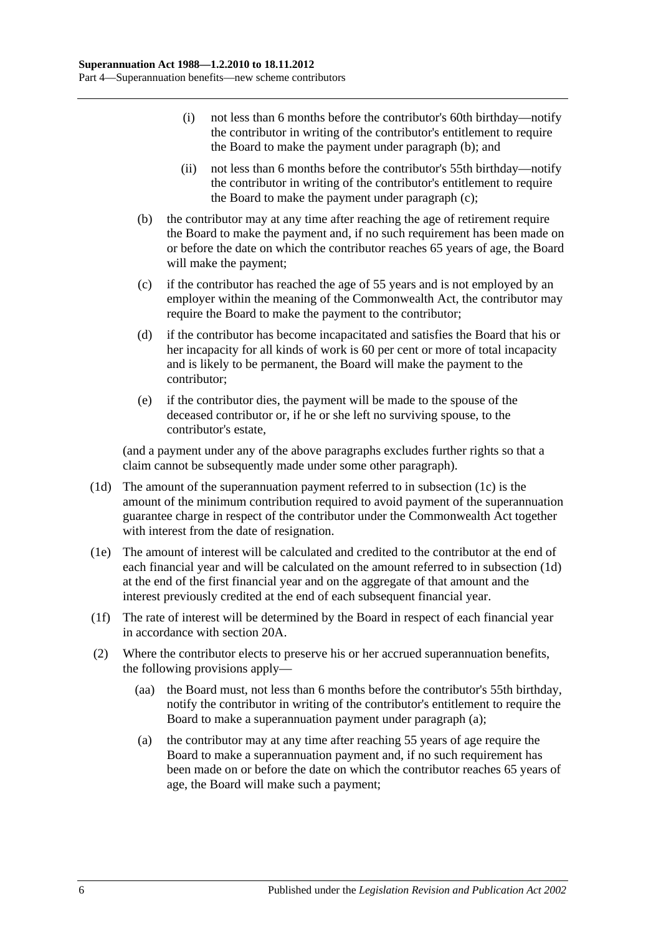- (i) not less than 6 months before the contributor's 60th birthday—notify the contributor in writing of the contributor's entitlement to require the Board to make the payment under [paragraph](#page-35-0) (b); and
- (ii) not less than 6 months before the contributor's 55th birthday—notify the contributor in writing of the contributor's entitlement to require the Board to make the payment under [paragraph](#page-35-1) (c);
- <span id="page-35-0"></span>(b) the contributor may at any time after reaching the age of retirement require the Board to make the payment and, if no such requirement has been made on or before the date on which the contributor reaches 65 years of age, the Board will make the payment;
- <span id="page-35-1"></span>(c) if the contributor has reached the age of 55 years and is not employed by an employer within the meaning of the Commonwealth Act, the contributor may require the Board to make the payment to the contributor;
- (d) if the contributor has become incapacitated and satisfies the Board that his or her incapacity for all kinds of work is 60 per cent or more of total incapacity and is likely to be permanent, the Board will make the payment to the contributor;
- (e) if the contributor dies, the payment will be made to the spouse of the deceased contributor or, if he or she left no surviving spouse, to the contributor's estate,

(and a payment under any of the above paragraphs excludes further rights so that a claim cannot be subsequently made under some other paragraph).

- <span id="page-35-2"></span>(1d) The amount of the superannuation payment referred to in [subsection](#page-34-4) (1c) is the amount of the minimum contribution required to avoid payment of the superannuation guarantee charge in respect of the contributor under the Commonwealth Act together with interest from the date of resignation.
- (1e) The amount of interest will be calculated and credited to the contributor at the end of each financial year and will be calculated on the amount referred to in [subsection](#page-35-2) (1d) at the end of the first financial year and on the aggregate of that amount and the interest previously credited at the end of each subsequent financial year.
- (1f) The rate of interest will be determined by the Board in respect of each financial year in accordance with [section](#page-21-2) 20A.
- <span id="page-35-3"></span>(2) Where the contributor elects to preserve his or her accrued superannuation benefits, the following provisions apply—
	- (aa) the Board must, not less than 6 months before the contributor's 55th birthday, notify the contributor in writing of the contributor's entitlement to require the Board to make a superannuation payment under [paragraph](#page-35-3) (a);
	- (a) the contributor may at any time after reaching 55 years of age require the Board to make a superannuation payment and, if no such requirement has been made on or before the date on which the contributor reaches 65 years of age, the Board will make such a payment;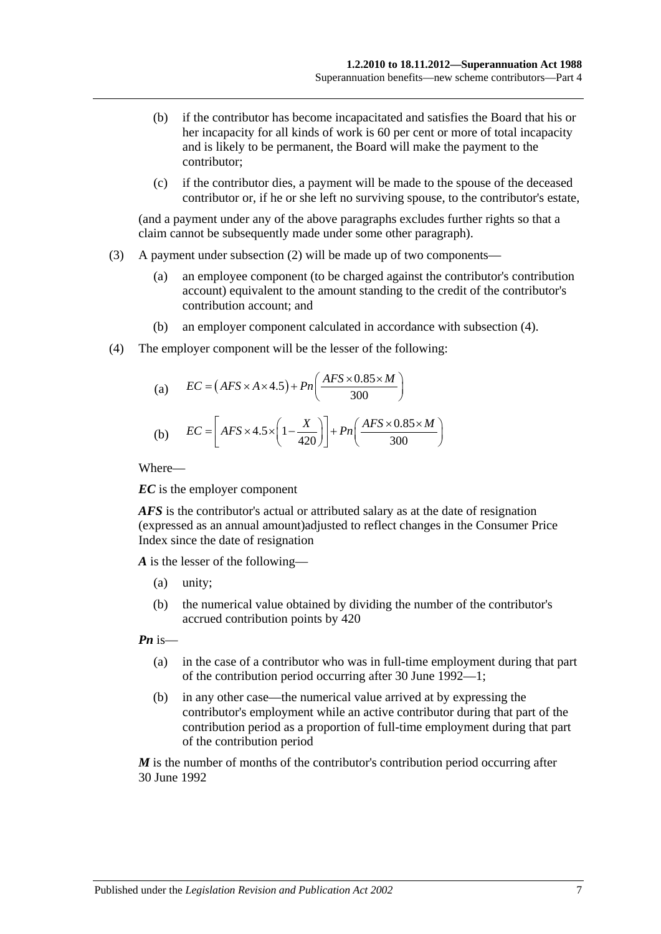- (b) if the contributor has become incapacitated and satisfies the Board that his or her incapacity for all kinds of work is 60 per cent or more of total incapacity and is likely to be permanent, the Board will make the payment to the contributor;
- (c) if the contributor dies, a payment will be made to the spouse of the deceased contributor or, if he or she left no surviving spouse, to the contributor's estate,

(and a payment under any of the above paragraphs excludes further rights so that a claim cannot be subsequently made under some other paragraph).

- (3) A payment under [subsection](#page-35-0) (2) will be made up of two components—
	- (a) an employee component (to be charged against the contributor's contribution account) equivalent to the amount standing to the credit of the contributor's contribution account; and
	- (b) an employer component calculated in accordance with [subsection](#page-36-0) (4).
- <span id="page-36-0"></span>(4) The employer component will be the lesser of the following:

(a) 
$$
EC = (AFS \times A \times 4.5) + Pn\left(\frac{AFS \times 0.85 \times M}{300}\right)
$$
  
(b) 
$$
EC = \left[ AFS \times 4.5 \times \left(1 - \frac{X}{420}\right)\right] + Pn\left(\frac{AFS \times 0.85 \times M}{300}\right)
$$

Where—

*EC* is the employer component

*AFS* is the contributor's actual or attributed salary as at the date of resignation (expressed as an annual amount)adjusted to reflect changes in the Consumer Price Index since the date of resignation

*A* is the lesser of the following—

- (a) unity;
- (b) the numerical value obtained by dividing the number of the contributor's accrued contribution points by 420

*Pn* is—

- (a) in the case of a contributor who was in full-time employment during that part of the contribution period occurring after 30 June 1992—1;
- (b) in any other case—the numerical value arrived at by expressing the contributor's employment while an active contributor during that part of the contribution period as a proportion of full-time employment during that part of the contribution period

*M* is the number of months of the contributor's contribution period occurring after 30 June 1992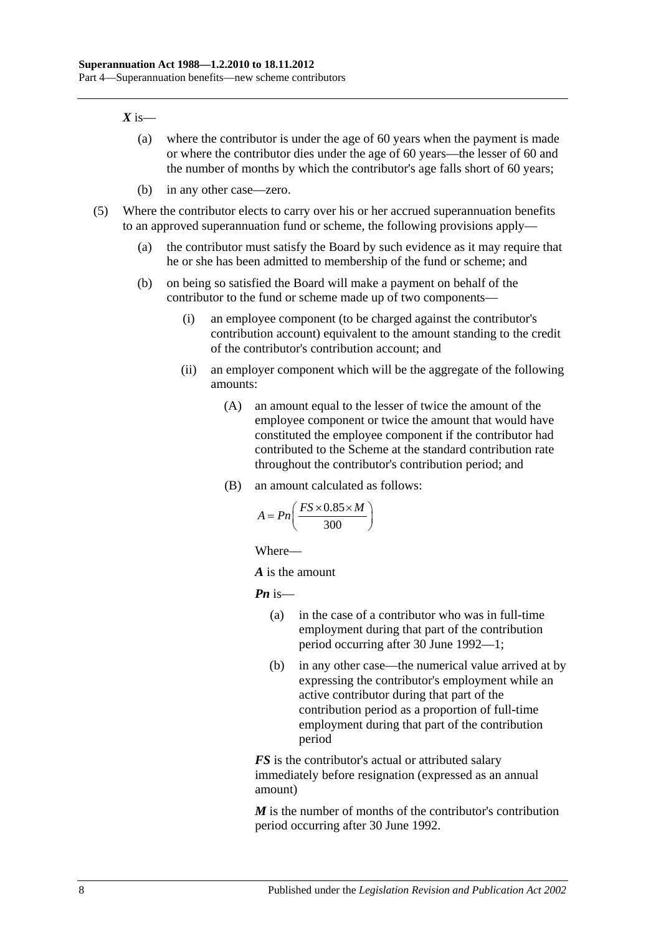#### $X$  is—

- (a) where the contributor is under the age of 60 years when the payment is made or where the contributor dies under the age of 60 years—the lesser of 60 and the number of months by which the contributor's age falls short of 60 years;
- (b) in any other case—zero.
- (5) Where the contributor elects to carry over his or her accrued superannuation benefits to an approved superannuation fund or scheme, the following provisions apply—
	- (a) the contributor must satisfy the Board by such evidence as it may require that he or she has been admitted to membership of the fund or scheme; and
	- (b) on being so satisfied the Board will make a payment on behalf of the contributor to the fund or scheme made up of two components—
		- (i) an employee component (to be charged against the contributor's contribution account) equivalent to the amount standing to the credit of the contributor's contribution account; and
		- (ii) an employer component which will be the aggregate of the following amounts:
			- (A) an amount equal to the lesser of twice the amount of the employee component or twice the amount that would have constituted the employee component if the contributor had contributed to the Scheme at the standard contribution rate throughout the contributor's contribution period; and
			- (B) an amount calculated as follows:

$$
A = P_n\left(\frac{FS \times 0.85 \times M}{300}\right)
$$

Where—

*A* is the amount

*Pn* is—

- (a) in the case of a contributor who was in full-time employment during that part of the contribution period occurring after 30 June 1992—1;
- (b) in any other case—the numerical value arrived at by expressing the contributor's employment while an active contributor during that part of the contribution period as a proportion of full-time employment during that part of the contribution period

*FS* is the contributor's actual or attributed salary immediately before resignation (expressed as an annual amount)

*M* is the number of months of the contributor's contribution period occurring after 30 June 1992.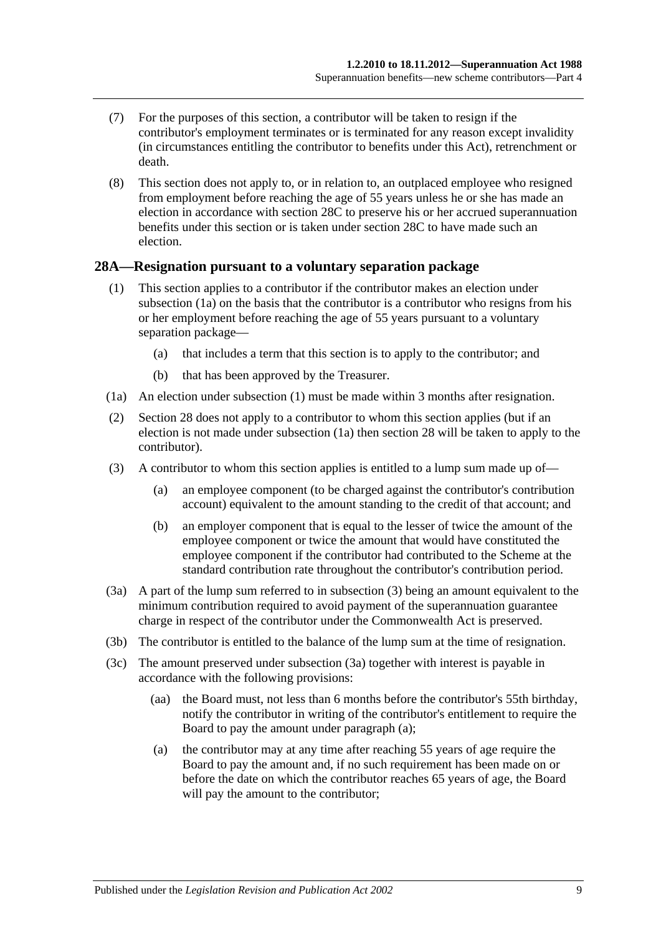- (7) For the purposes of this section, a contributor will be taken to resign if the contributor's employment terminates or is terminated for any reason except invalidity (in circumstances entitling the contributor to benefits under this Act), retrenchment or death.
- (8) This section does not apply to, or in relation to, an outplaced employee who resigned from employment before reaching the age of 55 years unless he or she has made an election in accordance with [section](#page-39-0) 28C to preserve his or her accrued superannuation benefits under this section or is taken under [section](#page-39-0) 28C to have made such an election.

#### <span id="page-38-5"></span><span id="page-38-1"></span>**28A—Resignation pursuant to a voluntary separation package**

- (1) This section applies to a contributor if the contributor makes an election under [subsection](#page-38-0) (1a) on the basis that the contributor is a contributor who resigns from his or her employment before reaching the age of 55 years pursuant to a voluntary separation package—
	- (a) that includes a term that this section is to apply to the contributor; and
	- (b) that has been approved by the Treasurer.
- <span id="page-38-0"></span>(1a) An election under [subsection](#page-38-1) (1) must be made within 3 months after resignation.
- (2) [Section](#page-34-0) 28 does not apply to a contributor to whom this section applies (but if an election is not made under subsection (1a) then section 28 will be taken to apply to the contributor).
- <span id="page-38-2"></span>(3) A contributor to whom this section applies is entitled to a lump sum made up of—
	- (a) an employee component (to be charged against the contributor's contribution account) equivalent to the amount standing to the credit of that account; and
	- (b) an employer component that is equal to the lesser of twice the amount of the employee component or twice the amount that would have constituted the employee component if the contributor had contributed to the Scheme at the standard contribution rate throughout the contributor's contribution period.
- <span id="page-38-3"></span>(3a) A part of the lump sum referred to in [subsection](#page-38-2) (3) being an amount equivalent to the minimum contribution required to avoid payment of the superannuation guarantee charge in respect of the contributor under the Commonwealth Act is preserved.
- (3b) The contributor is entitled to the balance of the lump sum at the time of resignation.
- <span id="page-38-4"></span>(3c) The amount preserved under [subsection](#page-38-3) (3a) together with interest is payable in accordance with the following provisions:
	- (aa) the Board must, not less than 6 months before the contributor's 55th birthday, notify the contributor in writing of the contributor's entitlement to require the Board to pay the amount under [paragraph](#page-38-4) (a);
	- (a) the contributor may at any time after reaching 55 years of age require the Board to pay the amount and, if no such requirement has been made on or before the date on which the contributor reaches 65 years of age, the Board will pay the amount to the contributor;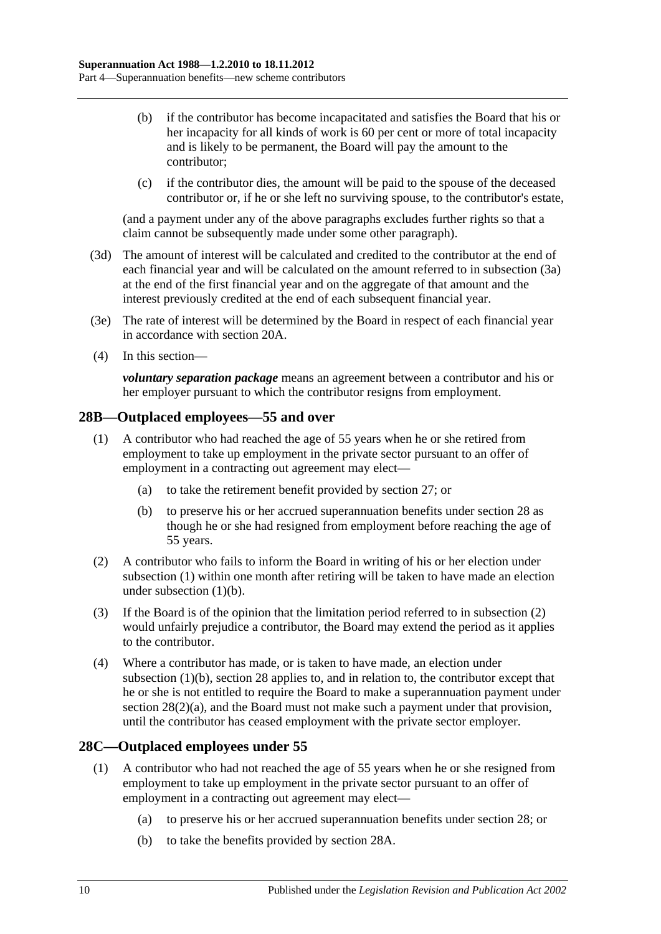- (b) if the contributor has become incapacitated and satisfies the Board that his or her incapacity for all kinds of work is 60 per cent or more of total incapacity and is likely to be permanent, the Board will pay the amount to the contributor;
- (c) if the contributor dies, the amount will be paid to the spouse of the deceased contributor or, if he or she left no surviving spouse, to the contributor's estate,

(and a payment under any of the above paragraphs excludes further rights so that a claim cannot be subsequently made under some other paragraph).

- (3d) The amount of interest will be calculated and credited to the contributor at the end of each financial year and will be calculated on the amount referred to in [subsection](#page-38-3) (3a) at the end of the first financial year and on the aggregate of that amount and the interest previously credited at the end of each subsequent financial year.
- (3e) The rate of interest will be determined by the Board in respect of each financial year in accordance with [section](#page-21-0) 20A.
- (4) In this section—

*voluntary separation package* means an agreement between a contributor and his or her employer pursuant to which the contributor resigns from employment.

# <span id="page-39-1"></span>**28B—Outplaced employees—55 and over**

- (1) A contributor who had reached the age of 55 years when he or she retired from employment to take up employment in the private sector pursuant to an offer of employment in a contracting out agreement may elect—
	- (a) to take the retirement benefit provided by [section](#page-33-0) 27; or
	- (b) to preserve his or her accrued superannuation benefits under [section](#page-34-0) 28 as though he or she had resigned from employment before reaching the age of 55 years.
- <span id="page-39-3"></span><span id="page-39-2"></span>(2) A contributor who fails to inform the Board in writing of his or her election under [subsection](#page-39-1) (1) within one month after retiring will be taken to have made an election under [subsection](#page-39-2) (1)(b).
- (3) If the Board is of the opinion that the limitation period referred to in [subsection](#page-39-3) (2) would unfairly prejudice a contributor, the Board may extend the period as it applies to the contributor.
- (4) Where a contributor has made, or is taken to have made, an election under [subsection](#page-39-2) (1)(b), [section](#page-34-0) 28 applies to, and in relation to, the contributor except that he or she is not entitled to require the Board to make a superannuation payment under section [28\(2\)\(a\),](#page-35-1) and the Board must not make such a payment under that provision, until the contributor has ceased employment with the private sector employer.

# <span id="page-39-4"></span><span id="page-39-0"></span>**28C—Outplaced employees under 55**

- <span id="page-39-6"></span><span id="page-39-5"></span>(1) A contributor who had not reached the age of 55 years when he or she resigned from employment to take up employment in the private sector pursuant to an offer of employment in a contracting out agreement may elect—
	- (a) to preserve his or her accrued superannuation benefits under [section](#page-34-0) 28; or
	- (b) to take the benefits provided by [section](#page-38-5) 28A.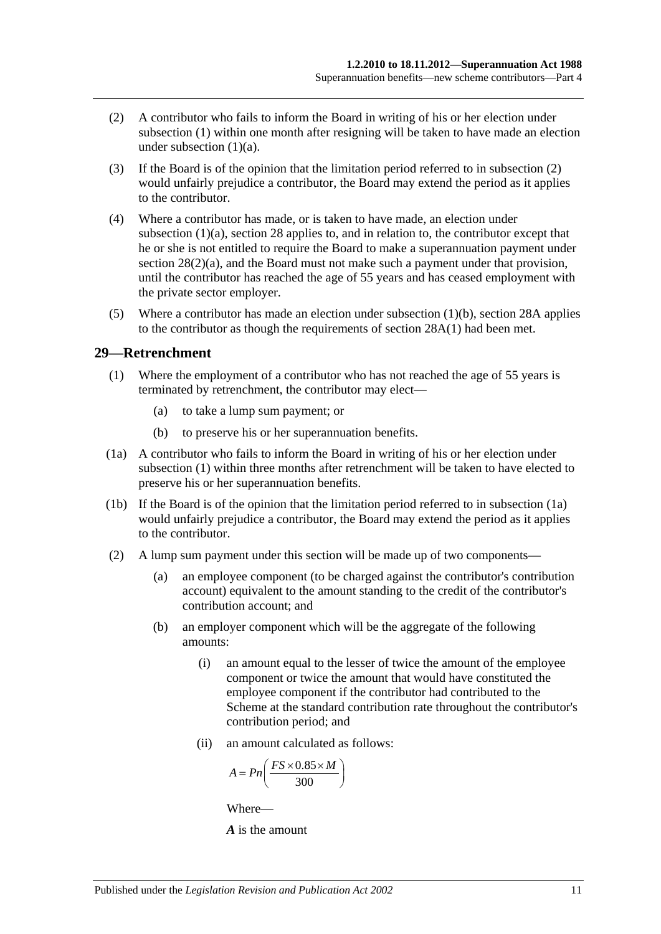- <span id="page-40-0"></span>(2) A contributor who fails to inform the Board in writing of his or her election under [subsection](#page-39-4) (1) within one month after resigning will be taken to have made an election under [subsection](#page-39-5)  $(1)(a)$ .
- (3) If the Board is of the opinion that the limitation period referred to in [subsection](#page-40-0) (2) would unfairly prejudice a contributor, the Board may extend the period as it applies to the contributor.
- (4) Where a contributor has made, or is taken to have made, an election under [subsection](#page-39-5) (1)(a), [section](#page-34-0) 28 applies to, and in relation to, the contributor except that he or she is not entitled to require the Board to make a superannuation payment under section [28\(2\)\(a\),](#page-35-1) and the Board must not make such a payment under that provision, until the contributor has reached the age of 55 years and has ceased employment with the private sector employer.
- (5) Where a contributor has made an election under [subsection](#page-39-6) (1)(b), [section](#page-38-5) 28A applies to the contributor as though the requirements of [section](#page-38-1) 28A(1) had been met.

#### <span id="page-40-1"></span>**29—Retrenchment**

- (1) Where the employment of a contributor who has not reached the age of 55 years is terminated by retrenchment, the contributor may elect—
	- (a) to take a lump sum payment; or
	- (b) to preserve his or her superannuation benefits.
- <span id="page-40-2"></span>(1a) A contributor who fails to inform the Board in writing of his or her election under [subsection](#page-40-1) (1) within three months after retrenchment will be taken to have elected to preserve his or her superannuation benefits.
- (1b) If the Board is of the opinion that the limitation period referred to in [subsection](#page-40-2) (1a) would unfairly prejudice a contributor, the Board may extend the period as it applies to the contributor.
- (2) A lump sum payment under this section will be made up of two components—
	- (a) an employee component (to be charged against the contributor's contribution account) equivalent to the amount standing to the credit of the contributor's contribution account; and
	- (b) an employer component which will be the aggregate of the following amounts:
		- (i) an amount equal to the lesser of twice the amount of the employee component or twice the amount that would have constituted the employee component if the contributor had contributed to the Scheme at the standard contribution rate throughout the contributor's contribution period; and
		- (ii) an amount calculated as follows:

$$
A = P n \left( \frac{FS \times 0.85 \times M}{300} \right)
$$

Where—

*A* is the amount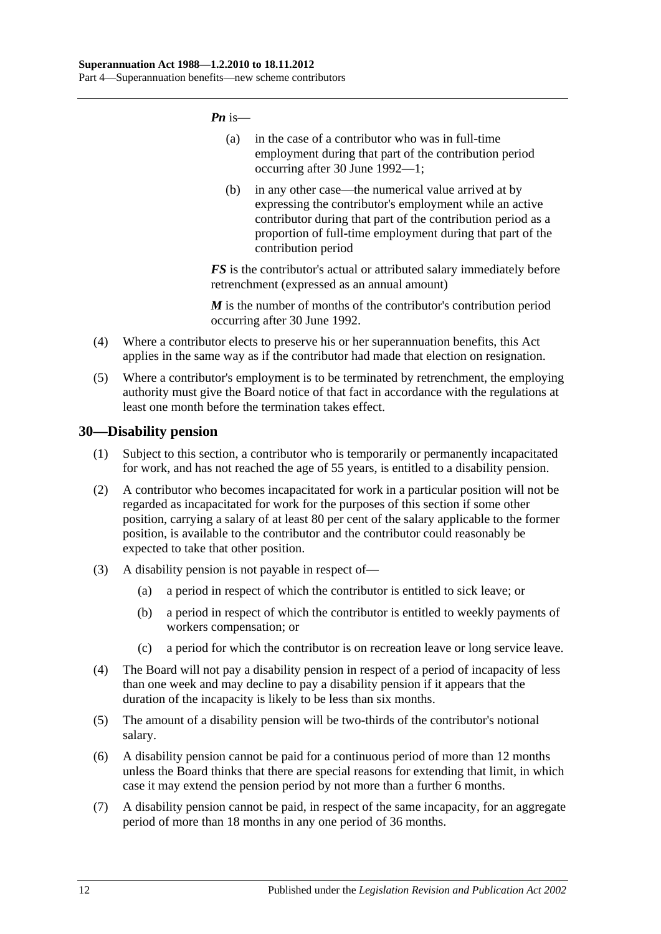*Pn* is—

- (a) in the case of a contributor who was in full-time employment during that part of the contribution period occurring after 30 June 1992—1;
- (b) in any other case—the numerical value arrived at by expressing the contributor's employment while an active contributor during that part of the contribution period as a proportion of full-time employment during that part of the contribution period

*FS* is the contributor's actual or attributed salary immediately before retrenchment (expressed as an annual amount)

*M* is the number of months of the contributor's contribution period occurring after 30 June 1992.

- (4) Where a contributor elects to preserve his or her superannuation benefits, this Act applies in the same way as if the contributor had made that election on resignation.
- (5) Where a contributor's employment is to be terminated by retrenchment, the employing authority must give the Board notice of that fact in accordance with the regulations at least one month before the termination takes effect.

# **30—Disability pension**

- (1) Subject to this section, a contributor who is temporarily or permanently incapacitated for work, and has not reached the age of 55 years, is entitled to a disability pension.
- (2) A contributor who becomes incapacitated for work in a particular position will not be regarded as incapacitated for work for the purposes of this section if some other position, carrying a salary of at least 80 per cent of the salary applicable to the former position, is available to the contributor and the contributor could reasonably be expected to take that other position.
- (3) A disability pension is not payable in respect of—
	- (a) a period in respect of which the contributor is entitled to sick leave; or
	- (b) a period in respect of which the contributor is entitled to weekly payments of workers compensation; or
	- (c) a period for which the contributor is on recreation leave or long service leave.
- (4) The Board will not pay a disability pension in respect of a period of incapacity of less than one week and may decline to pay a disability pension if it appears that the duration of the incapacity is likely to be less than six months.
- (5) The amount of a disability pension will be two-thirds of the contributor's notional salary.
- (6) A disability pension cannot be paid for a continuous period of more than 12 months unless the Board thinks that there are special reasons for extending that limit, in which case it may extend the pension period by not more than a further 6 months.
- (7) A disability pension cannot be paid, in respect of the same incapacity, for an aggregate period of more than 18 months in any one period of 36 months.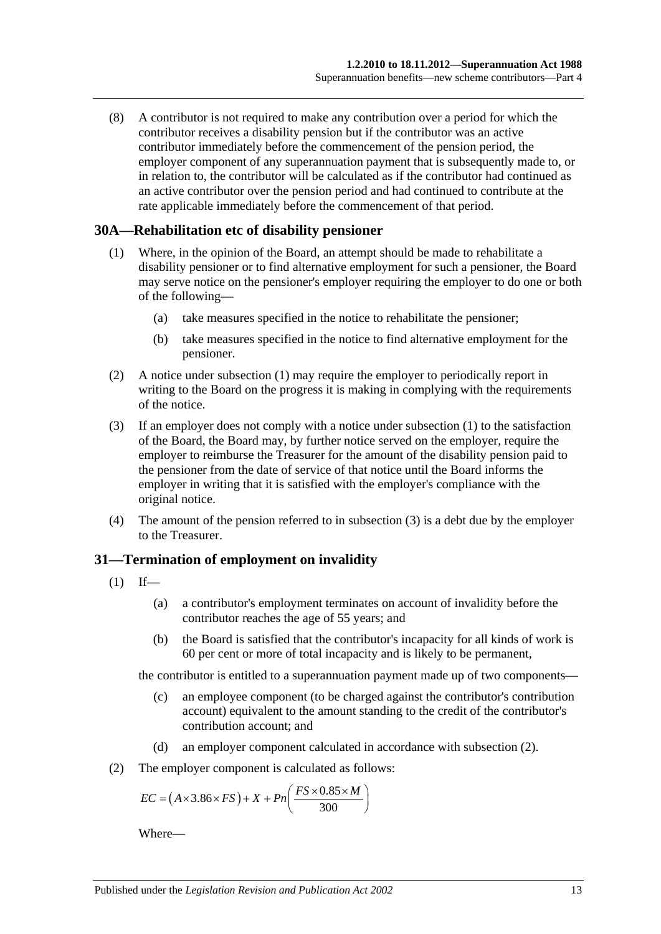(8) A contributor is not required to make any contribution over a period for which the contributor receives a disability pension but if the contributor was an active contributor immediately before the commencement of the pension period, the employer component of any superannuation payment that is subsequently made to, or in relation to, the contributor will be calculated as if the contributor had continued as an active contributor over the pension period and had continued to contribute at the rate applicable immediately before the commencement of that period.

#### <span id="page-42-0"></span>**30A—Rehabilitation etc of disability pensioner**

- (1) Where, in the opinion of the Board, an attempt should be made to rehabilitate a disability pensioner or to find alternative employment for such a pensioner, the Board may serve notice on the pensioner's employer requiring the employer to do one or both of the following—
	- (a) take measures specified in the notice to rehabilitate the pensioner;
	- (b) take measures specified in the notice to find alternative employment for the pensioner.
- (2) A notice under [subsection](#page-42-0) (1) may require the employer to periodically report in writing to the Board on the progress it is making in complying with the requirements of the notice.
- <span id="page-42-1"></span>(3) If an employer does not comply with a notice under [subsection](#page-42-0) (1) to the satisfaction of the Board, the Board may, by further notice served on the employer, require the employer to reimburse the Treasurer for the amount of the disability pension paid to the pensioner from the date of service of that notice until the Board informs the employer in writing that it is satisfied with the employer's compliance with the original notice.
- (4) The amount of the pension referred to in [subsection](#page-42-1) (3) is a debt due by the employer to the Treasurer.

# **31—Termination of employment on invalidity**

- <span id="page-42-3"></span> $(1)$  If—
	- (a) a contributor's employment terminates on account of invalidity before the contributor reaches the age of 55 years; and
	- (b) the Board is satisfied that the contributor's incapacity for all kinds of work is 60 per cent or more of total incapacity and is likely to be permanent,

the contributor is entitled to a superannuation payment made up of two components—

- (c) an employee component (to be charged against the contributor's contribution account) equivalent to the amount standing to the credit of the contributor's contribution account; and
- (d) an employer component calculated in accordance with [subsection](#page-42-2) (2).
- <span id="page-42-2"></span>(2) The employer component is calculated as follows:

$$
EC = (A \times 3.86 \times FS) + X + Pn\left(\frac{FS \times 0.85 \times M}{300}\right)
$$

Where—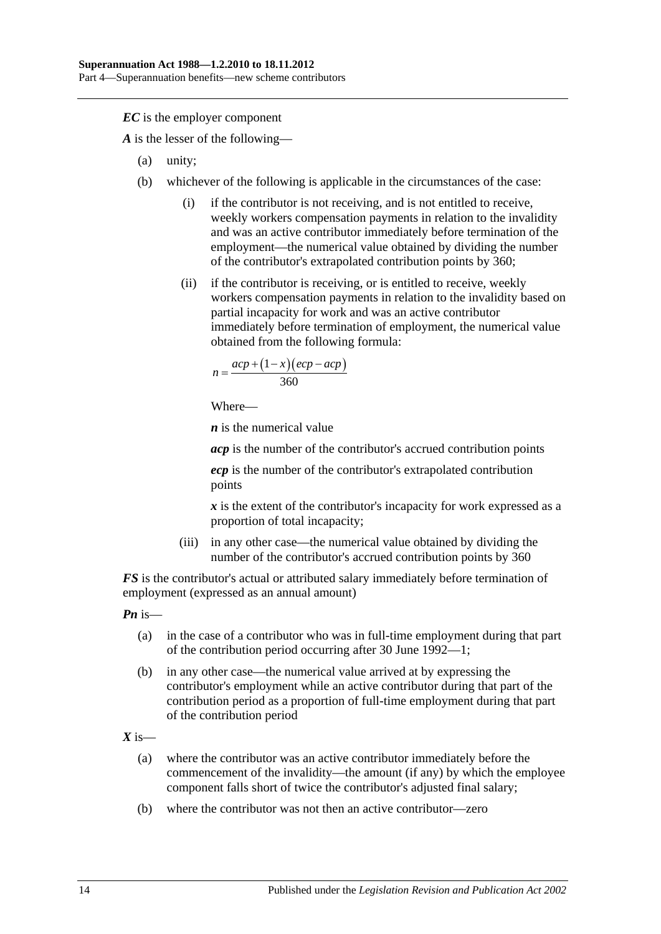*EC* is the employer component

*A* is the lesser of the following—

- (a) unity;
- (b) whichever of the following is applicable in the circumstances of the case:
	- (i) if the contributor is not receiving, and is not entitled to receive, weekly workers compensation payments in relation to the invalidity and was an active contributor immediately before termination of the employment—the numerical value obtained by dividing the number of the contributor's extrapolated contribution points by 360;
	- (ii) if the contributor is receiving, or is entitled to receive, weekly workers compensation payments in relation to the invalidity based on partial incapacity for work and was an active contributor immediately before termination of employment, the numerical value obtained from the following formula:

$$
n = \frac{acp + (1 - x)(ecp - acp)}{360}
$$

Where—

*n* is the numerical value

*acp* is the number of the contributor's accrued contribution points

*ecp* is the number of the contributor's extrapolated contribution points

*x* is the extent of the contributor's incapacity for work expressed as a proportion of total incapacity;

(iii) in any other case—the numerical value obtained by dividing the number of the contributor's accrued contribution points by 360

*FS* is the contributor's actual or attributed salary immediately before termination of employment (expressed as an annual amount)

*Pn* is—

- (a) in the case of a contributor who was in full-time employment during that part of the contribution period occurring after 30 June 1992—1;
- (b) in any other case—the numerical value arrived at by expressing the contributor's employment while an active contributor during that part of the contribution period as a proportion of full-time employment during that part of the contribution period

 $X$  is—

- (a) where the contributor was an active contributor immediately before the commencement of the invalidity—the amount (if any) by which the employee component falls short of twice the contributor's adjusted final salary;
- (b) where the contributor was not then an active contributor—zero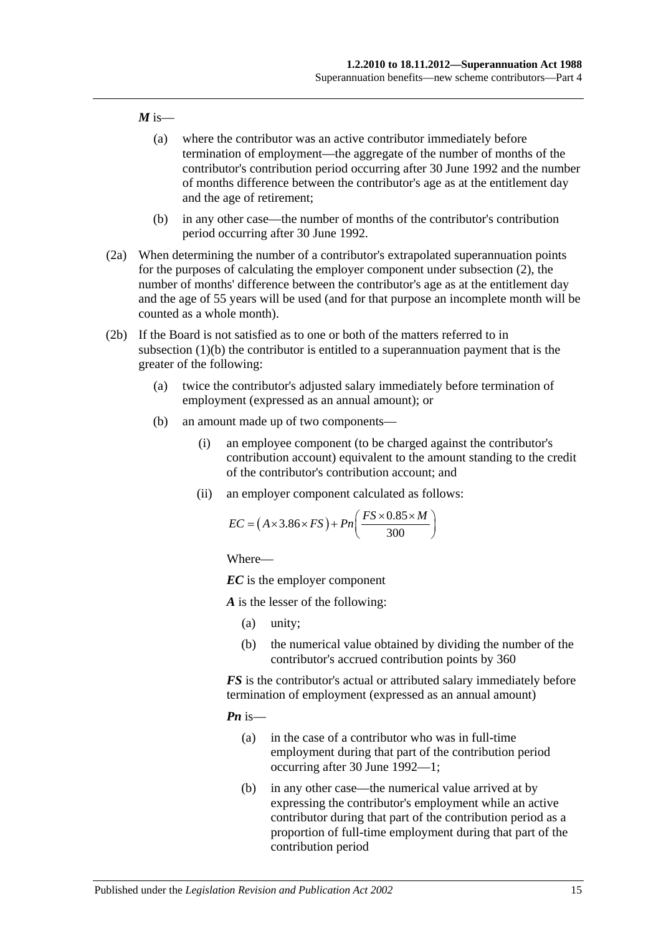#### $M$  is—

- (a) where the contributor was an active contributor immediately before termination of employment—the aggregate of the number of months of the contributor's contribution period occurring after 30 June 1992 and the number of months difference between the contributor's age as at the entitlement day and the age of retirement;
- (b) in any other case—the number of months of the contributor's contribution period occurring after 30 June 1992.
- (2a) When determining the number of a contributor's extrapolated superannuation points for the purposes of calculating the employer component under [subsection](#page-42-2) (2), the number of months' difference between the contributor's age as at the entitlement day and the age of 55 years will be used (and for that purpose an incomplete month will be counted as a whole month).
- <span id="page-44-0"></span>(2b) If the Board is not satisfied as to one or both of the matters referred to in [subsection](#page-42-3) (1)(b) the contributor is entitled to a superannuation payment that is the greater of the following:
	- (a) twice the contributor's adjusted salary immediately before termination of employment (expressed as an annual amount); or
	- (b) an amount made up of two components—
		- (i) an employee component (to be charged against the contributor's contribution account) equivalent to the amount standing to the credit of the contributor's contribution account; and
		- (ii) an employer component calculated as follows:

$$
EC = (A \times 3.86 \times FS) + Pn\left(\frac{FS \times 0.85 \times M}{300}\right)
$$

Where—

*EC* is the employer component

*A* is the lesser of the following:

- (a) unity;
- (b) the numerical value obtained by dividing the number of the contributor's accrued contribution points by 360

*FS* is the contributor's actual or attributed salary immediately before termination of employment (expressed as an annual amount)

*Pn* is—

- (a) in the case of a contributor who was in full-time employment during that part of the contribution period occurring after 30 June 1992—1;
- (b) in any other case—the numerical value arrived at by expressing the contributor's employment while an active contributor during that part of the contribution period as a proportion of full-time employment during that part of the contribution period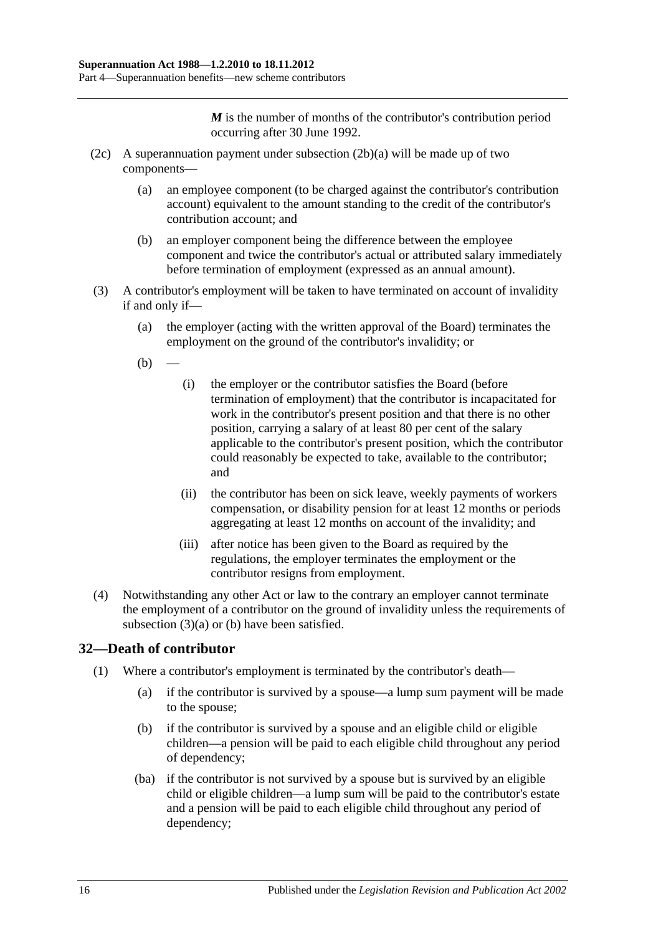*M* is the number of months of the contributor's contribution period occurring after 30 June 1992.

- (2c) A superannuation payment under [subsection](#page-44-0)  $(2b)(a)$  will be made up of two components—
	- (a) an employee component (to be charged against the contributor's contribution account) equivalent to the amount standing to the credit of the contributor's contribution account; and
	- (b) an employer component being the difference between the employee component and twice the contributor's actual or attributed salary immediately before termination of employment (expressed as an annual amount).
- <span id="page-45-1"></span><span id="page-45-0"></span>(3) A contributor's employment will be taken to have terminated on account of invalidity if and only if—
	- (a) the employer (acting with the written approval of the Board) terminates the employment on the ground of the contributor's invalidity; or
	- $(b)$
- (i) the employer or the contributor satisfies the Board (before termination of employment) that the contributor is incapacitated for work in the contributor's present position and that there is no other position, carrying a salary of at least 80 per cent of the salary applicable to the contributor's present position, which the contributor could reasonably be expected to take, available to the contributor; and
- (ii) the contributor has been on sick leave, weekly payments of workers compensation, or disability pension for at least 12 months or periods aggregating at least 12 months on account of the invalidity; and
- (iii) after notice has been given to the Board as required by the regulations, the employer terminates the employment or the contributor resigns from employment.
- (4) Notwithstanding any other Act or law to the contrary an employer cannot terminate the employment of a contributor on the ground of invalidity unless the requirements of [subsection](#page-45-0) (3)(a) or [\(b\)](#page-45-1) have been satisfied.

# **32—Death of contributor**

- (1) Where a contributor's employment is terminated by the contributor's death—
	- (a) if the contributor is survived by a spouse—a lump sum payment will be made to the spouse;
	- (b) if the contributor is survived by a spouse and an eligible child or eligible children—a pension will be paid to each eligible child throughout any period of dependency;
	- (ba) if the contributor is not survived by a spouse but is survived by an eligible child or eligible children—a lump sum will be paid to the contributor's estate and a pension will be paid to each eligible child throughout any period of dependency;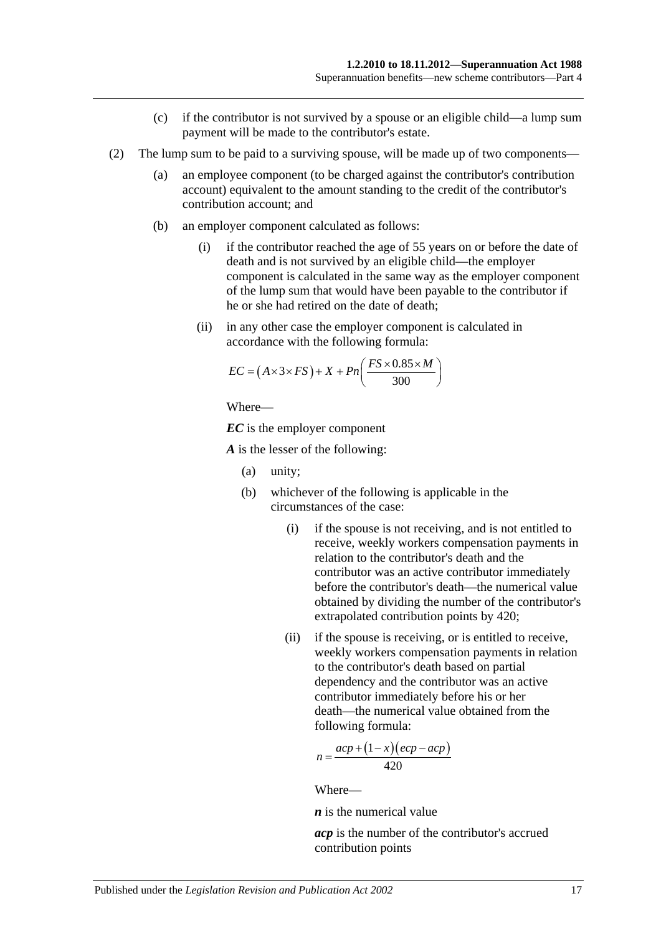- (c) if the contributor is not survived by a spouse or an eligible child—a lump sum payment will be made to the contributor's estate.
- (2) The lump sum to be paid to a surviving spouse, will be made up of two components—
	- (a) an employee component (to be charged against the contributor's contribution account) equivalent to the amount standing to the credit of the contributor's contribution account; and
	- (b) an employer component calculated as follows:
		- (i) if the contributor reached the age of 55 years on or before the date of death and is not survived by an eligible child—the employer component is calculated in the same way as the employer component of the lump sum that would have been payable to the contributor if he or she had retired on the date of death;
		- (ii) in any other case the employer component is calculated in accordance with the following formula:

$$
EC = (A \times 3 \times FS) + X + Pn\left(\frac{FS \times 0.85 \times M}{300}\right)
$$

Where—

*EC* is the employer component

*A* is the lesser of the following:

- (a) unity;
- (b) whichever of the following is applicable in the circumstances of the case:
	- (i) if the spouse is not receiving, and is not entitled to receive, weekly workers compensation payments in relation to the contributor's death and the contributor was an active contributor immediately before the contributor's death—the numerical value obtained by dividing the number of the contributor's extrapolated contribution points by 420;
	- (ii) if the spouse is receiving, or is entitled to receive, weekly workers compensation payments in relation to the contributor's death based on partial dependency and the contributor was an active contributor immediately before his or her death—the numerical value obtained from the following formula:

$$
n = \frac{acp + (1 - x)(ecp - acp)}{420}
$$

Where—

*n* is the numerical value

*acp* is the number of the contributor's accrued contribution points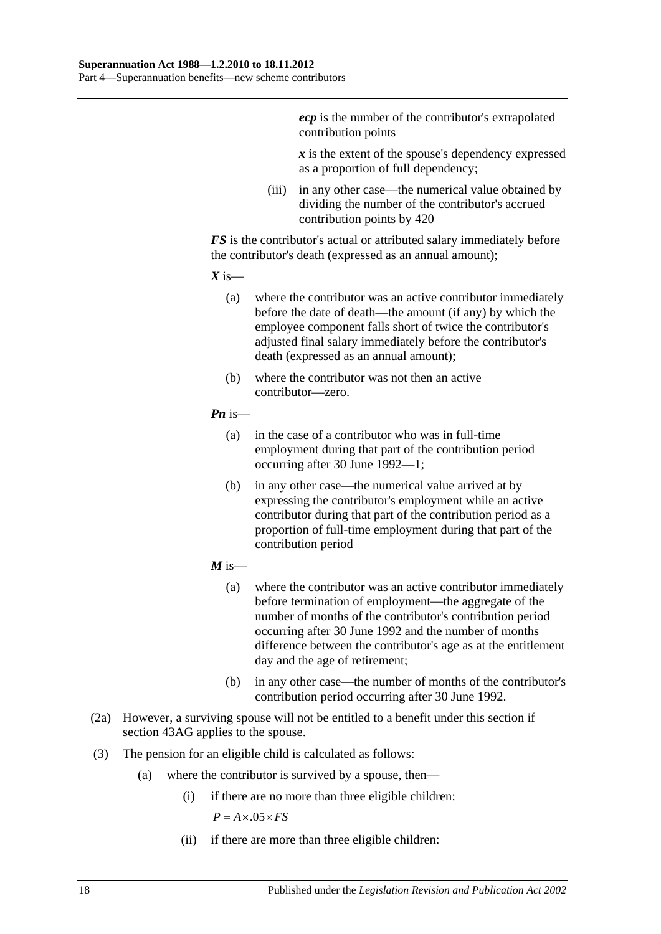*ecp* is the number of the contributor's extrapolated contribution points

*x* is the extent of the spouse's dependency expressed as a proportion of full dependency;

(iii) in any other case—the numerical value obtained by dividing the number of the contributor's accrued contribution points by 420

*FS* is the contributor's actual or attributed salary immediately before the contributor's death (expressed as an annual amount);

 $X$  is—

- (a) where the contributor was an active contributor immediately before the date of death—the amount (if any) by which the employee component falls short of twice the contributor's adjusted final salary immediately before the contributor's death (expressed as an annual amount);
- (b) where the contributor was not then an active contributor—zero.

#### *Pn* is—

- (a) in the case of a contributor who was in full-time employment during that part of the contribution period occurring after 30 June 1992—1;
- (b) in any other case—the numerical value arrived at by expressing the contributor's employment while an active contributor during that part of the contribution period as a proportion of full-time employment during that part of the contribution period
- $M$  is—
	- (a) where the contributor was an active contributor immediately before termination of employment—the aggregate of the number of months of the contributor's contribution period occurring after 30 June 1992 and the number of months difference between the contributor's age as at the entitlement day and the age of retirement;
	- (b) in any other case—the number of months of the contributor's contribution period occurring after 30 June 1992.
- (2a) However, a surviving spouse will not be entitled to a benefit under this section if section 43AG applies to the spouse.
- (3) The pension for an eligible child is calculated as follows:
	- (a) where the contributor is survived by a spouse, then—
		- (i) if there are no more than three eligible children:

 $P = A \times 0.5 \times FS$ 

(ii) if there are more than three eligible children: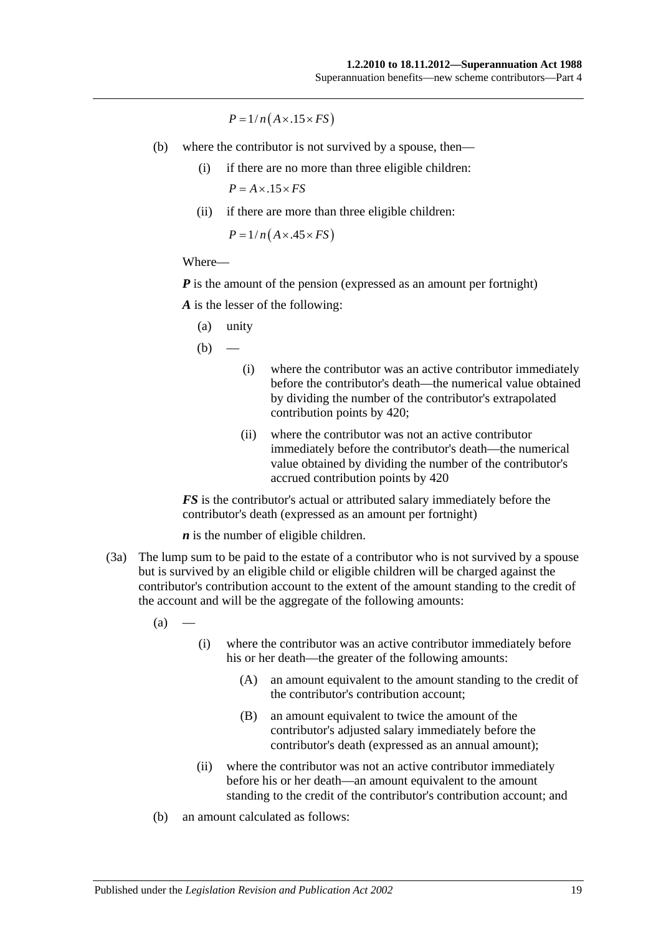$P = 1/n(A \times .15 \times FS)$ 

- (b) where the contributor is not survived by a spouse, then—
	- (i) if there are no more than three eligible children:  $P = A \times .15 \times FS$
	- (ii) if there are more than three eligible children:

 $P = 1/n(A \times .45 \times FS)$ 

#### Where—

*P* is the amount of the pension (expressed as an amount per fortnight)

*A* is the lesser of the following:

(a) unity

 $(b)$ 

- (i) where the contributor was an active contributor immediately before the contributor's death—the numerical value obtained by dividing the number of the contributor's extrapolated contribution points by 420;
- (ii) where the contributor was not an active contributor immediately before the contributor's death—the numerical value obtained by dividing the number of the contributor's accrued contribution points by 420

*FS* is the contributor's actual or attributed salary immediately before the contributor's death (expressed as an amount per fortnight)

*n* is the number of eligible children.

(3a) The lump sum to be paid to the estate of a contributor who is not survived by a spouse but is survived by an eligible child or eligible children will be charged against the contributor's contribution account to the extent of the amount standing to the credit of the account and will be the aggregate of the following amounts:

 $(a)$ 

- (i) where the contributor was an active contributor immediately before his or her death—the greater of the following amounts:
	- (A) an amount equivalent to the amount standing to the credit of the contributor's contribution account;
	- (B) an amount equivalent to twice the amount of the contributor's adjusted salary immediately before the contributor's death (expressed as an annual amount);
- (ii) where the contributor was not an active contributor immediately before his or her death—an amount equivalent to the amount standing to the credit of the contributor's contribution account; and
- (b) an amount calculated as follows: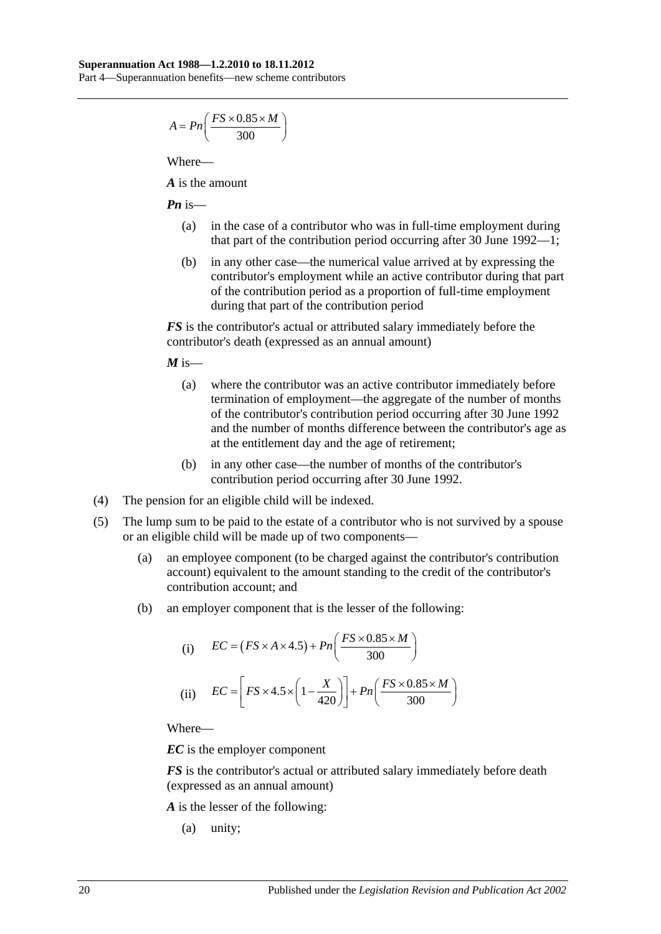$$
A = P n \left( \frac{FS \times 0.85 \times M}{300} \right)
$$

Where—

*A* is the amount

*Pn* is—

- (a) in the case of a contributor who was in full-time employment during that part of the contribution period occurring after 30 June 1992—1;
- (b) in any other case—the numerical value arrived at by expressing the contributor's employment while an active contributor during that part of the contribution period as a proportion of full-time employment during that part of the contribution period

*FS* is the contributor's actual or attributed salary immediately before the contributor's death (expressed as an annual amount)

 $M$  is—

- (a) where the contributor was an active contributor immediately before termination of employment—the aggregate of the number of months of the contributor's contribution period occurring after 30 June 1992 and the number of months difference between the contributor's age as at the entitlement day and the age of retirement;
- (b) in any other case—the number of months of the contributor's contribution period occurring after 30 June 1992.
- (4) The pension for an eligible child will be indexed.
- (5) The lump sum to be paid to the estate of a contributor who is not survived by a spouse or an eligible child will be made up of two components—
	- (a) an employee component (to be charged against the contributor's contribution account) equivalent to the amount standing to the credit of the contributor's contribution account; and
	- (b) an employer component that is the lesser of the following:

(i) 
$$
EC = (FS \times A \times 4.5) + Pn\left(\frac{FS \times 0.85 \times M}{300}\right)
$$
  
(ii) 
$$
EC = \left[FS \times 4.5 \times \left(1 - \frac{X}{420}\right)\right] + Pn\left(\frac{FS \times 0.85 \times M}{300}\right)
$$

Where—

*EC* is the employer component

*FS* is the contributor's actual or attributed salary immediately before death (expressed as an annual amount)

*A* is the lesser of the following:

(a) unity;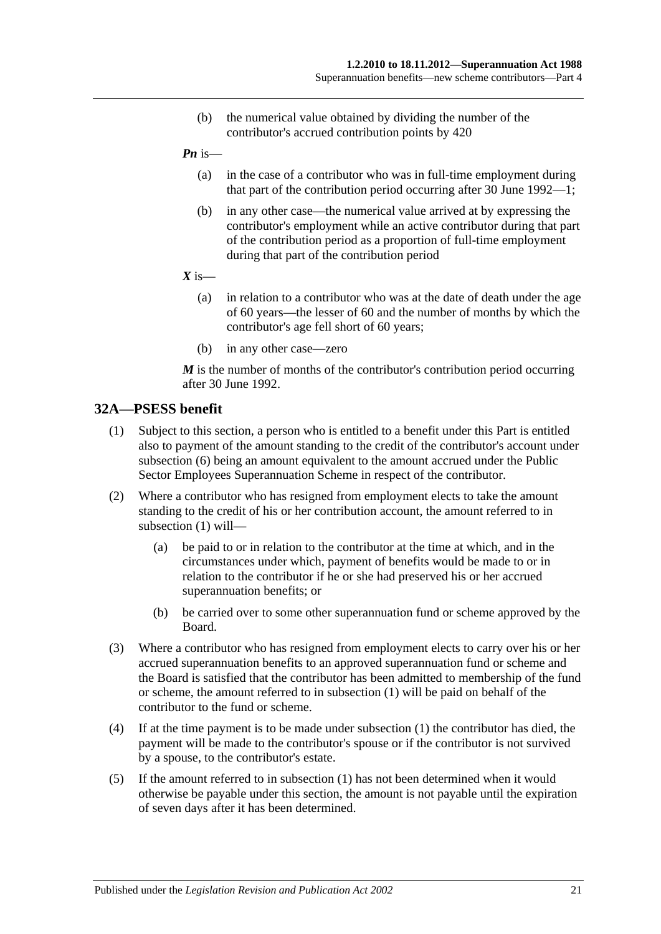- (b) the numerical value obtained by dividing the number of the contributor's accrued contribution points by 420
- *Pn* is—
	- (a) in the case of a contributor who was in full-time employment during that part of the contribution period occurring after 30 June 1992—1;
	- (b) in any other case—the numerical value arrived at by expressing the contributor's employment while an active contributor during that part of the contribution period as a proportion of full-time employment during that part of the contribution period
- $X$  is—
	- (a) in relation to a contributor who was at the date of death under the age of 60 years—the lesser of 60 and the number of months by which the contributor's age fell short of 60 years;
	- (b) in any other case—zero

*M* is the number of months of the contributor's contribution period occurring after 30 June 1992.

#### <span id="page-50-0"></span>**32A—PSESS benefit**

- (1) Subject to this section, a person who is entitled to a benefit under this Part is entitled also to payment of the amount standing to the credit of the contributor's account under [subsection](#page-51-0) (6) being an amount equivalent to the amount accrued under the Public Sector Employees Superannuation Scheme in respect of the contributor.
- (2) Where a contributor who has resigned from employment elects to take the amount standing to the credit of his or her contribution account, the amount referred to in [subsection](#page-50-0) (1) will—
	- (a) be paid to or in relation to the contributor at the time at which, and in the circumstances under which, payment of benefits would be made to or in relation to the contributor if he or she had preserved his or her accrued superannuation benefits; or
	- (b) be carried over to some other superannuation fund or scheme approved by the Board.
- (3) Where a contributor who has resigned from employment elects to carry over his or her accrued superannuation benefits to an approved superannuation fund or scheme and the Board is satisfied that the contributor has been admitted to membership of the fund or scheme, the amount referred to in [subsection](#page-50-0) (1) will be paid on behalf of the contributor to the fund or scheme.
- (4) If at the time payment is to be made under [subsection](#page-50-0) (1) the contributor has died, the payment will be made to the contributor's spouse or if the contributor is not survived by a spouse, to the contributor's estate.
- (5) If the amount referred to in [subsection](#page-50-0) (1) has not been determined when it would otherwise be payable under this section, the amount is not payable until the expiration of seven days after it has been determined.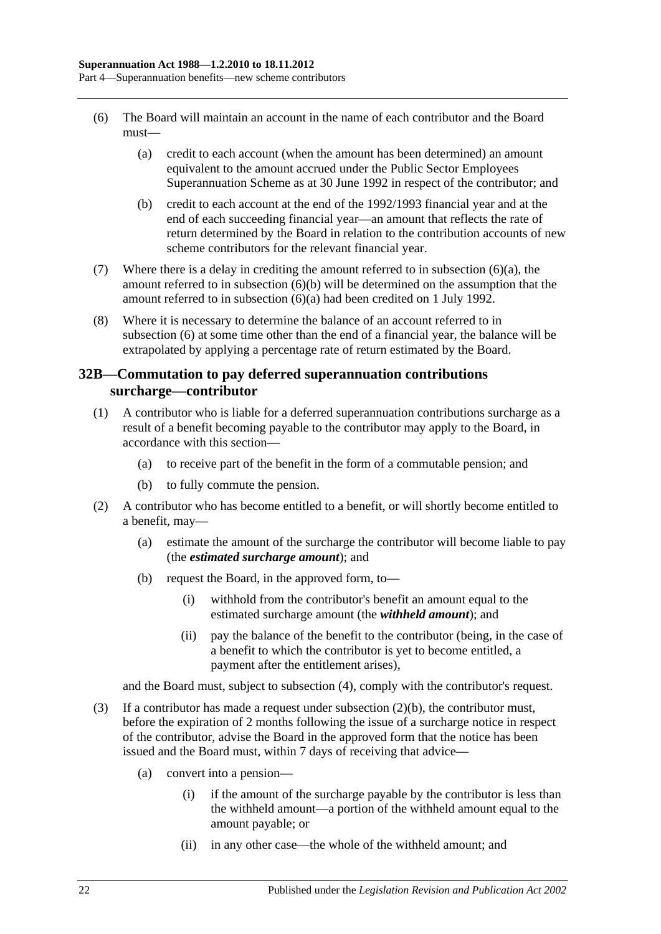- <span id="page-51-1"></span><span id="page-51-0"></span>(6) The Board will maintain an account in the name of each contributor and the Board must—
	- (a) credit to each account (when the amount has been determined) an amount equivalent to the amount accrued under the Public Sector Employees Superannuation Scheme as at 30 June 1992 in respect of the contributor; and
	- (b) credit to each account at the end of the 1992/1993 financial year and at the end of each succeeding financial year—an amount that reflects the rate of return determined by the Board in relation to the contribution accounts of new scheme contributors for the relevant financial year.
- <span id="page-51-2"></span>(7) Where there is a delay in crediting the amount referred to in [subsection](#page-51-1)  $(6)(a)$ , the amount referred to in [subsection](#page-51-2) (6)(b) will be determined on the assumption that the amount referred to in [subsection](#page-51-1) (6)(a) had been credited on 1 July 1992.
- (8) Where it is necessary to determine the balance of an account referred to in [subsection](#page-51-0) (6) at some time other than the end of a financial year, the balance will be extrapolated by applying a percentage rate of return estimated by the Board.

# <span id="page-51-5"></span>**32B—Commutation to pay deferred superannuation contributions surcharge—contributor**

- <span id="page-51-4"></span>(1) A contributor who is liable for a deferred superannuation contributions surcharge as a result of a benefit becoming payable to the contributor may apply to the Board, in accordance with this section—
	- (a) to receive part of the benefit in the form of a commutable pension; and
	- (b) to fully commute the pension.
- <span id="page-51-3"></span>(2) A contributor who has become entitled to a benefit, or will shortly become entitled to a benefit, may—
	- (a) estimate the amount of the surcharge the contributor will become liable to pay (the *estimated surcharge amount*); and
	- (b) request the Board, in the approved form, to—
		- (i) withhold from the contributor's benefit an amount equal to the estimated surcharge amount (the *withheld amount*); and
		- (ii) pay the balance of the benefit to the contributor (being, in the case of a benefit to which the contributor is yet to become entitled, a payment after the entitlement arises),

and the Board must, subject to [subsection](#page-52-0) (4), comply with the contributor's request.

- (3) If a contributor has made a request under [subsection](#page-51-3)  $(2)(b)$ , the contributor must, before the expiration of 2 months following the issue of a surcharge notice in respect of the contributor, advise the Board in the approved form that the notice has been issued and the Board must, within 7 days of receiving that advice—
	- (a) convert into a pension—
		- (i) if the amount of the surcharge payable by the contributor is less than the withheld amount—a portion of the withheld amount equal to the amount payable; or
		- (ii) in any other case—the whole of the withheld amount; and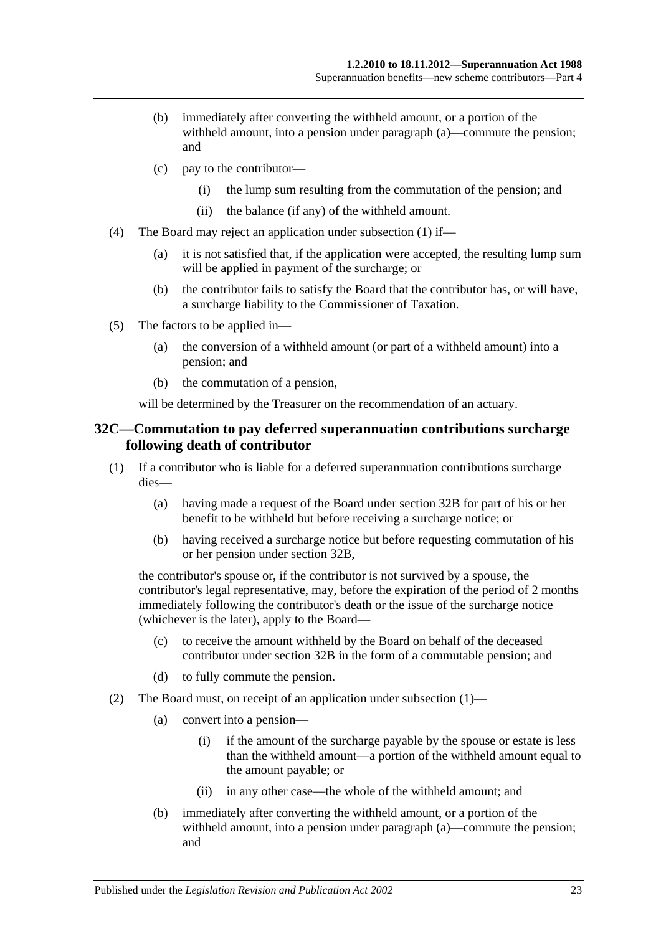- (b) immediately after converting the withheld amount, or a portion of the withheld amount, into a pension under paragraph (a)—commute the pension; and
- (c) pay to the contributor—
	- (i) the lump sum resulting from the commutation of the pension; and
	- (ii) the balance (if any) of the withheld amount.
- <span id="page-52-0"></span>(4) The Board may reject an application under [subsection](#page-51-4) (1) if—
	- (a) it is not satisfied that, if the application were accepted, the resulting lump sum will be applied in payment of the surcharge; or
	- (b) the contributor fails to satisfy the Board that the contributor has, or will have, a surcharge liability to the Commissioner of Taxation.
- (5) The factors to be applied in—
	- (a) the conversion of a withheld amount (or part of a withheld amount) into a pension; and
	- (b) the commutation of a pension,

will be determined by the Treasurer on the recommendation of an actuary.

#### <span id="page-52-2"></span>**32C—Commutation to pay deferred superannuation contributions surcharge following death of contributor**

- <span id="page-52-1"></span>(1) If a contributor who is liable for a deferred superannuation contributions surcharge dies—
	- (a) having made a request of the Board under [section](#page-51-5) 32B for part of his or her benefit to be withheld but before receiving a surcharge notice; or
	- (b) having received a surcharge notice but before requesting commutation of his or her pension under [section](#page-51-5) 32B,

the contributor's spouse or, if the contributor is not survived by a spouse, the contributor's legal representative, may, before the expiration of the period of 2 months immediately following the contributor's death or the issue of the surcharge notice (whichever is the later), apply to the Board—

- (c) to receive the amount withheld by the Board on behalf of the deceased contributor under [section](#page-51-5) 32B in the form of a commutable pension; and
- (d) to fully commute the pension.
- (2) The Board must, on receipt of an application under [subsection](#page-52-1) (1)—
	- (a) convert into a pension—
		- (i) if the amount of the surcharge payable by the spouse or estate is less than the withheld amount—a portion of the withheld amount equal to the amount payable; or
		- (ii) in any other case—the whole of the withheld amount; and
	- (b) immediately after converting the withheld amount, or a portion of the withheld amount, into a pension under paragraph (a)—commute the pension; and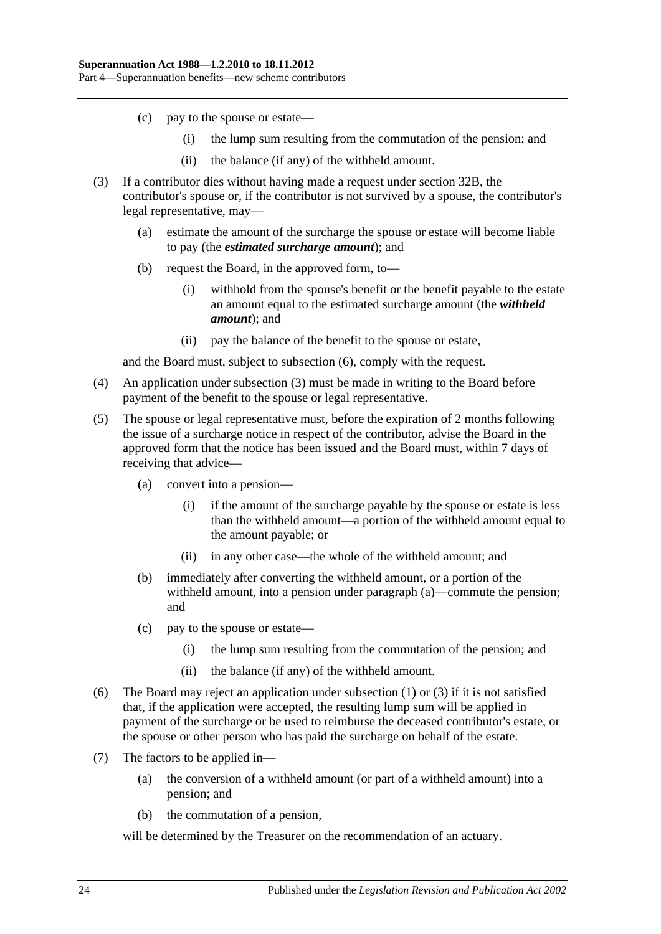- (c) pay to the spouse or estate—
	- (i) the lump sum resulting from the commutation of the pension; and
	- (ii) the balance (if any) of the withheld amount.
- <span id="page-53-1"></span>(3) If a contributor dies without having made a request under [section](#page-51-5) 32B, the contributor's spouse or, if the contributor is not survived by a spouse, the contributor's legal representative, may—
	- (a) estimate the amount of the surcharge the spouse or estate will become liable to pay (the *estimated surcharge amount*); and
	- (b) request the Board, in the approved form, to—
		- (i) withhold from the spouse's benefit or the benefit payable to the estate an amount equal to the estimated surcharge amount (the *withheld amount*); and
		- (ii) pay the balance of the benefit to the spouse or estate,

and the Board must, subject to [subsection](#page-53-0) (6), comply with the request.

- (4) An application under [subsection](#page-53-1) (3) must be made in writing to the Board before payment of the benefit to the spouse or legal representative.
- (5) The spouse or legal representative must, before the expiration of 2 months following the issue of a surcharge notice in respect of the contributor, advise the Board in the approved form that the notice has been issued and the Board must, within 7 days of receiving that advice—
	- (a) convert into a pension—
		- (i) if the amount of the surcharge payable by the spouse or estate is less than the withheld amount—a portion of the withheld amount equal to the amount payable; or
		- (ii) in any other case—the whole of the withheld amount; and
	- (b) immediately after converting the withheld amount, or a portion of the withheld amount, into a pension under paragraph (a)—commute the pension; and
	- (c) pay to the spouse or estate—
		- (i) the lump sum resulting from the commutation of the pension; and
		- (ii) the balance (if any) of the withheld amount.
- <span id="page-53-0"></span>(6) The Board may reject an application under [subsection](#page-52-1) (1) or [\(3\)](#page-53-1) if it is not satisfied that, if the application were accepted, the resulting lump sum will be applied in payment of the surcharge or be used to reimburse the deceased contributor's estate, or the spouse or other person who has paid the surcharge on behalf of the estate.
- (7) The factors to be applied in—
	- (a) the conversion of a withheld amount (or part of a withheld amount) into a pension; and
	- (b) the commutation of a pension,

will be determined by the Treasurer on the recommendation of an actuary.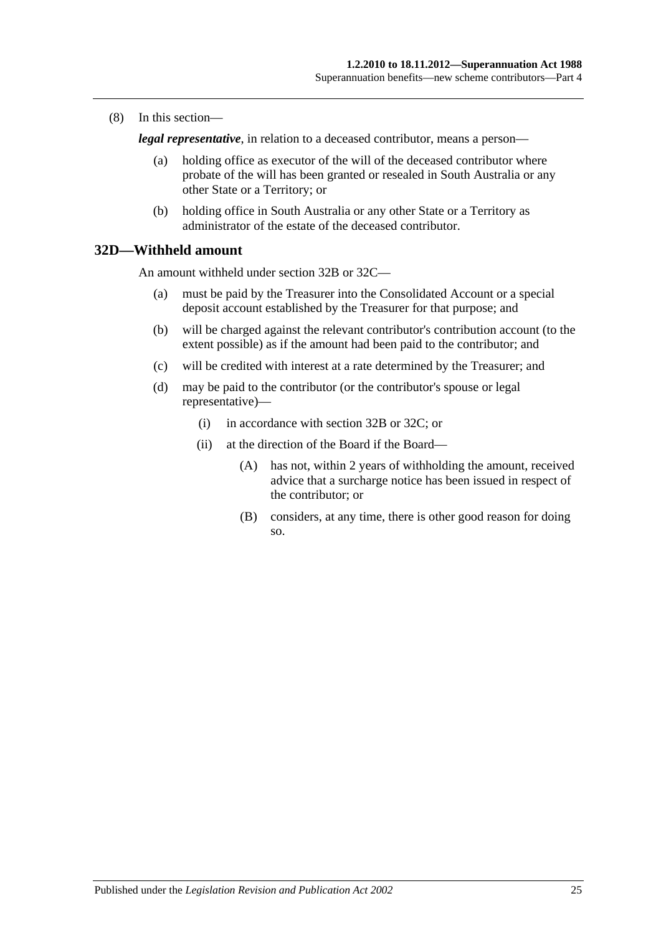(8) In this section—

*legal representative*, in relation to a deceased contributor, means a person—

- (a) holding office as executor of the will of the deceased contributor where probate of the will has been granted or resealed in South Australia or any other State or a Territory; or
- (b) holding office in South Australia or any other State or a Territory as administrator of the estate of the deceased contributor.

# **32D—Withheld amount**

An amount withheld under [section](#page-51-5) 32B or [32C—](#page-52-2)

- (a) must be paid by the Treasurer into the Consolidated Account or a special deposit account established by the Treasurer for that purpose; and
- (b) will be charged against the relevant contributor's contribution account (to the extent possible) as if the amount had been paid to the contributor; and
- (c) will be credited with interest at a rate determined by the Treasurer; and
- (d) may be paid to the contributor (or the contributor's spouse or legal representative)—
	- (i) in accordance with [section](#page-51-5) 32B or [32C;](#page-52-2) or
	- (ii) at the direction of the Board if the Board—
		- (A) has not, within 2 years of withholding the amount, received advice that a surcharge notice has been issued in respect of the contributor; or
		- (B) considers, at any time, there is other good reason for doing so.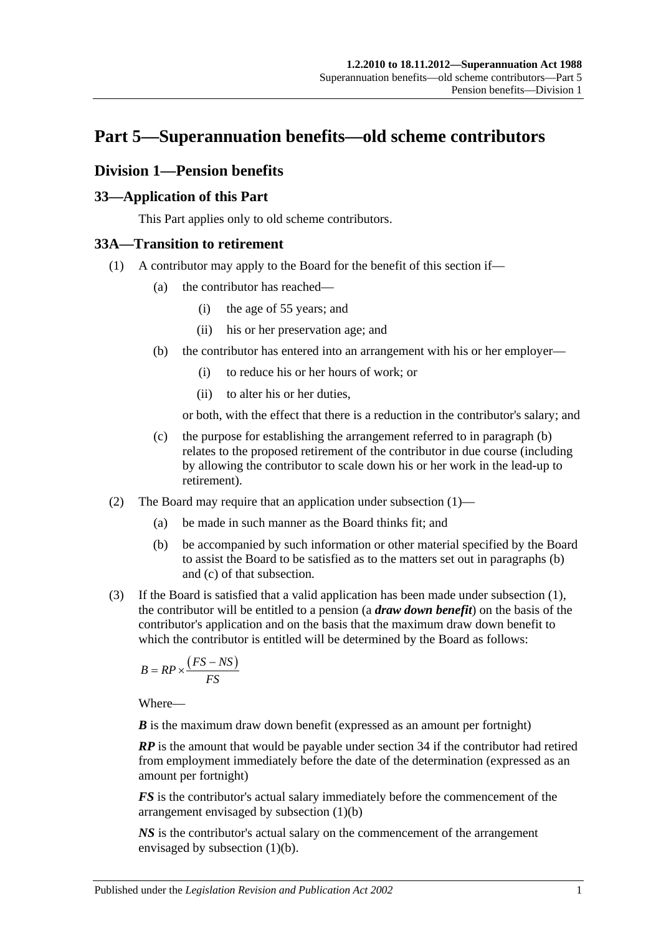# **Part 5—Superannuation benefits—old scheme contributors**

# **Division 1—Pension benefits**

# **33—Application of this Part**

This Part applies only to old scheme contributors.

# <span id="page-56-1"></span>**33A—Transition to retirement**

- <span id="page-56-0"></span>(1) A contributor may apply to the Board for the benefit of this section if—
	- (a) the contributor has reached—
		- (i) the age of 55 years; and
		- (ii) his or her preservation age; and
	- (b) the contributor has entered into an arrangement with his or her employer—
		- (i) to reduce his or her hours of work; or
		- (ii) to alter his or her duties,

or both, with the effect that there is a reduction in the contributor's salary; and

- (c) the purpose for establishing the arrangement referred to in [paragraph](#page-56-0) (b) relates to the proposed retirement of the contributor in due course (including by allowing the contributor to scale down his or her work in the lead-up to retirement).
- (2) The Board may require that an application under [subsection](#page-30-0) (1)—
	- (a) be made in such manner as the Board thinks fit; and
	- (b) be accompanied by such information or other material specified by the Board to assist the Board to be satisfied as to the matters set out in [paragraphs](#page-30-1) (b) and [\(c\)](#page-30-2) of that subsection.
- <span id="page-56-2"></span>(3) If the Board is satisfied that a valid application has been made under [subsection](#page-56-1) (1), the contributor will be entitled to a pension (a *draw down benefit*) on the basis of the contributor's application and on the basis that the maximum draw down benefit to which the contributor is entitled will be determined by the Board as follows:

$$
B = RP \times \frac{\left( FS - NS \right)}{FS}
$$

Where—

*B* is the maximum draw down benefit (expressed as an amount per fortnight)

*RP* is the amount that would be payable under section 34 if the contributor had retired from employment immediately before the date of the determination (expressed as an amount per fortnight)

*FS* is the contributor's actual salary immediately before the commencement of the arrangement envisaged by [subsection](#page-56-0) (1)(b)

*NS* is the contributor's actual salary on the commencement of the arrangement envisaged by [subsection](#page-56-0) (1)(b).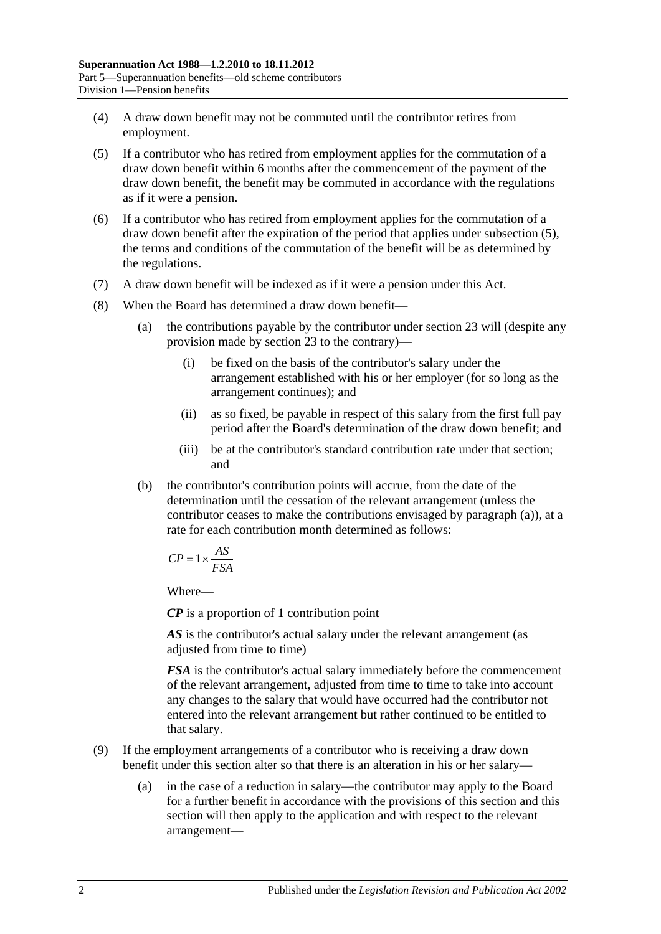- (4) A draw down benefit may not be commuted until the contributor retires from employment.
- <span id="page-57-0"></span>(5) If a contributor who has retired from employment applies for the commutation of a draw down benefit within 6 months after the commencement of the payment of the draw down benefit, the benefit may be commuted in accordance with the regulations as if it were a pension.
- (6) If a contributor who has retired from employment applies for the commutation of a draw down benefit after the expiration of the period that applies under [subsection](#page-57-0) (5), the terms and conditions of the commutation of the benefit will be as determined by the regulations.
- (7) A draw down benefit will be indexed as if it were a pension under this Act.
- <span id="page-57-1"></span>(8) When the Board has determined a draw down benefit—
	- (a) the contributions payable by the contributor under section 23 will (despite any provision made by section 23 to the contrary)—
		- (i) be fixed on the basis of the contributor's salary under the arrangement established with his or her employer (for so long as the arrangement continues); and
		- (ii) as so fixed, be payable in respect of this salary from the first full pay period after the Board's determination of the draw down benefit; and
		- (iii) be at the contributor's standard contribution rate under that section; and
	- (b) the contributor's contribution points will accrue, from the date of the determination until the cessation of the relevant arrangement (unless the contributor ceases to make the contributions envisaged by [paragraph](#page-57-1) (a)), at a rate for each contribution month determined as follows:

$$
CP = 1 \times \frac{AS}{FSA}
$$

Where—

*CP* is a proportion of 1 contribution point

AS is the contributor's actual salary under the relevant arrangement (as adjusted from time to time)

*FSA* is the contributor's actual salary immediately before the commencement of the relevant arrangement, adjusted from time to time to take into account any changes to the salary that would have occurred had the contributor not entered into the relevant arrangement but rather continued to be entitled to that salary.

- (9) If the employment arrangements of a contributor who is receiving a draw down benefit under this section alter so that there is an alteration in his or her salary—
	- (a) in the case of a reduction in salary—the contributor may apply to the Board for a further benefit in accordance with the provisions of this section and this section will then apply to the application and with respect to the relevant arrangement—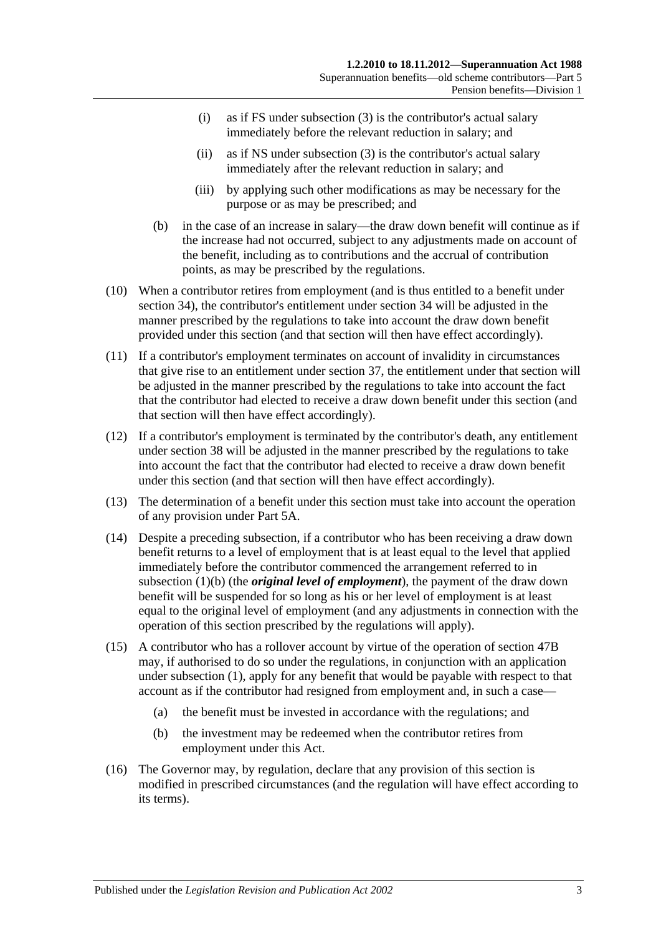- (i) as if FS under [subsection](#page-56-2) (3) is the contributor's actual salary immediately before the relevant reduction in salary; and
- (ii) as if NS under [subsection](#page-56-2) (3) is the contributor's actual salary immediately after the relevant reduction in salary; and
- (iii) by applying such other modifications as may be necessary for the purpose or as may be prescribed; and
- (b) in the case of an increase in salary—the draw down benefit will continue as if the increase had not occurred, subject to any adjustments made on account of the benefit, including as to contributions and the accrual of contribution points, as may be prescribed by the regulations.
- (10) When a contributor retires from employment (and is thus entitled to a benefit under section 34), the contributor's entitlement under section 34 will be adjusted in the manner prescribed by the regulations to take into account the draw down benefit provided under this section (and that section will then have effect accordingly).
- (11) If a contributor's employment terminates on account of invalidity in circumstances that give rise to an entitlement under section 37, the entitlement under that section will be adjusted in the manner prescribed by the regulations to take into account the fact that the contributor had elected to receive a draw down benefit under this section (and that section will then have effect accordingly).
- (12) If a contributor's employment is terminated by the contributor's death, any entitlement under section 38 will be adjusted in the manner prescribed by the regulations to take into account the fact that the contributor had elected to receive a draw down benefit under this section (and that section will then have effect accordingly).
- (13) The determination of a benefit under this section must take into account the operation of any provision under Part 5A.
- (14) Despite a preceding subsection, if a contributor who has been receiving a draw down benefit returns to a level of employment that is at least equal to the level that applied immediately before the contributor commenced the arrangement referred to in [subsection](#page-56-0) (1)(b) (the *original level of employment*), the payment of the draw down benefit will be suspended for so long as his or her level of employment is at least equal to the original level of employment (and any adjustments in connection with the operation of this section prescribed by the regulations will apply).
- (15) A contributor who has a rollover account by virtue of the operation of section 47B may, if authorised to do so under the regulations, in conjunction with an application under [subsection](#page-56-1) (1), apply for any benefit that would be payable with respect to that account as if the contributor had resigned from employment and, in such a case—
	- (a) the benefit must be invested in accordance with the regulations; and
	- (b) the investment may be redeemed when the contributor retires from employment under this Act.
- (16) The Governor may, by regulation, declare that any provision of this section is modified in prescribed circumstances (and the regulation will have effect according to its terms).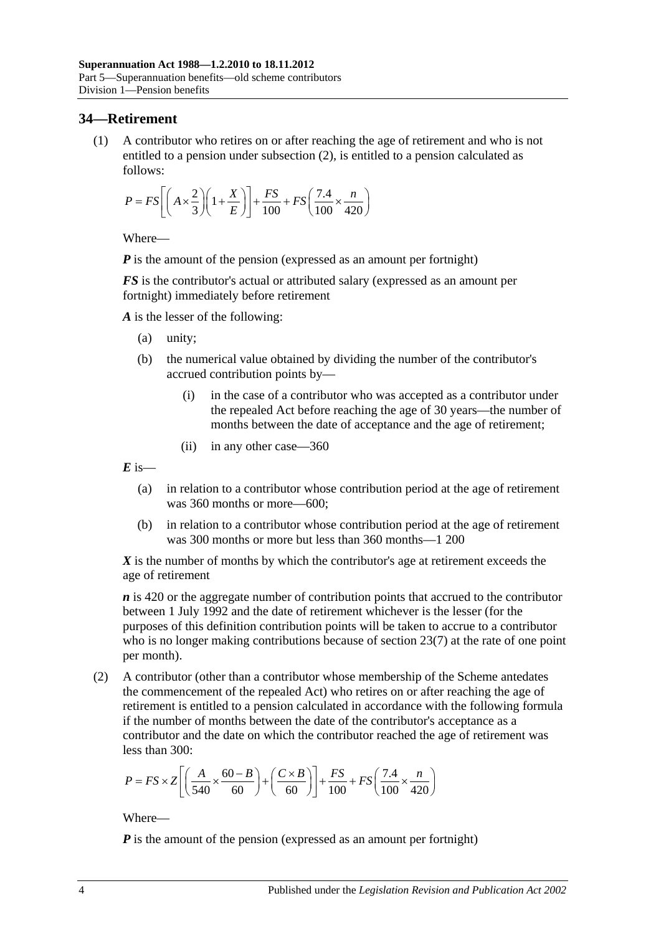# **34—Retirement**

(1) A contributor who retires on or after reaching the age of retirement and who is not entitled to a pension under [subsection](#page-59-0) (2), is entitled to a pension calculated as follows:

$$
P = FS \left[ \left( A \times \frac{2}{3} \right) \left( 1 + \frac{X}{E} \right) \right] + \frac{FS}{100} + FS \left( \frac{7.4}{100} \times \frac{n}{420} \right)
$$

Where—

*P* is the amount of the pension (expressed as an amount per fortnight)

*FS* is the contributor's actual or attributed salary (expressed as an amount per fortnight) immediately before retirement

*A* is the lesser of the following:

- (a) unity;
- (b) the numerical value obtained by dividing the number of the contributor's accrued contribution points by—
	- (i) in the case of a contributor who was accepted as a contributor under the repealed Act before reaching the age of 30 years—the number of months between the date of acceptance and the age of retirement;
	- (ii) in any other case—360

 $E$  is—

- (a) in relation to a contributor whose contribution period at the age of retirement was 360 months or more—600;
- (b) in relation to a contributor whose contribution period at the age of retirement was 300 months or more but less than 360 months—1 200

*X* is the number of months by which the contributor's age at retirement exceeds the age of retirement

*n* is 420 or the aggregate number of contribution points that accrued to the contributor between 1 July 1992 and the date of retirement whichever is the lesser (for the purposes of this definition contribution points will be taken to accrue to a contributor who is no longer making contributions because of [section](#page-28-0) 23(7) at the rate of one point per month).

<span id="page-59-0"></span>(2) A contributor (other than a contributor whose membership of the Scheme antedates the commencement of the repealed Act) who retires on or after reaching the age of retirement is entitled to a pension calculated in accordance with the following formula if the number of months between the date of the contributor's acceptance as a contributor and the date on which the contributor reached the age of retirement was less than 300:

$$
P = FS \times Z \left[ \left( \frac{A}{540} \times \frac{60 - B}{60} \right) + \left( \frac{C \times B}{60} \right) \right] + \frac{FS}{100} + FS \left( \frac{7.4}{100} \times \frac{n}{420} \right)
$$

Where—

*P* is the amount of the pension (expressed as an amount per fortnight)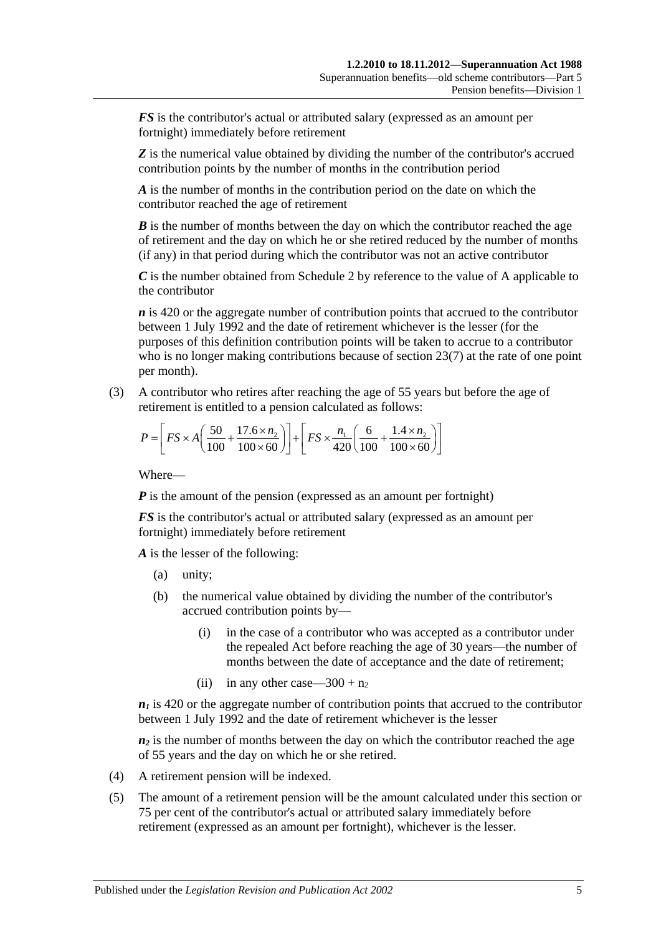*FS* is the contributor's actual or attributed salary (expressed as an amount per fortnight) immediately before retirement

**Z** is the numerical value obtained by dividing the number of the contributor's accrued contribution points by the number of months in the contribution period

*A* is the number of months in the contribution period on the date on which the contributor reached the age of retirement

*B* is the number of months between the day on which the contributor reached the age of retirement and the day on which he or she retired reduced by the number of months (if any) in that period during which the contributor was not an active contributor

*C* is the number obtained from [Schedule 2](#page-124-0) by reference to the value of A applicable to the contributor

*n* is 420 or the aggregate number of contribution points that accrued to the contributor between 1 July 1992 and the date of retirement whichever is the lesser (for the purposes of this definition contribution points will be taken to accrue to a contributor who is no longer making contributions because of [section](#page-28-0) 23(7) at the rate of one point per month).

(3) A contributor who retires after reaching the age of 55 years but before the age of retirement is entitled to a pension calculated as follows:

$$
P = \left[ FS \times A \left( \frac{50}{100} + \frac{17.6 \times n_2}{100 \times 60} \right) \right] + \left[ FS \times \frac{n_1}{420} \left( \frac{6}{100} + \frac{1.4 \times n_2}{100 \times 60} \right) \right]
$$

Where—

*P* is the amount of the pension (expressed as an amount per fortnight)

*FS* is the contributor's actual or attributed salary (expressed as an amount per fortnight) immediately before retirement

*A* is the lesser of the following:

- (a) unity;
- (b) the numerical value obtained by dividing the number of the contributor's accrued contribution points by—
	- (i) in the case of a contributor who was accepted as a contributor under the repealed Act before reaching the age of 30 years—the number of months between the date of acceptance and the date of retirement;
	- (ii) in any other case—300 +  $n_2$

 $n_1$  is 420 or the aggregate number of contribution points that accrued to the contributor between 1 July 1992 and the date of retirement whichever is the lesser

 $n_2$  is the number of months between the day on which the contributor reached the age of 55 years and the day on which he or she retired.

- (4) A retirement pension will be indexed.
- (5) The amount of a retirement pension will be the amount calculated under this section or 75 per cent of the contributor's actual or attributed salary immediately before retirement (expressed as an amount per fortnight), whichever is the lesser.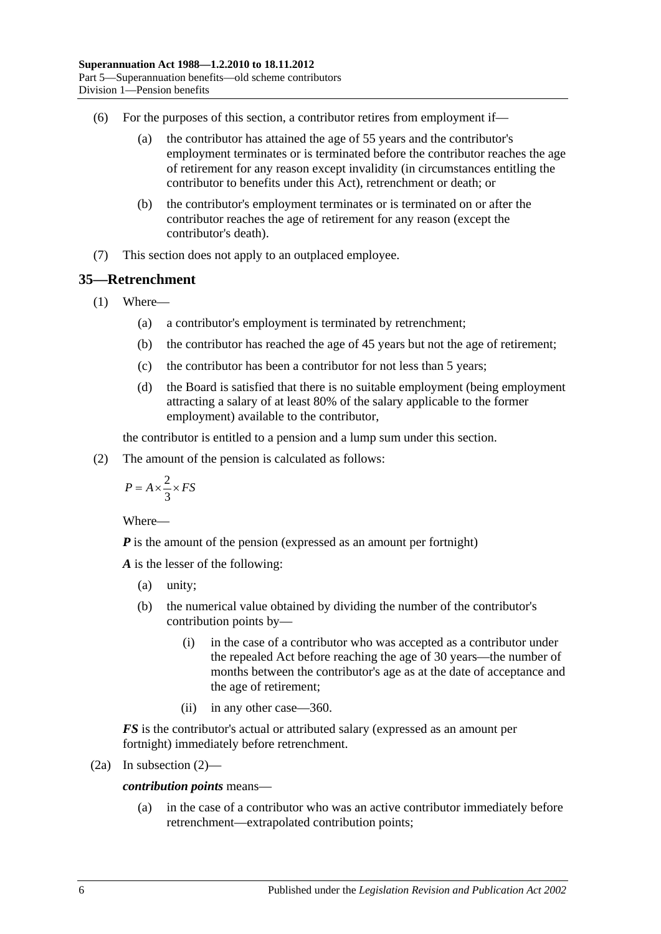- (6) For the purposes of this section, a contributor retires from employment if—
	- (a) the contributor has attained the age of 55 years and the contributor's employment terminates or is terminated before the contributor reaches the age of retirement for any reason except invalidity (in circumstances entitling the contributor to benefits under this Act), retrenchment or death; or
	- (b) the contributor's employment terminates or is terminated on or after the contributor reaches the age of retirement for any reason (except the contributor's death).
- (7) This section does not apply to an outplaced employee.

# <span id="page-61-1"></span>**35—Retrenchment**

- (1) Where—
	- (a) a contributor's employment is terminated by retrenchment;
	- (b) the contributor has reached the age of 45 years but not the age of retirement;
	- (c) the contributor has been a contributor for not less than 5 years;
	- (d) the Board is satisfied that there is no suitable employment (being employment attracting a salary of at least 80% of the salary applicable to the former employment) available to the contributor,

the contributor is entitled to a pension and a lump sum under this section.

<span id="page-61-0"></span>(2) The amount of the pension is calculated as follows:

$$
P = A \times \frac{2}{3} \times FS
$$

Where—

*P* is the amount of the pension (expressed as an amount per fortnight)

*A* is the lesser of the following:

- (a) unity;
- (b) the numerical value obtained by dividing the number of the contributor's contribution points by—
	- (i) in the case of a contributor who was accepted as a contributor under the repealed Act before reaching the age of 30 years—the number of months between the contributor's age as at the date of acceptance and the age of retirement;
	- (ii) in any other case—360.

*FS* is the contributor's actual or attributed salary (expressed as an amount per fortnight) immediately before retrenchment.

$$
(2a) In subsection (2)—
$$

*contribution points* means—

(a) in the case of a contributor who was an active contributor immediately before retrenchment—extrapolated contribution points;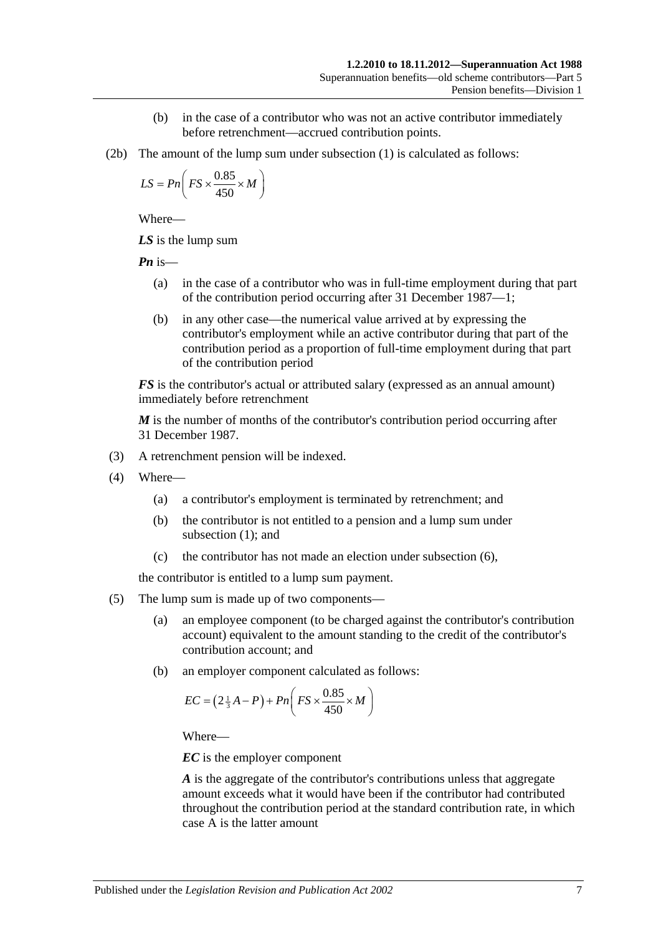- (b) in the case of a contributor who was not an active contributor immediately before retrenchment—accrued contribution points.
- (2b) The amount of the lump sum under [subsection](#page-61-1) (1) is calculated as follows:

$$
LS = Pn\left(FS \times \frac{0.85}{450} \times M\right)
$$

Where—

*LS* is the lump sum

*Pn* is—

- (a) in the case of a contributor who was in full-time employment during that part of the contribution period occurring after 31 December 1987—1;
- (b) in any other case—the numerical value arrived at by expressing the contributor's employment while an active contributor during that part of the contribution period as a proportion of full-time employment during that part of the contribution period

*FS* is the contributor's actual or attributed salary (expressed as an annual amount) immediately before retrenchment

*M* is the number of months of the contributor's contribution period occurring after 31 December 1987.

- (3) A retrenchment pension will be indexed.
- (4) Where—
	- (a) a contributor's employment is terminated by retrenchment; and
	- (b) the contributor is not entitled to a pension and a lump sum under [subsection](#page-61-1) (1); and
	- (c) the contributor has not made an election under [subsection](#page-63-0) (6),

the contributor is entitled to a lump sum payment.

- (5) The lump sum is made up of two components—
	- (a) an employee component (to be charged against the contributor's contribution account) equivalent to the amount standing to the credit of the contributor's contribution account; and
	- (b) an employer component calculated as follows:

$$
EC = \left(2\frac{1}{3}A - P\right) + Pn\left(FS \times \frac{0.85}{450} \times M\right)
$$

Where—

*EC* is the employer component

*A* is the aggregate of the contributor's contributions unless that aggregate amount exceeds what it would have been if the contributor had contributed throughout the contribution period at the standard contribution rate, in which case A is the latter amount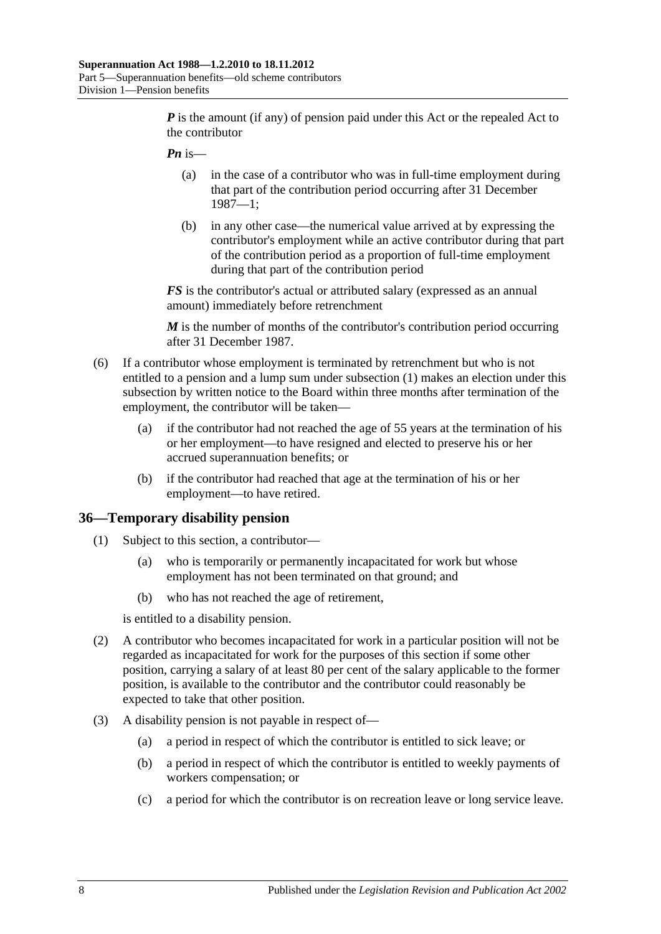*P* is the amount (if any) of pension paid under this Act or the repealed Act to the contributor

- *Pn* is—
	- (a) in the case of a contributor who was in full-time employment during that part of the contribution period occurring after 31 December 1987—1;
	- (b) in any other case—the numerical value arrived at by expressing the contributor's employment while an active contributor during that part of the contribution period as a proportion of full-time employment during that part of the contribution period

*FS* is the contributor's actual or attributed salary (expressed as an annual amount) immediately before retrenchment

*M* is the number of months of the contributor's contribution period occurring after 31 December 1987.

- <span id="page-63-0"></span>(6) If a contributor whose employment is terminated by retrenchment but who is not entitled to a pension and a lump sum under [subsection](#page-61-1) (1) makes an election under this subsection by written notice to the Board within three months after termination of the employment, the contributor will be taken—
	- (a) if the contributor had not reached the age of 55 years at the termination of his or her employment—to have resigned and elected to preserve his or her accrued superannuation benefits; or
	- (b) if the contributor had reached that age at the termination of his or her employment—to have retired.

#### **36—Temporary disability pension**

- (1) Subject to this section, a contributor—
	- (a) who is temporarily or permanently incapacitated for work but whose employment has not been terminated on that ground; and
	- (b) who has not reached the age of retirement,

is entitled to a disability pension.

- (2) A contributor who becomes incapacitated for work in a particular position will not be regarded as incapacitated for work for the purposes of this section if some other position, carrying a salary of at least 80 per cent of the salary applicable to the former position, is available to the contributor and the contributor could reasonably be expected to take that other position.
- (3) A disability pension is not payable in respect of—
	- (a) a period in respect of which the contributor is entitled to sick leave; or
	- (b) a period in respect of which the contributor is entitled to weekly payments of workers compensation; or
	- (c) a period for which the contributor is on recreation leave or long service leave.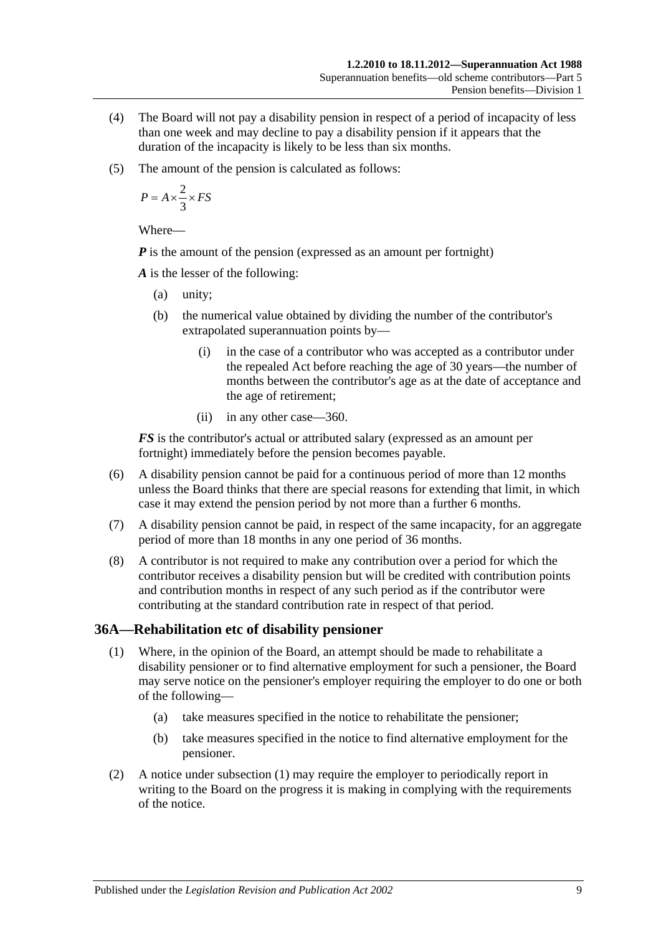- (4) The Board will not pay a disability pension in respect of a period of incapacity of less than one week and may decline to pay a disability pension if it appears that the duration of the incapacity is likely to be less than six months.
- (5) The amount of the pension is calculated as follows:

$$
P = A \times \frac{2}{3} \times FS
$$

Where—

*P* is the amount of the pension (expressed as an amount per fortnight)

*A* is the lesser of the following:

- (a) unity;
- (b) the numerical value obtained by dividing the number of the contributor's extrapolated superannuation points by—
	- (i) in the case of a contributor who was accepted as a contributor under the repealed Act before reaching the age of 30 years—the number of months between the contributor's age as at the date of acceptance and the age of retirement;
	- (ii) in any other case—360.

*FS* is the contributor's actual or attributed salary (expressed as an amount per fortnight) immediately before the pension becomes payable.

- (6) A disability pension cannot be paid for a continuous period of more than 12 months unless the Board thinks that there are special reasons for extending that limit, in which case it may extend the pension period by not more than a further 6 months.
- (7) A disability pension cannot be paid, in respect of the same incapacity, for an aggregate period of more than 18 months in any one period of 36 months.
- (8) A contributor is not required to make any contribution over a period for which the contributor receives a disability pension but will be credited with contribution points and contribution months in respect of any such period as if the contributor were contributing at the standard contribution rate in respect of that period.

# <span id="page-64-0"></span>**36A—Rehabilitation etc of disability pensioner**

- (1) Where, in the opinion of the Board, an attempt should be made to rehabilitate a disability pensioner or to find alternative employment for such a pensioner, the Board may serve notice on the pensioner's employer requiring the employer to do one or both of the following—
	- (a) take measures specified in the notice to rehabilitate the pensioner;
	- (b) take measures specified in the notice to find alternative employment for the pensioner.
- (2) A notice under [subsection](#page-64-0) (1) may require the employer to periodically report in writing to the Board on the progress it is making in complying with the requirements of the notice.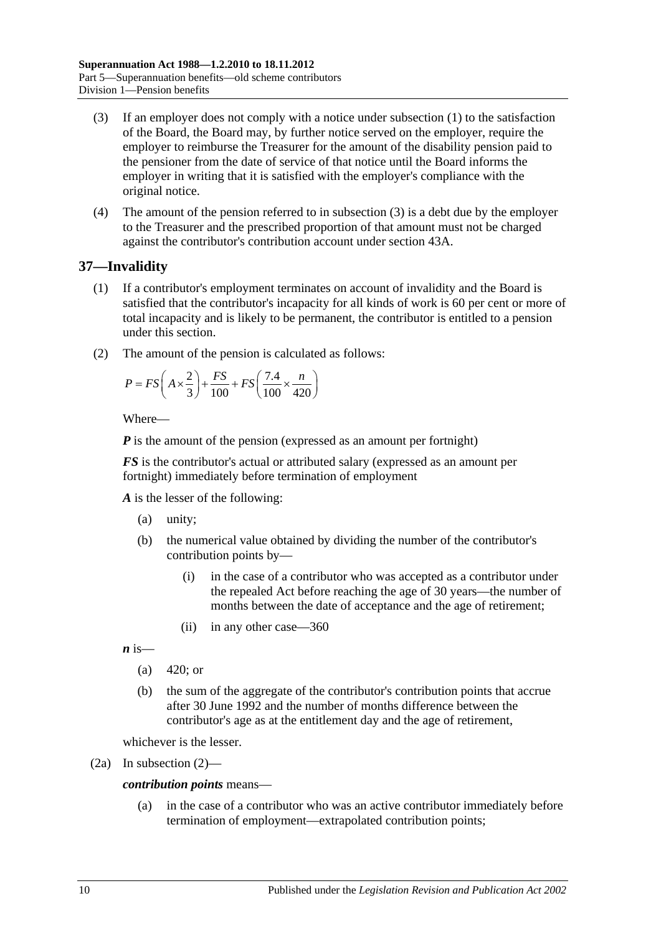- <span id="page-65-0"></span>(3) If an employer does not comply with a notice under [subsection](#page-64-0) (1) to the satisfaction of the Board, the Board may, by further notice served on the employer, require the employer to reimburse the Treasurer for the amount of the disability pension paid to the pensioner from the date of service of that notice until the Board informs the employer in writing that it is satisfied with the employer's compliance with the original notice.
- (4) The amount of the pension referred to in [subsection](#page-65-0) (3) is a debt due by the employer to the Treasurer and the prescribed proportion of that amount must not be charged against the contributor's contribution account under section 43A.

# <span id="page-65-2"></span>**37—Invalidity**

- (1) If a contributor's employment terminates on account of invalidity and the Board is satisfied that the contributor's incapacity for all kinds of work is 60 per cent or more of total incapacity and is likely to be permanent, the contributor is entitled to a pension under this section.
- <span id="page-65-1"></span>(2) The amount of the pension is calculated as follows:

$$
P = FS\left(A \times \frac{2}{3}\right) + \frac{FS}{100} + FS\left(\frac{7.4}{100} \times \frac{n}{420}\right)
$$

Where—

*P* is the amount of the pension (expressed as an amount per fortnight)

*FS* is the contributor's actual or attributed salary (expressed as an amount per fortnight) immediately before termination of employment

*A* is the lesser of the following:

- (a) unity;
- (b) the numerical value obtained by dividing the number of the contributor's contribution points by—
	- (i) in the case of a contributor who was accepted as a contributor under the repealed Act before reaching the age of 30 years—the number of months between the date of acceptance and the age of retirement;
	- (ii) in any other case—360

 $\boldsymbol{n}$  is—

- (a)  $420$ ; or
- (b) the sum of the aggregate of the contributor's contribution points that accrue after 30 June 1992 and the number of months difference between the contributor's age as at the entitlement day and the age of retirement,

whichever is the lesser.

(2a) In [subsection](#page-65-1) (2)—

#### *contribution points* means—

(a) in the case of a contributor who was an active contributor immediately before termination of employment—extrapolated contribution points;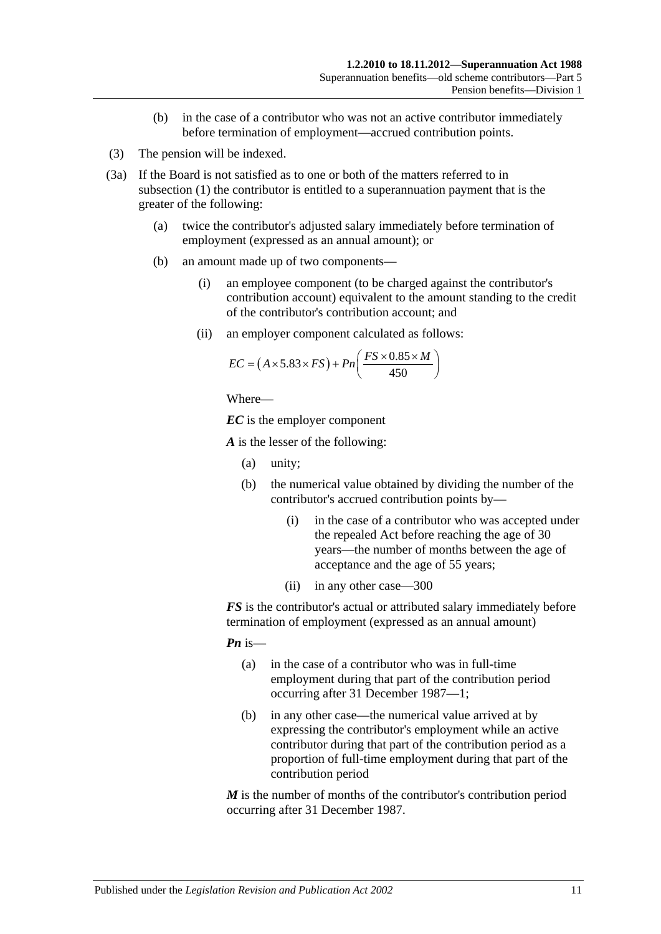- (b) in the case of a contributor who was not an active contributor immediately before termination of employment—accrued contribution points.
- (3) The pension will be indexed.
- <span id="page-66-0"></span>(3a) If the Board is not satisfied as to one or both of the matters referred to in [subsection](#page-65-2) (1) the contributor is entitled to a superannuation payment that is the greater of the following:
	- (a) twice the contributor's adjusted salary immediately before termination of employment (expressed as an annual amount); or
	- (b) an amount made up of two components—
		- (i) an employee component (to be charged against the contributor's contribution account) equivalent to the amount standing to the credit of the contributor's contribution account; and
		- (ii) an employer component calculated as follows:

$$
EC = (A \times 5.83 \times FS) + Pn\left(\frac{FS \times 0.85 \times M}{450}\right)
$$

```
Where—
```
*EC* is the employer component

*A* is the lesser of the following:

- (a) unity;
- (b) the numerical value obtained by dividing the number of the contributor's accrued contribution points by—
	- (i) in the case of a contributor who was accepted under the repealed Act before reaching the age of 30 years—the number of months between the age of acceptance and the age of 55 years;
	- (ii) in any other case—300

*FS* is the contributor's actual or attributed salary immediately before termination of employment (expressed as an annual amount)

*Pn* is—

- (a) in the case of a contributor who was in full-time employment during that part of the contribution period occurring after 31 December 1987—1;
- (b) in any other case—the numerical value arrived at by expressing the contributor's employment while an active contributor during that part of the contribution period as a proportion of full-time employment during that part of the contribution period

*M* is the number of months of the contributor's contribution period occurring after 31 December 1987.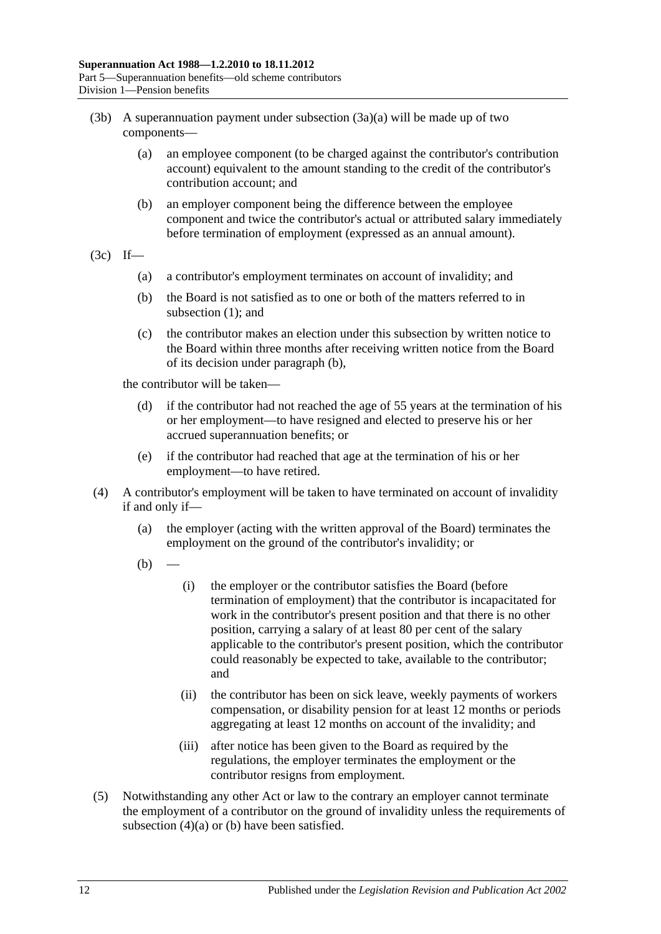- (3b) A superannuation payment under [subsection](#page-66-0)  $(3a)(a)$  will be made up of two components—
	- (a) an employee component (to be charged against the contributor's contribution account) equivalent to the amount standing to the credit of the contributor's contribution account; and
	- (b) an employer component being the difference between the employee component and twice the contributor's actual or attributed salary immediately before termination of employment (expressed as an annual amount).
- <span id="page-67-0"></span> $(3c)$  If—
	- (a) a contributor's employment terminates on account of invalidity; and
	- (b) the Board is not satisfied as to one or both of the matters referred to in [subsection](#page-65-2) (1); and
	- (c) the contributor makes an election under this subsection by written notice to the Board within three months after receiving written notice from the Board of its decision under [paragraph](#page-67-0) (b),

the contributor will be taken—

- (d) if the contributor had not reached the age of 55 years at the termination of his or her employment—to have resigned and elected to preserve his or her accrued superannuation benefits; or
- (e) if the contributor had reached that age at the termination of his or her employment—to have retired.
- <span id="page-67-2"></span><span id="page-67-1"></span>(4) A contributor's employment will be taken to have terminated on account of invalidity if and only if—
	- (a) the employer (acting with the written approval of the Board) terminates the employment on the ground of the contributor's invalidity; or
	- $(b)$
- (i) the employer or the contributor satisfies the Board (before termination of employment) that the contributor is incapacitated for work in the contributor's present position and that there is no other position, carrying a salary of at least 80 per cent of the salary applicable to the contributor's present position, which the contributor could reasonably be expected to take, available to the contributor; and
- (ii) the contributor has been on sick leave, weekly payments of workers compensation, or disability pension for at least 12 months or periods aggregating at least 12 months on account of the invalidity; and
- (iii) after notice has been given to the Board as required by the regulations, the employer terminates the employment or the contributor resigns from employment.
- (5) Notwithstanding any other Act or law to the contrary an employer cannot terminate the employment of a contributor on the ground of invalidity unless the requirements of [subsection](#page-67-1)  $(4)(a)$  or  $(b)$  have been satisfied.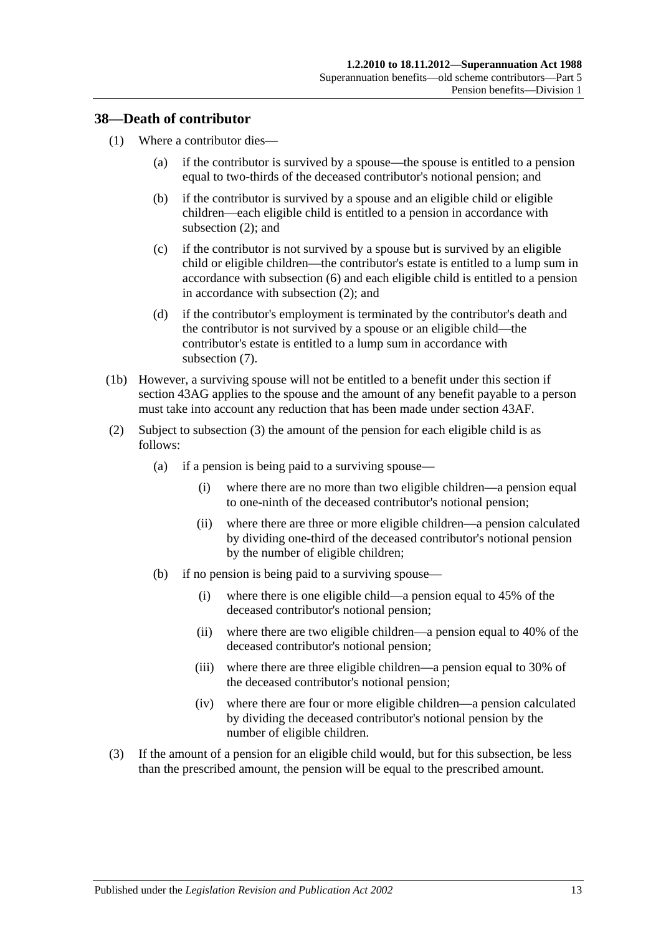#### **38—Death of contributor**

- (1) Where a contributor dies—
	- (a) if the contributor is survived by a spouse—the spouse is entitled to a pension equal to two-thirds of the deceased contributor's notional pension; and
	- (b) if the contributor is survived by a spouse and an eligible child or eligible children—each eligible child is entitled to a pension in accordance with [subsection](#page-68-0) (2); and
	- (c) if the contributor is not survived by a spouse but is survived by an eligible child or eligible children—the contributor's estate is entitled to a lump sum in accordance with [subsection](#page-70-0) (6) and each eligible child is entitled to a pension in accordance with [subsection](#page-68-0) (2); and
	- (d) if the contributor's employment is terminated by the contributor's death and the contributor is not survived by a spouse or an eligible child—the contributor's estate is entitled to a lump sum in accordance with [subsection](#page-70-1) (7).
- (1b) However, a surviving spouse will not be entitled to a benefit under this section if section 43AG applies to the spouse and the amount of any benefit payable to a person must take into account any reduction that has been made under [section](#page-87-0) 43AF.
- <span id="page-68-0"></span>(2) Subject to [subsection](#page-68-1) (3) the amount of the pension for each eligible child is as follows:
	- (a) if a pension is being paid to a surviving spouse—
		- (i) where there are no more than two eligible children—a pension equal to one-ninth of the deceased contributor's notional pension;
		- (ii) where there are three or more eligible children—a pension calculated by dividing one-third of the deceased contributor's notional pension by the number of eligible children;
	- (b) if no pension is being paid to a surviving spouse—
		- (i) where there is one eligible child—a pension equal to 45% of the deceased contributor's notional pension;
		- (ii) where there are two eligible children—a pension equal to 40% of the deceased contributor's notional pension;
		- (iii) where there are three eligible children—a pension equal to 30% of the deceased contributor's notional pension;
		- (iv) where there are four or more eligible children—a pension calculated by dividing the deceased contributor's notional pension by the number of eligible children.
- <span id="page-68-1"></span>(3) If the amount of a pension for an eligible child would, but for this subsection, be less than the prescribed amount, the pension will be equal to the prescribed amount.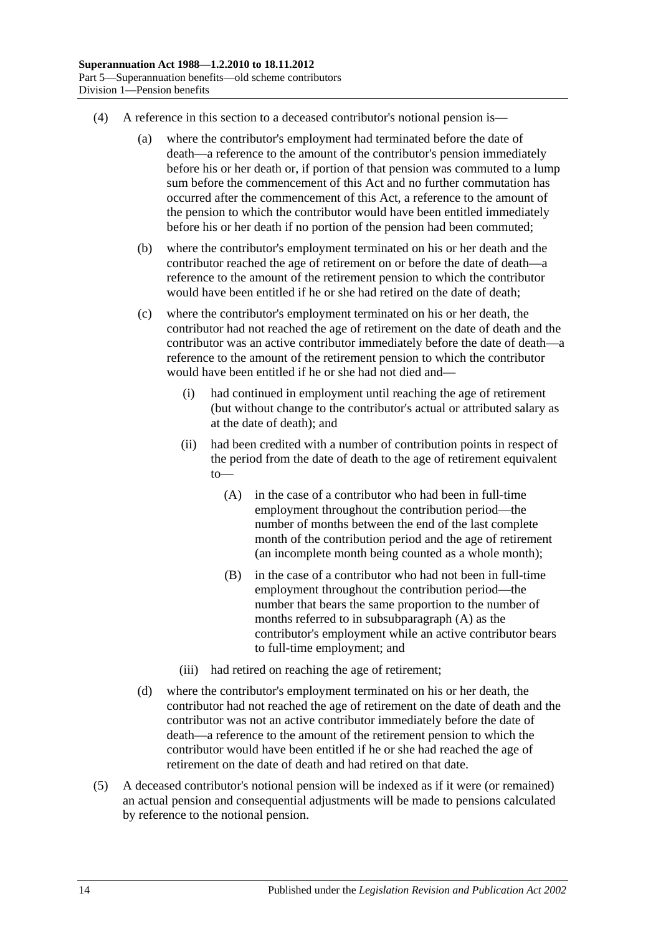- (4) A reference in this section to a deceased contributor's notional pension is—
	- (a) where the contributor's employment had terminated before the date of death—a reference to the amount of the contributor's pension immediately before his or her death or, if portion of that pension was commuted to a lump sum before the commencement of this Act and no further commutation has occurred after the commencement of this Act, a reference to the amount of the pension to which the contributor would have been entitled immediately before his or her death if no portion of the pension had been commuted;
	- (b) where the contributor's employment terminated on his or her death and the contributor reached the age of retirement on or before the date of death—a reference to the amount of the retirement pension to which the contributor would have been entitled if he or she had retired on the date of death;
	- (c) where the contributor's employment terminated on his or her death, the contributor had not reached the age of retirement on the date of death and the contributor was an active contributor immediately before the date of death—a reference to the amount of the retirement pension to which the contributor would have been entitled if he or she had not died and—
		- (i) had continued in employment until reaching the age of retirement (but without change to the contributor's actual or attributed salary as at the date of death); and
		- (ii) had been credited with a number of contribution points in respect of the period from the date of death to the age of retirement equivalent to—
			- (A) in the case of a contributor who had been in full-time employment throughout the contribution period—the number of months between the end of the last complete month of the contribution period and the age of retirement (an incomplete month being counted as a whole month);
			- (B) in the case of a contributor who had not been in full-time employment throughout the contribution period—the number that bears the same proportion to the number of months referred to in [subsubparagraph](#page-69-0) (A) as the contributor's employment while an active contributor bears to full-time employment; and
		- (iii) had retired on reaching the age of retirement;
	- (d) where the contributor's employment terminated on his or her death, the contributor had not reached the age of retirement on the date of death and the contributor was not an active contributor immediately before the date of death—a reference to the amount of the retirement pension to which the contributor would have been entitled if he or she had reached the age of retirement on the date of death and had retired on that date.
- <span id="page-69-0"></span>(5) A deceased contributor's notional pension will be indexed as if it were (or remained) an actual pension and consequential adjustments will be made to pensions calculated by reference to the notional pension.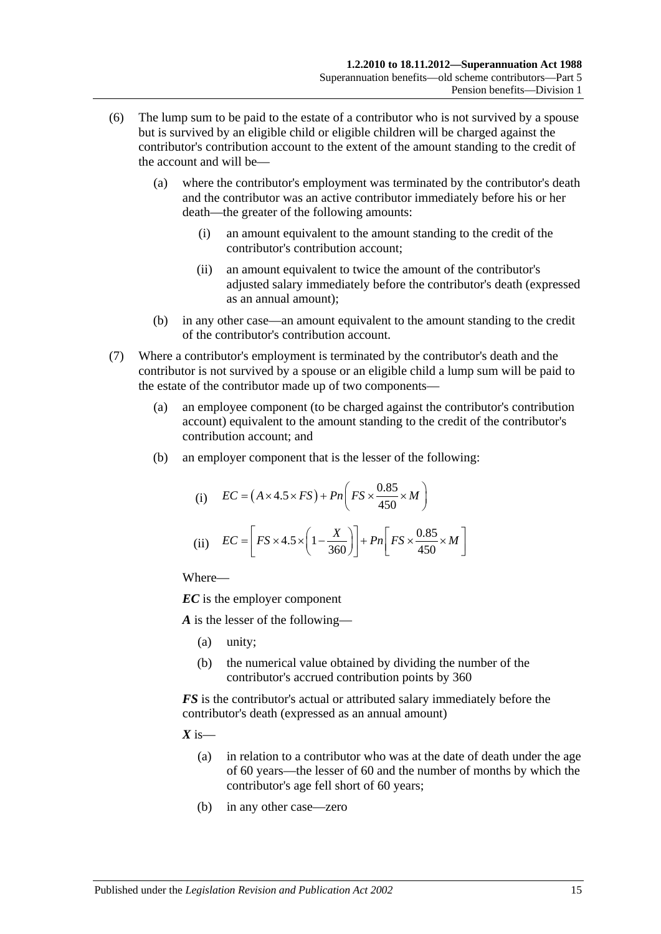- <span id="page-70-0"></span>(6) The lump sum to be paid to the estate of a contributor who is not survived by a spouse but is survived by an eligible child or eligible children will be charged against the contributor's contribution account to the extent of the amount standing to the credit of the account and will be—
	- (a) where the contributor's employment was terminated by the contributor's death and the contributor was an active contributor immediately before his or her death—the greater of the following amounts:
		- (i) an amount equivalent to the amount standing to the credit of the contributor's contribution account;
		- (ii) an amount equivalent to twice the amount of the contributor's adjusted salary immediately before the contributor's death (expressed as an annual amount);
	- (b) in any other case—an amount equivalent to the amount standing to the credit of the contributor's contribution account.
- <span id="page-70-1"></span>(7) Where a contributor's employment is terminated by the contributor's death and the contributor is not survived by a spouse or an eligible child a lump sum will be paid to the estate of the contributor made up of two components—
	- (a) an employee component (to be charged against the contributor's contribution account) equivalent to the amount standing to the credit of the contributor's contribution account; and
	- (b) an employer component that is the lesser of the following:

(i) 
$$
EC = (A \times 4.5 \times FS) + Pn\left(FS \times \frac{0.85}{450} \times M\right)
$$
  
(ii) 
$$
EC = \left[FS \times 4.5 \times \left(1 - \frac{X}{360}\right)\right] + Pn\left[FS \times \frac{0.85}{450} \times M\right]
$$

Where—

*EC* is the employer component

*A* is the lesser of the following—

- (a) unity;
- (b) the numerical value obtained by dividing the number of the contributor's accrued contribution points by 360

*FS* is the contributor's actual or attributed salary immediately before the contributor's death (expressed as an annual amount)

 $X$  is—

- (a) in relation to a contributor who was at the date of death under the age of 60 years—the lesser of 60 and the number of months by which the contributor's age fell short of 60 years;
- (b) in any other case—zero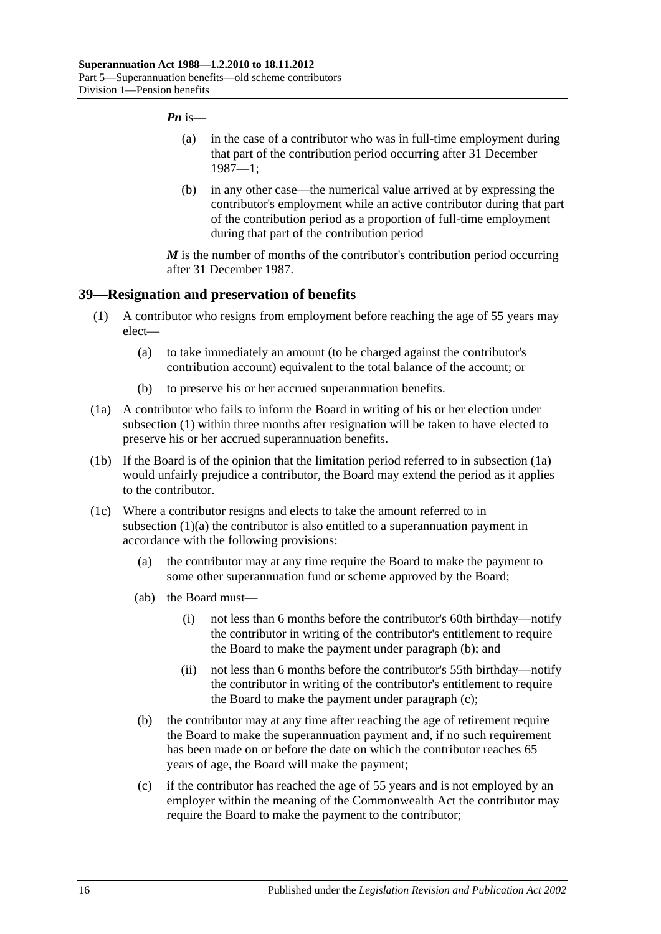#### *Pn* is—

- (a) in the case of a contributor who was in full-time employment during that part of the contribution period occurring after 31 December 1987—1;
- (b) in any other case—the numerical value arrived at by expressing the contributor's employment while an active contributor during that part of the contribution period as a proportion of full-time employment during that part of the contribution period

*M* is the number of months of the contributor's contribution period occurring after 31 December 1987.

#### <span id="page-71-0"></span>**39—Resignation and preservation of benefits**

- <span id="page-71-2"></span>(1) A contributor who resigns from employment before reaching the age of 55 years may elect—
	- (a) to take immediately an amount (to be charged against the contributor's contribution account) equivalent to the total balance of the account; or
	- (b) to preserve his or her accrued superannuation benefits.
- <span id="page-71-1"></span>(1a) A contributor who fails to inform the Board in writing of his or her election under [subsection](#page-71-0) (1) within three months after resignation will be taken to have elected to preserve his or her accrued superannuation benefits.
- (1b) If the Board is of the opinion that the limitation period referred to in [subsection](#page-71-1) (1a) would unfairly prejudice a contributor, the Board may extend the period as it applies to the contributor.
- <span id="page-71-4"></span><span id="page-71-3"></span>(1c) Where a contributor resigns and elects to take the amount referred to in [subsection](#page-71-2) (1)(a) the contributor is also entitled to a superannuation payment in accordance with the following provisions:
	- (a) the contributor may at any time require the Board to make the payment to some other superannuation fund or scheme approved by the Board;
	- (ab) the Board must—
		- (i) not less than 6 months before the contributor's 60th birthday—notify the contributor in writing of the contributor's entitlement to require the Board to make the payment under [paragraph](#page-71-3) (b); and
		- (ii) not less than 6 months before the contributor's 55th birthday—notify the contributor in writing of the contributor's entitlement to require the Board to make the payment under [paragraph](#page-71-4) (c);
	- (b) the contributor may at any time after reaching the age of retirement require the Board to make the superannuation payment and, if no such requirement has been made on or before the date on which the contributor reaches 65 years of age, the Board will make the payment;
	- (c) if the contributor has reached the age of 55 years and is not employed by an employer within the meaning of the Commonwealth Act the contributor may require the Board to make the payment to the contributor;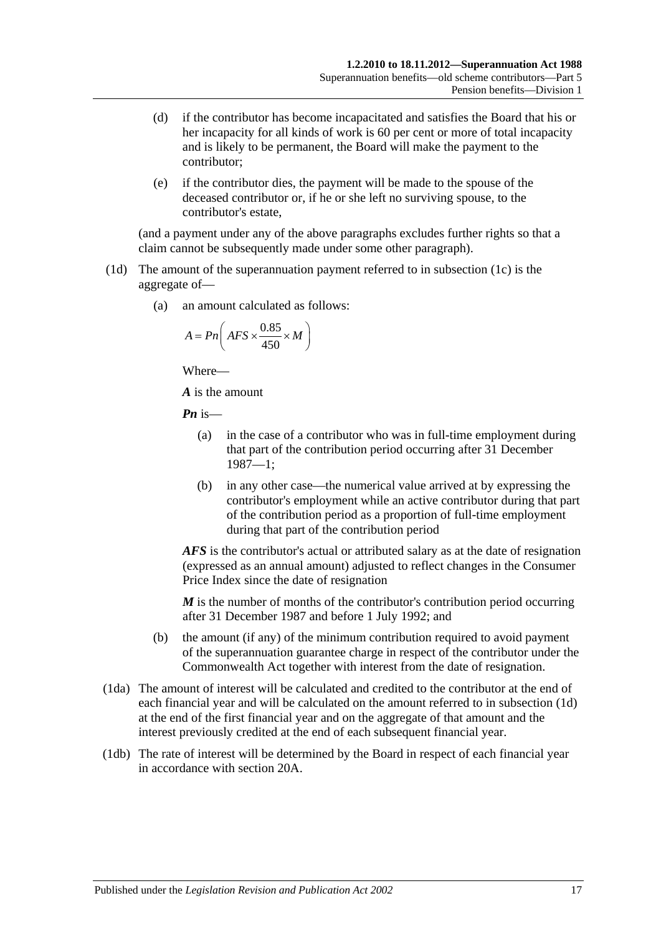- (d) if the contributor has become incapacitated and satisfies the Board that his or her incapacity for all kinds of work is 60 per cent or more of total incapacity and is likely to be permanent, the Board will make the payment to the contributor;
- (e) if the contributor dies, the payment will be made to the spouse of the deceased contributor or, if he or she left no surviving spouse, to the contributor's estate,

(and a payment under any of the above paragraphs excludes further rights so that a claim cannot be subsequently made under some other paragraph).

- <span id="page-72-0"></span>(1d) The amount of the superannuation payment referred to in [subsection](#page-71-0) (1c) is the aggregate of—
	- (a) an amount calculated as follows:

$$
A = P n \left( AFS \times \frac{0.85}{450} \times M \right)
$$

Where—

*A* is the amount

*Pn* is—

- (a) in the case of a contributor who was in full-time employment during that part of the contribution period occurring after 31 December 1987—1;
- (b) in any other case—the numerical value arrived at by expressing the contributor's employment while an active contributor during that part of the contribution period as a proportion of full-time employment during that part of the contribution period

*AFS* is the contributor's actual or attributed salary as at the date of resignation (expressed as an annual amount) adjusted to reflect changes in the Consumer Price Index since the date of resignation

*M* is the number of months of the contributor's contribution period occurring after 31 December 1987 and before 1 July 1992; and

- (b) the amount (if any) of the minimum contribution required to avoid payment of the superannuation guarantee charge in respect of the contributor under the Commonwealth Act together with interest from the date of resignation.
- (1da) The amount of interest will be calculated and credited to the contributor at the end of each financial year and will be calculated on the amount referred to in [subsection](#page-72-0) (1d) at the end of the first financial year and on the aggregate of that amount and the interest previously credited at the end of each subsequent financial year.
- (1db) The rate of interest will be determined by the Board in respect of each financial year in accordance with [section](#page-21-0) 20A.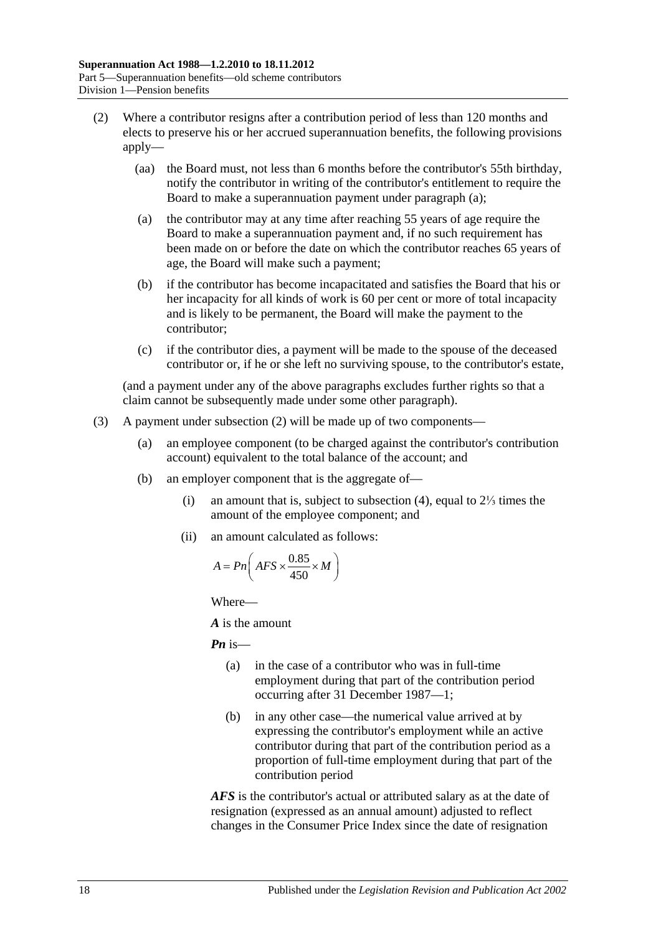- <span id="page-73-1"></span><span id="page-73-0"></span>(2) Where a contributor resigns after a contribution period of less than 120 months and elects to preserve his or her accrued superannuation benefits, the following provisions apply—
	- (aa) the Board must, not less than 6 months before the contributor's 55th birthday, notify the contributor in writing of the contributor's entitlement to require the Board to make a superannuation payment under [paragraph](#page-73-0) (a);
	- (a) the contributor may at any time after reaching 55 years of age require the Board to make a superannuation payment and, if no such requirement has been made on or before the date on which the contributor reaches 65 years of age, the Board will make such a payment;
	- (b) if the contributor has become incapacitated and satisfies the Board that his or her incapacity for all kinds of work is 60 per cent or more of total incapacity and is likely to be permanent, the Board will make the payment to the contributor;
	- (c) if the contributor dies, a payment will be made to the spouse of the deceased contributor or, if he or she left no surviving spouse, to the contributor's estate,

(and a payment under any of the above paragraphs excludes further rights so that a claim cannot be subsequently made under some other paragraph).

- <span id="page-73-2"></span>(3) A payment under [subsection](#page-73-1) (2) will be made up of two components—
	- (a) an employee component (to be charged against the contributor's contribution account) equivalent to the total balance of the account; and
	- (b) an employer component that is the aggregate of—
		- (i) an amount that is, subject to [subsection](#page-74-0) (4), equal to 2⅓ times the amount of the employee component; and
		- (ii) an amount calculated as follows:

$$
A = P n \left( AFS \times \frac{0.85}{450} \times M \right)
$$

Where—

*A* is the amount

*Pn* is—

- (a) in the case of a contributor who was in full-time employment during that part of the contribution period occurring after 31 December 1987—1;
- (b) in any other case—the numerical value arrived at by expressing the contributor's employment while an active contributor during that part of the contribution period as a proportion of full-time employment during that part of the contribution period

*AFS* is the contributor's actual or attributed salary as at the date of resignation (expressed as an annual amount) adjusted to reflect changes in the Consumer Price Index since the date of resignation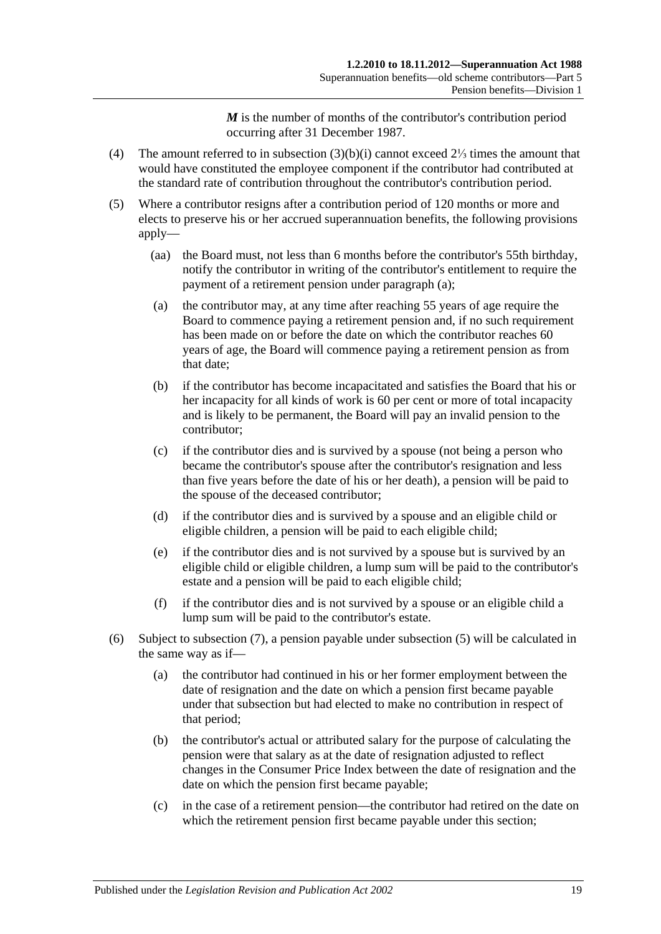*M* is the number of months of the contributor's contribution period occurring after 31 December 1987.

- <span id="page-74-0"></span>(4) The amount referred to in [subsection](#page-73-2) (3)(b)(i) cannot exceed 2⅓ times the amount that would have constituted the employee component if the contributor had contributed at the standard rate of contribution throughout the contributor's contribution period.
- <span id="page-74-3"></span><span id="page-74-2"></span><span id="page-74-1"></span>(5) Where a contributor resigns after a contribution period of 120 months or more and elects to preserve his or her accrued superannuation benefits, the following provisions apply—
	- (aa) the Board must, not less than 6 months before the contributor's 55th birthday, notify the contributor in writing of the contributor's entitlement to require the payment of a retirement pension under [paragraph](#page-74-1) (a);
	- (a) the contributor may, at any time after reaching 55 years of age require the Board to commence paying a retirement pension and, if no such requirement has been made on or before the date on which the contributor reaches 60 years of age, the Board will commence paying a retirement pension as from that date;
	- (b) if the contributor has become incapacitated and satisfies the Board that his or her incapacity for all kinds of work is 60 per cent or more of total incapacity and is likely to be permanent, the Board will pay an invalid pension to the contributor;
	- (c) if the contributor dies and is survived by a spouse (not being a person who became the contributor's spouse after the contributor's resignation and less than five years before the date of his or her death), a pension will be paid to the spouse of the deceased contributor;
	- (d) if the contributor dies and is survived by a spouse and an eligible child or eligible children, a pension will be paid to each eligible child;
	- (e) if the contributor dies and is not survived by a spouse but is survived by an eligible child or eligible children, a lump sum will be paid to the contributor's estate and a pension will be paid to each eligible child;
	- (f) if the contributor dies and is not survived by a spouse or an eligible child a lump sum will be paid to the contributor's estate.
- <span id="page-74-4"></span>(6) Subject to [subsection](#page-75-0) (7), a pension payable under [subsection](#page-74-2) (5) will be calculated in the same way as if—
	- (a) the contributor had continued in his or her former employment between the date of resignation and the date on which a pension first became payable under that subsection but had elected to make no contribution in respect of that period;
	- (b) the contributor's actual or attributed salary for the purpose of calculating the pension were that salary as at the date of resignation adjusted to reflect changes in the Consumer Price Index between the date of resignation and the date on which the pension first became payable;
	- (c) in the case of a retirement pension—the contributor had retired on the date on which the retirement pension first became payable under this section;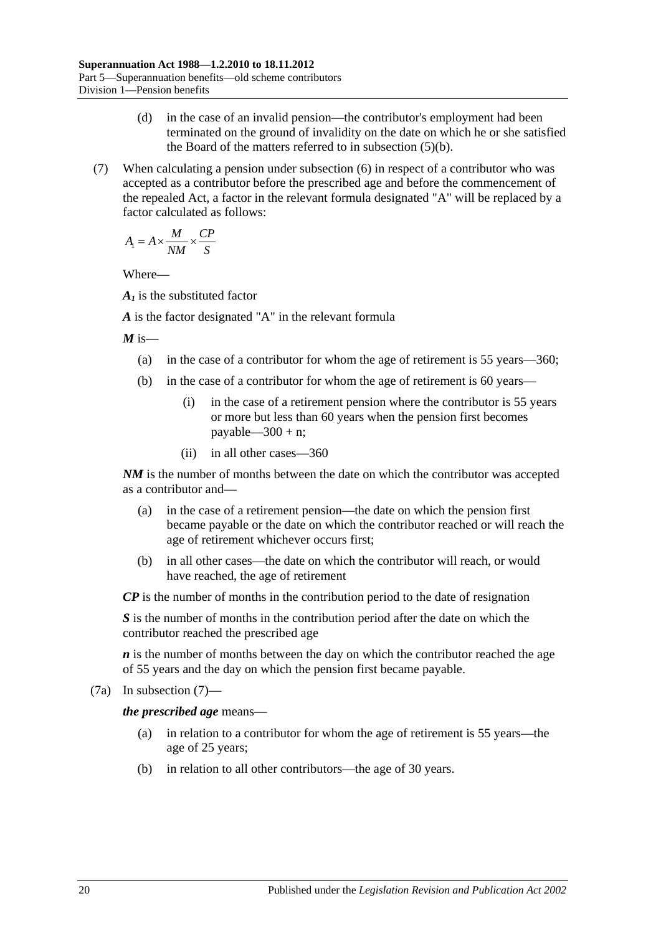- (d) in the case of an invalid pension—the contributor's employment had been terminated on the ground of invalidity on the date on which he or she satisfied the Board of the matters referred to in [subsection](#page-74-3) (5)(b).
- <span id="page-75-0"></span>(7) When calculating a pension under [subsection](#page-74-4) (6) in respect of a contributor who was accepted as a contributor before the prescribed age and before the commencement of the repealed Act, a factor in the relevant formula designated "A" will be replaced by a factor calculated as follows:

$$
A_1 = A \times \frac{M}{NM} \times \frac{CP}{S}
$$

Where—

*A1* is the substituted factor

*A* is the factor designated "A" in the relevant formula

 $M$  is—

- (a) in the case of a contributor for whom the age of retirement is 55 years—360;
- (b) in the case of a contributor for whom the age of retirement is 60 years—
	- (i) in the case of a retirement pension where the contributor is 55 years or more but less than 60 years when the pension first becomes payable— $300 + n$ ;
	- (ii) in all other cases—360

*NM* is the number of months between the date on which the contributor was accepted as a contributor and—

- (a) in the case of a retirement pension—the date on which the pension first became payable or the date on which the contributor reached or will reach the age of retirement whichever occurs first;
- (b) in all other cases—the date on which the contributor will reach, or would have reached, the age of retirement

*CP* is the number of months in the contribution period to the date of resignation

*S* is the number of months in the contribution period after the date on which the contributor reached the prescribed age

*n* is the number of months between the day on which the contributor reached the age of 55 years and the day on which the pension first became payable.

(7a) In [subsection](#page-75-0) (7)—

*the prescribed age* means—

- (a) in relation to a contributor for whom the age of retirement is 55 years—the age of 25 years;
- (b) in relation to all other contributors—the age of 30 years.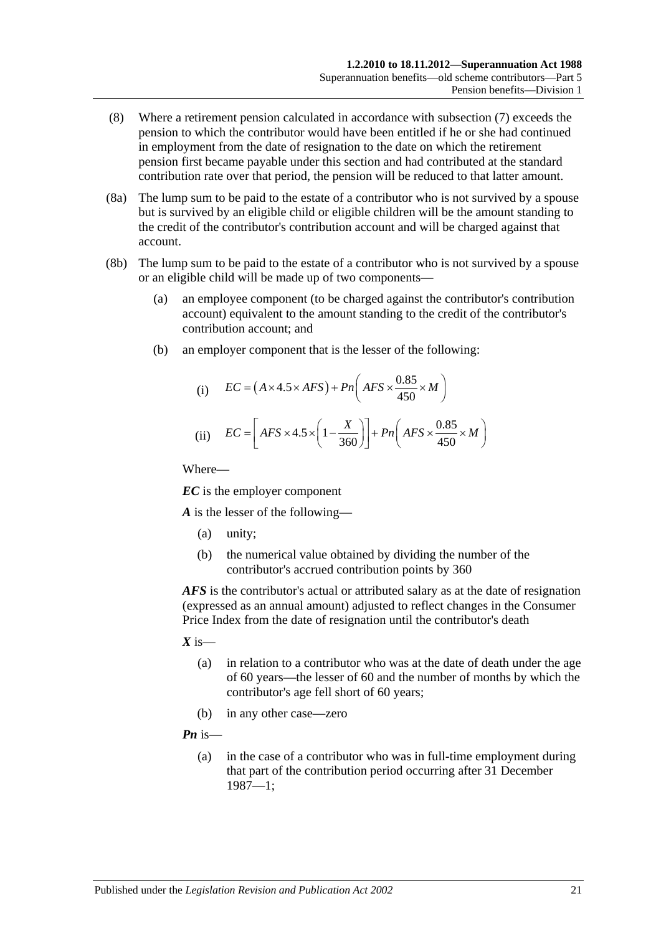- (8) Where a retirement pension calculated in accordance with [subsection](#page-75-0) (7) exceeds the pension to which the contributor would have been entitled if he or she had continued in employment from the date of resignation to the date on which the retirement pension first became payable under this section and had contributed at the standard contribution rate over that period, the pension will be reduced to that latter amount.
- (8a) The lump sum to be paid to the estate of a contributor who is not survived by a spouse but is survived by an eligible child or eligible children will be the amount standing to the credit of the contributor's contribution account and will be charged against that account.
- (8b) The lump sum to be paid to the estate of a contributor who is not survived by a spouse or an eligible child will be made up of two components—
	- (a) an employee component (to be charged against the contributor's contribution account) equivalent to the amount standing to the credit of the contributor's contribution account; and
	- (b) an employer component that is the lesser of the following:

(i) 
$$
EC = (A \times 4.5 \times AFS) + Pn\left(AFS \times \frac{0.85}{450} \times M\right)
$$
  
(ii) 
$$
EC = \left[AFS \times 4.5 \times \left(1 - \frac{X}{360}\right)\right] + Pn\left(AFS \times \frac{0.85}{450} \times M\right)
$$

Where—

*EC* is the employer component

*A* is the lesser of the following—

- (a) unity;
- (b) the numerical value obtained by dividing the number of the contributor's accrued contribution points by 360

*AFS* is the contributor's actual or attributed salary as at the date of resignation (expressed as an annual amount) adjusted to reflect changes in the Consumer Price Index from the date of resignation until the contributor's death

- $X$  is—
	- (a) in relation to a contributor who was at the date of death under the age of 60 years—the lesser of 60 and the number of months by which the contributor's age fell short of 60 years;
	- (b) in any other case—zero

*Pn* is—

(a) in the case of a contributor who was in full-time employment during that part of the contribution period occurring after 31 December 1987—1;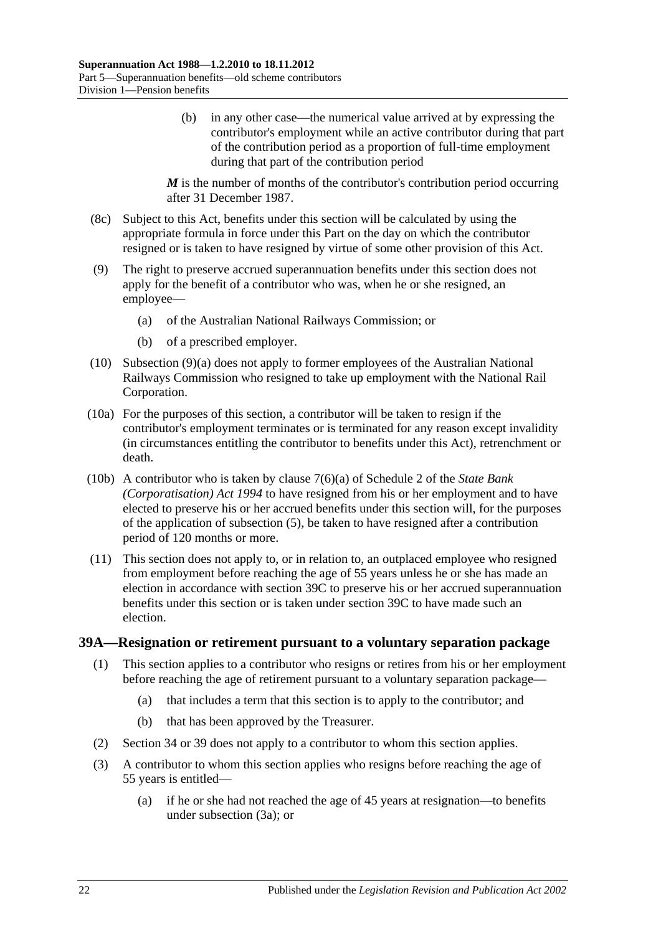(b) in any other case—the numerical value arrived at by expressing the contributor's employment while an active contributor during that part of the contribution period as a proportion of full-time employment during that part of the contribution period

*M* is the number of months of the contributor's contribution period occurring after 31 December 1987.

- (8c) Subject to this Act, benefits under this section will be calculated by using the appropriate formula in force under this Part on the day on which the contributor resigned or is taken to have resigned by virtue of some other provision of this Act.
- <span id="page-77-0"></span>(9) The right to preserve accrued superannuation benefits under this section does not apply for the benefit of a contributor who was, when he or she resigned, an employee—
	- (a) of the Australian National Railways Commission; or
	- (b) of a prescribed employer.
- (10) [Subsection](#page-77-0) (9)(a) does not apply to former employees of the Australian National Railways Commission who resigned to take up employment with the National Rail Corporation.
- (10a) For the purposes of this section, a contributor will be taken to resign if the contributor's employment terminates or is terminated for any reason except invalidity (in circumstances entitling the contributor to benefits under this Act), retrenchment or death.
- (10b) A contributor who is taken by clause 7(6)(a) of Schedule 2 of the *[State Bank](http://www.legislation.sa.gov.au/index.aspx?action=legref&type=act&legtitle=State%20Bank%20(Corporatisation)%20Act%201994)  [\(Corporatisation\) Act](http://www.legislation.sa.gov.au/index.aspx?action=legref&type=act&legtitle=State%20Bank%20(Corporatisation)%20Act%201994) 1994* to have resigned from his or her employment and to have elected to preserve his or her accrued benefits under this section will, for the purposes of the application of [subsection](#page-74-2) (5), be taken to have resigned after a contribution period of 120 months or more.
- (11) This section does not apply to, or in relation to, an outplaced employee who resigned from employment before reaching the age of 55 years unless he or she has made an election in accordance with [section](#page-80-0) 39C to preserve his or her accrued superannuation benefits under this section or is taken under [section](#page-80-0) 39C to have made such an election.

#### <span id="page-77-2"></span><span id="page-77-1"></span>**39A—Resignation or retirement pursuant to a voluntary separation package**

- (1) This section applies to a contributor who resigns or retires from his or her employment before reaching the age of retirement pursuant to a voluntary separation package—
	- (a) that includes a term that this section is to apply to the contributor; and
	- (b) that has been approved by the Treasurer.
- (2) [Section](#page-59-0) 34 or [39](#page-71-1) does not apply to a contributor to whom this section applies.
- (3) A contributor to whom this section applies who resigns before reaching the age of 55 years is entitled—
	- (a) if he or she had not reached the age of 45 years at resignation—to benefits under [subsection](#page-78-0) (3a); or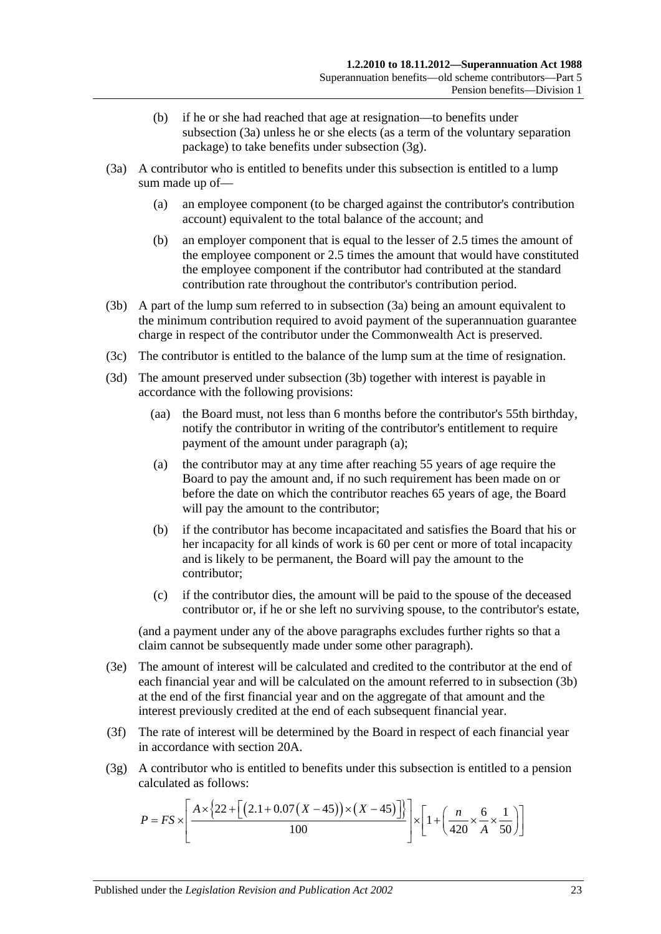- (b) if he or she had reached that age at resignation—to benefits under [subsection](#page-78-0) (3a) unless he or she elects (as a term of the voluntary separation package) to take benefits under [subsection](#page-78-1) (3g).
- <span id="page-78-4"></span><span id="page-78-0"></span>(3a) A contributor who is entitled to benefits under this subsection is entitled to a lump sum made up of—
	- (a) an employee component (to be charged against the contributor's contribution account) equivalent to the total balance of the account; and
	- (b) an employer component that is equal to the lesser of 2.5 times the amount of the employee component or 2.5 times the amount that would have constituted the employee component if the contributor had contributed at the standard contribution rate throughout the contributor's contribution period.
- <span id="page-78-2"></span>(3b) A part of the lump sum referred to in [subsection](#page-78-0) (3a) being an amount equivalent to the minimum contribution required to avoid payment of the superannuation guarantee charge in respect of the contributor under the Commonwealth Act is preserved.
- (3c) The contributor is entitled to the balance of the lump sum at the time of resignation.
- <span id="page-78-3"></span>(3d) The amount preserved under [subsection](#page-78-2) (3b) together with interest is payable in accordance with the following provisions:
	- (aa) the Board must, not less than 6 months before the contributor's 55th birthday, notify the contributor in writing of the contributor's entitlement to require payment of the amount under [paragraph](#page-78-3) (a);
	- (a) the contributor may at any time after reaching 55 years of age require the Board to pay the amount and, if no such requirement has been made on or before the date on which the contributor reaches 65 years of age, the Board will pay the amount to the contributor;
	- (b) if the contributor has become incapacitated and satisfies the Board that his or her incapacity for all kinds of work is 60 per cent or more of total incapacity and is likely to be permanent, the Board will pay the amount to the contributor;
	- (c) if the contributor dies, the amount will be paid to the spouse of the deceased contributor or, if he or she left no surviving spouse, to the contributor's estate,

(and a payment under any of the above paragraphs excludes further rights so that a claim cannot be subsequently made under some other paragraph).

- (3e) The amount of interest will be calculated and credited to the contributor at the end of each financial year and will be calculated on the amount referred to in [subsection](#page-78-2) (3b) at the end of the first financial year and on the aggregate of that amount and the interest previously credited at the end of each subsequent financial year.
- (3f) The rate of interest will be determined by the Board in respect of each financial year in accordance with [section](#page-21-0) 20A.
- <span id="page-78-1"></span>(3g) A contributor who is entitled to benefits under this subsection is entitled to a pension calculated as follows:

$$
P = FS \times \left[ \frac{A \times \left\{ 22 + \left[ \left( 2.1 + 0.07 \left( X - 45 \right) \right) \times \left( X - 45 \right) \right] \right\}}{100} \right] \times \left[ 1 + \left( \frac{n}{420} \times \frac{6}{A} \times \frac{1}{50} \right) \right]
$$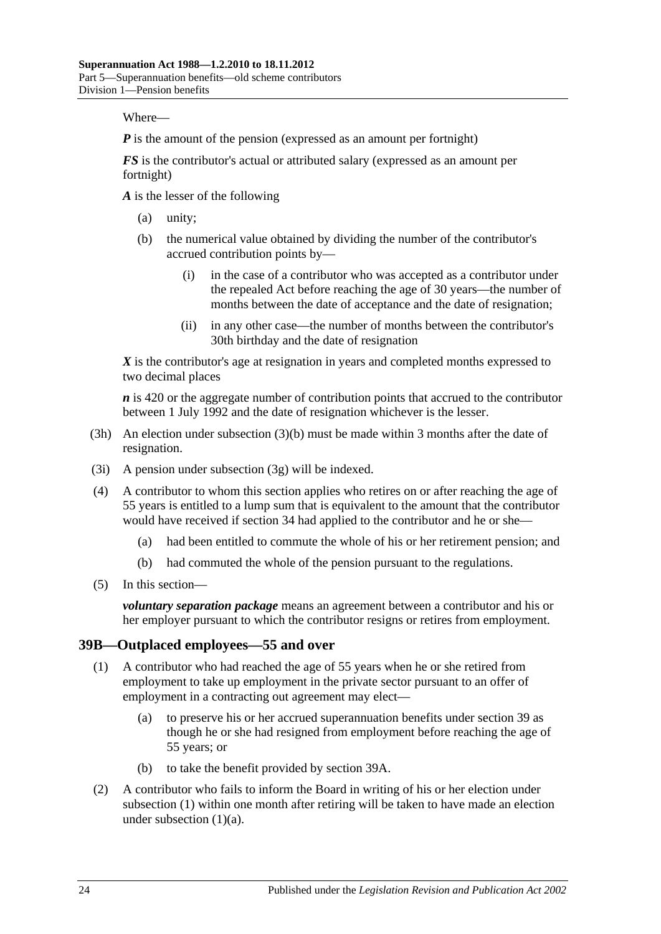Where—

*P* is the amount of the pension (expressed as an amount per fortnight)

*FS* is the contributor's actual or attributed salary (expressed as an amount per fortnight)

*A* is the lesser of the following

- (a) unity;
- (b) the numerical value obtained by dividing the number of the contributor's accrued contribution points by—
	- (i) in the case of a contributor who was accepted as a contributor under the repealed Act before reaching the age of 30 years—the number of months between the date of acceptance and the date of resignation;
	- (ii) in any other case—the number of months between the contributor's 30th birthday and the date of resignation

*X* is the contributor's age at resignation in years and completed months expressed to two decimal places

*n* is 420 or the aggregate number of contribution points that accrued to the contributor between 1 July 1992 and the date of resignation whichever is the lesser.

- (3h) An election under [subsection](#page-78-4) (3)(b) must be made within 3 months after the date of resignation.
- (3i) A pension under [subsection](#page-78-1) (3g) will be indexed.
- (4) A contributor to whom this section applies who retires on or after reaching the age of 55 years is entitled to a lump sum that is equivalent to the amount that the contributor would have received if [section](#page-59-0) 34 had applied to the contributor and he or she—
	- (a) had been entitled to commute the whole of his or her retirement pension; and
	- (b) had commuted the whole of the pension pursuant to the regulations.
- (5) In this section—

*voluntary separation package* means an agreement between a contributor and his or her employer pursuant to which the contributor resigns or retires from employment.

#### <span id="page-79-0"></span>**39B—Outplaced employees—55 and over**

- <span id="page-79-1"></span>(1) A contributor who had reached the age of 55 years when he or she retired from employment to take up employment in the private sector pursuant to an offer of employment in a contracting out agreement may elect—
	- (a) to preserve his or her accrued superannuation benefits under [section](#page-71-1) 39 as though he or she had resigned from employment before reaching the age of 55 years; or
	- (b) to take the benefit provided by [section](#page-77-1) 39A.
- <span id="page-79-3"></span><span id="page-79-2"></span>(2) A contributor who fails to inform the Board in writing of his or her election under [subsection](#page-79-0) (1) within one month after retiring will be taken to have made an election under [subsection](#page-79-1)  $(1)(a)$ .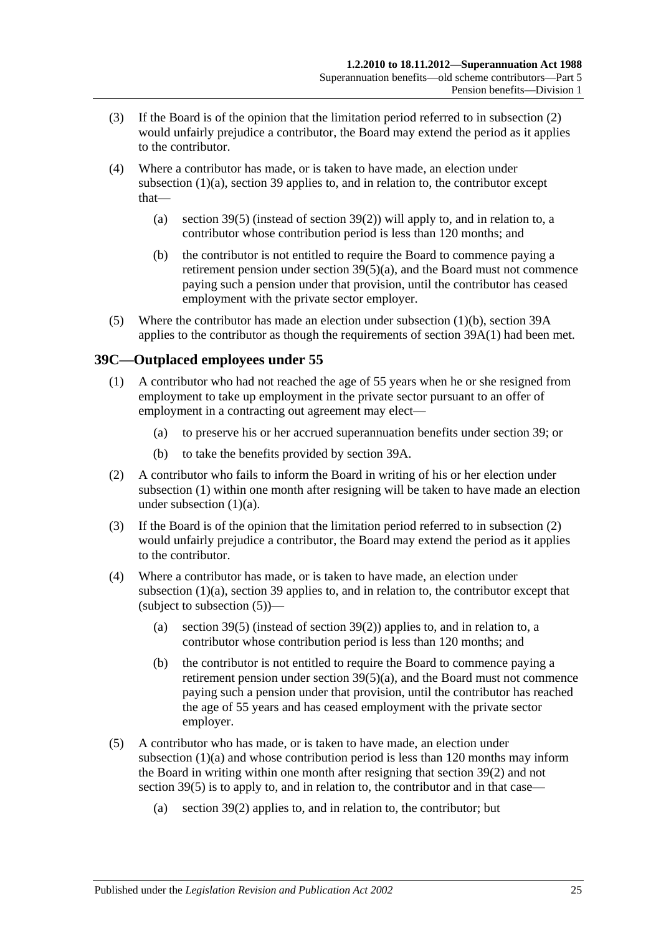- (3) If the Board is of the opinion that the limitation period referred to in [subsection](#page-79-2) (2) would unfairly prejudice a contributor, the Board may extend the period as it applies to the contributor.
- (4) Where a contributor has made, or is taken to have made, an election under [subsection](#page-79-1) (1)(a), [section](#page-71-1) 39 applies to, and in relation to, the contributor except that
	- (a) [section](#page-74-2) 39(5) (instead of [section](#page-73-1) 39(2)) will apply to, and in relation to, a contributor whose contribution period is less than 120 months; and
	- (b) the contributor is not entitled to require the Board to commence paying a retirement pension under section [39\(5\)\(a\),](#page-74-1) and the Board must not commence paying such a pension under that provision, until the contributor has ceased employment with the private sector employer.
- (5) Where the contributor has made an election under [subsection](#page-79-3) (1)(b), [section](#page-77-1) 39A applies to the contributor as though the requirements of [section](#page-77-2) 39A(1) had been met.

## <span id="page-80-1"></span><span id="page-80-0"></span>**39C—Outplaced employees under 55**

- <span id="page-80-2"></span>(1) A contributor who had not reached the age of 55 years when he or she resigned from employment to take up employment in the private sector pursuant to an offer of employment in a contracting out agreement may elect—
	- (a) to preserve his or her accrued superannuation benefits under [section](#page-71-1) 39; or
	- (b) to take the benefits provided by [section](#page-77-1) 39A.
- <span id="page-80-5"></span><span id="page-80-3"></span>(2) A contributor who fails to inform the Board in writing of his or her election under [subsection](#page-80-1) (1) within one month after resigning will be taken to have made an election under [subsection](#page-80-2) (1)(a).
- (3) If the Board is of the opinion that the limitation period referred to in [subsection](#page-80-3) (2) would unfairly prejudice a contributor, the Board may extend the period as it applies to the contributor.
- (4) Where a contributor has made, or is taken to have made, an election under [subsection](#page-80-2) (1)(a), [section](#page-71-1) 39 applies to, and in relation to, the contributor except that (subject to [subsection](#page-80-4)  $(5)$ )—
	- (a) [section](#page-74-2) 39(5) (instead of [section](#page-73-1) 39(2)) applies to, and in relation to, a contributor whose contribution period is less than 120 months; and
	- (b) the contributor is not entitled to require the Board to commence paying a retirement pension under section  $39(5)(a)$ , and the Board must not commence paying such a pension under that provision, until the contributor has reached the age of 55 years and has ceased employment with the private sector employer.
- <span id="page-80-4"></span>(5) A contributor who has made, or is taken to have made, an election under [subsection](#page-80-2) (1)(a) and whose contribution period is less than 120 months may inform the Board in writing within one month after resigning that [section](#page-73-1) 39(2) and not [section](#page-74-2) 39(5) is to apply to, and in relation to, the contributor and in that case—
	- (a) [section](#page-73-1) 39(2) applies to, and in relation to, the contributor; but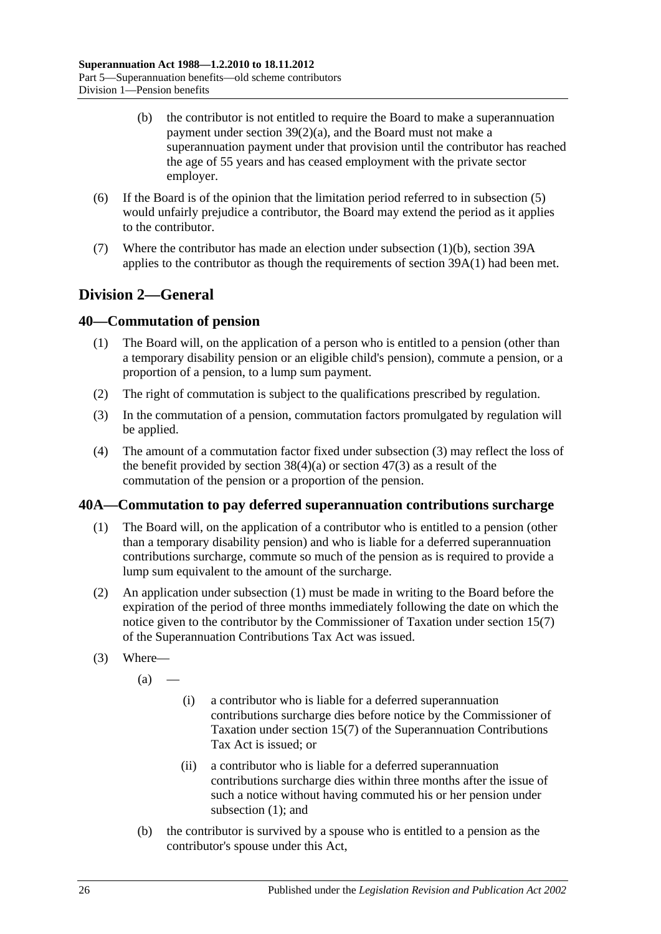- (b) the contributor is not entitled to require the Board to make a superannuation payment under section [39\(2\)\(a\),](#page-73-0) and the Board must not make a superannuation payment under that provision until the contributor has reached the age of 55 years and has ceased employment with the private sector employer.
- (6) If the Board is of the opinion that the limitation period referred to in [subsection](#page-80-4) (5) would unfairly prejudice a contributor, the Board may extend the period as it applies to the contributor.
- (7) Where the contributor has made an election under [subsection](#page-80-5) (1)(b), [section](#page-77-1) 39A applies to the contributor as though the requirements of [section](#page-77-2) 39A(1) had been met.

# **Division 2—General**

## <span id="page-81-3"></span>**40—Commutation of pension**

- (1) The Board will, on the application of a person who is entitled to a pension (other than a temporary disability pension or an eligible child's pension), commute a pension, or a proportion of a pension, to a lump sum payment.
- (2) The right of commutation is subject to the qualifications prescribed by regulation.
- <span id="page-81-0"></span>(3) In the commutation of a pension, commutation factors promulgated by regulation will be applied.
- (4) The amount of a commutation factor fixed under [subsection](#page-81-0) (3) may reflect the loss of the benefit provided by [section](#page-97-0)  $38(4)(a)$  or section  $47(3)$  as a result of the commutation of the pension or a proportion of the pension.

## <span id="page-81-1"></span>**40A—Commutation to pay deferred superannuation contributions surcharge**

- (1) The Board will, on the application of a contributor who is entitled to a pension (other than a temporary disability pension) and who is liable for a deferred superannuation contributions surcharge, commute so much of the pension as is required to provide a lump sum equivalent to the amount of the surcharge.
- (2) An application under [subsection](#page-81-1) (1) must be made in writing to the Board before the expiration of the period of three months immediately following the date on which the notice given to the contributor by the Commissioner of Taxation under section 15(7) of the Superannuation Contributions Tax Act was issued.
- <span id="page-81-2"></span>(3) Where—
	- $(a)$  —
- (i) a contributor who is liable for a deferred superannuation contributions surcharge dies before notice by the Commissioner of Taxation under section 15(7) of the Superannuation Contributions Tax Act is issued; or
- (ii) a contributor who is liable for a deferred superannuation contributions surcharge dies within three months after the issue of such a notice without having commuted his or her pension under [subsection](#page-81-1) (1); and
- (b) the contributor is survived by a spouse who is entitled to a pension as the contributor's spouse under this Act,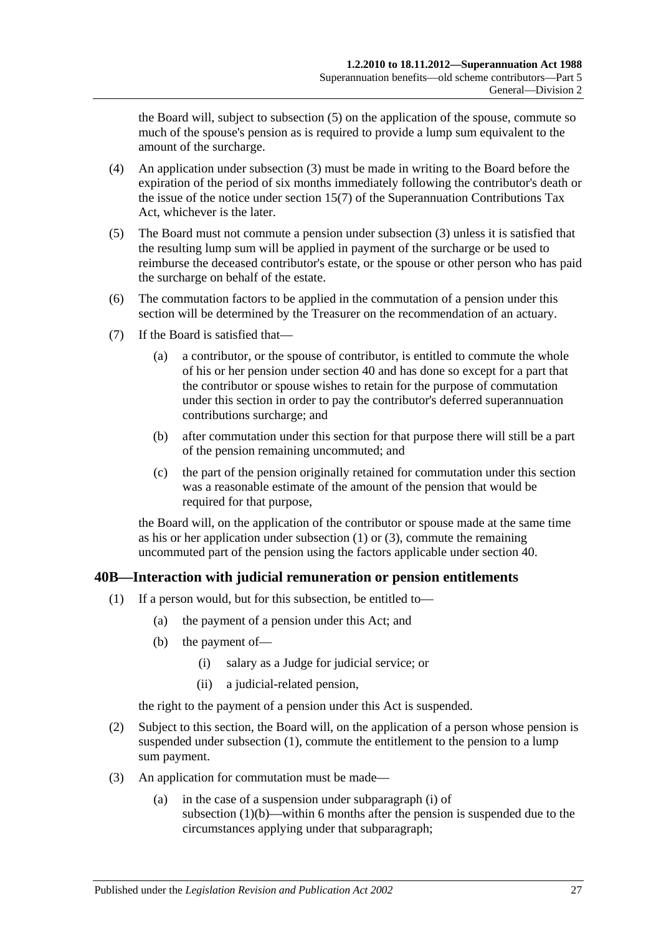the Board will, subject to [subsection](#page-82-0) (5) on the application of the spouse, commute so much of the spouse's pension as is required to provide a lump sum equivalent to the amount of the surcharge.

- (4) An application under [subsection](#page-81-2) (3) must be made in writing to the Board before the expiration of the period of six months immediately following the contributor's death or the issue of the notice under section 15(7) of the Superannuation Contributions Tax Act, whichever is the later.
- <span id="page-82-0"></span>(5) The Board must not commute a pension under [subsection](#page-81-2) (3) unless it is satisfied that the resulting lump sum will be applied in payment of the surcharge or be used to reimburse the deceased contributor's estate, or the spouse or other person who has paid the surcharge on behalf of the estate.
- (6) The commutation factors to be applied in the commutation of a pension under this section will be determined by the Treasurer on the recommendation of an actuary.
- (7) If the Board is satisfied that—
	- (a) a contributor, or the spouse of contributor, is entitled to commute the whole of his or her pension under [section](#page-81-3) 40 and has done so except for a part that the contributor or spouse wishes to retain for the purpose of commutation under this section in order to pay the contributor's deferred superannuation contributions surcharge; and
	- (b) after commutation under this section for that purpose there will still be a part of the pension remaining uncommuted; and
	- (c) the part of the pension originally retained for commutation under this section was a reasonable estimate of the amount of the pension that would be required for that purpose,

the Board will, on the application of the contributor or spouse made at the same time as his or her application under [subsection](#page-81-1) (1) or [\(3\),](#page-81-2) commute the remaining uncommuted part of the pension using the factors applicable under [section](#page-81-3) 40.

## <span id="page-82-1"></span>**40B—Interaction with judicial remuneration or pension entitlements**

- <span id="page-82-3"></span><span id="page-82-2"></span>(1) If a person would, but for this subsection, be entitled to—
	- (a) the payment of a pension under this Act; and
	- (b) the payment of—
		- (i) salary as a Judge for judicial service; or
		- (ii) a judicial-related pension,

the right to the payment of a pension under this Act is suspended.

- <span id="page-82-4"></span>(2) Subject to this section, the Board will, on the application of a person whose pension is suspended under [subsection](#page-82-1) (1), commute the entitlement to the pension to a lump sum payment.
- <span id="page-82-5"></span>(3) An application for commutation must be made—
	- (a) in the case of a suspension under [subparagraph](#page-82-2) (i) of [subsection](#page-82-3)  $(1)(b)$ —within 6 months after the pension is suspended due to the circumstances applying under that subparagraph;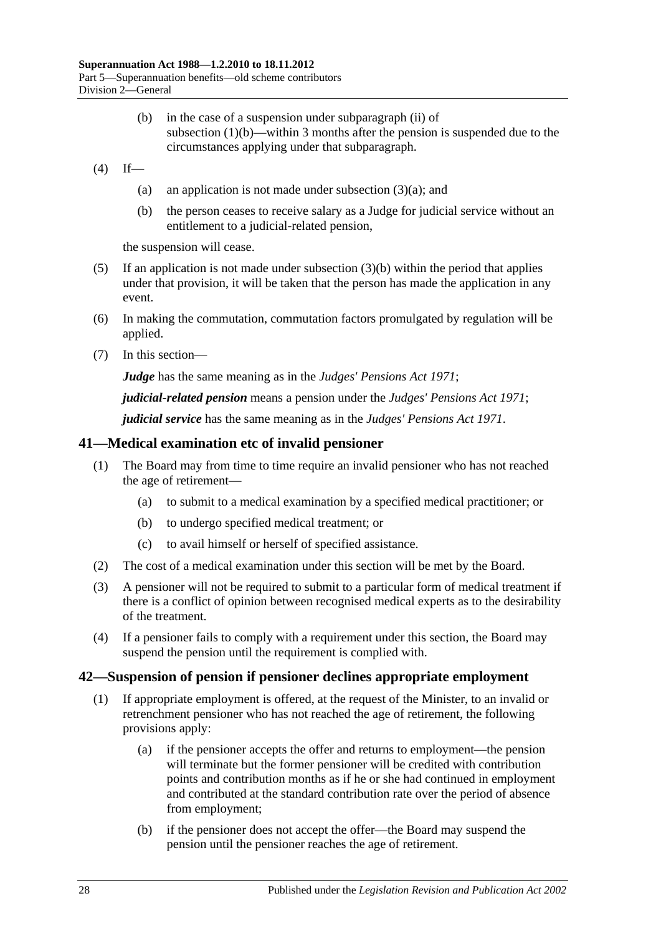- (b) in the case of a suspension under [subparagraph](#page-82-4) (ii) of [subsection](#page-82-3) (1)(b)—within 3 months after the pension is suspended due to the circumstances applying under that subparagraph.
- <span id="page-83-0"></span> $(4)$  If
	- (a) an application is not made under [subsection](#page-82-5)  $(3)(a)$ ; and
	- (b) the person ceases to receive salary as a Judge for judicial service without an entitlement to a judicial-related pension,

the suspension will cease.

- (5) If an application is not made under [subsection](#page-83-0)  $(3)(b)$  within the period that applies under that provision, it will be taken that the person has made the application in any event.
- (6) In making the commutation, commutation factors promulgated by regulation will be applied.
- (7) In this section—

*Judge* has the same meaning as in the *[Judges' Pensions Act](http://www.legislation.sa.gov.au/index.aspx?action=legref&type=act&legtitle=Judges%20Pensions%20Act%201971) 1971*;

*judicial-related pension* means a pension under the *[Judges' Pensions Act](http://www.legislation.sa.gov.au/index.aspx?action=legref&type=act&legtitle=Judges%20Pensions%20Act%201971) 1971*;

*judicial service* has the same meaning as in the *[Judges' Pensions Act](http://www.legislation.sa.gov.au/index.aspx?action=legref&type=act&legtitle=Judges%20Pensions%20Act%201971) 1971*.

#### **41—Medical examination etc of invalid pensioner**

- (1) The Board may from time to time require an invalid pensioner who has not reached the age of retirement—
	- (a) to submit to a medical examination by a specified medical practitioner; or
	- (b) to undergo specified medical treatment; or
	- (c) to avail himself or herself of specified assistance.
- (2) The cost of a medical examination under this section will be met by the Board.
- (3) A pensioner will not be required to submit to a particular form of medical treatment if there is a conflict of opinion between recognised medical experts as to the desirability of the treatment.
- (4) If a pensioner fails to comply with a requirement under this section, the Board may suspend the pension until the requirement is complied with.

#### <span id="page-83-1"></span>**42—Suspension of pension if pensioner declines appropriate employment**

- (1) If appropriate employment is offered, at the request of the Minister, to an invalid or retrenchment pensioner who has not reached the age of retirement, the following provisions apply:
	- (a) if the pensioner accepts the offer and returns to employment—the pension will terminate but the former pensioner will be credited with contribution points and contribution months as if he or she had continued in employment and contributed at the standard contribution rate over the period of absence from employment;
	- (b) if the pensioner does not accept the offer—the Board may suspend the pension until the pensioner reaches the age of retirement.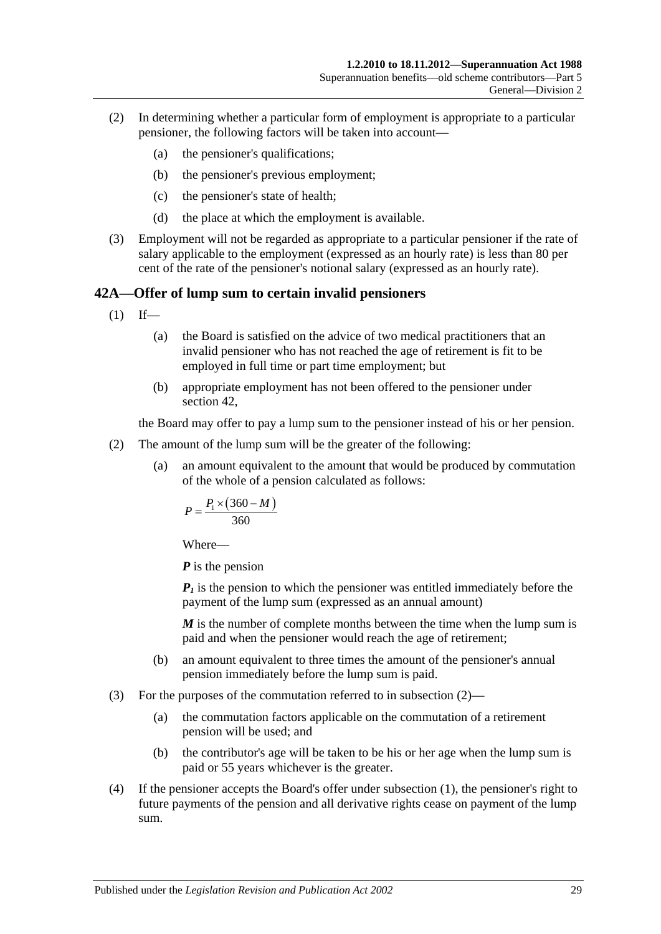- (2) In determining whether a particular form of employment is appropriate to a particular pensioner, the following factors will be taken into account—
	- (a) the pensioner's qualifications;
	- (b) the pensioner's previous employment;
	- (c) the pensioner's state of health;
	- (d) the place at which the employment is available.
- (3) Employment will not be regarded as appropriate to a particular pensioner if the rate of salary applicable to the employment (expressed as an hourly rate) is less than 80 per cent of the rate of the pensioner's notional salary (expressed as an hourly rate).

#### <span id="page-84-1"></span>**42A—Offer of lump sum to certain invalid pensioners**

- $(1)$  If—
	- (a) the Board is satisfied on the advice of two medical practitioners that an invalid pensioner who has not reached the age of retirement is fit to be employed in full time or part time employment; but
	- (b) appropriate employment has not been offered to the pensioner under [section](#page-83-1) 42,

the Board may offer to pay a lump sum to the pensioner instead of his or her pension.

- <span id="page-84-0"></span>(2) The amount of the lump sum will be the greater of the following:
	- (a) an amount equivalent to the amount that would be produced by commutation of the whole of a pension calculated as follows:

$$
P = \frac{P_1 \times (360 - M)}{360}
$$

Where—

*P* is the pension

 $P_1$  is the pension to which the pensioner was entitled immediately before the payment of the lump sum (expressed as an annual amount)

*M* is the number of complete months between the time when the lump sum is paid and when the pensioner would reach the age of retirement;

- (b) an amount equivalent to three times the amount of the pensioner's annual pension immediately before the lump sum is paid.
- (3) For the purposes of the commutation referred to in [subsection](#page-84-0) (2)—
	- (a) the commutation factors applicable on the commutation of a retirement pension will be used; and
	- (b) the contributor's age will be taken to be his or her age when the lump sum is paid or 55 years whichever is the greater.
- (4) If the pensioner accepts the Board's offer under [subsection](#page-84-1) (1), the pensioner's right to future payments of the pension and all derivative rights cease on payment of the lump sum.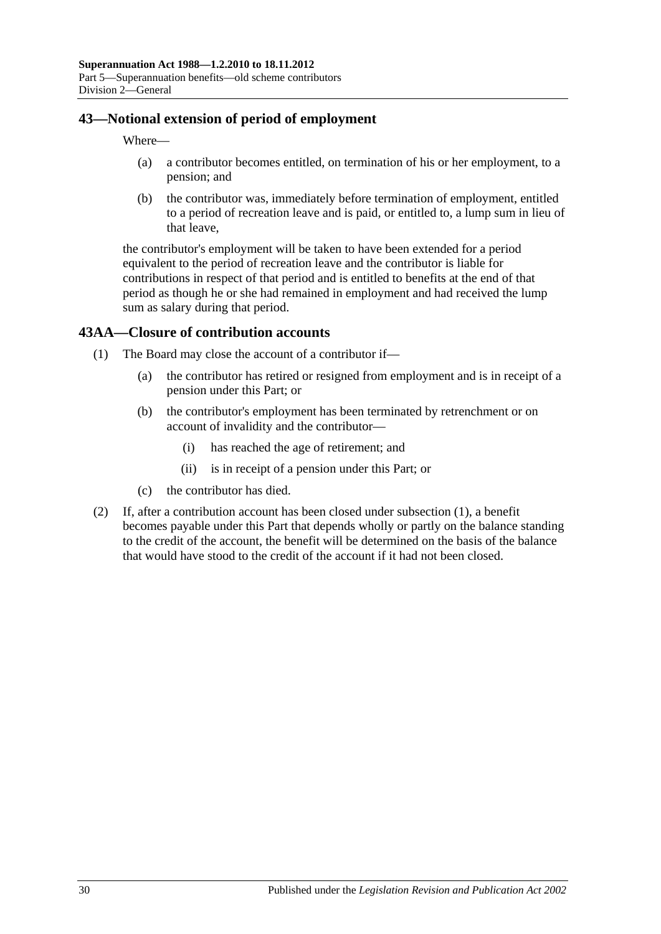## **43—Notional extension of period of employment**

Where—

- (a) a contributor becomes entitled, on termination of his or her employment, to a pension; and
- (b) the contributor was, immediately before termination of employment, entitled to a period of recreation leave and is paid, or entitled to, a lump sum in lieu of that leave,

the contributor's employment will be taken to have been extended for a period equivalent to the period of recreation leave and the contributor is liable for contributions in respect of that period and is entitled to benefits at the end of that period as though he or she had remained in employment and had received the lump sum as salary during that period.

## <span id="page-85-0"></span>**43AA—Closure of contribution accounts**

- (1) The Board may close the account of a contributor if—
	- (a) the contributor has retired or resigned from employment and is in receipt of a pension under this Part; or
	- (b) the contributor's employment has been terminated by retrenchment or on account of invalidity and the contributor—
		- (i) has reached the age of retirement; and
		- (ii) is in receipt of a pension under this Part; or
	- (c) the contributor has died.
- (2) If, after a contribution account has been closed under [subsection](#page-85-0) (1), a benefit becomes payable under this Part that depends wholly or partly on the balance standing to the credit of the account, the benefit will be determined on the basis of the balance that would have stood to the credit of the account if it had not been closed.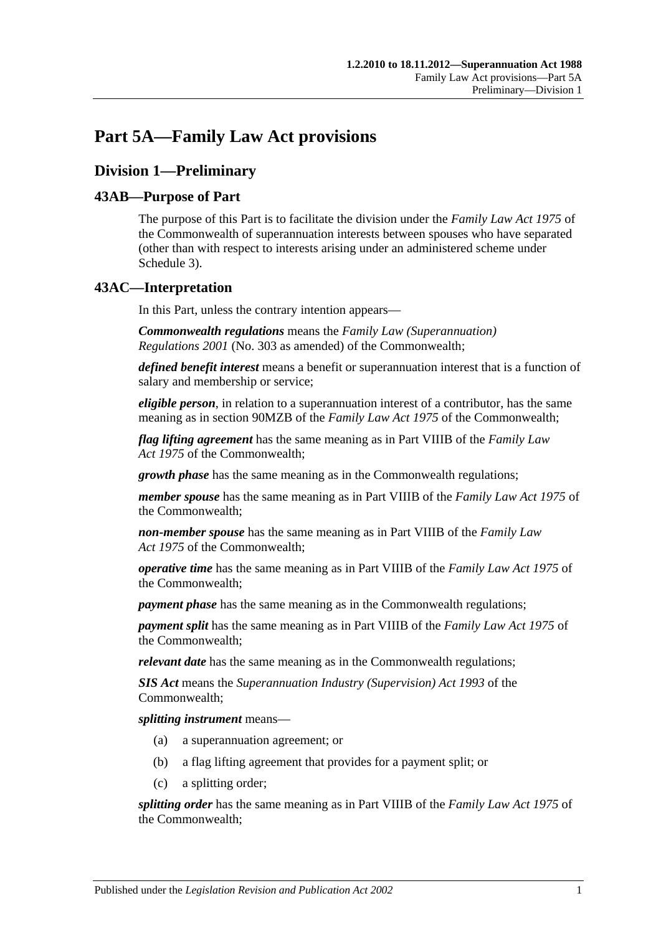# **Part 5A—Family Law Act provisions**

# **Division 1—Preliminary**

## **43AB—Purpose of Part**

The purpose of this Part is to facilitate the division under the *Family Law Act 1975* of the Commonwealth of superannuation interests between spouses who have separated (other than with respect to interests arising under an administered scheme under [Schedule 3\)](#page-128-0).

## **43AC—Interpretation**

In this Part, unless the contrary intention appears—

*Commonwealth regulations* means the *Family Law (Superannuation) Regulations 2001* (No. 303 as amended) of the Commonwealth;

*defined benefit interest* means a benefit or superannuation interest that is a function of salary and membership or service;

*eligible person*, in relation to a superannuation interest of a contributor, has the same meaning as in section 90MZB of the *Family Law Act 1975* of the Commonwealth;

*flag lifting agreement* has the same meaning as in Part VIIIB of the *Family Law Act 1975* of the Commonwealth;

*growth phase* has the same meaning as in the Commonwealth regulations;

*member spouse* has the same meaning as in Part VIIIB of the *Family Law Act 1975* of the Commonwealth;

*non-member spouse* has the same meaning as in Part VIIIB of the *Family Law Act 1975* of the Commonwealth;

*operative time* has the same meaning as in Part VIIIB of the *Family Law Act 1975* of the Commonwealth;

*payment phase* has the same meaning as in the Commonwealth regulations;

*payment split* has the same meaning as in Part VIIIB of the *Family Law Act 1975* of the Commonwealth;

*relevant date* has the same meaning as in the Commonwealth regulations;

*SIS Act* means the *Superannuation Industry (Supervision) Act 1993* of the Commonwealth;

*splitting instrument* means—

- (a) a superannuation agreement; or
- (b) a flag lifting agreement that provides for a payment split; or
- (c) a splitting order;

*splitting order* has the same meaning as in Part VIIIB of the *Family Law Act 1975* of the Commonwealth;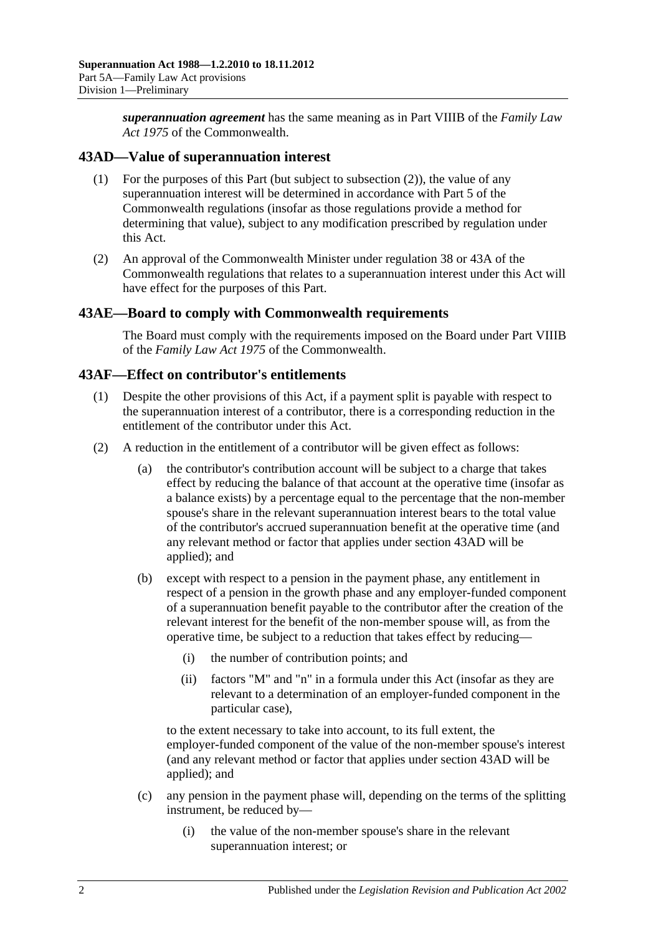*superannuation agreement* has the same meaning as in Part VIIIB of the *Family Law Act 1975* of the Commonwealth.

## <span id="page-87-1"></span>**43AD—Value of superannuation interest**

- (1) For the purposes of this Part (but subject to [subsection](#page-87-0) (2)), the value of any superannuation interest will be determined in accordance with Part 5 of the Commonwealth regulations (insofar as those regulations provide a method for determining that value), subject to any modification prescribed by regulation under this Act.
- <span id="page-87-0"></span>(2) An approval of the Commonwealth Minister under regulation 38 or 43A of the Commonwealth regulations that relates to a superannuation interest under this Act will have effect for the purposes of this Part.

#### **43AE—Board to comply with Commonwealth requirements**

The Board must comply with the requirements imposed on the Board under Part VIIIB of the *Family Law Act 1975* of the Commonwealth.

#### **43AF—Effect on contributor's entitlements**

- (1) Despite the other provisions of this Act, if a payment split is payable with respect to the superannuation interest of a contributor, there is a corresponding reduction in the entitlement of the contributor under this Act.
- <span id="page-87-2"></span>(2) A reduction in the entitlement of a contributor will be given effect as follows:
	- (a) the contributor's contribution account will be subject to a charge that takes effect by reducing the balance of that account at the operative time (insofar as a balance exists) by a percentage equal to the percentage that the non-member spouse's share in the relevant superannuation interest bears to the total value of the contributor's accrued superannuation benefit at the operative time (and any relevant method or factor that applies under [section](#page-87-1) 43AD will be applied); and
	- (b) except with respect to a pension in the payment phase, any entitlement in respect of a pension in the growth phase and any employer-funded component of a superannuation benefit payable to the contributor after the creation of the relevant interest for the benefit of the non-member spouse will, as from the operative time, be subject to a reduction that takes effect by reducing—
		- (i) the number of contribution points; and
		- (ii) factors "M" and "n" in a formula under this Act (insofar as they are relevant to a determination of an employer-funded component in the particular case),

to the extent necessary to take into account, to its full extent, the employer-funded component of the value of the non-member spouse's interest (and any relevant method or factor that applies under [section](#page-87-1) 43AD will be applied); and

- (c) any pension in the payment phase will, depending on the terms of the splitting instrument, be reduced by—
	- (i) the value of the non-member spouse's share in the relevant superannuation interest; or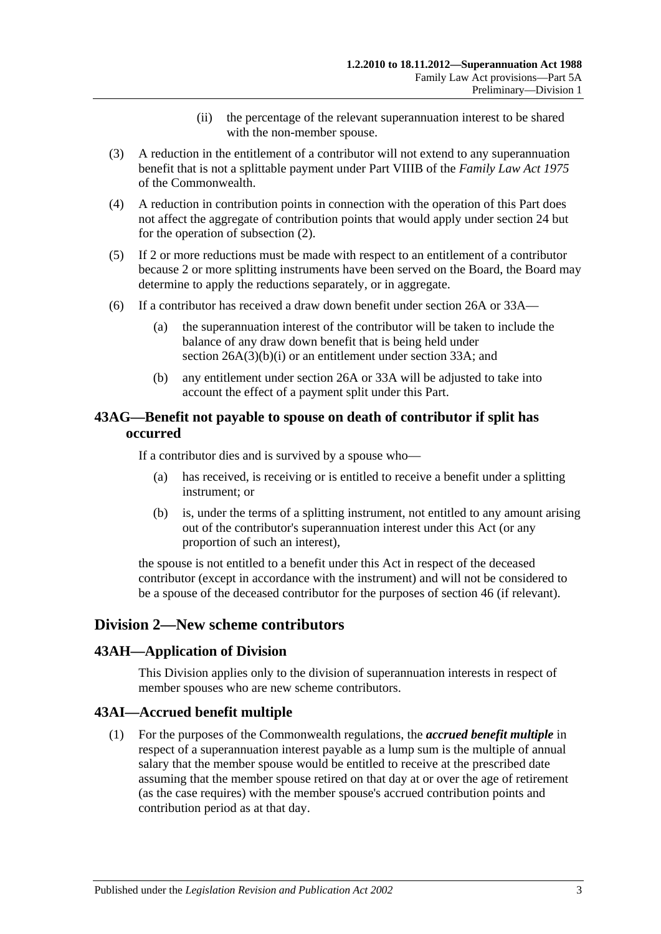- (ii) the percentage of the relevant superannuation interest to be shared with the non-member spouse.
- (3) A reduction in the entitlement of a contributor will not extend to any superannuation benefit that is not a splittable payment under Part VIIIB of the *Family Law Act 1975* of the Commonwealth.
- (4) A reduction in contribution points in connection with the operation of this Part does not affect the aggregate of contribution points that would apply under [section](#page-28-0) 24 but for the operation of [subsection](#page-87-2) (2).
- (5) If 2 or more reductions must be made with respect to an entitlement of a contributor because 2 or more splitting instruments have been served on the Board, the Board may determine to apply the reductions separately, or in aggregate.
- (6) If a contributor has received a draw down benefit under [section](#page-30-0) 26A or [33A—](#page-56-0)
	- (a) the superannuation interest of the contributor will be taken to include the balance of any draw down benefit that is being held under section [26A\(3\)\(b\)\(i\)](#page-31-0) or an entitlement under [section](#page-56-0) 33A; and
	- (b) any entitlement under [section](#page-30-0) 26A or [33A](#page-56-0) will be adjusted to take into account the effect of a payment split under this Part.

## **43AG—Benefit not payable to spouse on death of contributor if split has occurred**

If a contributor dies and is survived by a spouse who—

- (a) has received, is receiving or is entitled to receive a benefit under a splitting instrument; or
- (b) is, under the terms of a splitting instrument, not entitled to any amount arising out of the contributor's superannuation interest under this Act (or any proportion of such an interest),

the spouse is not entitled to a benefit under this Act in respect of the deceased contributor (except in accordance with the instrument) and will not be considered to be a spouse of the deceased contributor for the purposes of [section](#page-96-0) 46 (if relevant).

## **Division 2—New scheme contributors**

#### **43AH—Application of Division**

This Division applies only to the division of superannuation interests in respect of member spouses who are new scheme contributors.

## **43AI—Accrued benefit multiple**

(1) For the purposes of the Commonwealth regulations, the *accrued benefit multiple* in respect of a superannuation interest payable as a lump sum is the multiple of annual salary that the member spouse would be entitled to receive at the prescribed date assuming that the member spouse retired on that day at or over the age of retirement (as the case requires) with the member spouse's accrued contribution points and contribution period as at that day.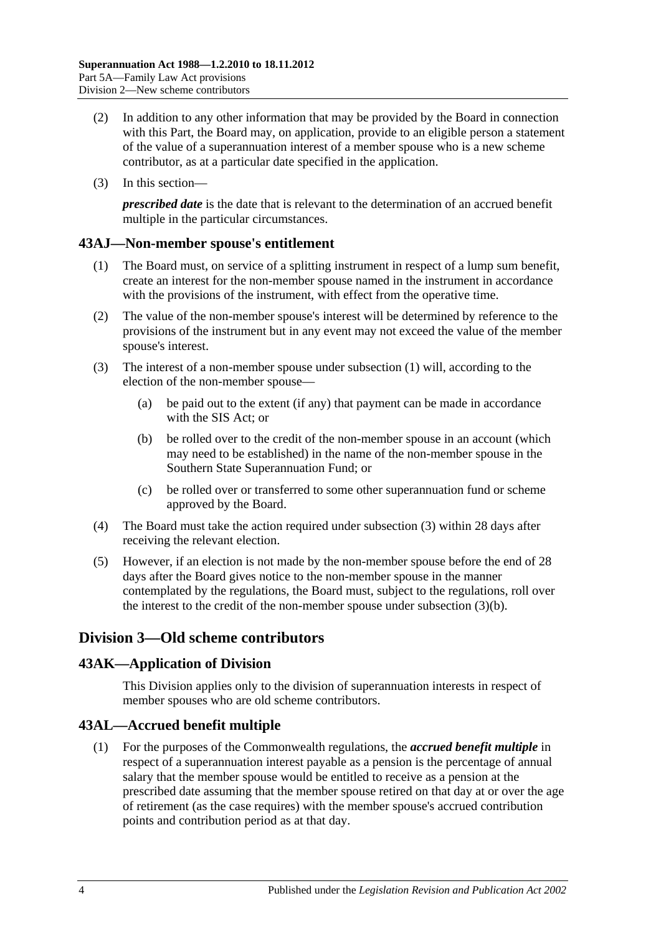- (2) In addition to any other information that may be provided by the Board in connection with this Part, the Board may, on application, provide to an eligible person a statement of the value of a superannuation interest of a member spouse who is a new scheme contributor, as at a particular date specified in the application.
- (3) In this section—

*prescribed date* is the date that is relevant to the determination of an accrued benefit multiple in the particular circumstances.

## <span id="page-89-0"></span>**43AJ—Non-member spouse's entitlement**

- (1) The Board must, on service of a splitting instrument in respect of a lump sum benefit, create an interest for the non-member spouse named in the instrument in accordance with the provisions of the instrument, with effect from the operative time.
- (2) The value of the non-member spouse's interest will be determined by reference to the provisions of the instrument but in any event may not exceed the value of the member spouse's interest.
- <span id="page-89-2"></span><span id="page-89-1"></span>(3) The interest of a non-member spouse under [subsection](#page-89-0) (1) will, according to the election of the non-member spouse—
	- (a) be paid out to the extent (if any) that payment can be made in accordance with the SIS Act; or
	- (b) be rolled over to the credit of the non-member spouse in an account (which may need to be established) in the name of the non-member spouse in the Southern State Superannuation Fund; or
	- (c) be rolled over or transferred to some other superannuation fund or scheme approved by the Board.
- (4) The Board must take the action required under [subsection](#page-89-1) (3) within 28 days after receiving the relevant election.
- (5) However, if an election is not made by the non-member spouse before the end of 28 days after the Board gives notice to the non-member spouse in the manner contemplated by the regulations, the Board must, subject to the regulations, roll over the interest to the credit of the non-member spouse under [subsection](#page-89-2) (3)(b).

## **Division 3—Old scheme contributors**

## **43AK—Application of Division**

This Division applies only to the division of superannuation interests in respect of member spouses who are old scheme contributors.

## **43AL—Accrued benefit multiple**

(1) For the purposes of the Commonwealth regulations, the *accrued benefit multiple* in respect of a superannuation interest payable as a pension is the percentage of annual salary that the member spouse would be entitled to receive as a pension at the prescribed date assuming that the member spouse retired on that day at or over the age of retirement (as the case requires) with the member spouse's accrued contribution points and contribution period as at that day.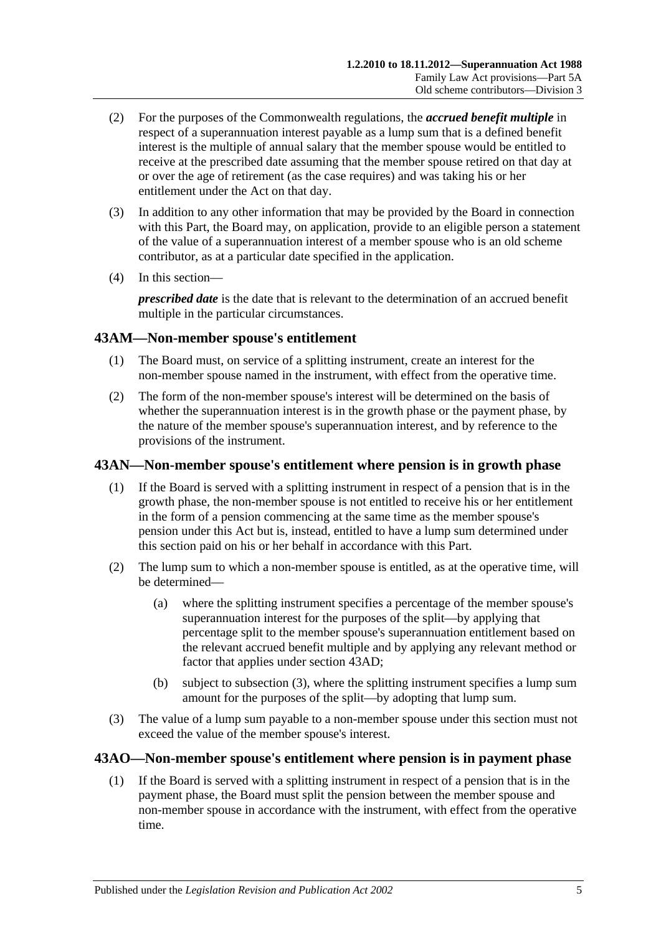- (2) For the purposes of the Commonwealth regulations, the *accrued benefit multiple* in respect of a superannuation interest payable as a lump sum that is a defined benefit interest is the multiple of annual salary that the member spouse would be entitled to receive at the prescribed date assuming that the member spouse retired on that day at or over the age of retirement (as the case requires) and was taking his or her entitlement under the Act on that day.
- (3) In addition to any other information that may be provided by the Board in connection with this Part, the Board may, on application, provide to an eligible person a statement of the value of a superannuation interest of a member spouse who is an old scheme contributor, as at a particular date specified in the application.
- (4) In this section—

*prescribed date* is the date that is relevant to the determination of an accrued benefit multiple in the particular circumstances.

## **43AM—Non-member spouse's entitlement**

- (1) The Board must, on service of a splitting instrument, create an interest for the non-member spouse named in the instrument, with effect from the operative time.
- (2) The form of the non-member spouse's interest will be determined on the basis of whether the superannuation interest is in the growth phase or the payment phase, by the nature of the member spouse's superannuation interest, and by reference to the provisions of the instrument.

## **43AN—Non-member spouse's entitlement where pension is in growth phase**

- (1) If the Board is served with a splitting instrument in respect of a pension that is in the growth phase, the non-member spouse is not entitled to receive his or her entitlement in the form of a pension commencing at the same time as the member spouse's pension under this Act but is, instead, entitled to have a lump sum determined under this section paid on his or her behalf in accordance with this Part.
- (2) The lump sum to which a non-member spouse is entitled, as at the operative time, will be determined—
	- (a) where the splitting instrument specifies a percentage of the member spouse's superannuation interest for the purposes of the split—by applying that percentage split to the member spouse's superannuation entitlement based on the relevant accrued benefit multiple and by applying any relevant method or factor that applies under [section](#page-87-1) 43AD;
	- (b) subject to [subsection](#page-90-0) (3), where the splitting instrument specifies a lump sum amount for the purposes of the split—by adopting that lump sum.
- <span id="page-90-0"></span>(3) The value of a lump sum payable to a non-member spouse under this section must not exceed the value of the member spouse's interest.

## <span id="page-90-1"></span>**43AO—Non-member spouse's entitlement where pension is in payment phase**

(1) If the Board is served with a splitting instrument in respect of a pension that is in the payment phase, the Board must split the pension between the member spouse and non-member spouse in accordance with the instrument, with effect from the operative time.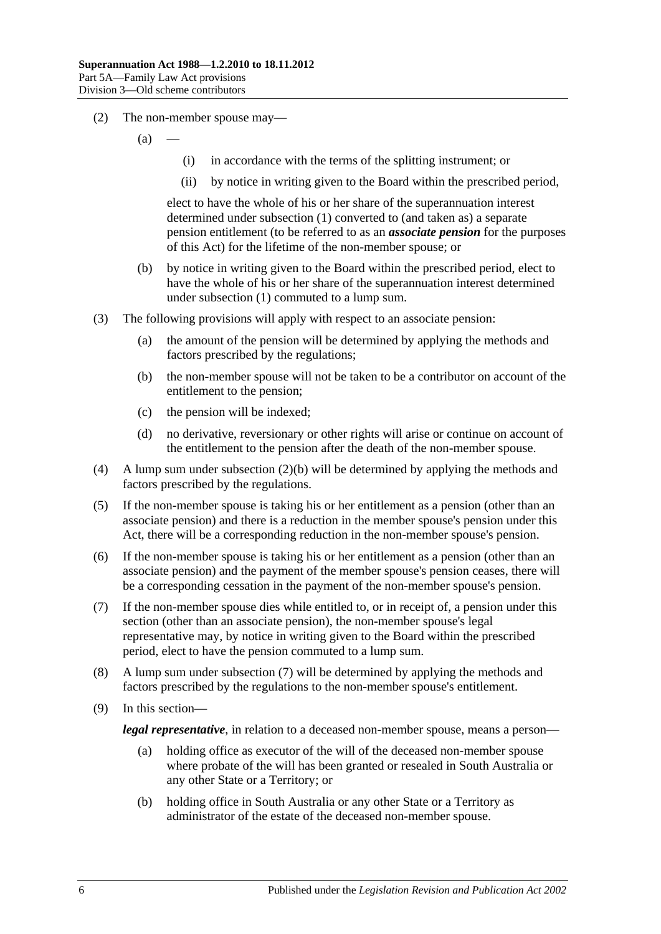- (2) The non-member spouse may—
	- $(a)$
- (i) in accordance with the terms of the splitting instrument; or
- (ii) by notice in writing given to the Board within the prescribed period,

elect to have the whole of his or her share of the superannuation interest determined under [subsection](#page-90-1) (1) converted to (and taken as) a separate pension entitlement (to be referred to as an *associate pension* for the purposes of this Act) for the lifetime of the non-member spouse; or

- <span id="page-91-0"></span>(b) by notice in writing given to the Board within the prescribed period, elect to have the whole of his or her share of the superannuation interest determined under [subsection](#page-90-1) (1) commuted to a lump sum.
- (3) The following provisions will apply with respect to an associate pension:
	- (a) the amount of the pension will be determined by applying the methods and factors prescribed by the regulations;
	- (b) the non-member spouse will not be taken to be a contributor on account of the entitlement to the pension;
	- (c) the pension will be indexed;
	- (d) no derivative, reversionary or other rights will arise or continue on account of the entitlement to the pension after the death of the non-member spouse.
- (4) A lump sum under [subsection](#page-91-0) (2)(b) will be determined by applying the methods and factors prescribed by the regulations.
- (5) If the non-member spouse is taking his or her entitlement as a pension (other than an associate pension) and there is a reduction in the member spouse's pension under this Act, there will be a corresponding reduction in the non-member spouse's pension.
- (6) If the non-member spouse is taking his or her entitlement as a pension (other than an associate pension) and the payment of the member spouse's pension ceases, there will be a corresponding cessation in the payment of the non-member spouse's pension.
- <span id="page-91-1"></span>(7) If the non-member spouse dies while entitled to, or in receipt of, a pension under this section (other than an associate pension), the non-member spouse's legal representative may, by notice in writing given to the Board within the prescribed period, elect to have the pension commuted to a lump sum.
- (8) A lump sum under [subsection](#page-91-1) (7) will be determined by applying the methods and factors prescribed by the regulations to the non-member spouse's entitlement.
- (9) In this section—

*legal representative*, in relation to a deceased non-member spouse, means a person—

- (a) holding office as executor of the will of the deceased non-member spouse where probate of the will has been granted or resealed in South Australia or any other State or a Territory; or
- (b) holding office in South Australia or any other State or a Territory as administrator of the estate of the deceased non-member spouse.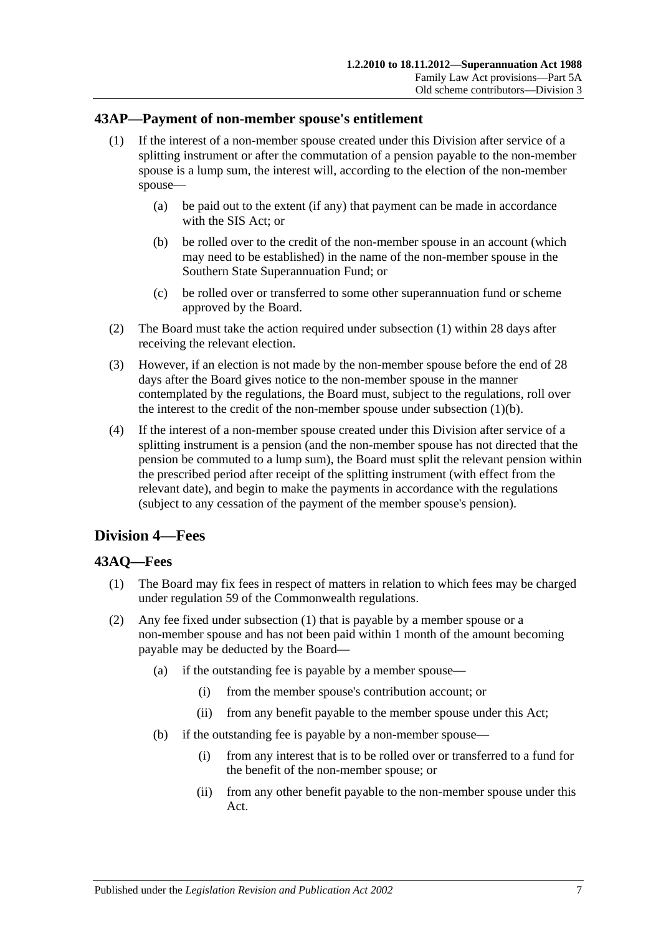## <span id="page-92-0"></span>**43AP—Payment of non-member spouse's entitlement**

- (1) If the interest of a non-member spouse created under this Division after service of a splitting instrument or after the commutation of a pension payable to the non-member spouse is a lump sum, the interest will, according to the election of the non-member spouse—
	- (a) be paid out to the extent (if any) that payment can be made in accordance with the SIS Act; or
	- (b) be rolled over to the credit of the non-member spouse in an account (which may need to be established) in the name of the non-member spouse in the Southern State Superannuation Fund; or
	- (c) be rolled over or transferred to some other superannuation fund or scheme approved by the Board.
- <span id="page-92-1"></span>(2) The Board must take the action required under [subsection](#page-92-0) (1) within 28 days after receiving the relevant election.
- (3) However, if an election is not made by the non-member spouse before the end of 28 days after the Board gives notice to the non-member spouse in the manner contemplated by the regulations, the Board must, subject to the regulations, roll over the interest to the credit of the non-member spouse under [subsection](#page-92-1)  $(1)(b)$ .
- (4) If the interest of a non-member spouse created under this Division after service of a splitting instrument is a pension (and the non-member spouse has not directed that the pension be commuted to a lump sum), the Board must split the relevant pension within the prescribed period after receipt of the splitting instrument (with effect from the relevant date), and begin to make the payments in accordance with the regulations (subject to any cessation of the payment of the member spouse's pension).

# **Division 4—Fees**

## <span id="page-92-2"></span>**43AQ—Fees**

- (1) The Board may fix fees in respect of matters in relation to which fees may be charged under regulation 59 of the Commonwealth regulations.
- (2) Any fee fixed under [subsection](#page-92-2) (1) that is payable by a member spouse or a non-member spouse and has not been paid within 1 month of the amount becoming payable may be deducted by the Board—
	- (a) if the outstanding fee is payable by a member spouse—
		- (i) from the member spouse's contribution account; or
		- (ii) from any benefit payable to the member spouse under this Act;
	- (b) if the outstanding fee is payable by a non-member spouse—
		- (i) from any interest that is to be rolled over or transferred to a fund for the benefit of the non-member spouse; or
		- (ii) from any other benefit payable to the non-member spouse under this Act.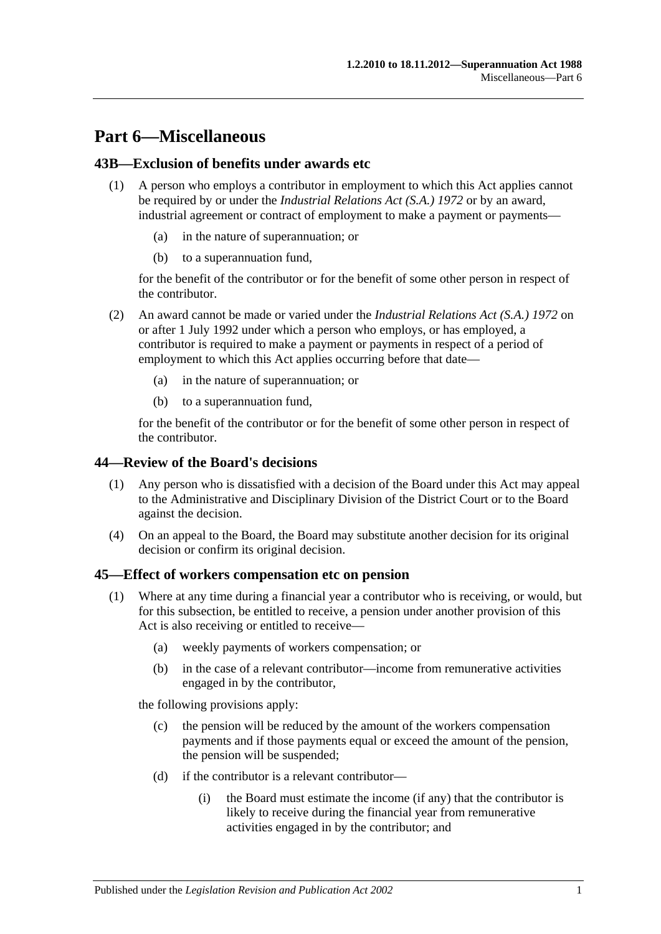# **Part 6—Miscellaneous**

## **43B—Exclusion of benefits under awards etc**

- (1) A person who employs a contributor in employment to which this Act applies cannot be required by or under the *[Industrial Relations Act \(S.A.\)](http://www.legislation.sa.gov.au/index.aspx?action=legref&type=act&legtitle=Industrial%20Relations%20Act%20(S.A.)%201972) 1972* or by an award, industrial agreement or contract of employment to make a payment or payments
	- in the nature of superannuation; or
	- (b) to a superannuation fund,

for the benefit of the contributor or for the benefit of some other person in respect of the contributor.

- (2) An award cannot be made or varied under the *[Industrial Relations Act \(S.A.\)](http://www.legislation.sa.gov.au/index.aspx?action=legref&type=act&legtitle=Industrial%20Relations%20Act%20(S.A.)%201972) 1972* on or after 1 July 1992 under which a person who employs, or has employed, a contributor is required to make a payment or payments in respect of a period of employment to which this Act applies occurring before that date—
	- (a) in the nature of superannuation; or
	- (b) to a superannuation fund,

for the benefit of the contributor or for the benefit of some other person in respect of the contributor.

#### **44—Review of the Board's decisions**

- (1) Any person who is dissatisfied with a decision of the Board under this Act may appeal to the Administrative and Disciplinary Division of the District Court or to the Board against the decision.
- (4) On an appeal to the Board, the Board may substitute another decision for its original decision or confirm its original decision.

#### <span id="page-94-2"></span><span id="page-94-0"></span>**45—Effect of workers compensation etc on pension**

- <span id="page-94-1"></span>(1) Where at any time during a financial year a contributor who is receiving, or would, but for this subsection, be entitled to receive, a pension under another provision of this Act is also receiving or entitled to receive—
	- (a) weekly payments of workers compensation; or
	- (b) in the case of a relevant contributor—income from remunerative activities engaged in by the contributor,

the following provisions apply:

- (c) the pension will be reduced by the amount of the workers compensation payments and if those payments equal or exceed the amount of the pension, the pension will be suspended;
- (d) if the contributor is a relevant contributor—
	- (i) the Board must estimate the income (if any) that the contributor is likely to receive during the financial year from remunerative activities engaged in by the contributor; and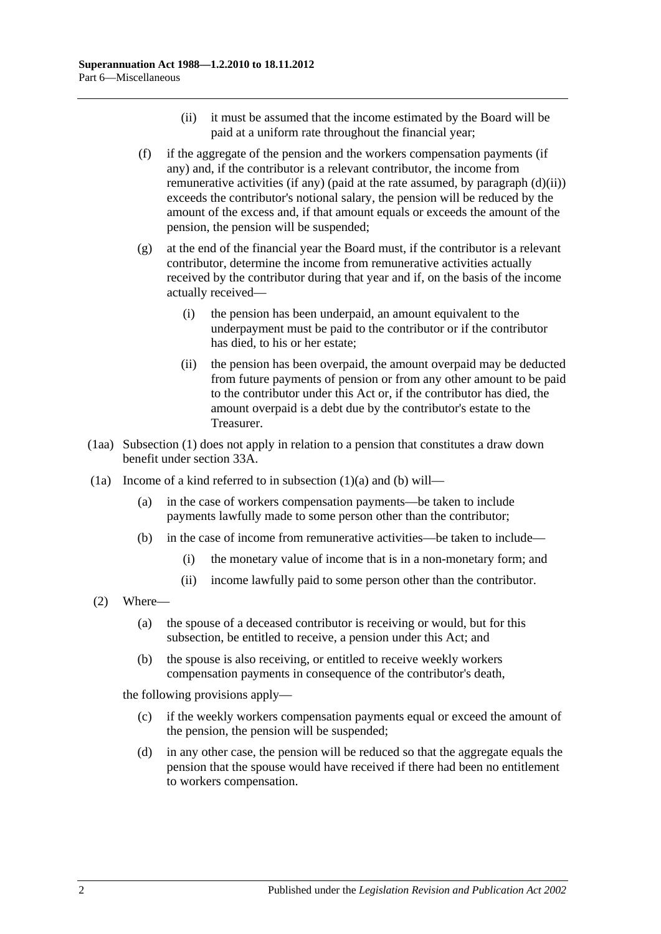- (ii) it must be assumed that the income estimated by the Board will be paid at a uniform rate throughout the financial year;
- <span id="page-95-2"></span><span id="page-95-0"></span>(f) if the aggregate of the pension and the workers compensation payments (if any) and, if the contributor is a relevant contributor, the income from remunerative activities (if any) (paid at the rate assumed, by [paragraph](#page-95-0) (d)(ii)) exceeds the contributor's notional salary, the pension will be reduced by the amount of the excess and, if that amount equals or exceeds the amount of the pension, the pension will be suspended;
- (g) at the end of the financial year the Board must, if the contributor is a relevant contributor, determine the income from remunerative activities actually received by the contributor during that year and if, on the basis of the income actually received—
	- (i) the pension has been underpaid, an amount equivalent to the underpayment must be paid to the contributor or if the contributor has died, to his or her estate;
	- (ii) the pension has been overpaid, the amount overpaid may be deducted from future payments of pension or from any other amount to be paid to the contributor under this Act or, if the contributor has died, the amount overpaid is a debt due by the contributor's estate to the Treasurer.
- (1aa) [Subsection](#page-94-0) (1) does not apply in relation to a pension that constitutes a draw down benefit under [section](#page-56-0) 33A.
- <span id="page-95-1"></span>(1a) Income of a kind referred to in [subsection](#page-94-1)  $(1)(a)$  and  $(b)$  will—
	- (a) in the case of workers compensation payments—be taken to include payments lawfully made to some person other than the contributor;
	- (b) in the case of income from remunerative activities—be taken to include—
		- (i) the monetary value of income that is in a non-monetary form; and
		- (ii) income lawfully paid to some person other than the contributor.
- (2) Where—
	- (a) the spouse of a deceased contributor is receiving or would, but for this subsection, be entitled to receive, a pension under this Act; and
	- (b) the spouse is also receiving, or entitled to receive weekly workers compensation payments in consequence of the contributor's death,

the following provisions apply—

- (c) if the weekly workers compensation payments equal or exceed the amount of the pension, the pension will be suspended;
- (d) in any other case, the pension will be reduced so that the aggregate equals the pension that the spouse would have received if there had been no entitlement to workers compensation.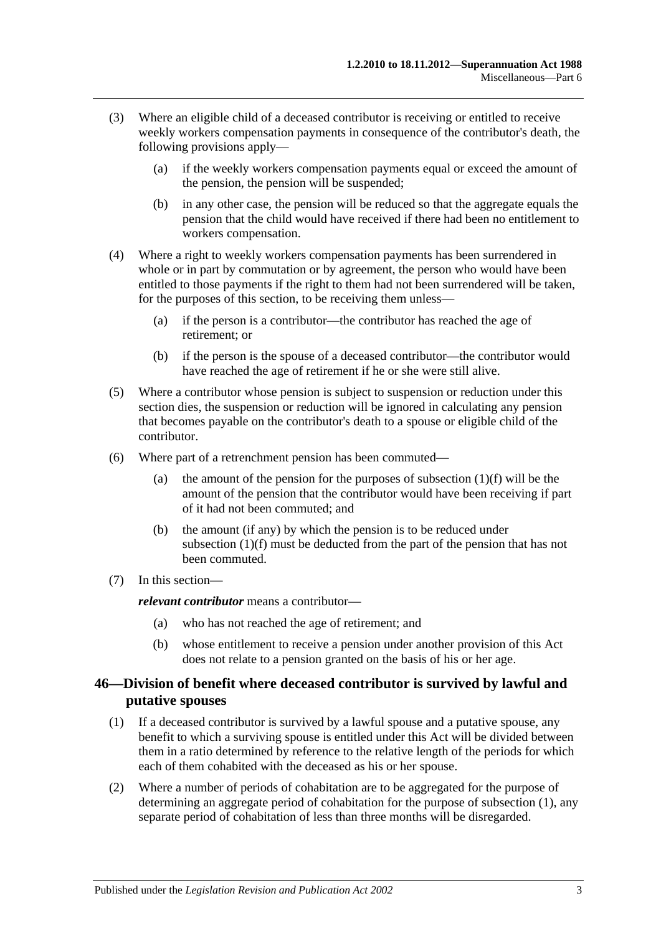- (3) Where an eligible child of a deceased contributor is receiving or entitled to receive weekly workers compensation payments in consequence of the contributor's death, the following provisions apply—
	- (a) if the weekly workers compensation payments equal or exceed the amount of the pension, the pension will be suspended;
	- (b) in any other case, the pension will be reduced so that the aggregate equals the pension that the child would have received if there had been no entitlement to workers compensation.
- (4) Where a right to weekly workers compensation payments has been surrendered in whole or in part by commutation or by agreement, the person who would have been entitled to those payments if the right to them had not been surrendered will be taken, for the purposes of this section, to be receiving them unless—
	- (a) if the person is a contributor—the contributor has reached the age of retirement; or
	- (b) if the person is the spouse of a deceased contributor—the contributor would have reached the age of retirement if he or she were still alive.
- (5) Where a contributor whose pension is subject to suspension or reduction under this section dies, the suspension or reduction will be ignored in calculating any pension that becomes payable on the contributor's death to a spouse or eligible child of the contributor.
- (6) Where part of a retrenchment pension has been commuted
	- (a) the amount of the pension for the purposes of [subsection](#page-95-2)  $(1)(f)$  will be the amount of the pension that the contributor would have been receiving if part of it had not been commuted; and
	- (b) the amount (if any) by which the pension is to be reduced under [subsection](#page-95-2) (1)(f) must be deducted from the part of the pension that has not been commuted.
- (7) In this section—

*relevant contributor* means a contributor—

- (a) who has not reached the age of retirement; and
- (b) whose entitlement to receive a pension under another provision of this Act does not relate to a pension granted on the basis of his or her age.

## <span id="page-96-0"></span>**46—Division of benefit where deceased contributor is survived by lawful and putative spouses**

- <span id="page-96-1"></span>(1) If a deceased contributor is survived by a lawful spouse and a putative spouse, any benefit to which a surviving spouse is entitled under this Act will be divided between them in a ratio determined by reference to the relative length of the periods for which each of them cohabited with the deceased as his or her spouse.
- (2) Where a number of periods of cohabitation are to be aggregated for the purpose of determining an aggregate period of cohabitation for the purpose of [subsection](#page-96-1) (1), any separate period of cohabitation of less than three months will be disregarded.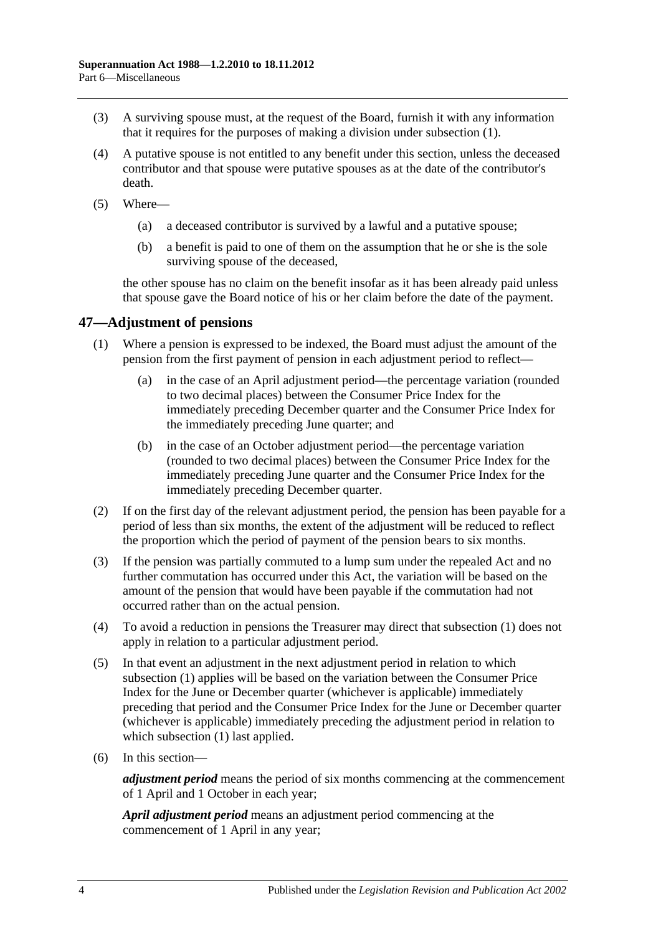- (3) A surviving spouse must, at the request of the Board, furnish it with any information that it requires for the purposes of making a division under [subsection](#page-96-1) (1).
- (4) A putative spouse is not entitled to any benefit under this section, unless the deceased contributor and that spouse were putative spouses as at the date of the contributor's death.
- (5) Where—
	- (a) a deceased contributor is survived by a lawful and a putative spouse;
	- (b) a benefit is paid to one of them on the assumption that he or she is the sole surviving spouse of the deceased,

the other spouse has no claim on the benefit insofar as it has been already paid unless that spouse gave the Board notice of his or her claim before the date of the payment.

## <span id="page-97-1"></span>**47—Adjustment of pensions**

- (1) Where a pension is expressed to be indexed, the Board must adjust the amount of the pension from the first payment of pension in each adjustment period to reflect—
	- (a) in the case of an April adjustment period—the percentage variation (rounded to two decimal places) between the Consumer Price Index for the immediately preceding December quarter and the Consumer Price Index for the immediately preceding June quarter; and
	- (b) in the case of an October adjustment period—the percentage variation (rounded to two decimal places) between the Consumer Price Index for the immediately preceding June quarter and the Consumer Price Index for the immediately preceding December quarter.
- (2) If on the first day of the relevant adjustment period, the pension has been payable for a period of less than six months, the extent of the adjustment will be reduced to reflect the proportion which the period of payment of the pension bears to six months.
- <span id="page-97-0"></span>(3) If the pension was partially commuted to a lump sum under the repealed Act and no further commutation has occurred under this Act, the variation will be based on the amount of the pension that would have been payable if the commutation had not occurred rather than on the actual pension.
- (4) To avoid a reduction in pensions the Treasurer may direct that [subsection](#page-97-1) (1) does not apply in relation to a particular adjustment period.
- (5) In that event an adjustment in the next adjustment period in relation to which [subsection](#page-97-1) (1) applies will be based on the variation between the Consumer Price Index for the June or December quarter (whichever is applicable) immediately preceding that period and the Consumer Price Index for the June or December quarter (whichever is applicable) immediately preceding the adjustment period in relation to which [subsection](#page-97-1) (1) last applied.
- (6) In this section—

*adjustment period* means the period of six months commencing at the commencement of 1 April and 1 October in each year;

*April adjustment period* means an adjustment period commencing at the commencement of 1 April in any year;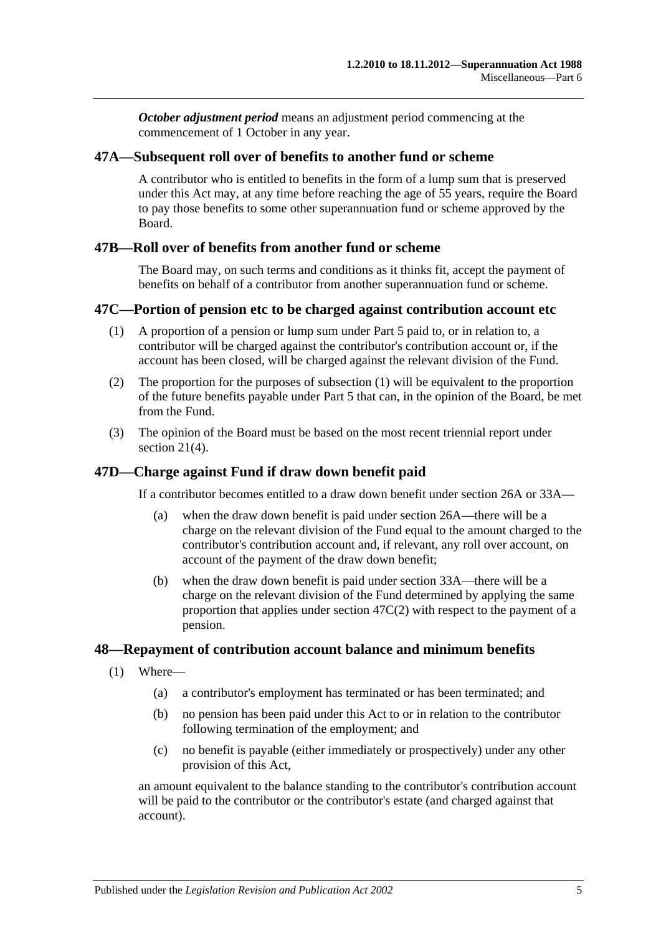*October adjustment period* means an adjustment period commencing at the commencement of 1 October in any year.

#### **47A—Subsequent roll over of benefits to another fund or scheme**

A contributor who is entitled to benefits in the form of a lump sum that is preserved under this Act may, at any time before reaching the age of 55 years, require the Board to pay those benefits to some other superannuation fund or scheme approved by the Board.

#### **47B—Roll over of benefits from another fund or scheme**

The Board may, on such terms and conditions as it thinks fit, accept the payment of benefits on behalf of a contributor from another superannuation fund or scheme.

#### <span id="page-98-0"></span>**47C—Portion of pension etc to be charged against contribution account etc**

- (1) A proportion of a pension or lump sum under [Part 5](#page-56-1) paid to, or in relation to, a contributor will be charged against the contributor's contribution account or, if the account has been closed, will be charged against the relevant division of the Fund.
- <span id="page-98-1"></span>(2) The proportion for the purposes of [subsection](#page-98-0) (1) will be equivalent to the proportion of the future benefits payable under [Part 5](#page-56-1) that can, in the opinion of the Board, be met from the Fund.
- (3) The opinion of the Board must be based on the most recent triennial report under [section](#page-23-0) 21(4).

## **47D—Charge against Fund if draw down benefit paid**

If a contributor becomes entitled to a draw down benefit under [section](#page-30-0) 26A or [33A—](#page-56-0)

- (a) when the draw down benefit is paid under [section](#page-30-0) 26A—there will be a charge on the relevant division of the Fund equal to the amount charged to the contributor's contribution account and, if relevant, any roll over account, on account of the payment of the draw down benefit;
- (b) when the draw down benefit is paid under [section](#page-56-0) 33A—there will be a charge on the relevant division of the Fund determined by applying the same proportion that applies under [section](#page-98-1) 47C(2) with respect to the payment of a pension.

#### **48—Repayment of contribution account balance and minimum benefits**

- (1) Where—
	- (a) a contributor's employment has terminated or has been terminated; and
	- (b) no pension has been paid under this Act to or in relation to the contributor following termination of the employment; and
	- (c) no benefit is payable (either immediately or prospectively) under any other provision of this Act,

an amount equivalent to the balance standing to the contributor's contribution account will be paid to the contributor or the contributor's estate (and charged against that account).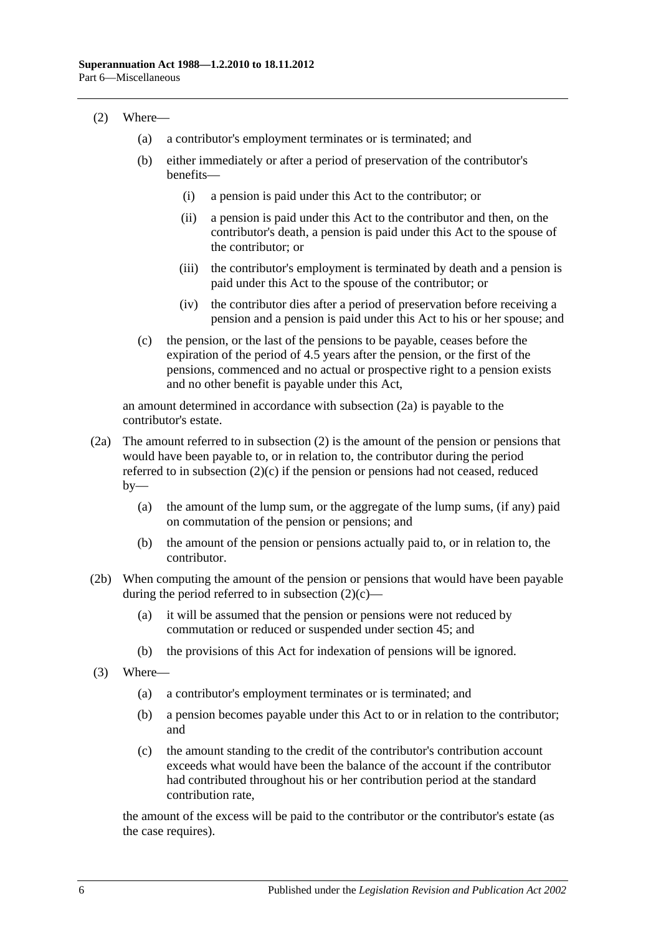#### <span id="page-99-1"></span>(2) Where—

- (a) a contributor's employment terminates or is terminated; and
- (b) either immediately or after a period of preservation of the contributor's benefits—
	- (i) a pension is paid under this Act to the contributor; or
	- (ii) a pension is paid under this Act to the contributor and then, on the contributor's death, a pension is paid under this Act to the spouse of the contributor; or
	- (iii) the contributor's employment is terminated by death and a pension is paid under this Act to the spouse of the contributor; or
	- (iv) the contributor dies after a period of preservation before receiving a pension and a pension is paid under this Act to his or her spouse; and
- <span id="page-99-2"></span>(c) the pension, or the last of the pensions to be payable, ceases before the expiration of the period of 4.5 years after the pension, or the first of the pensions, commenced and no actual or prospective right to a pension exists and no other benefit is payable under this Act,

an amount determined in accordance with [subsection](#page-99-0) (2a) is payable to the contributor's estate.

- <span id="page-99-0"></span>(2a) The amount referred to in [subsection](#page-99-1) (2) is the amount of the pension or pensions that would have been payable to, or in relation to, the contributor during the period referred to in [subsection](#page-99-2)  $(2)(c)$  if the pension or pensions had not ceased, reduced  $by-$ 
	- (a) the amount of the lump sum, or the aggregate of the lump sums, (if any) paid on commutation of the pension or pensions; and
	- (b) the amount of the pension or pensions actually paid to, or in relation to, the contributor.
- (2b) When computing the amount of the pension or pensions that would have been payable during the period referred to in [subsection](#page-99-2)  $(2)(c)$ —
	- (a) it will be assumed that the pension or pensions were not reduced by commutation or reduced or suspended under [section](#page-94-2) 45; and
	- (b) the provisions of this Act for indexation of pensions will be ignored.
- (3) Where—
	- (a) a contributor's employment terminates or is terminated; and
	- (b) a pension becomes payable under this Act to or in relation to the contributor; and
	- (c) the amount standing to the credit of the contributor's contribution account exceeds what would have been the balance of the account if the contributor had contributed throughout his or her contribution period at the standard contribution rate,

the amount of the excess will be paid to the contributor or the contributor's estate (as the case requires).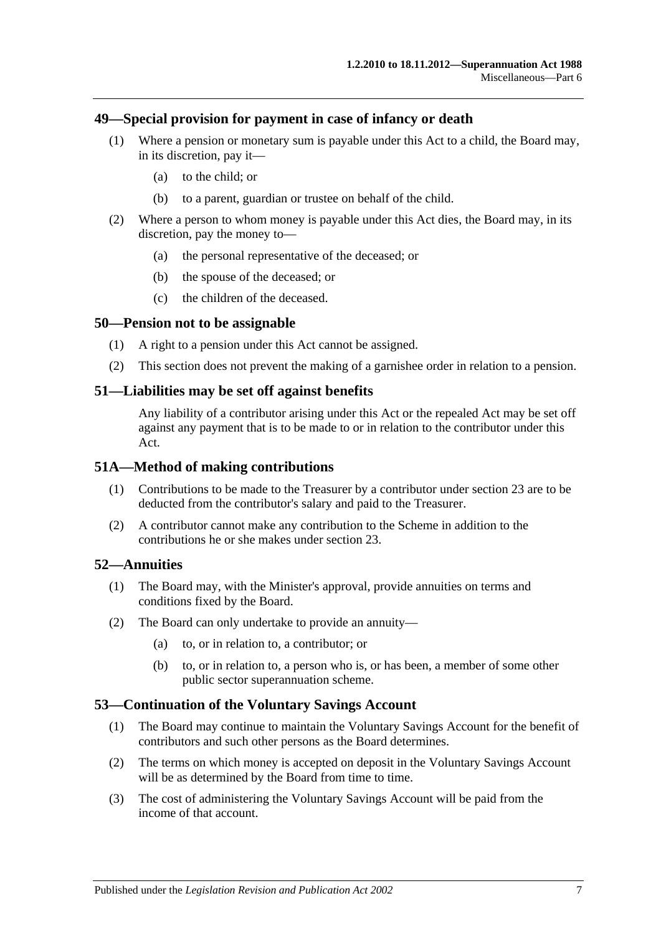#### **49—Special provision for payment in case of infancy or death**

- (1) Where a pension or monetary sum is payable under this Act to a child, the Board may, in its discretion, pay it—
	- (a) to the child; or
	- (b) to a parent, guardian or trustee on behalf of the child.
- (2) Where a person to whom money is payable under this Act dies, the Board may, in its discretion, pay the money to—
	- (a) the personal representative of the deceased; or
	- (b) the spouse of the deceased; or
	- (c) the children of the deceased.

#### **50—Pension not to be assignable**

- (1) A right to a pension under this Act cannot be assigned.
- (2) This section does not prevent the making of a garnishee order in relation to a pension.

#### **51—Liabilities may be set off against benefits**

Any liability of a contributor arising under this Act or the repealed Act may be set off against any payment that is to be made to or in relation to the contributor under this Act.

#### **51A—Method of making contributions**

- (1) Contributions to be made to the Treasurer by a contributor under [section](#page-26-0) 23 are to be deducted from the contributor's salary and paid to the Treasurer.
- (2) A contributor cannot make any contribution to the Scheme in addition to the contributions he or she makes under [section](#page-26-0) 23.

#### **52—Annuities**

- (1) The Board may, with the Minister's approval, provide annuities on terms and conditions fixed by the Board.
- (2) The Board can only undertake to provide an annuity—
	- (a) to, or in relation to, a contributor; or
	- (b) to, or in relation to, a person who is, or has been, a member of some other public sector superannuation scheme.

#### **53—Continuation of the Voluntary Savings Account**

- (1) The Board may continue to maintain the Voluntary Savings Account for the benefit of contributors and such other persons as the Board determines.
- (2) The terms on which money is accepted on deposit in the Voluntary Savings Account will be as determined by the Board from time to time.
- (3) The cost of administering the Voluntary Savings Account will be paid from the income of that account.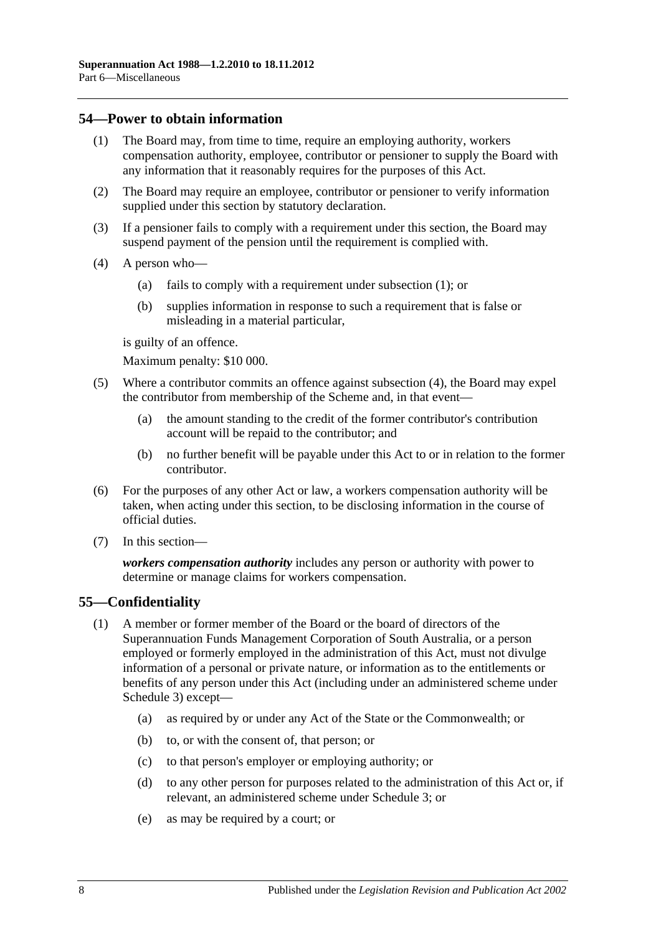### <span id="page-101-0"></span>**54—Power to obtain information**

- (1) The Board may, from time to time, require an employing authority, workers compensation authority, employee, contributor or pensioner to supply the Board with any information that it reasonably requires for the purposes of this Act.
- (2) The Board may require an employee, contributor or pensioner to verify information supplied under this section by statutory declaration.
- (3) If a pensioner fails to comply with a requirement under this section, the Board may suspend payment of the pension until the requirement is complied with.
- <span id="page-101-1"></span>(4) A person who—
	- (a) fails to comply with a requirement under [subsection](#page-101-0) (1); or
	- (b) supplies information in response to such a requirement that is false or misleading in a material particular,

is guilty of an offence.

Maximum penalty: \$10 000.

- (5) Where a contributor commits an offence against [subsection](#page-101-1) (4), the Board may expel the contributor from membership of the Scheme and, in that event—
	- (a) the amount standing to the credit of the former contributor's contribution account will be repaid to the contributor; and
	- (b) no further benefit will be payable under this Act to or in relation to the former contributor.
- (6) For the purposes of any other Act or law, a workers compensation authority will be taken, when acting under this section, to be disclosing information in the course of official duties.
- (7) In this section—

*workers compensation authority* includes any person or authority with power to determine or manage claims for workers compensation.

## **55—Confidentiality**

- (1) A member or former member of the Board or the board of directors of the Superannuation Funds Management Corporation of South Australia, or a person employed or formerly employed in the administration of this Act, must not divulge information of a personal or private nature, or information as to the entitlements or benefits of any person under this Act (including under an administered scheme under [Schedule 3\)](#page-128-0) except—
	- (a) as required by or under any Act of the State or the Commonwealth; or
	- (b) to, or with the consent of, that person; or
	- (c) to that person's employer or employing authority; or
	- (d) to any other person for purposes related to the administration of this Act or, if relevant, an administered scheme under [Schedule 3;](#page-128-0) or
	- (e) as may be required by a court; or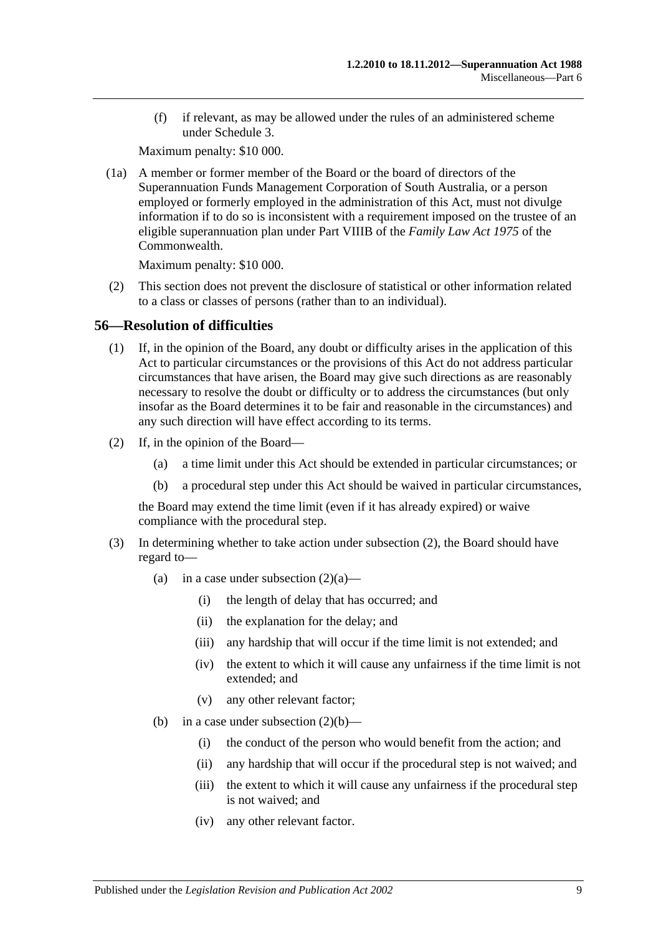(f) if relevant, as may be allowed under the rules of an administered scheme under [Schedule 3.](#page-128-0)

Maximum penalty: \$10 000.

(1a) A member or former member of the Board or the board of directors of the Superannuation Funds Management Corporation of South Australia, or a person employed or formerly employed in the administration of this Act, must not divulge information if to do so is inconsistent with a requirement imposed on the trustee of an eligible superannuation plan under Part VIIIB of the *Family Law Act 1975* of the Commonwealth.

Maximum penalty: \$10 000.

(2) This section does not prevent the disclosure of statistical or other information related to a class or classes of persons (rather than to an individual).

## **56—Resolution of difficulties**

- (1) If, in the opinion of the Board, any doubt or difficulty arises in the application of this Act to particular circumstances or the provisions of this Act do not address particular circumstances that have arisen, the Board may give such directions as are reasonably necessary to resolve the doubt or difficulty or to address the circumstances (but only insofar as the Board determines it to be fair and reasonable in the circumstances) and any such direction will have effect according to its terms.
- <span id="page-102-2"></span><span id="page-102-1"></span><span id="page-102-0"></span>(2) If, in the opinion of the Board—
	- (a) a time limit under this Act should be extended in particular circumstances; or
	- (b) a procedural step under this Act should be waived in particular circumstances,

the Board may extend the time limit (even if it has already expired) or waive compliance with the procedural step.

- <span id="page-102-3"></span>(3) In determining whether to take action under [subsection](#page-102-0) (2), the Board should have regard to
	- (a) in a case under [subsection](#page-102-1)  $(2)(a)$ 
		- (i) the length of delay that has occurred; and
		- (ii) the explanation for the delay; and
		- (iii) any hardship that will occur if the time limit is not extended; and
		- (iv) the extent to which it will cause any unfairness if the time limit is not extended; and
		- (v) any other relevant factor;
	- (b) in a case under [subsection](#page-102-2)  $(2)(b)$ 
		- (i) the conduct of the person who would benefit from the action; and
		- (ii) any hardship that will occur if the procedural step is not waived; and
		- (iii) the extent to which it will cause any unfairness if the procedural step is not waived; and
		- (iv) any other relevant factor.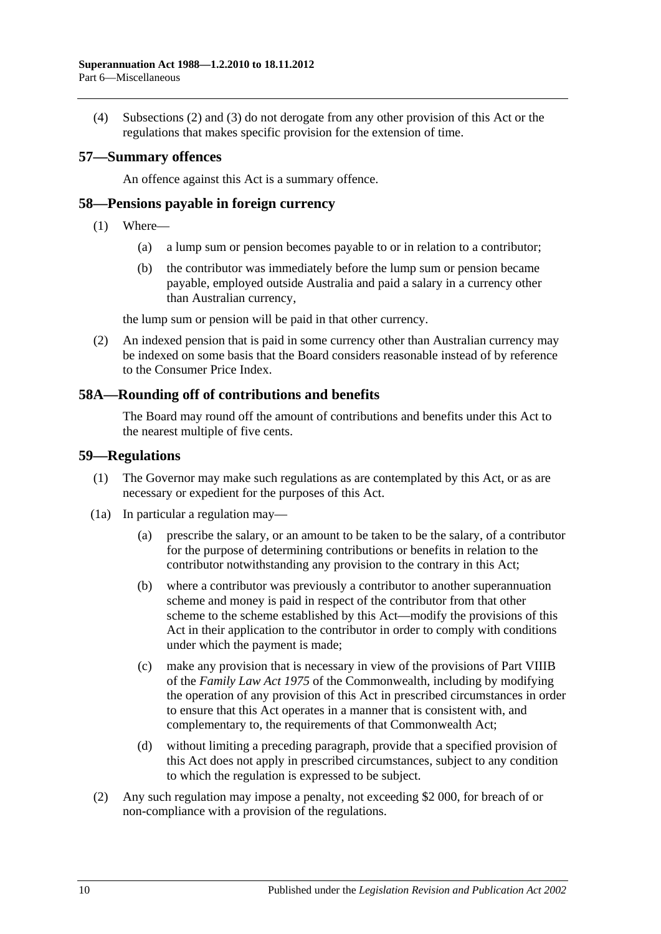(4) [Subsections](#page-102-0) (2) and [\(3\)](#page-102-3) do not derogate from any other provision of this Act or the regulations that makes specific provision for the extension of time.

### **57—Summary offences**

An offence against this Act is a summary offence.

## **58—Pensions payable in foreign currency**

- (1) Where—
	- (a) a lump sum or pension becomes payable to or in relation to a contributor;
	- (b) the contributor was immediately before the lump sum or pension became payable, employed outside Australia and paid a salary in a currency other than Australian currency,

the lump sum or pension will be paid in that other currency.

(2) An indexed pension that is paid in some currency other than Australian currency may be indexed on some basis that the Board considers reasonable instead of by reference to the Consumer Price Index.

## **58A—Rounding off of contributions and benefits**

The Board may round off the amount of contributions and benefits under this Act to the nearest multiple of five cents.

#### **59—Regulations**

- (1) The Governor may make such regulations as are contemplated by this Act, or as are necessary or expedient for the purposes of this Act.
- (1a) In particular a regulation may—
	- (a) prescribe the salary, or an amount to be taken to be the salary, of a contributor for the purpose of determining contributions or benefits in relation to the contributor notwithstanding any provision to the contrary in this Act;
	- (b) where a contributor was previously a contributor to another superannuation scheme and money is paid in respect of the contributor from that other scheme to the scheme established by this Act—modify the provisions of this Act in their application to the contributor in order to comply with conditions under which the payment is made;
	- (c) make any provision that is necessary in view of the provisions of Part VIIIB of the *Family Law Act 1975* of the Commonwealth, including by modifying the operation of any provision of this Act in prescribed circumstances in order to ensure that this Act operates in a manner that is consistent with, and complementary to, the requirements of that Commonwealth Act;
	- (d) without limiting a preceding paragraph, provide that a specified provision of this Act does not apply in prescribed circumstances, subject to any condition to which the regulation is expressed to be subject.
- (2) Any such regulation may impose a penalty, not exceeding \$2 000, for breach of or non-compliance with a provision of the regulations.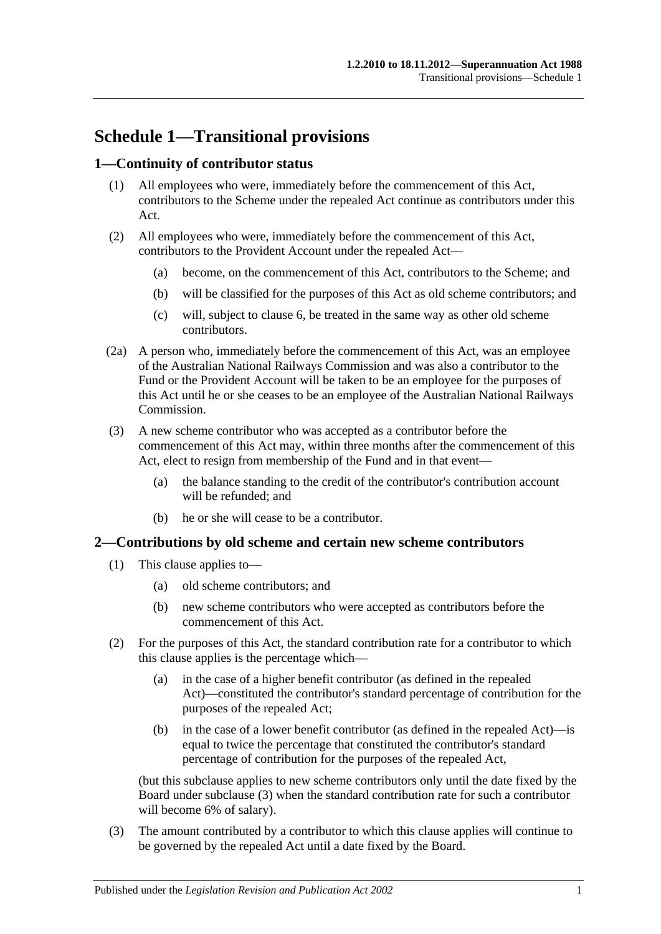# **Schedule 1—Transitional provisions**

## **1—Continuity of contributor status**

- (1) All employees who were, immediately before the commencement of this Act, contributors to the Scheme under the repealed Act continue as contributors under this Act.
- (2) All employees who were, immediately before the commencement of this Act, contributors to the Provident Account under the repealed Act—
	- (a) become, on the commencement of this Act, contributors to the Scheme; and
	- (b) will be classified for the purposes of this Act as old scheme contributors; and
	- (c) will, subject to [clause](#page-107-0) 6, be treated in the same way as other old scheme contributors.
- (2a) A person who, immediately before the commencement of this Act, was an employee of the Australian National Railways Commission and was also a contributor to the Fund or the Provident Account will be taken to be an employee for the purposes of this Act until he or she ceases to be an employee of the Australian National Railways Commission.
- (3) A new scheme contributor who was accepted as a contributor before the commencement of this Act may, within three months after the commencement of this Act, elect to resign from membership of the Fund and in that event—
	- (a) the balance standing to the credit of the contributor's contribution account will be refunded; and
	- (b) he or she will cease to be a contributor.

#### **2—Contributions by old scheme and certain new scheme contributors**

- (1) This clause applies to—
	- (a) old scheme contributors; and
	- (b) new scheme contributors who were accepted as contributors before the commencement of this Act.
- (2) For the purposes of this Act, the standard contribution rate for a contributor to which this clause applies is the percentage which—
	- (a) in the case of a higher benefit contributor (as defined in the repealed Act)—constituted the contributor's standard percentage of contribution for the purposes of the repealed Act;
	- (b) in the case of a lower benefit contributor (as defined in the repealed Act)—is equal to twice the percentage that constituted the contributor's standard percentage of contribution for the purposes of the repealed Act,

(but this subclause applies to new scheme contributors only until the date fixed by the Board under [subclause](#page-104-0) (3) when the standard contribution rate for such a contributor will become 6% of salary).

<span id="page-104-0"></span>(3) The amount contributed by a contributor to which this clause applies will continue to be governed by the repealed Act until a date fixed by the Board.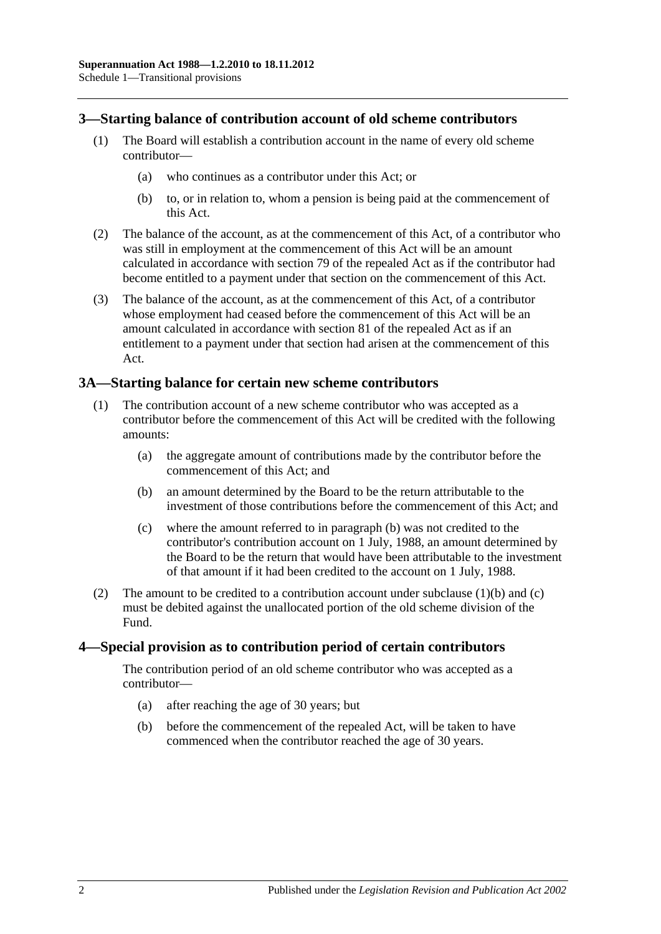### **3—Starting balance of contribution account of old scheme contributors**

- (1) The Board will establish a contribution account in the name of every old scheme contributor—
	- (a) who continues as a contributor under this Act; or
	- (b) to, or in relation to, whom a pension is being paid at the commencement of this Act.
- (2) The balance of the account, as at the commencement of this Act, of a contributor who was still in employment at the commencement of this Act will be an amount calculated in accordance with section 79 of the repealed Act as if the contributor had become entitled to a payment under that section on the commencement of this Act.
- (3) The balance of the account, as at the commencement of this Act, of a contributor whose employment had ceased before the commencement of this Act will be an amount calculated in accordance with section 81 of the repealed Act as if an entitlement to a payment under that section had arisen at the commencement of this Act.

#### **3A—Starting balance for certain new scheme contributors**

- <span id="page-105-0"></span>(1) The contribution account of a new scheme contributor who was accepted as a contributor before the commencement of this Act will be credited with the following amounts:
	- (a) the aggregate amount of contributions made by the contributor before the commencement of this Act; and
	- (b) an amount determined by the Board to be the return attributable to the investment of those contributions before the commencement of this Act; and
	- (c) where the amount referred to in [paragraph](#page-105-0) (b) was not credited to the contributor's contribution account on 1 July, 1988, an amount determined by the Board to be the return that would have been attributable to the investment of that amount if it had been credited to the account on 1 July, 1988.
- <span id="page-105-1"></span>(2) The amount to be credited to a contribution account under [subclause](#page-105-0)  $(1)(b)$  and  $(c)$ must be debited against the unallocated portion of the old scheme division of the Fund.

#### **4—Special provision as to contribution period of certain contributors**

The contribution period of an old scheme contributor who was accepted as a contributor—

- (a) after reaching the age of 30 years; but
- (b) before the commencement of the repealed Act, will be taken to have commenced when the contributor reached the age of 30 years.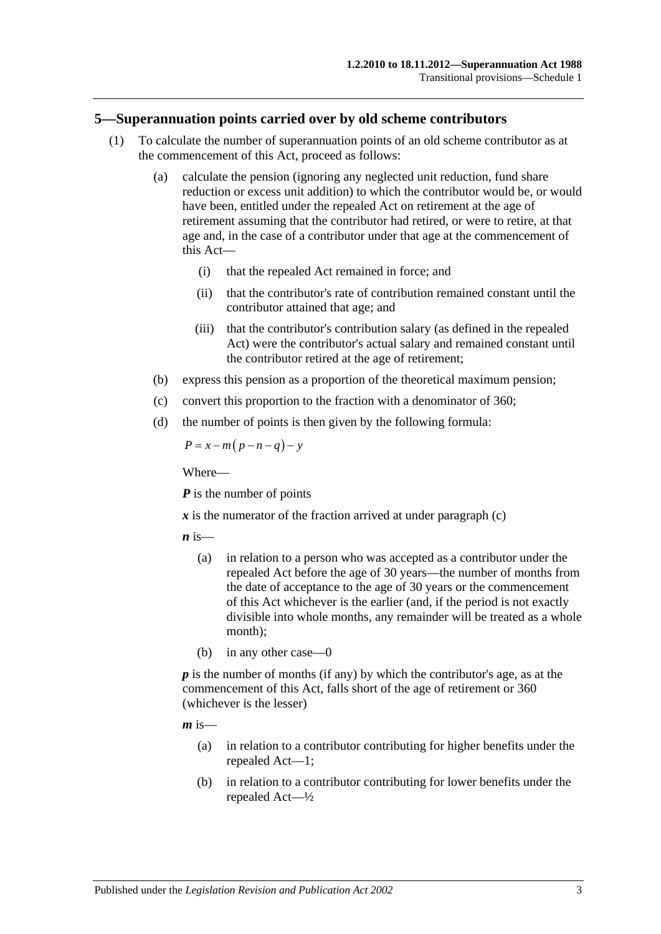#### **5—Superannuation points carried over by old scheme contributors**

- (1) To calculate the number of superannuation points of an old scheme contributor as at the commencement of this Act, proceed as follows:
	- (a) calculate the pension (ignoring any neglected unit reduction, fund share reduction or excess unit addition) to which the contributor would be, or would have been, entitled under the repealed Act on retirement at the age of retirement assuming that the contributor had retired, or were to retire, at that age and, in the case of a contributor under that age at the commencement of this Act—
		- (i) that the repealed Act remained in force; and
		- (ii) that the contributor's rate of contribution remained constant until the contributor attained that age; and
		- (iii) that the contributor's contribution salary (as defined in the repealed Act) were the contributor's actual salary and remained constant until the contributor retired at the age of retirement;
	- (b) express this pension as a proportion of the theoretical maximum pension;
	- (c) convert this proportion to the fraction with a denominator of 360;
	- (d) the number of points is then given by the following formula:

<span id="page-106-0"></span>
$$
P = x - m(p - n - q) - y
$$

Where—

*P* is the number of points

 $\boldsymbol{x}$  is the numerator of the fraction arrived at under [paragraph](#page-106-0) (c)

 $\boldsymbol{n}$  is—

- (a) in relation to a person who was accepted as a contributor under the repealed Act before the age of 30 years—the number of months from the date of acceptance to the age of 30 years or the commencement of this Act whichever is the earlier (and, if the period is not exactly divisible into whole months, any remainder will be treated as a whole month);
- (b) in any other case—0

*p* is the number of months (if any) by which the contributor's age, as at the commencement of this Act, falls short of the age of retirement or 360 (whichever is the lesser)

 $m$  is—

- (a) in relation to a contributor contributing for higher benefits under the repealed Act—1;
- (b) in relation to a contributor contributing for lower benefits under the repealed Act—½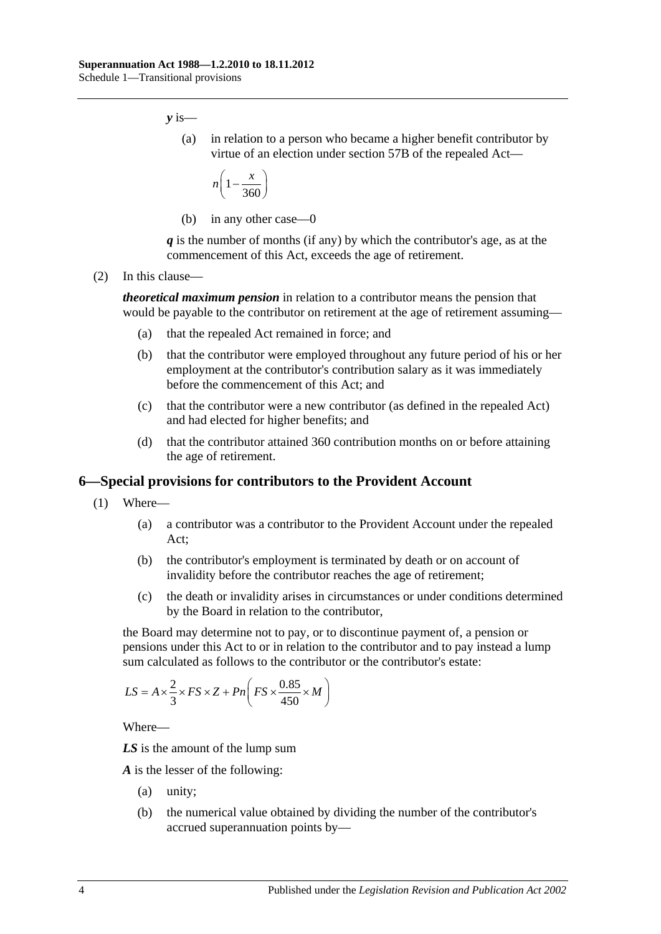*y* is—

(a) in relation to a person who became a higher benefit contributor by virtue of an election under section 57B of the repealed Act—

$$
n\left(1-\frac{x}{360}\right)
$$

(b) in any other case—0

*q* is the number of months (if any) by which the contributor's age, as at the commencement of this Act, exceeds the age of retirement.

(2) In this clause—

*theoretical maximum pension* in relation to a contributor means the pension that would be payable to the contributor on retirement at the age of retirement assuming—

- (a) that the repealed Act remained in force; and
- (b) that the contributor were employed throughout any future period of his or her employment at the contributor's contribution salary as it was immediately before the commencement of this Act; and
- (c) that the contributor were a new contributor (as defined in the repealed Act) and had elected for higher benefits; and
- (d) that the contributor attained 360 contribution months on or before attaining the age of retirement.

#### <span id="page-107-0"></span>**6—Special provisions for contributors to the Provident Account**

- (1) Where—
	- (a) a contributor was a contributor to the Provident Account under the repealed Act;
	- (b) the contributor's employment is terminated by death or on account of invalidity before the contributor reaches the age of retirement;
	- (c) the death or invalidity arises in circumstances or under conditions determined by the Board in relation to the contributor,

the Board may determine not to pay, or to discontinue payment of, a pension or pensions under this Act to or in relation to the contributor and to pay instead a lump sum calculated as follows to the contributor or the contributor's estate:

$$
LS = A \times \frac{2}{3} \times FS \times Z + Pn \left( FS \times \frac{0.85}{450} \times M \right)
$$

Where—

*LS* is the amount of the lump sum

*A* is the lesser of the following:

- (a) unity;
- (b) the numerical value obtained by dividing the number of the contributor's accrued superannuation points by—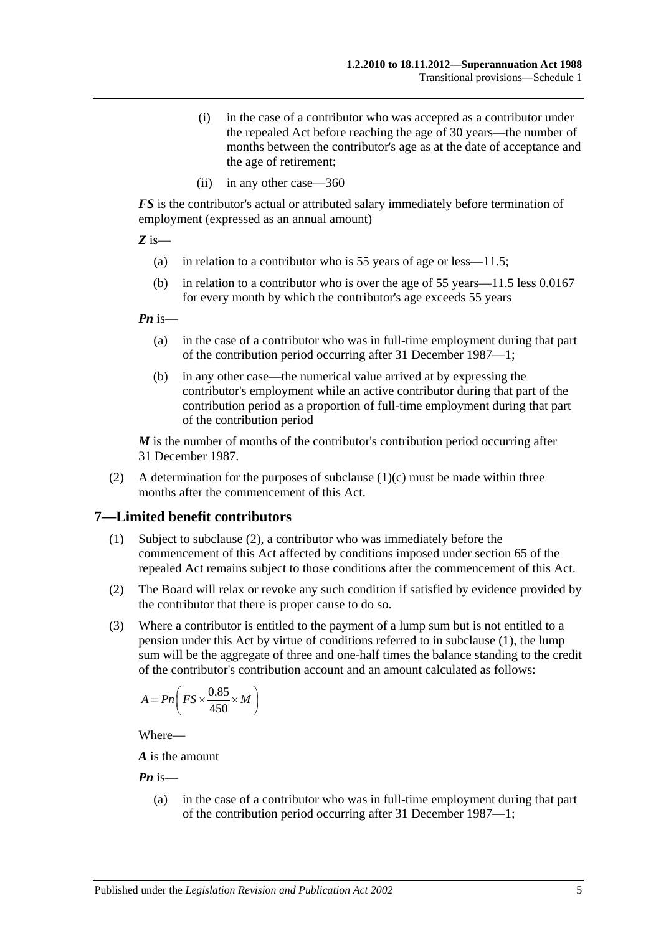- (i) in the case of a contributor who was accepted as a contributor under the repealed Act before reaching the age of 30 years—the number of months between the contributor's age as at the date of acceptance and the age of retirement;
- (ii) in any other case—360

*FS* is the contributor's actual or attributed salary immediately before termination of employment (expressed as an annual amount)

*Z* is—

- (a) in relation to a contributor who is 55 years of age or less—11.5;
- (b) in relation to a contributor who is over the age of 55 years—11.5 less 0.0167 for every month by which the contributor's age exceeds 55 years

*Pn* is—

- (a) in the case of a contributor who was in full-time employment during that part of the contribution period occurring after 31 December 1987—1;
- (b) in any other case—the numerical value arrived at by expressing the contributor's employment while an active contributor during that part of the contribution period as a proportion of full-time employment during that part of the contribution period

*M* is the number of months of the contributor's contribution period occurring after 31 December 1987.

(2) A determination for the purposes of [subclause](#page-107-0)  $(1)(c)$  must be made within three months after the commencement of this Act.

#### <span id="page-108-1"></span>**7—Limited benefit contributors**

- (1) Subject to [subclause](#page-108-0) (2), a contributor who was immediately before the commencement of this Act affected by conditions imposed under section 65 of the repealed Act remains subject to those conditions after the commencement of this Act.
- <span id="page-108-0"></span>(2) The Board will relax or revoke any such condition if satisfied by evidence provided by the contributor that there is proper cause to do so.
- (3) Where a contributor is entitled to the payment of a lump sum but is not entitled to a pension under this Act by virtue of conditions referred to in [subclause](#page-108-1) (1), the lump sum will be the aggregate of three and one-half times the balance standing to the credit of the contributor's contribution account and an amount calculated as follows:

$$
A = P n \left( FS \times \frac{0.85}{450} \times M \right)
$$

Where—

*A* is the amount

*Pn* is—

(a) in the case of a contributor who was in full-time employment during that part of the contribution period occurring after 31 December 1987—1;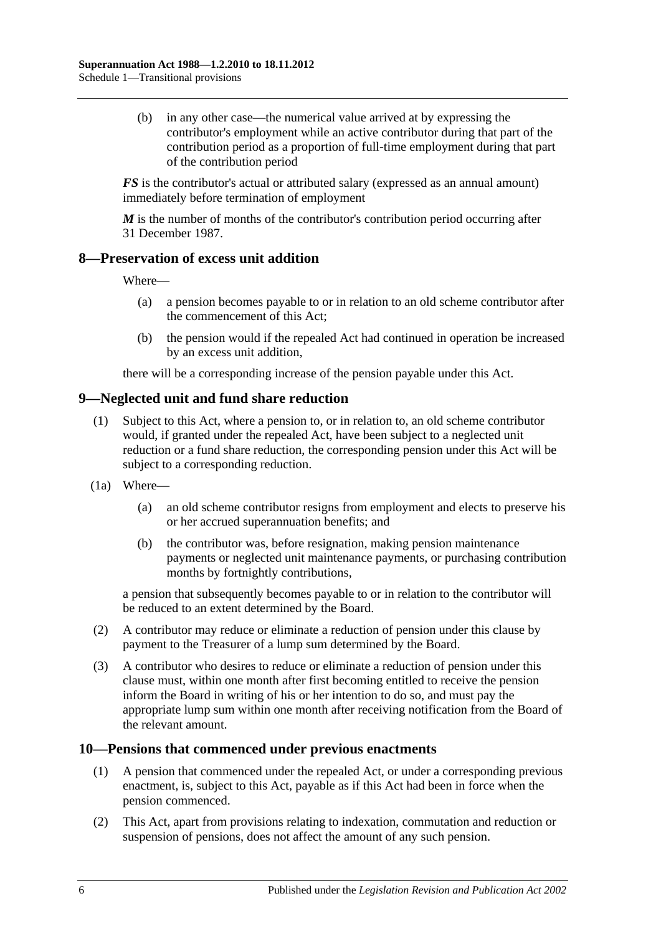(b) in any other case—the numerical value arrived at by expressing the contributor's employment while an active contributor during that part of the contribution period as a proportion of full-time employment during that part of the contribution period

*FS* is the contributor's actual or attributed salary (expressed as an annual amount) immediately before termination of employment

*M* is the number of months of the contributor's contribution period occurring after 31 December 1987.

#### **8—Preservation of excess unit addition**

Where—

- (a) a pension becomes payable to or in relation to an old scheme contributor after the commencement of this Act;
- (b) the pension would if the repealed Act had continued in operation be increased by an excess unit addition,

there will be a corresponding increase of the pension payable under this Act.

### **9—Neglected unit and fund share reduction**

- (1) Subject to this Act, where a pension to, or in relation to, an old scheme contributor would, if granted under the repealed Act, have been subject to a neglected unit reduction or a fund share reduction, the corresponding pension under this Act will be subject to a corresponding reduction.
- (1a) Where—
	- (a) an old scheme contributor resigns from employment and elects to preserve his or her accrued superannuation benefits; and
	- (b) the contributor was, before resignation, making pension maintenance payments or neglected unit maintenance payments, or purchasing contribution months by fortnightly contributions,

a pension that subsequently becomes payable to or in relation to the contributor will be reduced to an extent determined by the Board.

- (2) A contributor may reduce or eliminate a reduction of pension under this clause by payment to the Treasurer of a lump sum determined by the Board.
- (3) A contributor who desires to reduce or eliminate a reduction of pension under this clause must, within one month after first becoming entitled to receive the pension inform the Board in writing of his or her intention to do so, and must pay the appropriate lump sum within one month after receiving notification from the Board of the relevant amount.

#### **10—Pensions that commenced under previous enactments**

- (1) A pension that commenced under the repealed Act, or under a corresponding previous enactment, is, subject to this Act, payable as if this Act had been in force when the pension commenced.
- (2) This Act, apart from provisions relating to indexation, commutation and reduction or suspension of pensions, does not affect the amount of any such pension.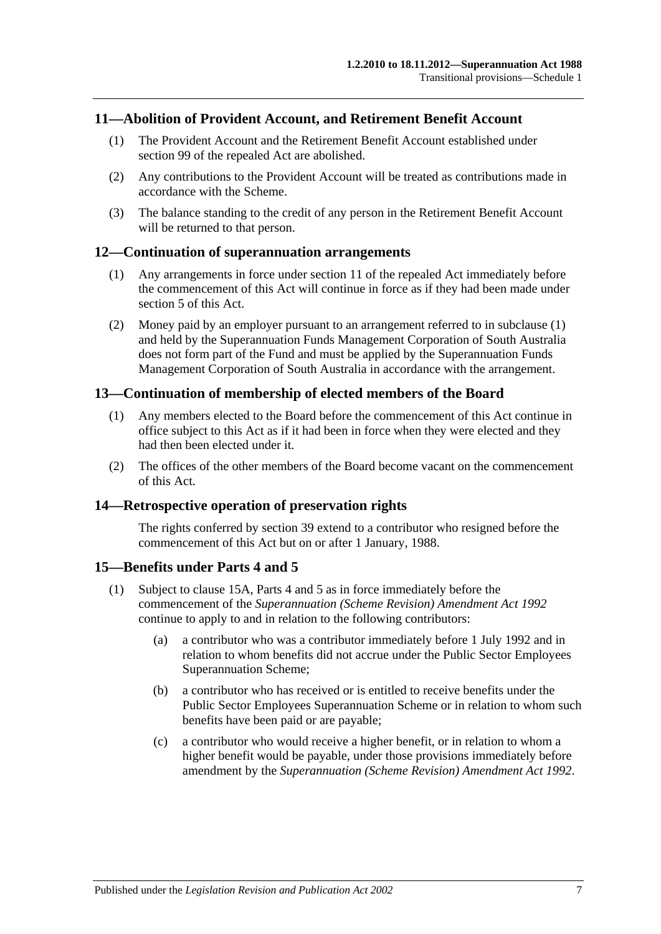#### **11—Abolition of Provident Account, and Retirement Benefit Account**

- (1) The Provident Account and the Retirement Benefit Account established under section 99 of the repealed Act are abolished.
- (2) Any contributions to the Provident Account will be treated as contributions made in accordance with the Scheme.
- (3) The balance standing to the credit of any person in the Retirement Benefit Account will be returned to that person.

#### <span id="page-110-0"></span>**12—Continuation of superannuation arrangements**

- (1) Any arrangements in force under section 11 of the repealed Act immediately before the commencement of this Act will continue in force as if they had been made under [section](#page-14-0) 5 of this Act.
- (2) Money paid by an employer pursuant to an arrangement referred to in [subclause](#page-110-0) (1) and held by the Superannuation Funds Management Corporation of South Australia does not form part of the Fund and must be applied by the Superannuation Funds Management Corporation of South Australia in accordance with the arrangement.

#### **13—Continuation of membership of elected members of the Board**

- (1) Any members elected to the Board before the commencement of this Act continue in office subject to this Act as if it had been in force when they were elected and they had then been elected under it.
- (2) The offices of the other members of the Board become vacant on the commencement of this Act.

#### **14—Retrospective operation of preservation rights**

The rights conferred by [section](#page-71-0) 39 extend to a contributor who resigned before the commencement of this Act but on or after 1 January, 1988.

#### <span id="page-110-2"></span>**15—Benefits under [Parts 4](#page-30-0) and [5](#page-56-0)**

- <span id="page-110-1"></span>(1) Subject to [clause](#page-111-0) 15A, [Parts 4](#page-30-0) and [5](#page-56-0) as in force immediately before the commencement of the *[Superannuation \(Scheme Revision\) Amendment Act](http://www.legislation.sa.gov.au/index.aspx?action=legref&type=act&legtitle=Superannuation%20(Scheme%20Revision)%20Amendment%20Act%201992) 1992* continue to apply to and in relation to the following contributors:
	- (a) a contributor who was a contributor immediately before 1 July 1992 and in relation to whom benefits did not accrue under the Public Sector Employees Superannuation Scheme;
	- (b) a contributor who has received or is entitled to receive benefits under the Public Sector Employees Superannuation Scheme or in relation to whom such benefits have been paid or are payable;
	- (c) a contributor who would receive a higher benefit, or in relation to whom a higher benefit would be payable, under those provisions immediately before amendment by the *[Superannuation \(Scheme Revision\) Amendment Act](http://www.legislation.sa.gov.au/index.aspx?action=legref&type=act&legtitle=Superannuation%20(Scheme%20Revision)%20Amendment%20Act%201992) 1992*.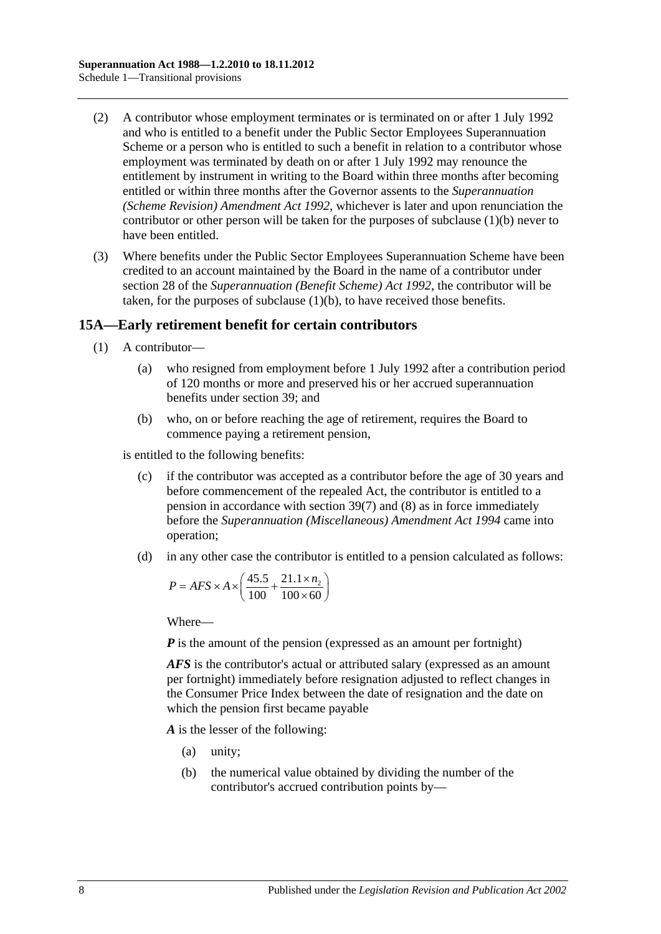- (2) A contributor whose employment terminates or is terminated on or after 1 July 1992 and who is entitled to a benefit under the Public Sector Employees Superannuation Scheme or a person who is entitled to such a benefit in relation to a contributor whose employment was terminated by death on or after 1 July 1992 may renounce the entitlement by instrument in writing to the Board within three months after becoming entitled or within three months after the Governor assents to the *[Superannuation](http://www.legislation.sa.gov.au/index.aspx?action=legref&type=act&legtitle=Superannuation%20(Scheme%20Revision)%20Amendment%20Act%201992)  [\(Scheme Revision\) Amendment Act](http://www.legislation.sa.gov.au/index.aspx?action=legref&type=act&legtitle=Superannuation%20(Scheme%20Revision)%20Amendment%20Act%201992) 1992*, whichever is later and upon renunciation the contributor or other person will be taken for the purposes of [subclause](#page-110-1) (1)(b) never to have been entitled.
- (3) Where benefits under the Public Sector Employees Superannuation Scheme have been credited to an account maintained by the Board in the name of a contributor under section 28 of the *[Superannuation \(Benefit Scheme\) Act](http://www.legislation.sa.gov.au/index.aspx?action=legref&type=act&legtitle=Superannuation%20(Benefit%20Scheme)%20Act%201992) 1992*, the contributor will be taken, for the purposes of [subclause](#page-110-1) (1)(b), to have received those benefits.

### <span id="page-111-0"></span>**15A—Early retirement benefit for certain contributors**

- (1) A contributor—
	- (a) who resigned from employment before 1 July 1992 after a contribution period of 120 months or more and preserved his or her accrued superannuation benefits under [section](#page-71-0) 39; and
	- (b) who, on or before reaching the age of retirement, requires the Board to commence paying a retirement pension,

<span id="page-111-1"></span>is entitled to the following benefits:

- (c) if the contributor was accepted as a contributor before the age of 30 years and before commencement of the repealed Act, the contributor is entitled to a pension in accordance with [section](#page-75-0) 39(7) and [\(8\)](#page-76-0) as in force immediately before the *[Superannuation \(Miscellaneous\) Amendment Act](http://www.legislation.sa.gov.au/index.aspx?action=legref&type=act&legtitle=Superannuation%20(Miscellaneous)%20Amendment%20Act%201994) 1994* came into operation;
- <span id="page-111-2"></span>(d) in any other case the contributor is entitled to a pension calculated as follows:

$$
P = AFS \times A \times \left(\frac{45.5}{100} + \frac{21.1 \times n_2}{100 \times 60}\right)
$$

Where—

*P* is the amount of the pension (expressed as an amount per fortnight)

*AFS* is the contributor's actual or attributed salary (expressed as an amount per fortnight) immediately before resignation adjusted to reflect changes in the Consumer Price Index between the date of resignation and the date on which the pension first became payable

*A* is the lesser of the following:

- (a) unity;
- (b) the numerical value obtained by dividing the number of the contributor's accrued contribution points by—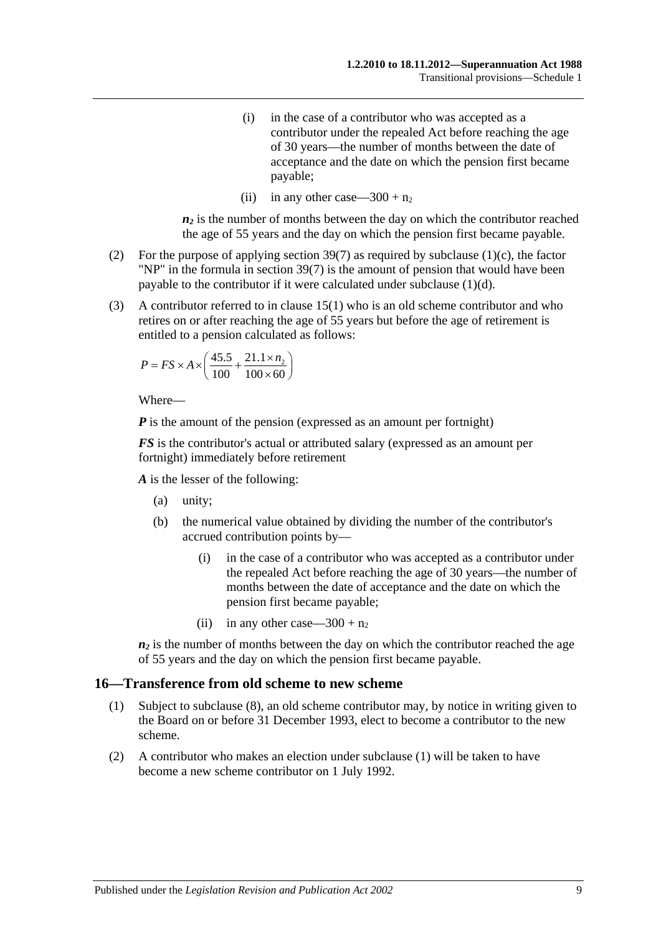- (i) in the case of a contributor who was accepted as a contributor under the repealed Act before reaching the age of 30 years—the number of months between the date of acceptance and the date on which the pension first became payable;
- (ii) in any other case—300 +  $n_2$

 $n_2$  is the number of months between the day on which the contributor reached the age of 55 years and the day on which the pension first became payable.

- (2) For the purpose of applying [section](#page-75-0) 39(7) as required by [subclause](#page-111-1) (1)(c), the factor "NP" in the formula in [section](#page-75-0) 39(7) is the amount of pension that would have been payable to the contributor if it were calculated under [subclause](#page-111-2) (1)(d).
- (3) A contributor referred to in [clause](#page-110-2) 15(1) who is an old scheme contributor and who retires on or after reaching the age of 55 years but before the age of retirement is entitled to a pension calculated as follows:

$$
P = FS \times A \times \left(\frac{45.5}{100} + \frac{21.1 \times n_2}{100 \times 60}\right)
$$

Where—

*P* is the amount of the pension (expressed as an amount per fortnight)

*FS* is the contributor's actual or attributed salary (expressed as an amount per fortnight) immediately before retirement

*A* is the lesser of the following:

- (a) unity;
- (b) the numerical value obtained by dividing the number of the contributor's accrued contribution points by—
	- (i) in the case of a contributor who was accepted as a contributor under the repealed Act before reaching the age of 30 years—the number of months between the date of acceptance and the date on which the pension first became payable;
	- (ii) in any other case—300 +  $n_2$

 $n_2$  is the number of months between the day on which the contributor reached the age of 55 years and the day on which the pension first became payable.

#### <span id="page-112-0"></span>**16—Transference from old scheme to new scheme**

- (1) Subject to [subclause](#page-113-0) (8), an old scheme contributor may, by notice in writing given to the Board on or before 31 December 1993, elect to become a contributor to the new scheme.
- (2) A contributor who makes an election under [subclause](#page-112-0) (1) will be taken to have become a new scheme contributor on 1 July 1992.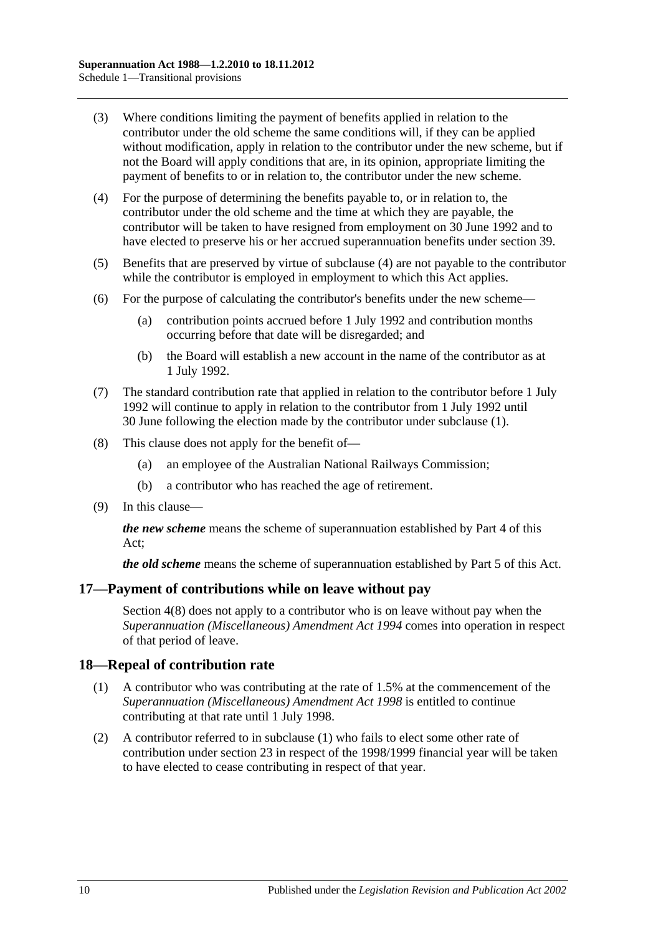- (3) Where conditions limiting the payment of benefits applied in relation to the contributor under the old scheme the same conditions will, if they can be applied without modification, apply in relation to the contributor under the new scheme, but if not the Board will apply conditions that are, in its opinion, appropriate limiting the payment of benefits to or in relation to, the contributor under the new scheme.
- <span id="page-113-1"></span>(4) For the purpose of determining the benefits payable to, or in relation to, the contributor under the old scheme and the time at which they are payable, the contributor will be taken to have resigned from employment on 30 June 1992 and to have elected to preserve his or her accrued superannuation benefits under [section](#page-71-0) 39.
- (5) Benefits that are preserved by virtue of [subclause](#page-113-1) (4) are not payable to the contributor while the contributor is employed in employment to which this Act applies.
- (6) For the purpose of calculating the contributor's benefits under the new scheme—
	- (a) contribution points accrued before 1 July 1992 and contribution months occurring before that date will be disregarded; and
	- (b) the Board will establish a new account in the name of the contributor as at 1 July 1992.
- (7) The standard contribution rate that applied in relation to the contributor before 1 July 1992 will continue to apply in relation to the contributor from 1 July 1992 until 30 June following the election made by the contributor under [subclause](#page-112-0) (1).
- <span id="page-113-0"></span>(8) This clause does not apply for the benefit of—
	- (a) an employee of the Australian National Railways Commission;
	- (b) a contributor who has reached the age of retirement.
- (9) In this clause—

*the new scheme* means the scheme of superannuation established by [Part 4](#page-30-0) of this Act;

*the old scheme* means the scheme of superannuation established by [Part 5](#page-56-0) of this Act.

#### **17—Payment of contributions while on leave without pay**

[Section](#page-12-0) 4(8) does not apply to a contributor who is on leave without pay when the *[Superannuation \(Miscellaneous\) Amendment Act](http://www.legislation.sa.gov.au/index.aspx?action=legref&type=act&legtitle=Superannuation%20(Miscellaneous)%20Amendment%20Act%201994) 1994* comes into operation in respect of that period of leave.

#### <span id="page-113-2"></span>**18—Repeal of contribution rate**

- (1) A contributor who was contributing at the rate of 1.5% at the commencement of the *[Superannuation \(Miscellaneous\) Amendment Act](http://www.legislation.sa.gov.au/index.aspx?action=legref&type=act&legtitle=Superannuation%20(Miscellaneous)%20Amendment%20Act%201998) 1998* is entitled to continue contributing at that rate until 1 July 1998.
- (2) A contributor referred to in [subclause](#page-113-2) (1) who fails to elect some other rate of contribution under [section](#page-26-0) 23 in respect of the 1998/1999 financial year will be taken to have elected to cease contributing in respect of that year.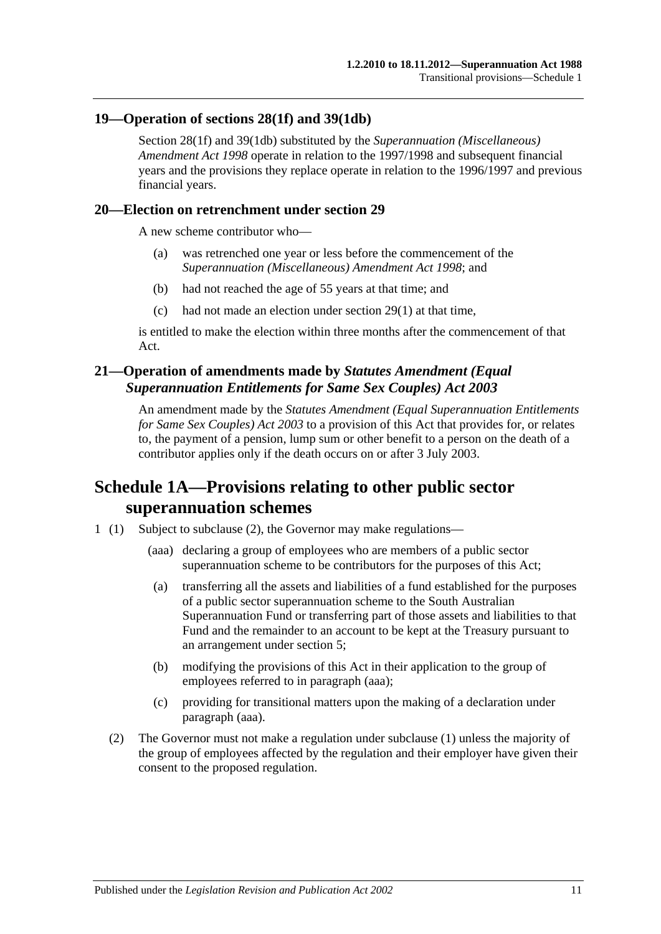### **19—Operation of [sections](#page-35-0) 28(1f) and [39\(1db\)](#page-72-0)**

[Section](#page-35-0) 28(1f) and [39\(1db\)](#page-72-0) substituted by the *[Superannuation \(Miscellaneous\)](http://www.legislation.sa.gov.au/index.aspx?action=legref&type=act&legtitle=Superannuation%20(Miscellaneous)%20Amendment%20Act%201998)  [Amendment Act](http://www.legislation.sa.gov.au/index.aspx?action=legref&type=act&legtitle=Superannuation%20(Miscellaneous)%20Amendment%20Act%201998) 1998* operate in relation to the 1997/1998 and subsequent financial years and the provisions they replace operate in relation to the 1996/1997 and previous financial years.

#### **20—Election on retrenchment under [section](#page-40-0) 29**

A new scheme contributor who—

- (a) was retrenched one year or less before the commencement of the *[Superannuation \(Miscellaneous\) Amendment Act](http://www.legislation.sa.gov.au/index.aspx?action=legref&type=act&legtitle=Superannuation%20(Miscellaneous)%20Amendment%20Act%201998) 1998*; and
- (b) had not reached the age of 55 years at that time; and
- (c) had not made an election under [section](#page-40-1) 29(1) at that time,

is entitled to make the election within three months after the commencement of that Act.

### **21—Operation of amendments made by** *Statutes Amendment (Equal Superannuation Entitlements for Same Sex Couples) Act 2003*

An amendment made by the *[Statutes Amendment \(Equal Superannuation Entitlements](http://www.legislation.sa.gov.au/index.aspx?action=legref&type=act&legtitle=Statutes%20Amendment%20(Equal%20Superannuation%20Entitlements%20for%20Same%20Sex%20Couples)%20Act%202003)  [for Same Sex Couples\) Act 2003](http://www.legislation.sa.gov.au/index.aspx?action=legref&type=act&legtitle=Statutes%20Amendment%20(Equal%20Superannuation%20Entitlements%20for%20Same%20Sex%20Couples)%20Act%202003)* to a provision of this Act that provides for, or relates to, the payment of a pension, lump sum or other benefit to a person on the death of a contributor applies only if the death occurs on or after 3 July 2003.

## **Schedule 1A—Provisions relating to other public sector superannuation schemes**

- <span id="page-114-0"></span>1 (1) Subject to subclause (2), the Governor may make regulations—
	- (aaa) declaring a group of employees who are members of a public sector superannuation scheme to be contributors for the purposes of this Act;
	- (a) transferring all the assets and liabilities of a fund established for the purposes of a public sector superannuation scheme to the South Australian Superannuation Fund or transferring part of those assets and liabilities to that Fund and the remainder to an account to be kept at the Treasury pursuant to an arrangement under [section](#page-14-0) 5;
	- (b) modifying the provisions of this Act in their application to the group of employees referred to in [paragraph](#page-114-0) (aaa);
	- (c) providing for transitional matters upon the making of a declaration under [paragraph](#page-114-0) (aaa).
	- (2) The Governor must not make a regulation under subclause (1) unless the majority of the group of employees affected by the regulation and their employer have given their consent to the proposed regulation.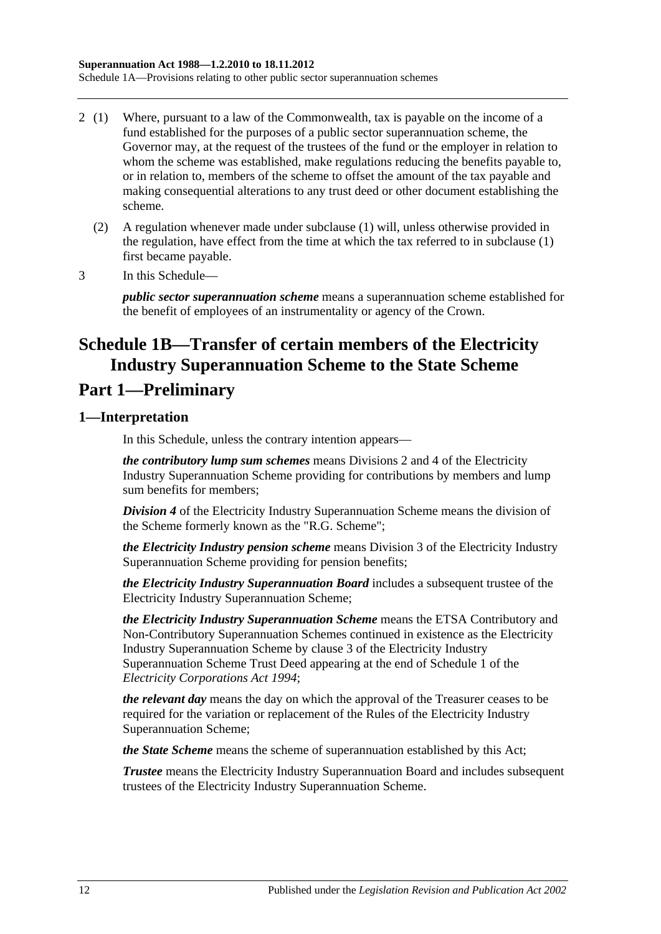- 2 (1) Where, pursuant to a law of the Commonwealth, tax is payable on the income of a fund established for the purposes of a public sector superannuation scheme, the Governor may, at the request of the trustees of the fund or the employer in relation to whom the scheme was established, make regulations reducing the benefits payable to, or in relation to, members of the scheme to offset the amount of the tax payable and making consequential alterations to any trust deed or other document establishing the scheme.
	- (2) A regulation whenever made under subclause (1) will, unless otherwise provided in the regulation, have effect from the time at which the tax referred to in subclause (1) first became payable.
- 3 In this Schedule—

*public sector superannuation scheme* means a superannuation scheme established for the benefit of employees of an instrumentality or agency of the Crown.

# **Schedule 1B—Transfer of certain members of the Electricity Industry Superannuation Scheme to the State Scheme**

## **Part 1—Preliminary**

### **1—Interpretation**

In this Schedule, unless the contrary intention appears—

*the contributory lump sum schemes* means Divisions 2 and 4 of the Electricity Industry Superannuation Scheme providing for contributions by members and lump sum benefits for members;

*Division 4* of the Electricity Industry Superannuation Scheme means the division of the Scheme formerly known as the "R.G. Scheme";

*the Electricity Industry pension scheme* means Division 3 of the Electricity Industry Superannuation Scheme providing for pension benefits;

*the Electricity Industry Superannuation Board* includes a subsequent trustee of the Electricity Industry Superannuation Scheme;

*the Electricity Industry Superannuation Scheme* means the ETSA Contributory and Non-Contributory Superannuation Schemes continued in existence as the Electricity Industry Superannuation Scheme by clause 3 of the Electricity Industry Superannuation Scheme Trust Deed appearing at the end of Schedule 1 of the *[Electricity Corporations Act](http://www.legislation.sa.gov.au/index.aspx?action=legref&type=act&legtitle=Electricity%20Corporations%20Act%201994) 1994*;

*the relevant day* means the day on which the approval of the Treasurer ceases to be required for the variation or replacement of the Rules of the Electricity Industry Superannuation Scheme;

*the State Scheme* means the scheme of superannuation established by this Act;

*Trustee* means the Electricity Industry Superannuation Board and includes subsequent trustees of the Electricity Industry Superannuation Scheme.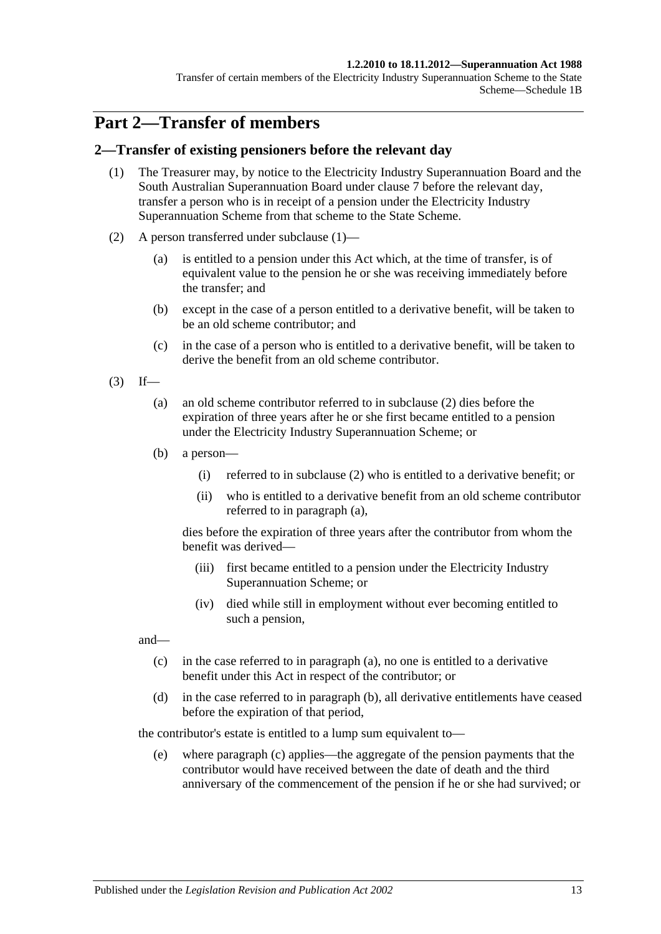#### **1.2.2010 to 18.11.2012—Superannuation Act 1988**

Transfer of certain members of the Electricity Industry Superannuation Scheme to the State Scheme—Schedule 1B

## **Part 2—Transfer of members**

#### <span id="page-116-0"></span>**2—Transfer of existing pensioners before the relevant day**

- (1) The Treasurer may, by notice to the Electricity Industry Superannuation Board and the South Australian Superannuation Board under [clause](#page-123-0) 7 before the relevant day, transfer a person who is in receipt of a pension under the Electricity Industry Superannuation Scheme from that scheme to the State Scheme.
- <span id="page-116-1"></span>(2) A person transferred under [subclause](#page-116-0) (1)—
	- (a) is entitled to a pension under this Act which, at the time of transfer, is of equivalent value to the pension he or she was receiving immediately before the transfer; and
	- (b) except in the case of a person entitled to a derivative benefit, will be taken to be an old scheme contributor; and
	- (c) in the case of a person who is entitled to a derivative benefit, will be taken to derive the benefit from an old scheme contributor.
- <span id="page-116-3"></span><span id="page-116-2"></span> $(3)$  If—
	- (a) an old scheme contributor referred to in [subclause](#page-116-1) (2) dies before the expiration of three years after he or she first became entitled to a pension under the Electricity Industry Superannuation Scheme; or
	- (b) a person—
		- (i) referred to in [subclause](#page-116-1) (2) who is entitled to a derivative benefit; or
		- (ii) who is entitled to a derivative benefit from an old scheme contributor referred to in [paragraph](#page-116-2) (a),

dies before the expiration of three years after the contributor from whom the benefit was derived—

- (iii) first became entitled to a pension under the Electricity Industry Superannuation Scheme; or
- (iv) died while still in employment without ever becoming entitled to such a pension,

<span id="page-116-4"></span>and—

- (c) in the case referred to in [paragraph](#page-116-2) (a), no one is entitled to a derivative benefit under this Act in respect of the contributor; or
- <span id="page-116-5"></span>(d) in the case referred to in [paragraph](#page-116-3) (b), all derivative entitlements have ceased before the expiration of that period,

the contributor's estate is entitled to a lump sum equivalent to—

(e) where [paragraph](#page-116-4) (c) applies—the aggregate of the pension payments that the contributor would have received between the date of death and the third anniversary of the commencement of the pension if he or she had survived; or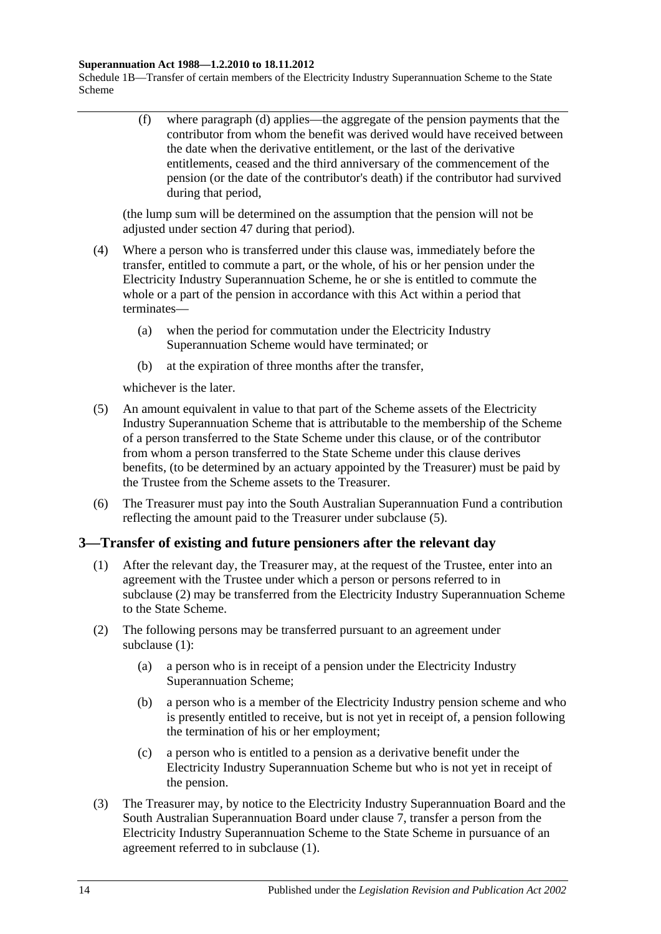#### **Superannuation Act 1988—1.2.2010 to 18.11.2012**

Schedule 1B—Transfer of certain members of the Electricity Industry Superannuation Scheme to the State Scheme

> (f) where [paragraph](#page-116-5) (d) applies—the aggregate of the pension payments that the contributor from whom the benefit was derived would have received between the date when the derivative entitlement, or the last of the derivative entitlements, ceased and the third anniversary of the commencement of the pension (or the date of the contributor's death) if the contributor had survived during that period,

(the lump sum will be determined on the assumption that the pension will not be adjusted under [section](#page-97-0) 47 during that period).

- (4) Where a person who is transferred under this clause was, immediately before the transfer, entitled to commute a part, or the whole, of his or her pension under the Electricity Industry Superannuation Scheme, he or she is entitled to commute the whole or a part of the pension in accordance with this Act within a period that terminates—
	- (a) when the period for commutation under the Electricity Industry Superannuation Scheme would have terminated; or
	- (b) at the expiration of three months after the transfer,

whichever is the later.

- <span id="page-117-0"></span>(5) An amount equivalent in value to that part of the Scheme assets of the Electricity Industry Superannuation Scheme that is attributable to the membership of the Scheme of a person transferred to the State Scheme under this clause, or of the contributor from whom a person transferred to the State Scheme under this clause derives benefits, (to be determined by an actuary appointed by the Treasurer) must be paid by the Trustee from the Scheme assets to the Treasurer.
- (6) The Treasurer must pay into the South Australian Superannuation Fund a contribution reflecting the amount paid to the Treasurer under [subclause](#page-117-0) (5).

#### <span id="page-117-2"></span>**3—Transfer of existing and future pensioners after the relevant day**

- (1) After the relevant day, the Treasurer may, at the request of the Trustee, enter into an agreement with the Trustee under which a person or persons referred to in [subclause](#page-117-1) (2) may be transferred from the Electricity Industry Superannuation Scheme to the State Scheme.
- <span id="page-117-4"></span><span id="page-117-1"></span>(2) The following persons may be transferred pursuant to an agreement under [subclause](#page-117-2) (1):
	- (a) a person who is in receipt of a pension under the Electricity Industry Superannuation Scheme;
	- (b) a person who is a member of the Electricity Industry pension scheme and who is presently entitled to receive, but is not yet in receipt of, a pension following the termination of his or her employment;
	- (c) a person who is entitled to a pension as a derivative benefit under the Electricity Industry Superannuation Scheme but who is not yet in receipt of the pension.
- <span id="page-117-5"></span><span id="page-117-3"></span>(3) The Treasurer may, by notice to the Electricity Industry Superannuation Board and the South Australian Superannuation Board under [clause](#page-123-0) 7, transfer a person from the Electricity Industry Superannuation Scheme to the State Scheme in pursuance of an agreement referred to in [subclause](#page-117-2) (1).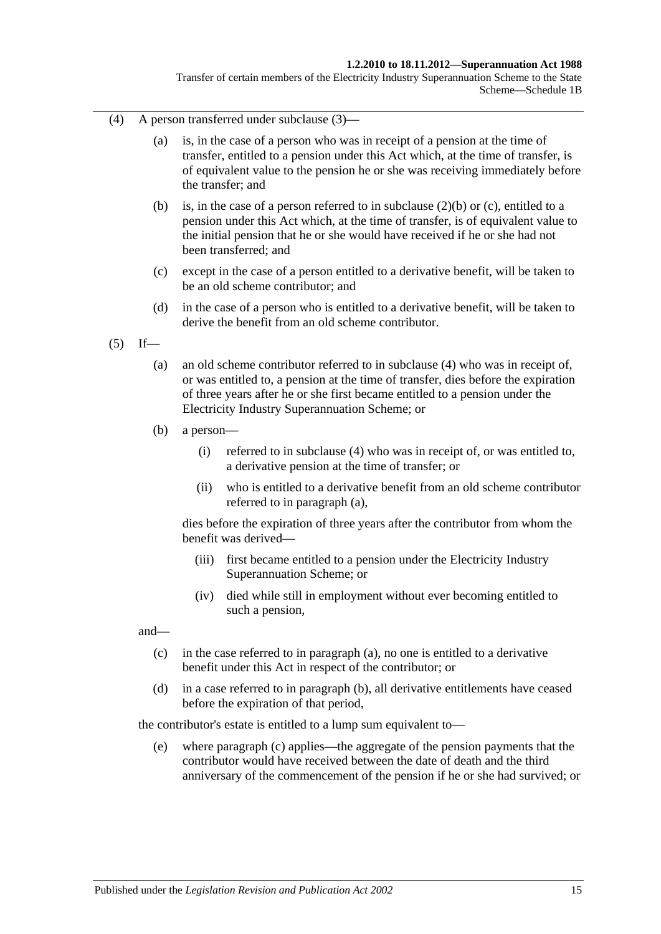#### **1.2.2010 to 18.11.2012—Superannuation Act 1988**

Transfer of certain members of the Electricity Industry Superannuation Scheme to the State Scheme—Schedule 1B

- <span id="page-118-0"></span>(4) A person transferred under [subclause](#page-117-3) (3)—
	- (a) is, in the case of a person who was in receipt of a pension at the time of transfer, entitled to a pension under this Act which, at the time of transfer, is of equivalent value to the pension he or she was receiving immediately before the transfer; and
	- (b) is, in the case of a person referred to in [subclause](#page-117-4) (2)(b) or [\(c\),](#page-117-5) entitled to a pension under this Act which, at the time of transfer, is of equivalent value to the initial pension that he or she would have received if he or she had not been transferred; and
	- (c) except in the case of a person entitled to a derivative benefit, will be taken to be an old scheme contributor; and
	- (d) in the case of a person who is entitled to a derivative benefit, will be taken to derive the benefit from an old scheme contributor.
- <span id="page-118-2"></span><span id="page-118-1"></span> $(5)$  If—
	- (a) an old scheme contributor referred to in [subclause](#page-118-0) (4) who was in receipt of, or was entitled to, a pension at the time of transfer, dies before the expiration of three years after he or she first became entitled to a pension under the Electricity Industry Superannuation Scheme; or
	- (b) a person—
		- (i) referred to in [subclause](#page-118-0) (4) who was in receipt of, or was entitled to, a derivative pension at the time of transfer; or
		- (ii) who is entitled to a derivative benefit from an old scheme contributor referred to in [paragraph](#page-118-1) (a),

dies before the expiration of three years after the contributor from whom the benefit was derived—

- (iii) first became entitled to a pension under the Electricity Industry Superannuation Scheme; or
- (iv) died while still in employment without ever becoming entitled to such a pension,

<span id="page-118-3"></span>and—

- (c) in the case referred to in [paragraph](#page-118-1) (a), no one is entitled to a derivative benefit under this Act in respect of the contributor; or
- <span id="page-118-4"></span>(d) in a case referred to in [paragraph](#page-118-2) (b), all derivative entitlements have ceased before the expiration of that period,

the contributor's estate is entitled to a lump sum equivalent to—

(e) where [paragraph](#page-118-3) (c) applies—the aggregate of the pension payments that the contributor would have received between the date of death and the third anniversary of the commencement of the pension if he or she had survived; or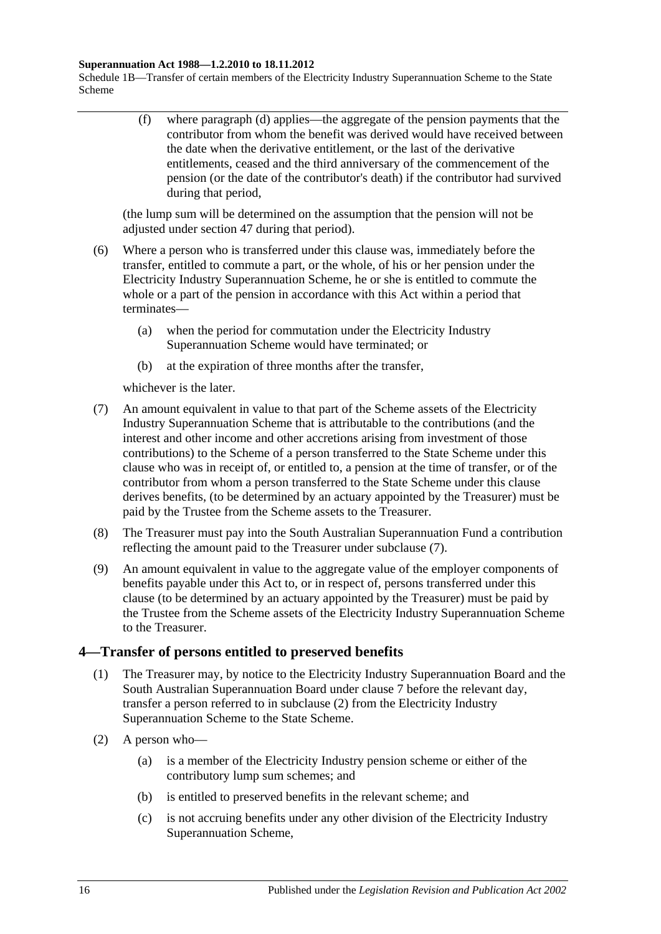#### **Superannuation Act 1988—1.2.2010 to 18.11.2012**

Schedule 1B—Transfer of certain members of the Electricity Industry Superannuation Scheme to the State Scheme

> (f) where [paragraph](#page-118-4) (d) applies—the aggregate of the pension payments that the contributor from whom the benefit was derived would have received between the date when the derivative entitlement, or the last of the derivative entitlements, ceased and the third anniversary of the commencement of the pension (or the date of the contributor's death) if the contributor had survived during that period,

(the lump sum will be determined on the assumption that the pension will not be adjusted under [section](#page-97-0) 47 during that period).

- (6) Where a person who is transferred under this clause was, immediately before the transfer, entitled to commute a part, or the whole, of his or her pension under the Electricity Industry Superannuation Scheme, he or she is entitled to commute the whole or a part of the pension in accordance with this Act within a period that terminates—
	- (a) when the period for commutation under the Electricity Industry Superannuation Scheme would have terminated; or
	- (b) at the expiration of three months after the transfer,

whichever is the later.

- <span id="page-119-0"></span>(7) An amount equivalent in value to that part of the Scheme assets of the Electricity Industry Superannuation Scheme that is attributable to the contributions (and the interest and other income and other accretions arising from investment of those contributions) to the Scheme of a person transferred to the State Scheme under this clause who was in receipt of, or entitled to, a pension at the time of transfer, or of the contributor from whom a person transferred to the State Scheme under this clause derives benefits, (to be determined by an actuary appointed by the Treasurer) must be paid by the Trustee from the Scheme assets to the Treasurer.
- (8) The Treasurer must pay into the South Australian Superannuation Fund a contribution reflecting the amount paid to the Treasurer under [subclause](#page-119-0) (7).
- (9) An amount equivalent in value to the aggregate value of the employer components of benefits payable under this Act to, or in respect of, persons transferred under this clause (to be determined by an actuary appointed by the Treasurer) must be paid by the Trustee from the Scheme assets of the Electricity Industry Superannuation Scheme to the Treasurer.

### <span id="page-119-2"></span>**4—Transfer of persons entitled to preserved benefits**

- (1) The Treasurer may, by notice to the Electricity Industry Superannuation Board and the South Australian Superannuation Board under [clause](#page-123-0) 7 before the relevant day, transfer a person referred to in [subclause](#page-119-1) (2) from the Electricity Industry Superannuation Scheme to the State Scheme.
- <span id="page-119-1"></span>(2) A person who—
	- (a) is a member of the Electricity Industry pension scheme or either of the contributory lump sum schemes; and
	- (b) is entitled to preserved benefits in the relevant scheme; and
	- (c) is not accruing benefits under any other division of the Electricity Industry Superannuation Scheme,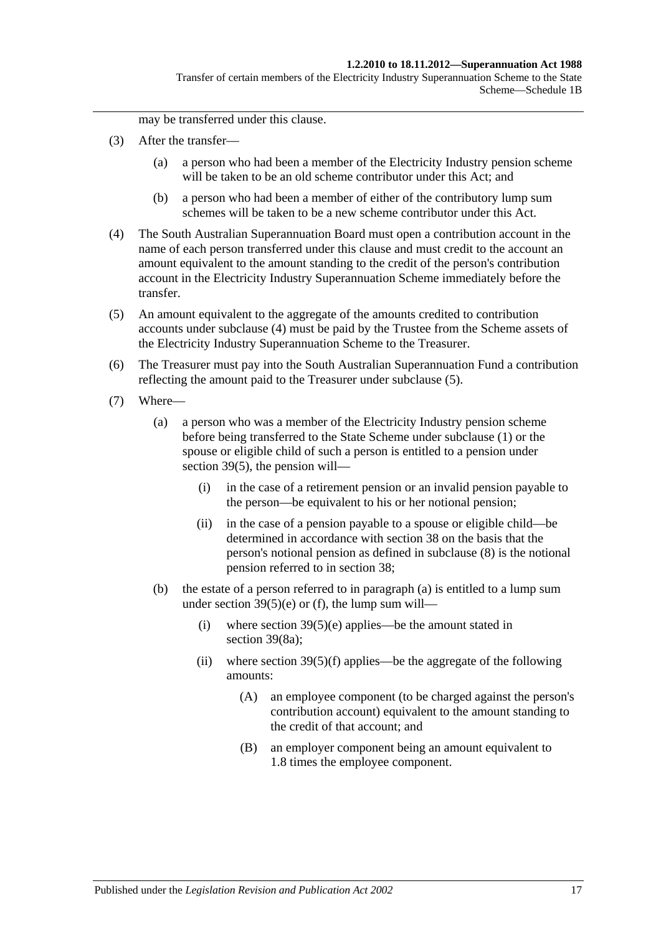Transfer of certain members of the Electricity Industry Superannuation Scheme to the State Scheme—Schedule 1B

may be transferred under this clause.

- (3) After the transfer—
	- (a) a person who had been a member of the Electricity Industry pension scheme will be taken to be an old scheme contributor under this Act; and
	- (b) a person who had been a member of either of the contributory lump sum schemes will be taken to be a new scheme contributor under this Act.
- <span id="page-120-0"></span>(4) The South Australian Superannuation Board must open a contribution account in the name of each person transferred under this clause and must credit to the account an amount equivalent to the amount standing to the credit of the person's contribution account in the Electricity Industry Superannuation Scheme immediately before the transfer.
- <span id="page-120-1"></span>(5) An amount equivalent to the aggregate of the amounts credited to contribution accounts under [subclause](#page-120-0) (4) must be paid by the Trustee from the Scheme assets of the Electricity Industry Superannuation Scheme to the Treasurer.
- (6) The Treasurer must pay into the South Australian Superannuation Fund a contribution reflecting the amount paid to the Treasurer under [subclause](#page-120-1) (5).
- <span id="page-120-3"></span><span id="page-120-2"></span>(7) Where—
	- (a) a person who was a member of the Electricity Industry pension scheme before being transferred to the State Scheme under [subclause](#page-119-2) (1) or the spouse or eligible child of such a person is entitled to a pension under [section](#page-74-0) 39(5), the pension will—
		- (i) in the case of a retirement pension or an invalid pension payable to the person—be equivalent to his or her notional pension;
		- (ii) in the case of a pension payable to a spouse or eligible child—be determined in accordance with [section](#page-68-0) 38 on the basis that the person's notional pension as defined in [subclause](#page-121-0) (8) is the notional pension referred to in [section](#page-68-0) 38;
	- (b) the estate of a person referred to in [paragraph](#page-120-2) (a) is entitled to a lump sum under section  $39(5)(e)$  or [\(f\),](#page-74-2) the lump sum will—
		- (i) where section  $39(5)(e)$  applies—be the amount stated in [section](#page-76-1) 39(8a);
		- (ii) where section  $39(5)(f)$  applies—be the aggregate of the following amounts:
			- (A) an employee component (to be charged against the person's contribution account) equivalent to the amount standing to the credit of that account; and
			- (B) an employer component being an amount equivalent to 1.8 times the employee component.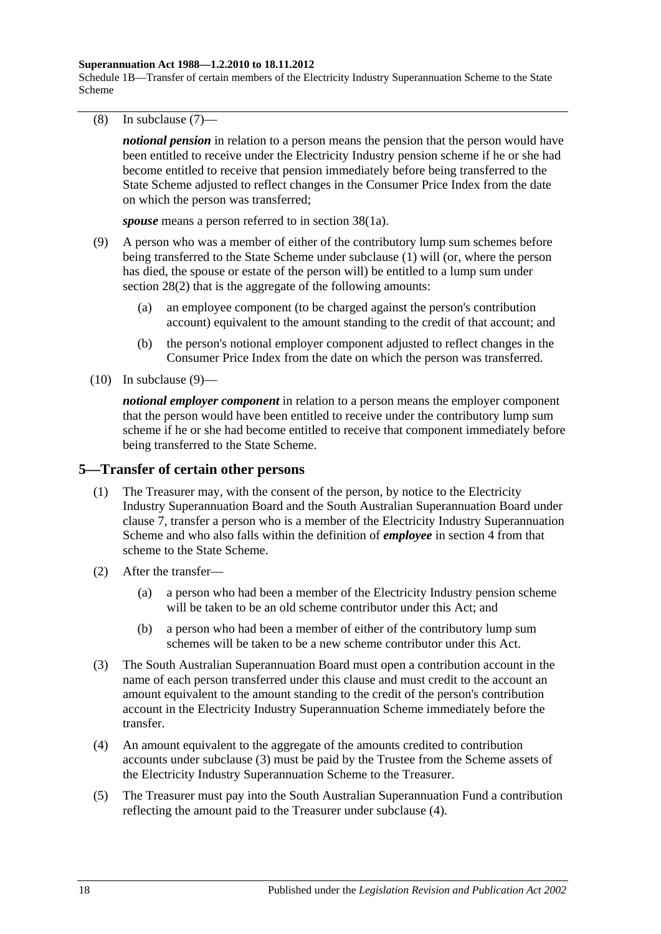#### **Superannuation Act 1988—1.2.2010 to 18.11.2012**

Schedule 1B—Transfer of certain members of the Electricity Industry Superannuation Scheme to the State Scheme

<span id="page-121-0"></span>(8) In [subclause](#page-120-3) (7)—

*notional pension* in relation to a person means the pension that the person would have been entitled to receive under the Electricity Industry pension scheme if he or she had become entitled to receive that pension immediately before being transferred to the State Scheme adjusted to reflect changes in the Consumer Price Index from the date on which the person was transferred;

*spouse* means a person referred to in section 38(1a).

- <span id="page-121-1"></span>(9) A person who was a member of either of the contributory lump sum schemes before being transferred to the State Scheme under [subclause](#page-119-2) (1) will (or, where the person has died, the spouse or estate of the person will) be entitled to a lump sum under [section](#page-35-1) 28(2) that is the aggregate of the following amounts:
	- (a) an employee component (to be charged against the person's contribution account) equivalent to the amount standing to the credit of that account; and
	- (b) the person's notional employer component adjusted to reflect changes in the Consumer Price Index from the date on which the person was transferred.
- $(10)$  In [subclause](#page-121-1)  $(9)$ —

*notional employer component* in relation to a person means the employer component that the person would have been entitled to receive under the contributory lump sum scheme if he or she had become entitled to receive that component immediately before being transferred to the State Scheme.

#### <span id="page-121-4"></span>**5—Transfer of certain other persons**

- (1) The Treasurer may, with the consent of the person, by notice to the Electricity Industry Superannuation Board and the South Australian Superannuation Board under [clause](#page-123-0) 7, transfer a person who is a member of the Electricity Industry Superannuation Scheme and who also falls within the definition of *employee* in [section](#page-6-0) 4 from that scheme to the State Scheme.
- (2) After the transfer—
	- (a) a person who had been a member of the Electricity Industry pension scheme will be taken to be an old scheme contributor under this Act; and
	- (b) a person who had been a member of either of the contributory lump sum schemes will be taken to be a new scheme contributor under this Act.
- <span id="page-121-2"></span>(3) The South Australian Superannuation Board must open a contribution account in the name of each person transferred under this clause and must credit to the account an amount equivalent to the amount standing to the credit of the person's contribution account in the Electricity Industry Superannuation Scheme immediately before the transfer.
- <span id="page-121-3"></span>(4) An amount equivalent to the aggregate of the amounts credited to contribution accounts under [subclause](#page-121-2) (3) must be paid by the Trustee from the Scheme assets of the Electricity Industry Superannuation Scheme to the Treasurer.
- (5) The Treasurer must pay into the South Australian Superannuation Fund a contribution reflecting the amount paid to the Treasurer under [subclause](#page-121-3) (4).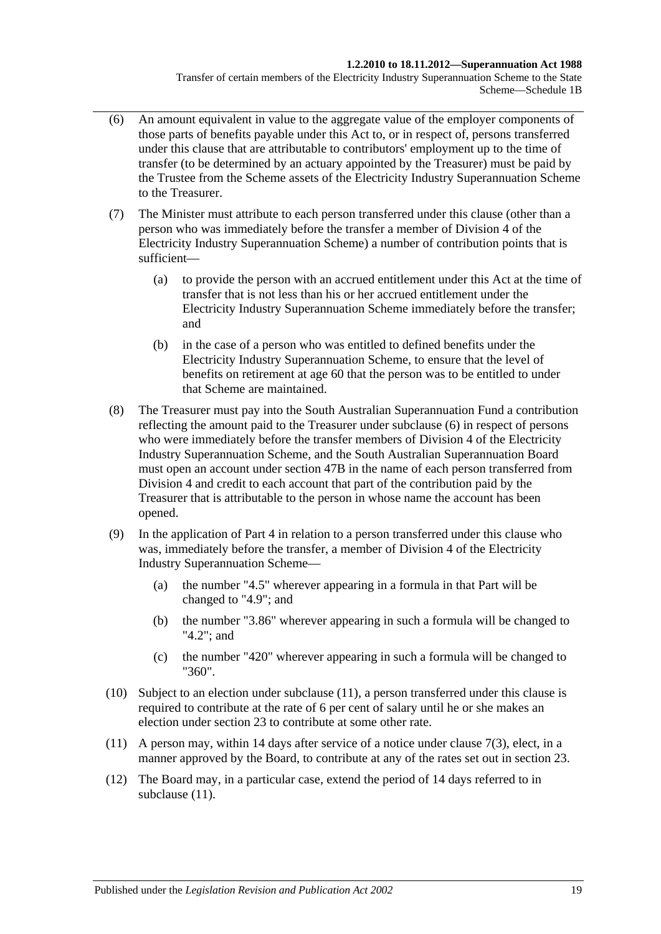#### **1.2.2010 to 18.11.2012—Superannuation Act 1988**

Transfer of certain members of the Electricity Industry Superannuation Scheme to the State Scheme—Schedule 1B

- <span id="page-122-0"></span>(6) An amount equivalent in value to the aggregate value of the employer components of those parts of benefits payable under this Act to, or in respect of, persons transferred under this clause that are attributable to contributors' employment up to the time of transfer (to be determined by an actuary appointed by the Treasurer) must be paid by the Trustee from the Scheme assets of the Electricity Industry Superannuation Scheme to the Treasurer.
- (7) The Minister must attribute to each person transferred under this clause (other than a person who was immediately before the transfer a member of Division 4 of the Electricity Industry Superannuation Scheme) a number of contribution points that is sufficient—
	- (a) to provide the person with an accrued entitlement under this Act at the time of transfer that is not less than his or her accrued entitlement under the Electricity Industry Superannuation Scheme immediately before the transfer; and
	- (b) in the case of a person who was entitled to defined benefits under the Electricity Industry Superannuation Scheme, to ensure that the level of benefits on retirement at age 60 that the person was to be entitled to under that Scheme are maintained.
- (8) The Treasurer must pay into the South Australian Superannuation Fund a contribution reflecting the amount paid to the Treasurer under [subclause](#page-122-0) (6) in respect of persons who were immediately before the transfer members of Division 4 of the Electricity Industry Superannuation Scheme, and the South Australian Superannuation Board must open an account under [section](#page-98-0) 47B in the name of each person transferred from Division 4 and credit to each account that part of the contribution paid by the Treasurer that is attributable to the person in whose name the account has been opened.
- (9) In the application of [Part 4](#page-30-0) in relation to a person transferred under this clause who was, immediately before the transfer, a member of Division 4 of the Electricity Industry Superannuation Scheme—
	- (a) the number "4.5" wherever appearing in a formula in that Part will be changed to "4.9"; and
	- (b) the number "3.86" wherever appearing in such a formula will be changed to "4.2"; and
	- (c) the number "420" wherever appearing in such a formula will be changed to "360".
- (10) Subject to an election under [subclause](#page-122-1) (11), a person transferred under this clause is required to contribute at the rate of 6 per cent of salary until he or she makes an election under [section](#page-26-0) 23 to contribute at some other rate.
- <span id="page-122-1"></span>(11) A person may, within 14 days after service of a notice under [clause](#page-123-1) 7(3), elect, in a manner approved by the Board, to contribute at any of the rates set out in [section](#page-26-0) 23.
- (12) The Board may, in a particular case, extend the period of 14 days referred to in [subclause](#page-122-1)  $(11)$ .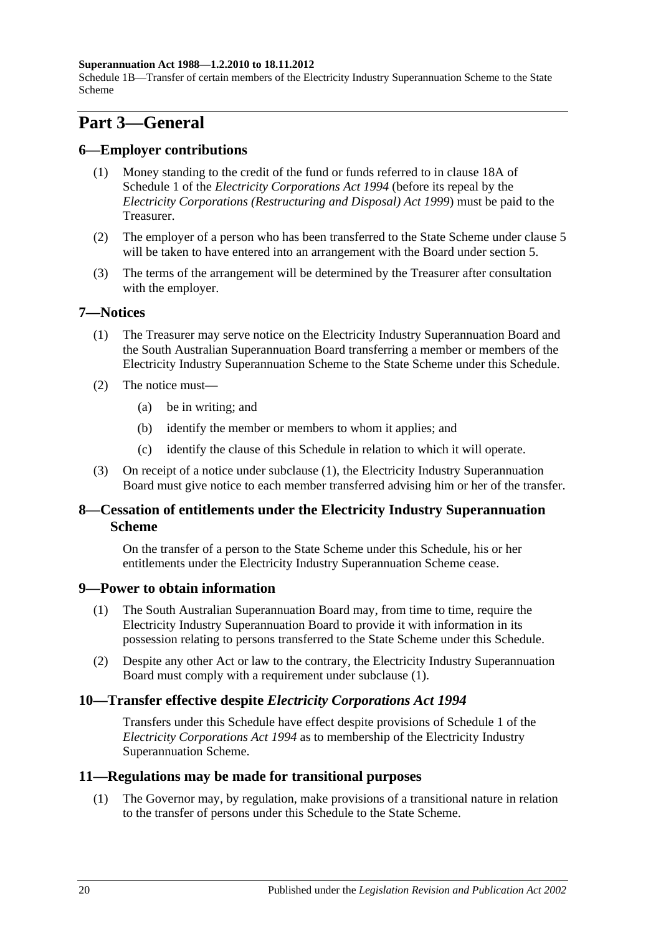#### **Superannuation Act 1988—1.2.2010 to 18.11.2012**

Schedule 1B—Transfer of certain members of the Electricity Industry Superannuation Scheme to the State Scheme

## **Part 3—General**

#### **6—Employer contributions**

- (1) Money standing to the credit of the fund or funds referred to in clause 18A of Schedule 1 of the *[Electricity Corporations Act](http://www.legislation.sa.gov.au/index.aspx?action=legref&type=act&legtitle=Electricity%20Corporations%20Act%201994) 1994* (before its repeal by the *[Electricity Corporations \(Restructuring and Disposal\) Act](http://www.legislation.sa.gov.au/index.aspx?action=legref&type=act&legtitle=Electricity%20Corporations%20(Restructuring%20and%20Disposal)%20Act%201999) 1999*) must be paid to the Treasurer.
- (2) The employer of a person who has been transferred to the State Scheme under [clause](#page-121-4) 5 will be taken to have entered into an arrangement with the Board under [section](#page-14-0) 5.
- (3) The terms of the arrangement will be determined by the Treasurer after consultation with the employer.

#### <span id="page-123-2"></span><span id="page-123-0"></span>**7—Notices**

- (1) The Treasurer may serve notice on the Electricity Industry Superannuation Board and the South Australian Superannuation Board transferring a member or members of the Electricity Industry Superannuation Scheme to the State Scheme under this Schedule.
- (2) The notice must—
	- (a) be in writing; and
	- (b) identify the member or members to whom it applies; and
	- (c) identify the clause of this Schedule in relation to which it will operate.
- <span id="page-123-1"></span>(3) On receipt of a notice under [subclause](#page-123-2) (1), the Electricity Industry Superannuation Board must give notice to each member transferred advising him or her of the transfer.

### **8—Cessation of entitlements under the Electricity Industry Superannuation Scheme**

On the transfer of a person to the State Scheme under this Schedule, his or her entitlements under the Electricity Industry Superannuation Scheme cease.

#### <span id="page-123-3"></span>**9—Power to obtain information**

- (1) The South Australian Superannuation Board may, from time to time, require the Electricity Industry Superannuation Board to provide it with information in its possession relating to persons transferred to the State Scheme under this Schedule.
- (2) Despite any other Act or law to the contrary, the Electricity Industry Superannuation Board must comply with a requirement under [subclause](#page-123-3) (1).

### **10—Transfer effective despite** *Electricity Corporations Act 1994*

Transfers under this Schedule have effect despite provisions of Schedule 1 of the *[Electricity Corporations Act](http://www.legislation.sa.gov.au/index.aspx?action=legref&type=act&legtitle=Electricity%20Corporations%20Act%201994) 1994* as to membership of the Electricity Industry Superannuation Scheme.

#### **11—Regulations may be made for transitional purposes**

(1) The Governor may, by regulation, make provisions of a transitional nature in relation to the transfer of persons under this Schedule to the State Scheme.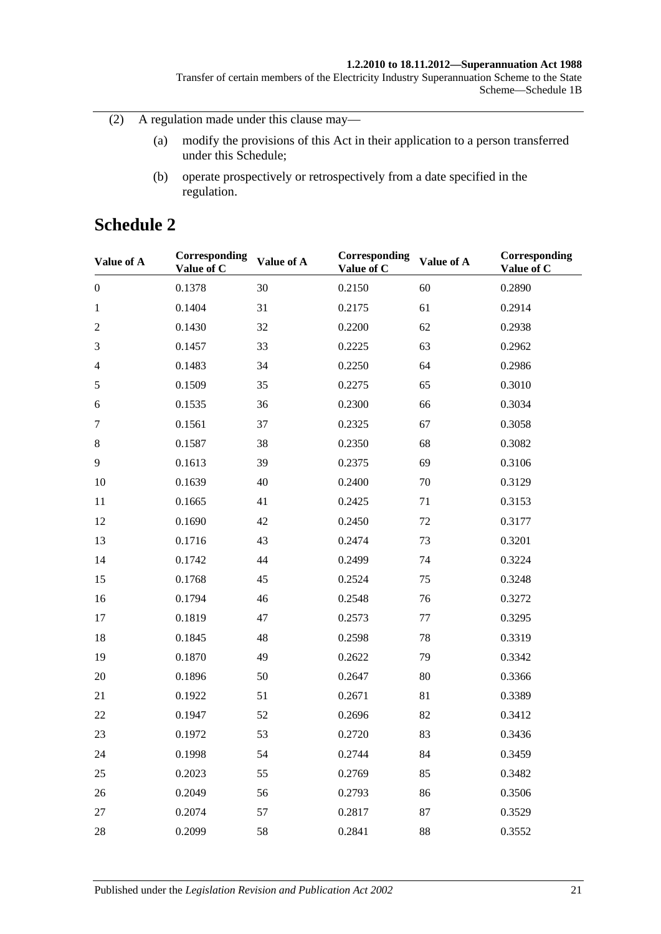#### **1.2.2010 to 18.11.2012—Superannuation Act 1988**

Transfer of certain members of the Electricity Industry Superannuation Scheme to the State Scheme—Schedule 1B

(2) A regulation made under this clause may—

- (a) modify the provisions of this Act in their application to a person transferred under this Schedule;
- (b) operate prospectively or retrospectively from a date specified in the regulation.

## **Schedule 2**

| Value of A       | Corresponding<br>Value of C | Value of A | Corresponding<br>Value of C | Value of A | Corresponding<br>Value of C |
|------------------|-----------------------------|------------|-----------------------------|------------|-----------------------------|
| $\boldsymbol{0}$ | 0.1378                      | 30         | 0.2150                      | 60         | 0.2890                      |
| $\mathbf{1}$     | 0.1404                      | 31         | 0.2175                      | 61         | 0.2914                      |
| $\mathfrak{2}$   | 0.1430                      | 32         | 0.2200                      | 62         | 0.2938                      |
| 3                | 0.1457                      | 33         | 0.2225                      | 63         | 0.2962                      |
| $\overline{4}$   | 0.1483                      | 34         | 0.2250                      | 64         | 0.2986                      |
| $\sqrt{5}$       | 0.1509                      | 35         | 0.2275                      | 65         | 0.3010                      |
| 6                | 0.1535                      | 36         | 0.2300                      | 66         | 0.3034                      |
| $\tau$           | 0.1561                      | 37         | 0.2325                      | 67         | 0.3058                      |
| $8\,$            | 0.1587                      | 38         | 0.2350                      | 68         | 0.3082                      |
| 9                | 0.1613                      | 39         | 0.2375                      | 69         | 0.3106                      |
| 10               | 0.1639                      | 40         | 0.2400                      | 70         | 0.3129                      |
| 11               | 0.1665                      | 41         | 0.2425                      | 71         | 0.3153                      |
| 12               | 0.1690                      | 42         | 0.2450                      | 72         | 0.3177                      |
| 13               | 0.1716                      | 43         | 0.2474                      | 73         | 0.3201                      |
| 14               | 0.1742                      | 44         | 0.2499                      | 74         | 0.3224                      |
| 15               | 0.1768                      | 45         | 0.2524                      | 75         | 0.3248                      |
| 16               | 0.1794                      | 46         | 0.2548                      | 76         | 0.3272                      |
| 17               | 0.1819                      | 47         | 0.2573                      | 77         | 0.3295                      |
| 18               | 0.1845                      | 48         | 0.2598                      | 78         | 0.3319                      |
| 19               | 0.1870                      | 49         | 0.2622                      | 79         | 0.3342                      |
| 20               | 0.1896                      | 50         | 0.2647                      | 80         | 0.3366                      |
| 21               | 0.1922                      | 51         | 0.2671                      | 81         | 0.3389                      |
| 22               | 0.1947                      | 52         | 0.2696                      | 82         | 0.3412                      |
| 23               | 0.1972                      | 53         | 0.2720                      | 83         | 0.3436                      |
| 24               | 0.1998                      | 54         | 0.2744                      | 84         | 0.3459                      |
| 25               | 0.2023                      | 55         | 0.2769                      | 85         | 0.3482                      |
| 26               | 0.2049                      | 56         | 0.2793                      | 86         | 0.3506                      |
| 27               | 0.2074                      | 57         | 0.2817                      | 87         | 0.3529                      |
| 28               | 0.2099                      | 58         | 0.2841                      | 88         | 0.3552                      |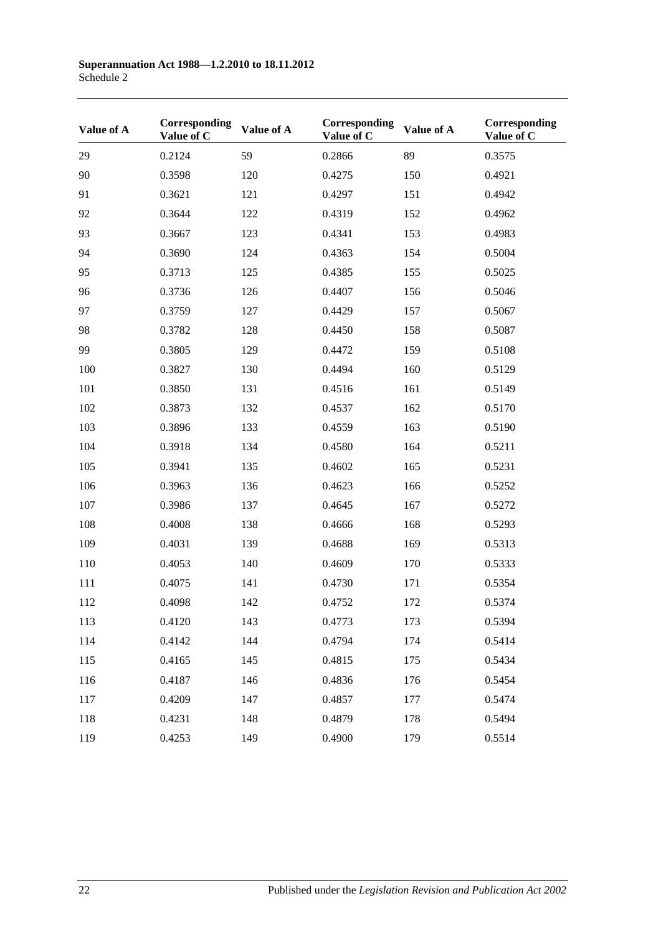| Value of A | Corresponding<br>Value of C | Value of A | Corresponding<br>Value of C | Value of A | Corresponding<br>Value of C |
|------------|-----------------------------|------------|-----------------------------|------------|-----------------------------|
| 29         | 0.2124                      | 59         | 0.2866                      | 89         | 0.3575                      |
| 90         | 0.3598                      | 120        | 0.4275                      | 150        | 0.4921                      |
| 91         | 0.3621                      | 121        | 0.4297                      | 151        | 0.4942                      |
| 92         | 0.3644                      | 122        | 0.4319                      | 152        | 0.4962                      |
| 93         | 0.3667                      | 123        | 0.4341                      | 153        | 0.4983                      |
| 94         | 0.3690                      | 124        | 0.4363                      | 154        | 0.5004                      |
| 95         | 0.3713                      | 125        | 0.4385                      | 155        | 0.5025                      |
| 96         | 0.3736                      | 126        | 0.4407                      | 156        | 0.5046                      |
| 97         | 0.3759                      | 127        | 0.4429                      | 157        | 0.5067                      |
| 98         | 0.3782                      | 128        | 0.4450                      | 158        | 0.5087                      |
| 99         | 0.3805                      | 129        | 0.4472                      | 159        | 0.5108                      |
| 100        | 0.3827                      | 130        | 0.4494                      | 160        | 0.5129                      |
| 101        | 0.3850                      | 131        | 0.4516                      | 161        | 0.5149                      |
| 102        | 0.3873                      | 132        | 0.4537                      | 162        | 0.5170                      |
| 103        | 0.3896                      | 133        | 0.4559                      | 163        | 0.5190                      |
| 104        | 0.3918                      | 134        | 0.4580                      | 164        | 0.5211                      |
| 105        | 0.3941                      | 135        | 0.4602                      | 165        | 0.5231                      |
| 106        | 0.3963                      | 136        | 0.4623                      | 166        | 0.5252                      |
| 107        | 0.3986                      | 137        | 0.4645                      | 167        | 0.5272                      |
| 108        | 0.4008                      | 138        | 0.4666                      | 168        | 0.5293                      |
| 109        | 0.4031                      | 139        | 0.4688                      | 169        | 0.5313                      |
| 110        | 0.4053                      | 140        | 0.4609                      | 170        | 0.5333                      |
| 111        | 0.4075                      | 141        | 0.4730                      | 171        | 0.5354                      |
| 112        | 0.4098                      | 142        | 0.4752                      | 172        | 0.5374                      |
| 113        | 0.4120                      | 143        | 0.4773                      | 173        | 0.5394                      |
| 114        | 0.4142                      | 144        | 0.4794                      | 174        | 0.5414                      |
| 115        | 0.4165                      | 145        | 0.4815                      | 175        | 0.5434                      |
| 116        | 0.4187                      | 146        | 0.4836                      | 176        | 0.5454                      |
| 117        | 0.4209                      | 147        | 0.4857                      | 177        | 0.5474                      |
| 118        | 0.4231                      | 148        | 0.4879                      | 178        | 0.5494                      |
| 119        | 0.4253                      | 149        | 0.4900                      | 179        | 0.5514                      |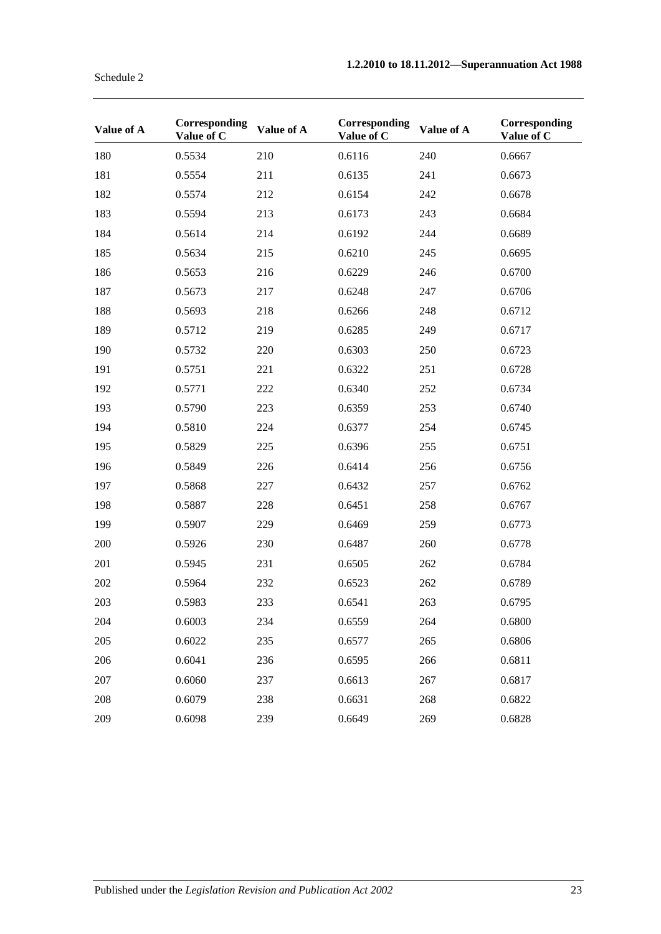| Value of A | Corresponding<br>Value of C | Value of A | Corresponding<br>Value of C | Value of A | Corresponding<br>Value of C |
|------------|-----------------------------|------------|-----------------------------|------------|-----------------------------|
| 180        | 0.5534                      | 210        | 0.6116                      | 240        | 0.6667                      |
| 181        | 0.5554                      | 211        | 0.6135                      | 241        | 0.6673                      |
| 182        | 0.5574                      | 212        | 0.6154                      | 242        | 0.6678                      |
| 183        | 0.5594                      | 213        | 0.6173                      | 243        | 0.6684                      |
| 184        | 0.5614                      | 214        | 0.6192                      | 244        | 0.6689                      |
| 185        | 0.5634                      | 215        | 0.6210                      | 245        | 0.6695                      |
| 186        | 0.5653                      | 216        | 0.6229                      | 246        | 0.6700                      |
| 187        | 0.5673                      | 217        | 0.6248                      | 247        | 0.6706                      |
| 188        | 0.5693                      | 218        | 0.6266                      | 248        | 0.6712                      |
| 189        | 0.5712                      | 219        | 0.6285                      | 249        | 0.6717                      |
| 190        | 0.5732                      | 220        | 0.6303                      | 250        | 0.6723                      |
| 191        | 0.5751                      | 221        | 0.6322                      | 251        | 0.6728                      |
| 192        | 0.5771                      | 222        | 0.6340                      | 252        | 0.6734                      |
| 193        | 0.5790                      | 223        | 0.6359                      | 253        | 0.6740                      |
| 194        | 0.5810                      | 224        | 0.6377                      | 254        | 0.6745                      |
| 195        | 0.5829                      | 225        | 0.6396                      | 255        | 0.6751                      |
| 196        | 0.5849                      | 226        | 0.6414                      | 256        | 0.6756                      |
| 197        | 0.5868                      | 227        | 0.6432                      | 257        | 0.6762                      |
| 198        | 0.5887                      | 228        | 0.6451                      | 258        | 0.6767                      |
| 199        | 0.5907                      | 229        | 0.6469                      | 259        | 0.6773                      |
| 200        | 0.5926                      | 230        | 0.6487                      | 260        | 0.6778                      |
| 201        | 0.5945                      | 231        | 0.6505                      | 262        | 0.6784                      |
| 202        | 0.5964                      | 232        | 0.6523                      | 262        | 0.6789                      |
| 203        | 0.5983                      | 233        | 0.6541                      | 263        | 0.6795                      |
| 204        | 0.6003                      | 234        | 0.6559                      | 264        | 0.6800                      |
| 205        | 0.6022                      | 235        | 0.6577                      | 265        | 0.6806                      |
| 206        | 0.6041                      | 236        | 0.6595                      | 266        | 0.6811                      |
| 207        | 0.6060                      | 237        | 0.6613                      | 267        | 0.6817                      |
| 208        | 0.6079                      | 238        | 0.6631                      | 268        | 0.6822                      |
| 209        | 0.6098                      | 239        | 0.6649                      | 269        | 0.6828                      |

Schedule 2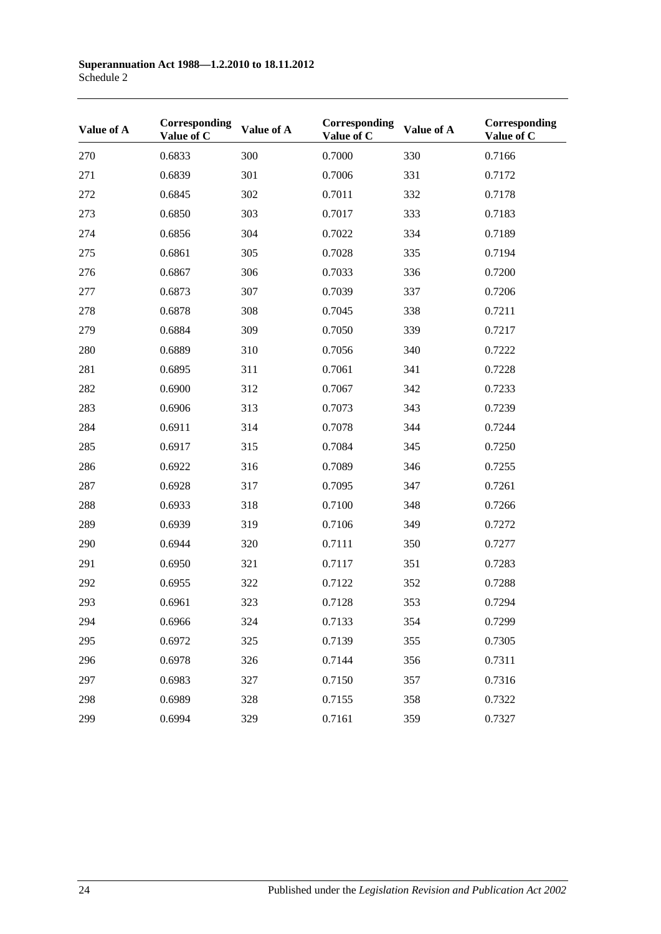| Value of A | Corresponding<br>Value of C | Value of A | Corresponding<br>Value of C | Value of A | Corresponding<br>Value of C |
|------------|-----------------------------|------------|-----------------------------|------------|-----------------------------|
| 270        | 0.6833                      | 300        | 0.7000                      | 330        | 0.7166                      |
| 271        | 0.6839                      | 301        | 0.7006                      | 331        | 0.7172                      |
| 272        | 0.6845                      | 302        | 0.7011                      | 332        | 0.7178                      |
| 273        | 0.6850                      | 303        | 0.7017                      | 333        | 0.7183                      |
| 274        | 0.6856                      | 304        | 0.7022                      | 334        | 0.7189                      |
| 275        | 0.6861                      | 305        | 0.7028                      | 335        | 0.7194                      |
| 276        | 0.6867                      | 306        | 0.7033                      | 336        | 0.7200                      |
| 277        | 0.6873                      | 307        | 0.7039                      | 337        | 0.7206                      |
| 278        | 0.6878                      | 308        | 0.7045                      | 338        | 0.7211                      |
| 279        | 0.6884                      | 309        | 0.7050                      | 339        | 0.7217                      |
| 280        | 0.6889                      | 310        | 0.7056                      | 340        | 0.7222                      |
| 281        | 0.6895                      | 311        | 0.7061                      | 341        | 0.7228                      |
| 282        | 0.6900                      | 312        | 0.7067                      | 342        | 0.7233                      |
| 283        | 0.6906                      | 313        | 0.7073                      | 343        | 0.7239                      |
| 284        | 0.6911                      | 314        | 0.7078                      | 344        | 0.7244                      |
| 285        | 0.6917                      | 315        | 0.7084                      | 345        | 0.7250                      |
| 286        | 0.6922                      | 316        | 0.7089                      | 346        | 0.7255                      |
| 287        | 0.6928                      | 317        | 0.7095                      | 347        | 0.7261                      |
| 288        | 0.6933                      | 318        | 0.7100                      | 348        | 0.7266                      |
| 289        | 0.6939                      | 319        | 0.7106                      | 349        | 0.7272                      |
| 290        | 0.6944                      | 320        | 0.7111                      | 350        | 0.7277                      |
| 291        | 0.6950                      | 321        | 0.7117                      | 351        | 0.7283                      |
| 292        | 0.6955                      | 322        | 0.7122                      | 352        | 0.7288                      |
| 293        | 0.6961                      | 323        | 0.7128                      | 353        | 0.7294                      |
| 294        | 0.6966                      | 324        | 0.7133                      | 354        | 0.7299                      |
| 295        | 0.6972                      | 325        | 0.7139                      | 355        | 0.7305                      |
| 296        | 0.6978                      | 326        | 0.7144                      | 356        | 0.7311                      |
| 297        | 0.6983                      | 327        | 0.7150                      | 357        | 0.7316                      |
| 298        | 0.6989                      | 328        | 0.7155                      | 358        | 0.7322                      |
| 299        | 0.6994                      | 329        | 0.7161                      | 359        | 0.7327                      |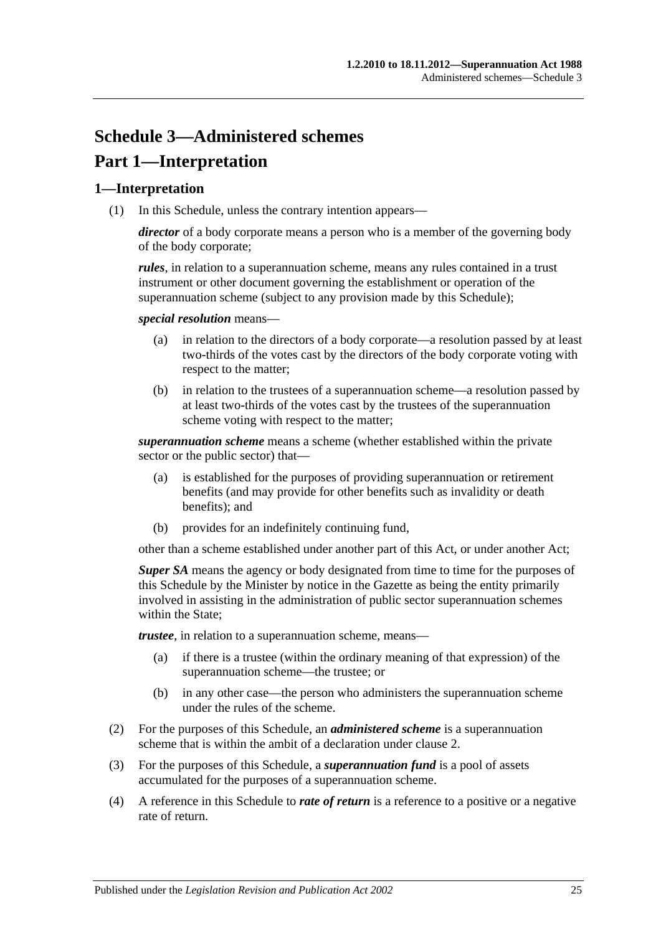# **Schedule 3—Administered schemes Part 1—Interpretation**

### **1—Interpretation**

(1) In this Schedule, unless the contrary intention appears—

*director* of a body corporate means a person who is a member of the governing body of the body corporate;

*rules*, in relation to a superannuation scheme, means any rules contained in a trust instrument or other document governing the establishment or operation of the superannuation scheme (subject to any provision made by this Schedule);

*special resolution* means—

- (a) in relation to the directors of a body corporate—a resolution passed by at least two-thirds of the votes cast by the directors of the body corporate voting with respect to the matter;
- (b) in relation to the trustees of a superannuation scheme—a resolution passed by at least two-thirds of the votes cast by the trustees of the superannuation scheme voting with respect to the matter;

*superannuation scheme* means a scheme (whether established within the private sector or the public sector) that—

- (a) is established for the purposes of providing superannuation or retirement benefits (and may provide for other benefits such as invalidity or death benefits); and
- (b) provides for an indefinitely continuing fund,

other than a scheme established under another part of this Act, or under another Act;

*Super SA* means the agency or body designated from time to time for the purposes of this Schedule by the Minister by notice in the Gazette as being the entity primarily involved in assisting in the administration of public sector superannuation schemes within the State:

*trustee*, in relation to a superannuation scheme, means—

- (a) if there is a trustee (within the ordinary meaning of that expression) of the superannuation scheme—the trustee; or
- (b) in any other case—the person who administers the superannuation scheme under the rules of the scheme.
- (2) For the purposes of this Schedule, an *administered scheme* is a superannuation scheme that is within the ambit of a declaration under [clause](#page-129-0) 2.
- (3) For the purposes of this Schedule, a *superannuation fund* is a pool of assets accumulated for the purposes of a superannuation scheme.
- (4) A reference in this Schedule to *rate of return* is a reference to a positive or a negative rate of return.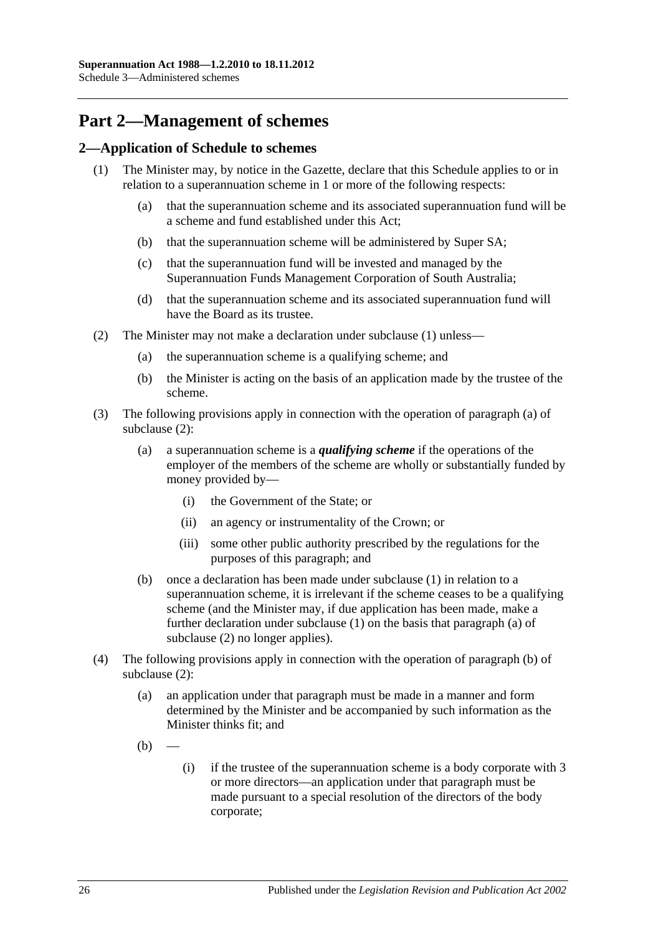## **Part 2—Management of schemes**

### <span id="page-129-1"></span><span id="page-129-0"></span>**2—Application of Schedule to schemes**

- <span id="page-129-6"></span><span id="page-129-5"></span>(1) The Minister may, by notice in the Gazette, declare that this Schedule applies to or in relation to a superannuation scheme in 1 or more of the following respects:
	- (a) that the superannuation scheme and its associated superannuation fund will be a scheme and fund established under this Act;
	- (b) that the superannuation scheme will be administered by Super SA;
	- (c) that the superannuation fund will be invested and managed by the Superannuation Funds Management Corporation of South Australia;
	- (d) that the superannuation scheme and its associated superannuation fund will have the Board as its trustee.
- <span id="page-129-8"></span><span id="page-129-7"></span><span id="page-129-4"></span><span id="page-129-3"></span><span id="page-129-2"></span>(2) The Minister may not make a declaration under [subclause](#page-129-1) (1) unless—
	- (a) the superannuation scheme is a qualifying scheme; and
	- (b) the Minister is acting on the basis of an application made by the trustee of the scheme.
- (3) The following provisions apply in connection with the operation of [paragraph](#page-129-2) (a) of [subclause](#page-129-3) (2):
	- (a) a superannuation scheme is a *qualifying scheme* if the operations of the employer of the members of the scheme are wholly or substantially funded by money provided by—
		- (i) the Government of the State; or
		- (ii) an agency or instrumentality of the Crown; or
		- (iii) some other public authority prescribed by the regulations for the purposes of this paragraph; and
	- (b) once a declaration has been made under [subclause](#page-129-1) (1) in relation to a superannuation scheme, it is irrelevant if the scheme ceases to be a qualifying scheme (and the Minister may, if due application has been made, make a further declaration under [subclause](#page-129-1) (1) on the basis that [paragraph](#page-129-2) (a) of [subclause](#page-129-3) (2) no longer applies).
- (4) The following provisions apply in connection with the operation of [paragraph](#page-129-4) (b) of [subclause](#page-129-3) (2):
	- (a) an application under that paragraph must be made in a manner and form determined by the Minister and be accompanied by such information as the Minister thinks fit; and
	- $(b)$
- (i) if the trustee of the superannuation scheme is a body corporate with 3 or more directors—an application under that paragraph must be made pursuant to a special resolution of the directors of the body corporate;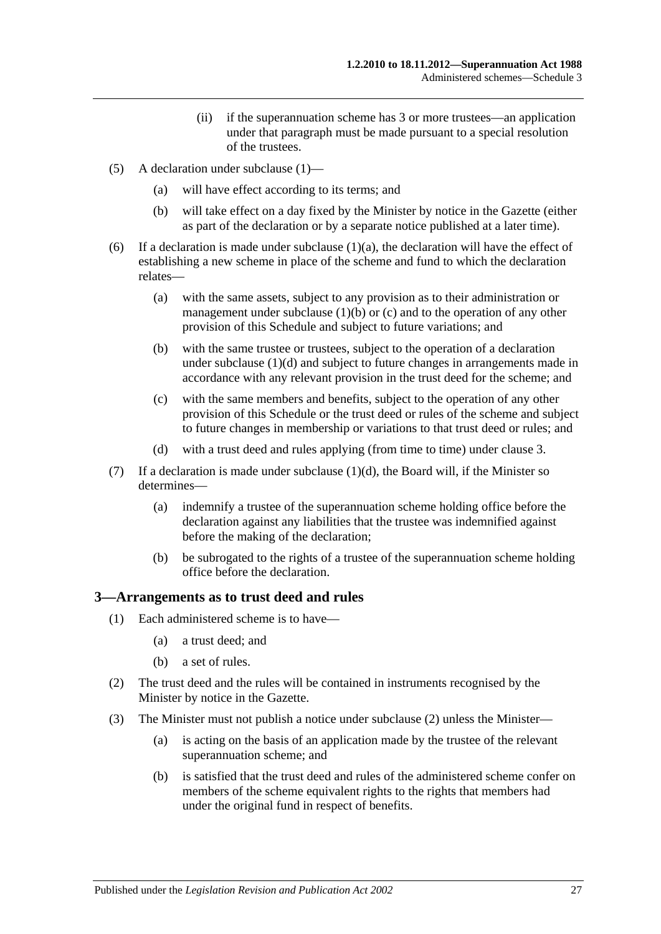- (ii) if the superannuation scheme has 3 or more trustees—an application under that paragraph must be made pursuant to a special resolution of the trustees.
- (5) A declaration under [subclause](#page-129-1) (1)—
	- (a) will have effect according to its terms; and
	- (b) will take effect on a day fixed by the Minister by notice in the Gazette (either as part of the declaration or by a separate notice published at a later time).
- (6) If a declaration is made under [subclause](#page-129-5)  $(1)(a)$ , the declaration will have the effect of establishing a new scheme in place of the scheme and fund to which the declaration relates—
	- (a) with the same assets, subject to any provision as to their administration or management under [subclause](#page-129-6)  $(1)(b)$  or  $(c)$  and to the operation of any other provision of this Schedule and subject to future variations; and
	- (b) with the same trustee or trustees, subject to the operation of a declaration under [subclause](#page-129-8) (1)(d) and subject to future changes in arrangements made in accordance with any relevant provision in the trust deed for the scheme; and
	- (c) with the same members and benefits, subject to the operation of any other provision of this Schedule or the trust deed or rules of the scheme and subject to future changes in membership or variations to that trust deed or rules; and
	- (d) with a trust deed and rules applying (from time to time) under [clause](#page-130-0) 3.
- (7) If a declaration is made under [subclause](#page-129-8)  $(1)(d)$ , the Board will, if the Minister so determines—
	- (a) indemnify a trustee of the superannuation scheme holding office before the declaration against any liabilities that the trustee was indemnified against before the making of the declaration;
	- (b) be subrogated to the rights of a trustee of the superannuation scheme holding office before the declaration.

#### <span id="page-130-0"></span>**3—Arrangements as to trust deed and rules**

- (1) Each administered scheme is to have—
	- (a) a trust deed; and
	- (b) a set of rules.
- <span id="page-130-1"></span>(2) The trust deed and the rules will be contained in instruments recognised by the Minister by notice in the Gazette.
- <span id="page-130-2"></span>(3) The Minister must not publish a notice under [subclause](#page-130-1) (2) unless the Minister—
	- (a) is acting on the basis of an application made by the trustee of the relevant superannuation scheme; and
	- (b) is satisfied that the trust deed and rules of the administered scheme confer on members of the scheme equivalent rights to the rights that members had under the original fund in respect of benefits.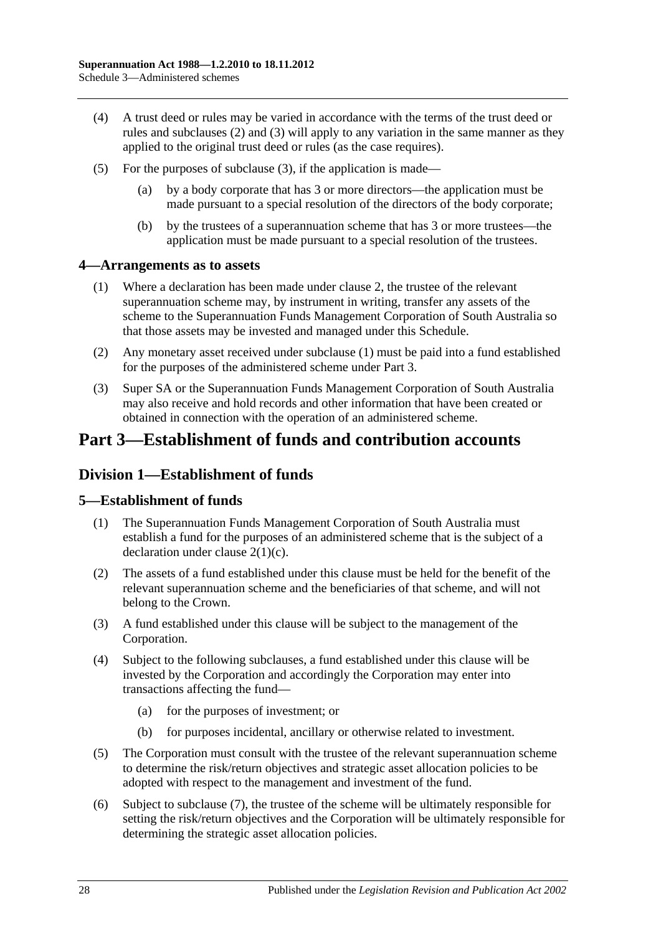- (4) A trust deed or rules may be varied in accordance with the terms of the trust deed or rules and [subclauses](#page-130-1) (2) and [\(3\)](#page-130-2) will apply to any variation in the same manner as they applied to the original trust deed or rules (as the case requires).
- (5) For the purposes of [subclause](#page-130-2) (3), if the application is made—
	- (a) by a body corporate that has 3 or more directors—the application must be made pursuant to a special resolution of the directors of the body corporate;
	- (b) by the trustees of a superannuation scheme that has 3 or more trustees—the application must be made pursuant to a special resolution of the trustees.

### <span id="page-131-0"></span>**4—Arrangements as to assets**

- (1) Where a declaration has been made under [clause](#page-129-0) 2, the trustee of the relevant superannuation scheme may, by instrument in writing, transfer any assets of the scheme to the Superannuation Funds Management Corporation of South Australia so that those assets may be invested and managed under this Schedule.
- (2) Any monetary asset received under [subclause](#page-131-0) (1) must be paid into a fund established for the purposes of the administered scheme under Part 3.
- (3) Super SA or the Superannuation Funds Management Corporation of South Australia may also receive and hold records and other information that have been created or obtained in connection with the operation of an administered scheme.

## **Part 3—Establishment of funds and contribution accounts**

## **Division 1—Establishment of funds**

### **5—Establishment of funds**

- (1) The Superannuation Funds Management Corporation of South Australia must establish a fund for the purposes of an administered scheme that is the subject of a declaration under clause [2\(1\)\(c\).](#page-129-7)
- (2) The assets of a fund established under this clause must be held for the benefit of the relevant superannuation scheme and the beneficiaries of that scheme, and will not belong to the Crown.
- (3) A fund established under this clause will be subject to the management of the Corporation.
- (4) Subject to the following subclauses, a fund established under this clause will be invested by the Corporation and accordingly the Corporation may enter into transactions affecting the fund—
	- (a) for the purposes of investment; or
	- (b) for purposes incidental, ancillary or otherwise related to investment.
- (5) The Corporation must consult with the trustee of the relevant superannuation scheme to determine the risk/return objectives and strategic asset allocation policies to be adopted with respect to the management and investment of the fund.
- (6) Subject to [subclause](#page-132-0) (7), the trustee of the scheme will be ultimately responsible for setting the risk/return objectives and the Corporation will be ultimately responsible for determining the strategic asset allocation policies.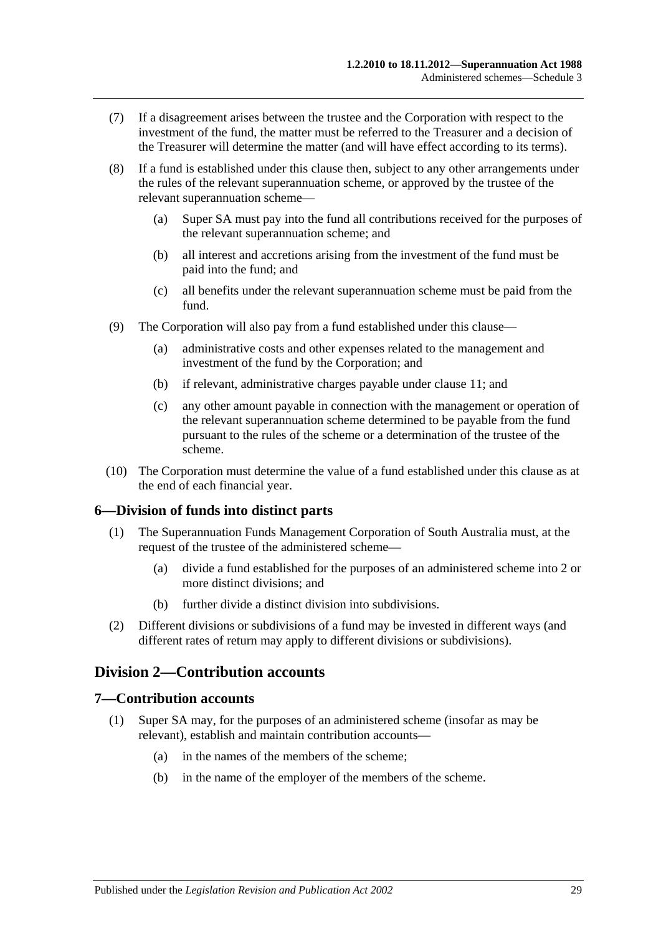- <span id="page-132-0"></span>(7) If a disagreement arises between the trustee and the Corporation with respect to the investment of the fund, the matter must be referred to the Treasurer and a decision of the Treasurer will determine the matter (and will have effect according to its terms).
- (8) If a fund is established under this clause then, subject to any other arrangements under the rules of the relevant superannuation scheme, or approved by the trustee of the relevant superannuation scheme—
	- (a) Super SA must pay into the fund all contributions received for the purposes of the relevant superannuation scheme; and
	- (b) all interest and accretions arising from the investment of the fund must be paid into the fund; and
	- (c) all benefits under the relevant superannuation scheme must be paid from the fund.
- (9) The Corporation will also pay from a fund established under this clause—
	- (a) administrative costs and other expenses related to the management and investment of the fund by the Corporation; and
	- (b) if relevant, administrative charges payable under [clause](#page-134-0) 11; and
	- (c) any other amount payable in connection with the management or operation of the relevant superannuation scheme determined to be payable from the fund pursuant to the rules of the scheme or a determination of the trustee of the scheme.
- (10) The Corporation must determine the value of a fund established under this clause as at the end of each financial year.

### **6—Division of funds into distinct parts**

- (1) The Superannuation Funds Management Corporation of South Australia must, at the request of the trustee of the administered scheme—
	- (a) divide a fund established for the purposes of an administered scheme into 2 or more distinct divisions; and
	- (b) further divide a distinct division into subdivisions.
- (2) Different divisions or subdivisions of a fund may be invested in different ways (and different rates of return may apply to different divisions or subdivisions).

## **Division 2—Contribution accounts**

#### **7—Contribution accounts**

- (1) Super SA may, for the purposes of an administered scheme (insofar as may be relevant), establish and maintain contribution accounts—
	- (a) in the names of the members of the scheme;
	- (b) in the name of the employer of the members of the scheme.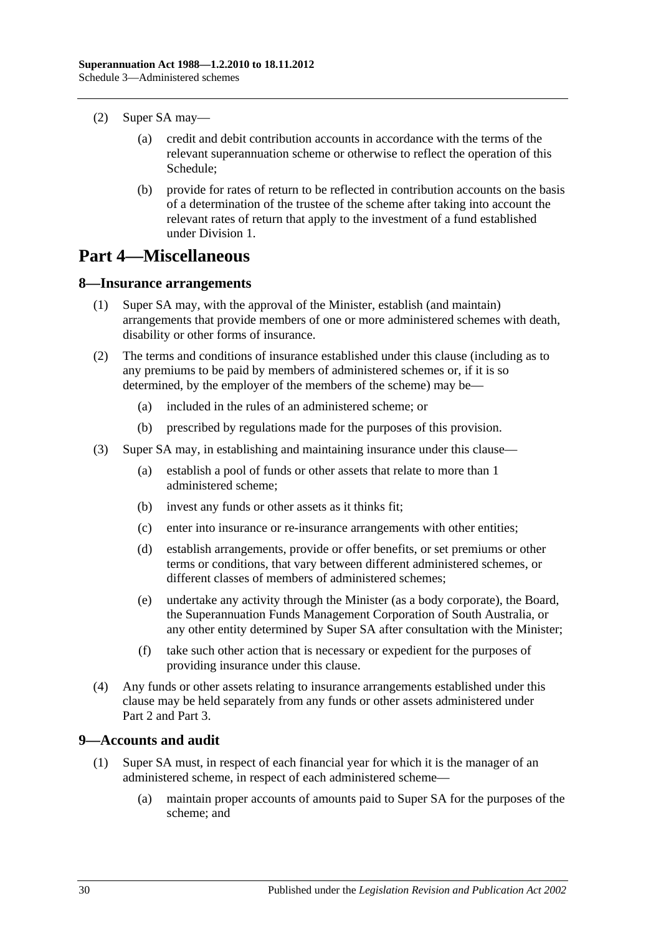- (2) Super SA may—
	- (a) credit and debit contribution accounts in accordance with the terms of the relevant superannuation scheme or otherwise to reflect the operation of this Schedule;
	- (b) provide for rates of return to be reflected in contribution accounts on the basis of a determination of the trustee of the scheme after taking into account the relevant rates of return that apply to the investment of a fund established under Division 1.

## **Part 4—Miscellaneous**

### **8—Insurance arrangements**

- (1) Super SA may, with the approval of the Minister, establish (and maintain) arrangements that provide members of one or more administered schemes with death, disability or other forms of insurance.
- (2) The terms and conditions of insurance established under this clause (including as to any premiums to be paid by members of administered schemes or, if it is so determined, by the employer of the members of the scheme) may be—
	- (a) included in the rules of an administered scheme; or
	- (b) prescribed by regulations made for the purposes of this provision.
- (3) Super SA may, in establishing and maintaining insurance under this clause—
	- (a) establish a pool of funds or other assets that relate to more than 1 administered scheme;
	- (b) invest any funds or other assets as it thinks fit;
	- (c) enter into insurance or re-insurance arrangements with other entities;
	- (d) establish arrangements, provide or offer benefits, or set premiums or other terms or conditions, that vary between different administered schemes, or different classes of members of administered schemes;
	- (e) undertake any activity through the Minister (as a body corporate), the Board, the Superannuation Funds Management Corporation of South Australia, or any other entity determined by Super SA after consultation with the Minister;
	- (f) take such other action that is necessary or expedient for the purposes of providing insurance under this clause.
- (4) Any funds or other assets relating to insurance arrangements established under this clause may be held separately from any funds or other assets administered under Part 2 and Part 3.

### <span id="page-133-0"></span>**9—Accounts and audit**

- (1) Super SA must, in respect of each financial year for which it is the manager of an administered scheme, in respect of each administered scheme—
	- (a) maintain proper accounts of amounts paid to Super SA for the purposes of the scheme; and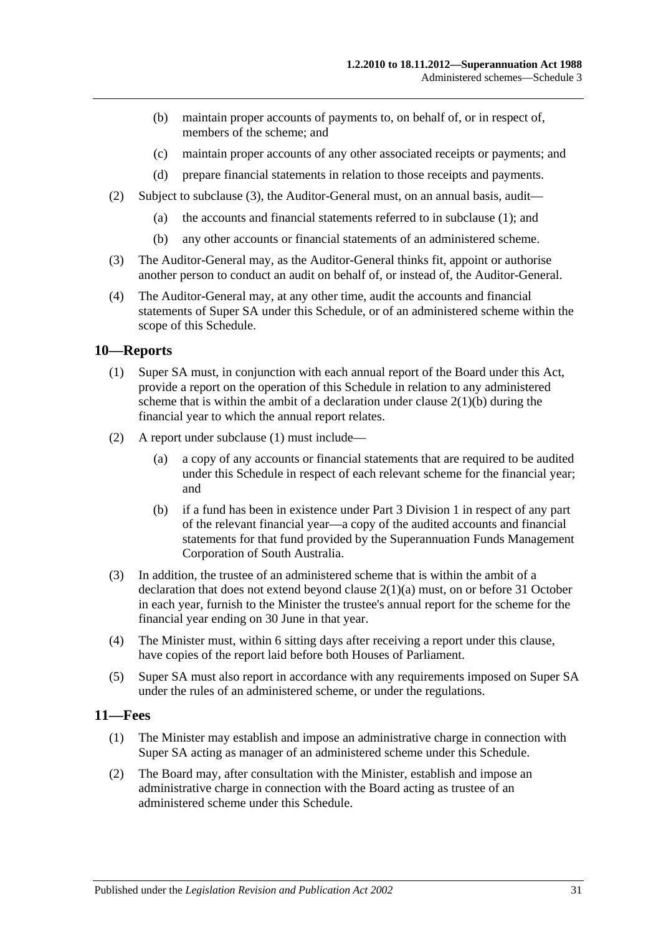- (b) maintain proper accounts of payments to, on behalf of, or in respect of, members of the scheme; and
- (c) maintain proper accounts of any other associated receipts or payments; and
- (d) prepare financial statements in relation to those receipts and payments.
- (2) Subject to [subclause](#page-134-1) (3), the Auditor-General must, on an annual basis, audit—
	- (a) the accounts and financial statements referred to in [subclause](#page-133-0) (1); and
	- (b) any other accounts or financial statements of an administered scheme.
- <span id="page-134-1"></span>(3) The Auditor-General may, as the Auditor-General thinks fit, appoint or authorise another person to conduct an audit on behalf of, or instead of, the Auditor-General.
- (4) The Auditor-General may, at any other time, audit the accounts and financial statements of Super SA under this Schedule, or of an administered scheme within the scope of this Schedule.

### <span id="page-134-2"></span>**10—Reports**

- (1) Super SA must, in conjunction with each annual report of the Board under this Act, provide a report on the operation of this Schedule in relation to any administered scheme that is within the ambit of a declaration under clause  $2(1)(b)$  during the financial year to which the annual report relates.
- (2) A report under [subclause](#page-134-2) (1) must include—
	- (a) a copy of any accounts or financial statements that are required to be audited under this Schedule in respect of each relevant scheme for the financial year; and
	- (b) if a fund has been in existence under Part 3 Division 1 in respect of any part of the relevant financial year—a copy of the audited accounts and financial statements for that fund provided by the Superannuation Funds Management Corporation of South Australia.
- (3) In addition, the trustee of an administered scheme that is within the ambit of a declaration that does not extend beyond clause [2\(1\)\(a\)](#page-129-5) must, on or before 31 October in each year, furnish to the Minister the trustee's annual report for the scheme for the financial year ending on 30 June in that year.
- (4) The Minister must, within 6 sitting days after receiving a report under this clause, have copies of the report laid before both Houses of Parliament.
- (5) Super SA must also report in accordance with any requirements imposed on Super SA under the rules of an administered scheme, or under the regulations.

### <span id="page-134-3"></span><span id="page-134-0"></span>**11—Fees**

- (1) The Minister may establish and impose an administrative charge in connection with Super SA acting as manager of an administered scheme under this Schedule.
- <span id="page-134-4"></span>(2) The Board may, after consultation with the Minister, establish and impose an administrative charge in connection with the Board acting as trustee of an administered scheme under this Schedule.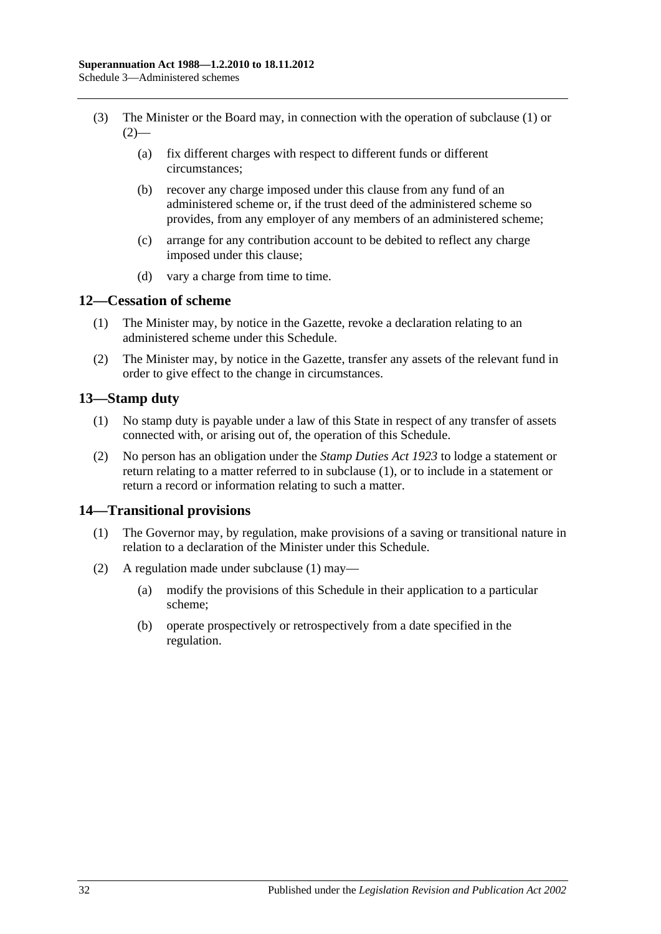- (3) The Minister or the Board may, in connection with the operation of [subclause](#page-134-3) (1) or  $(2)$ —
	- (a) fix different charges with respect to different funds or different circumstances;
	- (b) recover any charge imposed under this clause from any fund of an administered scheme or, if the trust deed of the administered scheme so provides, from any employer of any members of an administered scheme;
	- (c) arrange for any contribution account to be debited to reflect any charge imposed under this clause;
	- (d) vary a charge from time to time.

#### **12—Cessation of scheme**

- (1) The Minister may, by notice in the Gazette, revoke a declaration relating to an administered scheme under this Schedule.
- (2) The Minister may, by notice in the Gazette, transfer any assets of the relevant fund in order to give effect to the change in circumstances.

### <span id="page-135-0"></span>**13—Stamp duty**

- (1) No stamp duty is payable under a law of this State in respect of any transfer of assets connected with, or arising out of, the operation of this Schedule.
- (2) No person has an obligation under the *[Stamp Duties Act](http://www.legislation.sa.gov.au/index.aspx?action=legref&type=act&legtitle=Stamp%20Duties%20Act%201923) 1923* to lodge a statement or return relating to a matter referred to in [subclause](#page-135-0) (1), or to include in a statement or return a record or information relating to such a matter.

### <span id="page-135-1"></span>**14—Transitional provisions**

- (1) The Governor may, by regulation, make provisions of a saving or transitional nature in relation to a declaration of the Minister under this Schedule.
- (2) A regulation made under [subclause](#page-135-1) (1) may—
	- (a) modify the provisions of this Schedule in their application to a particular scheme;
	- (b) operate prospectively or retrospectively from a date specified in the regulation.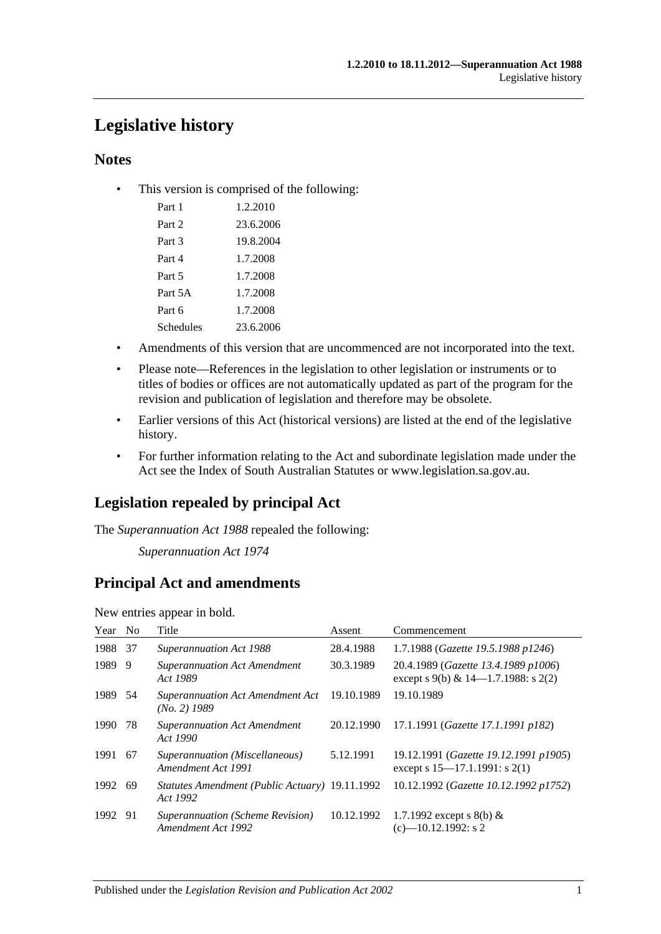## **Legislative history**

### **Notes**

• This version is comprised of the following:

| Part 1    | 1.2.2010  |
|-----------|-----------|
| Part 2    | 23.6.2006 |
| Part 3    | 19.8.2004 |
| Part 4    | 1.7.2008  |
| Part 5    | 1.7.2008  |
| Part 5A   | 1.7.2008  |
| Part 6    | 1.7.2008  |
| Schedules | 23.6.2006 |

- Amendments of this version that are uncommenced are not incorporated into the text.
- Please note—References in the legislation to other legislation or instruments or to titles of bodies or offices are not automatically updated as part of the program for the revision and publication of legislation and therefore may be obsolete.
- Earlier versions of this Act (historical versions) are listed at the end of the legislative history.
- For further information relating to the Act and subordinate legislation made under the Act see the Index of South Australian Statutes or www.legislation.sa.gov.au.

## **Legislation repealed by principal Act**

The *Superannuation Act 1988* repealed the following:

*Superannuation Act 1974*

## **Principal Act and amendments**

New entries appear in bold.

| Year No |     | Title                                                      | Assent     | Commencement                                                                  |
|---------|-----|------------------------------------------------------------|------------|-------------------------------------------------------------------------------|
| 1988    | -37 | <b>Superannuation Act 1988</b>                             | 28.4.1988  | 1.7.1988 (Gazette 19.5.1988 p1246)                                            |
| 1989    | -9  | <b>Superannuation Act Amendment</b><br>Act 1989            | 30.3.1989  | 20.4.1989 (Gazette 13.4.1989 p1006)<br>except s 9(b) & $14-1.7.1988$ : s 2(2) |
| 1989 54 |     | Superannuation Act Amendment Act<br>$(No. 2)$ 1989         | 19.10.1989 | 19.10.1989                                                                    |
| 1990    | 78  | <b>Superannuation Act Amendment</b><br>Act 1990            | 20.12.1990 | 17.1.1991 (Gazette 17.1.1991 p182)                                            |
| 1991    | -67 | Superannuation (Miscellaneous)<br>Amendment Act 1991       | 5.12.1991  | 19.12.1991 (Gazette 19.12.1991 p1905)<br>except s $15-17.1.1991$ : s $2(1)$   |
| 1992    | -69 | Statutes Amendment (Public Actuary) 19.11.1992<br>Act 1992 |            | 10.12.1992 (Gazette 10.12.1992 p1752)                                         |
| 1992 91 |     | Superannuation (Scheme Revision)<br>Amendment Act 1992     | 10.12.1992 | 1.7.1992 except s 8(b) &<br>$(c)$ -10.12.1992: s 2                            |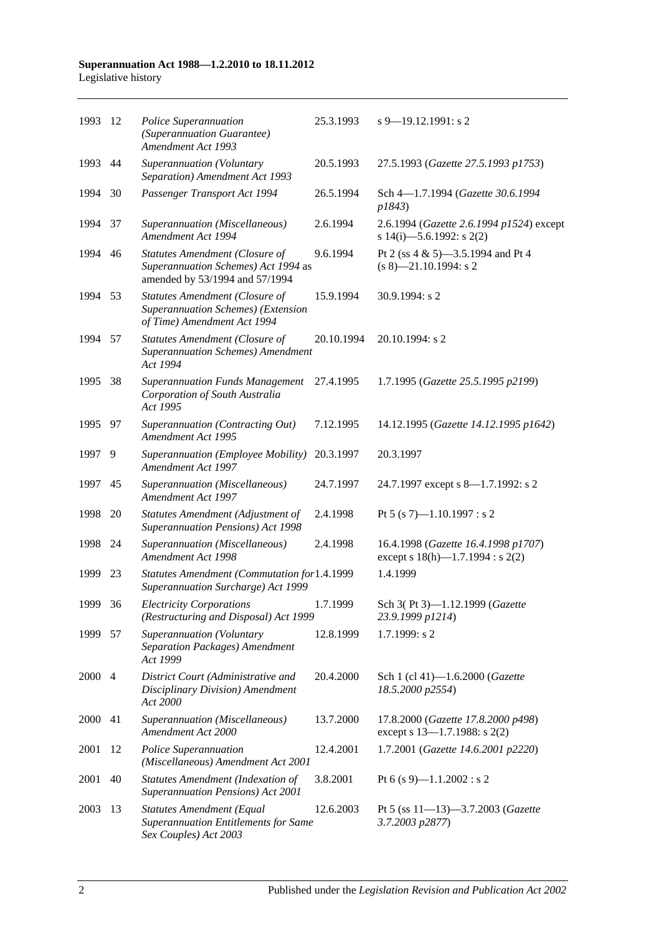#### **Superannuation Act 1988—1.2.2010 to 18.11.2012** Legislative history

| 1993    | -12            | Police Superannuation<br>(Superannuation Guarantee)<br><b>Amendment Act 1993</b>                               | 25.3.1993  | $s$ 9–19.12.1991: s 2                                                        |
|---------|----------------|----------------------------------------------------------------------------------------------------------------|------------|------------------------------------------------------------------------------|
| 1993    | 44             | Superannuation (Voluntary<br>Separation) Amendment Act 1993                                                    | 20.5.1993  | 27.5.1993 (Gazette 27.5.1993 p1753)                                          |
| 1994    | 30             | Passenger Transport Act 1994                                                                                   | 26.5.1994  | Sch 4-1.7.1994 (Gazette 30.6.1994<br>p1843)                                  |
| 1994    | 37             | Superannuation (Miscellaneous)<br>Amendment Act 1994                                                           | 2.6.1994   | 2.6.1994 (Gazette 2.6.1994 p1524) except<br>s 14(i)-5.6.1992: s 2(2)         |
| 1994    | 46             | <b>Statutes Amendment (Closure of</b><br>Superannuation Schemes) Act 1994 as<br>amended by 53/1994 and 57/1994 | 9.6.1994   | Pt 2 (ss 4 & 5)-3.5.1994 and Pt 4<br>$(s 8)$ —21.10.1994: s 2                |
| 1994    | 53             | <b>Statutes Amendment (Closure of</b><br>Superannuation Schemes) (Extension<br>of Time) Amendment Act 1994     | 15.9.1994  | 30.9.1994: s 2                                                               |
| 1994    | 57             | <b>Statutes Amendment (Closure of</b><br><b>Superannuation Schemes) Amendment</b><br>Act 1994                  | 20.10.1994 | 20.10.1994: s 2                                                              |
| 1995    | 38             | <b>Superannuation Funds Management</b><br>Corporation of South Australia<br>Act 1995                           | 27.4.1995  | 1.7.1995 (Gazette 25.5.1995 p2199)                                           |
| 1995 97 |                | Superannuation (Contracting Out)<br>Amendment Act 1995                                                         | 7.12.1995  | 14.12.1995 (Gazette 14.12.1995 p1642)                                        |
| 1997    | 9              | Superannuation (Employee Mobility)<br>Amendment Act 1997                                                       | 20.3.1997  | 20.3.1997                                                                    |
| 1997    | 45             | Superannuation (Miscellaneous)<br>Amendment Act 1997                                                           | 24.7.1997  | 24.7.1997 except s 8—1.7.1992: s 2                                           |
| 1998    | 20             | Statutes Amendment (Adjustment of<br><b>Superannuation Pensions) Act 1998</b>                                  | 2.4.1998   | Pt 5 (s 7)-1.10.1997 : s 2                                                   |
| 1998    | 24             | Superannuation (Miscellaneous)<br>Amendment Act 1998                                                           | 2.4.1998   | 16.4.1998 (Gazette 16.4.1998 p1707)<br>except s $18(h)$ —1.7.1994 : s $2(2)$ |
| 1999    | 23             | Statutes Amendment (Commutation for1.4.1999<br>Superannuation Surcharge) Act 1999                              |            | 1.4.1999                                                                     |
| 1999    | 36             | <b>Electricity Corporations</b><br>(Restructuring and Disposal) Act 1999                                       | 1.7.1999   | Sch 3(Pt 3)-1.12.1999 (Gazette<br>23.9.1999 p1214)                           |
| 1999    | 57             | Superannuation (Voluntary<br><b>Separation Packages) Amendment</b><br>Act 1999                                 | 12.8.1999  | 1.7.1999: s2                                                                 |
| 2000    | $\overline{4}$ | District Court (Administrative and<br>Disciplinary Division) Amendment<br>Act 2000                             | 20.4.2000  | Sch 1 (cl 41)-1.6.2000 (Gazette<br>18.5.2000 p2554)                          |
| 2000    | 41             | Superannuation (Miscellaneous)<br>Amendment Act 2000                                                           | 13.7.2000  | 17.8.2000 (Gazette 17.8.2000 p498)<br>except s 13-1.7.1988: s 2(2)           |
| 2001    | 12             | Police Superannuation<br>(Miscellaneous) Amendment Act 2001                                                    | 12.4.2001  | 1.7.2001 (Gazette 14.6.2001 p2220)                                           |
| 2001    | 40             | Statutes Amendment (Indexation of<br>Superannuation Pensions) Act 2001                                         | 3.8.2001   | Pt 6 (s 9)-1.1.2002 : s 2                                                    |
| 2003    | 13             | Statutes Amendment (Equal<br><b>Superannuation Entitlements for Same</b><br>Sex Couples) Act 2003              | 12.6.2003  | Pt 5 (ss 11-13)-3.7.2003 (Gazette<br>3.7.2003 p2877)                         |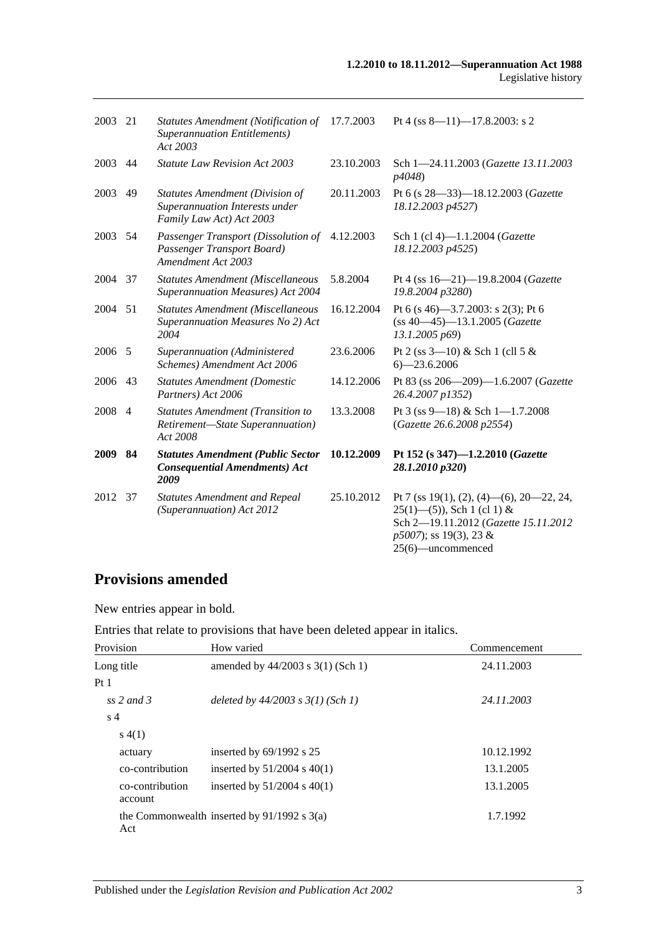25(6)—uncommenced

| 2003        | 21             | Statutes Amendment (Notification of<br><b>Superannuation Entitlements</b> )<br>Act 2003              | 17.7.2003  | Pt 4 (ss $8-11$ )-17.8.2003: s 2                                                                                                            |
|-------------|----------------|------------------------------------------------------------------------------------------------------|------------|---------------------------------------------------------------------------------------------------------------------------------------------|
| 2003        | 44             | <b>Statute Law Revision Act 2003</b>                                                                 | 23.10.2003 | Sch 1-24.11.2003 (Gazette 13.11.2003)<br>p4048)                                                                                             |
| 2003        | 49             | <b>Statutes Amendment (Division of</b><br>Superannuation Interests under<br>Family Law Act) Act 2003 | 20.11.2003 | Pt 6 (s 28-33)-18.12.2003 (Gazette<br>18.12.2003 p4527)                                                                                     |
| 2003        | 54             | Passenger Transport (Dissolution of<br>Passenger Transport Board)<br>Amendment Act 2003              | 4.12.2003  | Sch 1 (cl 4)-1.1.2004 (Gazette<br>18.12.2003 p4525)                                                                                         |
| 2004        | - 37           | <b>Statutes Amendment (Miscellaneous</b><br>Superannuation Measures) Act 2004                        | 5.8.2004   | Pt 4 (ss 16-21)-19.8.2004 (Gazette<br>19.8.2004 p3280)                                                                                      |
| 2004        | 51             | <b>Statutes Amendment (Miscellaneous</b><br>Superannuation Measures No 2) Act<br>2004                | 16.12.2004 | Pt 6 (s 46)–3.7.2003: s 2(3); Pt 6<br>(ss 40-45)-13.1.2005 (Gazette<br>13.1.2005 p69)                                                       |
| 2006 5      |                | Superannuation (Administered<br>Schemes) Amendment Act 2006                                          | 23.6.2006  | Pt 2 (ss $3-10$ ) & Sch 1 (cll 5 &<br>$6 - 23.6.2006$                                                                                       |
| 2006        | -43            | <b>Statutes Amendment (Domestic</b><br>Partners) Act 2006                                            | 14.12.2006 | Pt 83 (ss 206-209)-1.6.2007 (Gazette<br>26.4.2007 p1352)                                                                                    |
| 2008        | $\overline{4}$ | <b>Statutes Amendment (Transition to</b><br>Retirement-State Superannuation)<br>Act 2008             | 13.3.2008  | Pt 3 (ss 9-18) & Sch 1-1.7.2008<br>(Gazette 26.6.2008 p2554)                                                                                |
| <b>2009</b> | 84             | <b>Statutes Amendment (Public Sector</b><br><b>Consequential Amendments) Act</b><br>2009             | 10.12.2009 | Pt 152 (s 347)-1.2.2010 (Gazette<br>28.1.2010 p320)                                                                                         |
| 2012        | 37             | <b>Statutes Amendment and Repeal</b><br>(Superannuation) Act 2012                                    | 25.10.2012 | Pt 7 (ss 19(1), (2), (4)—(6), 20—22, 24,<br>$25(1)$ —(5)), Sch 1 (cl 1) &<br>Sch 2-19.11.2012 (Gazette 15.11.2012<br>p5007); ss 19(3), 23 & |

# **Provisions amended**

New entries appear in bold.

Entries that relate to provisions that have been deleted appear in italics.

| Provision                  | How varied                                    | Commencement |
|----------------------------|-----------------------------------------------|--------------|
| Long title                 | amended by $44/2003$ s 3(1) (Sch 1)           | 24.11.2003   |
| Pt1                        |                                               |              |
| ss 2 and 3                 | deleted by $44/2003$ s $3(1)$ (Sch 1)         | 24.11.2003   |
| s <sub>4</sub>             |                                               |              |
| s(4(1))                    |                                               |              |
| actuary                    | inserted by $69/1992$ s $25$                  | 10.12.1992   |
| co-contribution            | inserted by $51/2004$ s $40(1)$               | 13.1.2005    |
| co-contribution<br>account | inserted by $51/2004$ s $40(1)$               | 13.1.2005    |
| Act                        | the Commonwealth inserted by $91/1992$ s 3(a) | 1.7.1992     |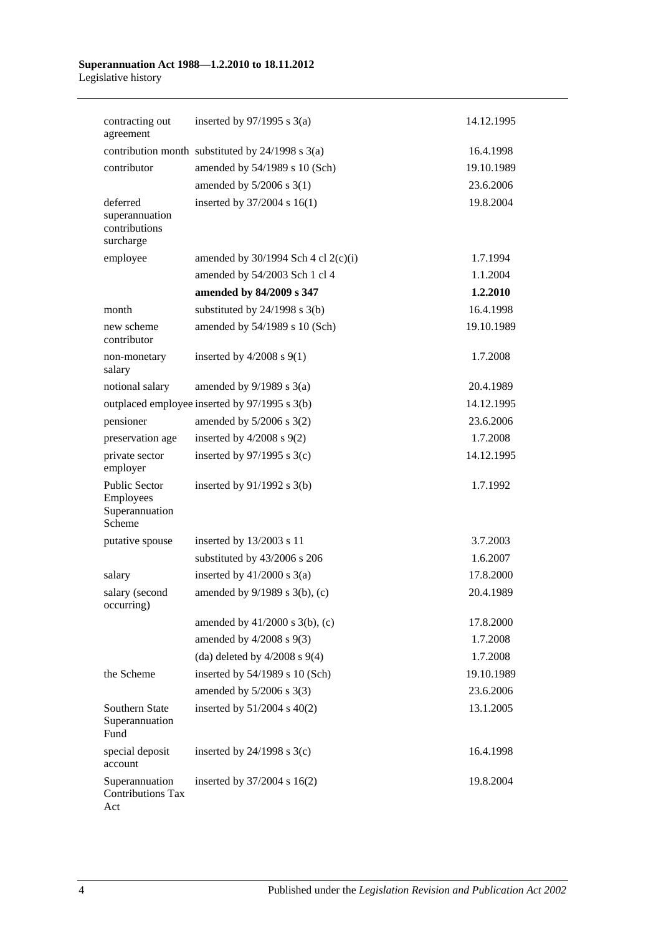#### **Superannuation Act 1988—1.2.2010 to 18.11.2012** Legislative history

| contracting out<br>agreement                             | inserted by $97/1995$ s 3(a)                     | 14.12.1995 |
|----------------------------------------------------------|--------------------------------------------------|------------|
|                                                          | contribution month substituted by 24/1998 s 3(a) | 16.4.1998  |
| contributor                                              | amended by 54/1989 s 10 (Sch)                    | 19.10.1989 |
|                                                          | amended by $5/2006$ s 3(1)                       | 23.6.2006  |
| deferred<br>superannuation<br>contributions<br>surcharge | inserted by 37/2004 s 16(1)                      | 19.8.2004  |
| employee                                                 | amended by $30/1994$ Sch 4 cl 2(c)(i)            | 1.7.1994   |
|                                                          | amended by 54/2003 Sch 1 cl 4                    | 1.1.2004   |
|                                                          | amended by 84/2009 s 347                         | 1.2.2010   |
| month                                                    | substituted by $24/1998$ s $3(b)$                | 16.4.1998  |
| new scheme<br>contributor                                | amended by 54/1989 s 10 (Sch)                    | 19.10.1989 |
| non-monetary<br>salary                                   | inserted by $4/2008$ s $9(1)$                    | 1.7.2008   |
| notional salary                                          | amended by $9/1989$ s $3(a)$                     | 20.4.1989  |
|                                                          | outplaced employee inserted by 97/1995 s 3(b)    | 14.12.1995 |
| pensioner                                                | amended by $5/2006$ s $3(2)$                     | 23.6.2006  |
| preservation age                                         | inserted by $4/2008$ s $9(2)$                    | 1.7.2008   |
| private sector<br>employer                               | inserted by $97/1995$ s 3(c)                     | 14.12.1995 |
| Public Sector<br>Employees<br>Superannuation<br>Scheme   | inserted by $91/1992$ s $3(b)$                   | 1.7.1992   |
| putative spouse                                          | inserted by 13/2003 s 11                         | 3.7.2003   |
|                                                          | substituted by 43/2006 s 206                     | 1.6.2007   |
| salary                                                   | inserted by $41/2000$ s $3(a)$                   | 17.8.2000  |
| salary (second<br>occurring)                             | amended by $9/1989$ s $3(b)$ , (c)               | 20.4.1989  |
|                                                          | amended by $41/2000$ s 3(b), (c)                 | 17.8.2000  |
|                                                          | amended by $4/2008$ s $9(3)$                     | 1.7.2008   |
|                                                          | (da) deleted by $4/2008$ s $9(4)$                | 1.7.2008   |
| the Scheme                                               | inserted by 54/1989 s 10 (Sch)                   | 19.10.1989 |
|                                                          | amended by $5/2006$ s 3(3)                       | 23.6.2006  |
| Southern State<br>Superannuation<br>Fund                 | inserted by $51/2004$ s $40(2)$                  | 13.1.2005  |
| special deposit<br>account                               | inserted by $24/1998$ s $3(c)$                   | 16.4.1998  |
| Superannuation<br><b>Contributions Tax</b><br>Act        | inserted by 37/2004 s 16(2)                      | 19.8.2004  |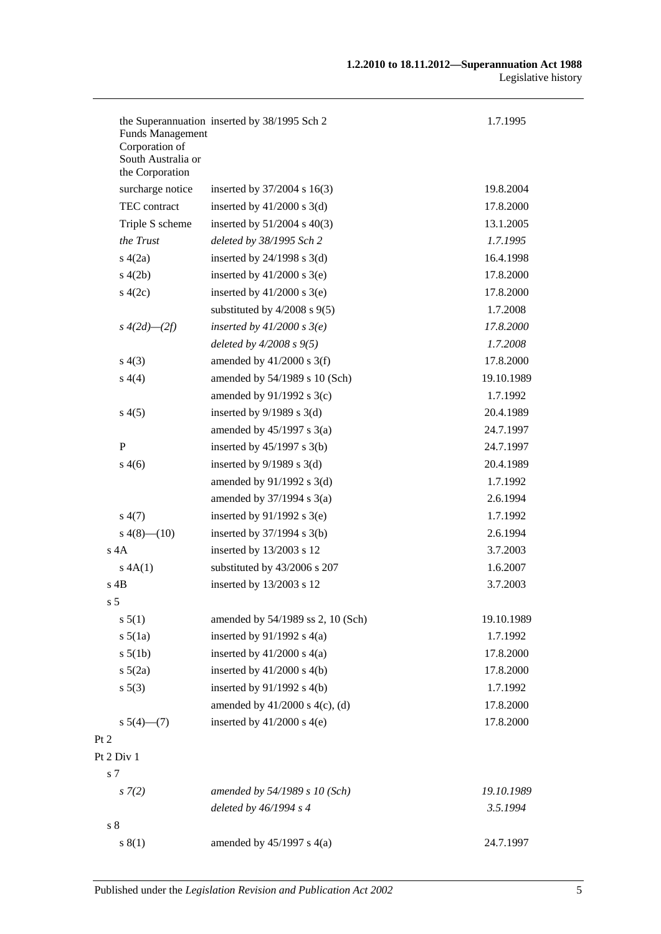| <b>Funds Management</b>              | the Superannuation inserted by 38/1995 Sch 2 | 1.7.1995               |
|--------------------------------------|----------------------------------------------|------------------------|
| Corporation of<br>South Australia or |                                              |                        |
| the Corporation                      |                                              |                        |
| surcharge notice<br>TEC contract     | inserted by $37/2004$ s 16(3)                | 19.8.2004<br>17.8.2000 |
|                                      | inserted by $41/2000$ s 3(d)                 |                        |
| Triple S scheme                      | inserted by $51/2004$ s $40(3)$              | 13.1.2005              |
| the Trust                            | deleted by 38/1995 Sch 2                     | 1.7.1995               |
| s(4(2a))                             | inserted by $24/1998$ s $3(d)$               | 16.4.1998              |
| s(4(2b)                              | inserted by $41/2000$ s $3(e)$               | 17.8.2000              |
| s(4(2c))                             | inserted by $41/2000$ s $3(e)$               | 17.8.2000              |
|                                      | substituted by $4/2008$ s $9(5)$             | 1.7.2008               |
| $s\;4(2d)$ — $(2f)$                  | inserted by $41/2000 s 3(e)$                 | 17.8.2000              |
|                                      | deleted by $4/2008 s 9(5)$                   | 1.7.2008               |
| s(4(3))                              | amended by $41/2000$ s 3(f)                  | 17.8.2000              |
| s(4)                                 | amended by 54/1989 s 10 (Sch)                | 19.10.1989             |
|                                      | amended by $91/1992$ s 3(c)                  | 1.7.1992               |
| s(4(5)                               | inserted by $9/1989$ s 3(d)                  | 20.4.1989              |
|                                      | amended by $45/1997$ s 3(a)                  | 24.7.1997              |
| P                                    | inserted by $45/1997$ s 3(b)                 | 24.7.1997              |
| s(4(6)                               | inserted by $9/1989$ s 3(d)                  | 20.4.1989              |
|                                      | amended by $91/1992$ s 3(d)                  | 1.7.1992               |
|                                      | amended by $37/1994$ s $3(a)$                | 2.6.1994               |
| s(4(7))                              | inserted by $91/1992$ s 3(e)                 | 1.7.1992               |
| $s\ 4(8)$ - (10)                     | inserted by $37/1994$ s 3(b)                 | 2.6.1994               |
| $s$ 4A                               | inserted by 13/2003 s 12                     | 3.7.2003               |
| s 4A(1)                              | substituted by 43/2006 s 207                 | 1.6.2007               |
| $s$ 4B                               | inserted by 13/2003 s 12                     | 3.7.2003               |
| s <sub>5</sub>                       |                                              |                        |
| s 5(1)                               | amended by 54/1989 ss 2, 10 (Sch)            | 19.10.1989             |
| s 5(1a)                              | inserted by $91/1992$ s $4(a)$               | 1.7.1992               |
| s 5(1b)                              | inserted by $41/2000$ s $4(a)$               | 17.8.2000              |
| $s\ 5(2a)$                           | inserted by $41/2000$ s $4(b)$               | 17.8.2000              |
| s 5(3)                               | inserted by $91/1992$ s $4(b)$               | 1.7.1992               |
|                                      | amended by $41/2000$ s $4(c)$ , (d)          | 17.8.2000              |
| $s\ 5(4)$ (7)                        | inserted by $41/2000$ s $4(e)$               | 17.8.2000              |
| Pt 2                                 |                                              |                        |
| Pt 2 Div 1                           |                                              |                        |
| $\sqrt{s}$ 7                         |                                              |                        |
| $s \, 7(2)$                          | amended by 54/1989 s 10 (Sch)                | 19.10.1989             |
|                                      | deleted by 46/1994 s 4                       | 3.5.1994               |
| $s8$                                 |                                              |                        |
| s(1)                                 | amended by $45/1997$ s $4(a)$                | 24.7.1997              |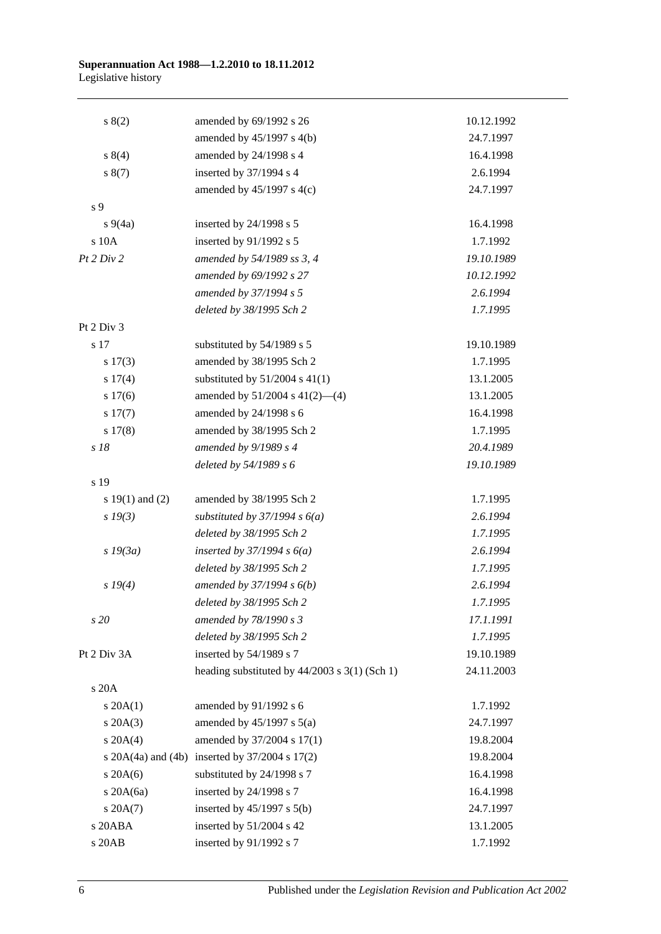#### **Superannuation Act 1988—1.2.2010 to 18.11.2012** Legislative history

| s(2)                | amended by 69/1992 s 26                                | 10.12.1992 |
|---------------------|--------------------------------------------------------|------------|
|                     | amended by $45/1997$ s $4(b)$                          | 24.7.1997  |
| s 8(4)              | amended by 24/1998 s 4                                 | 16.4.1998  |
| s(7)                | inserted by 37/1994 s 4                                | 2.6.1994   |
|                     | amended by $45/1997$ s $4(c)$                          | 24.7.1997  |
| s 9                 |                                                        |            |
| $s\ 9(4a)$          | inserted by $24/1998$ s 5                              | 16.4.1998  |
| s 10A               | inserted by 91/1992 s 5                                | 1.7.1992   |
| Pt 2 Div 2          | amended by 54/1989 ss 3, 4                             | 19.10.1989 |
|                     | amended by 69/1992 s 27                                | 10.12.1992 |
|                     | amended by 37/1994 s 5                                 | 2.6.1994   |
|                     | deleted by 38/1995 Sch 2                               | 1.7.1995   |
| Pt 2 Div 3          |                                                        |            |
| s 17                | substituted by 54/1989 s 5                             | 19.10.1989 |
| s 17(3)             | amended by 38/1995 Sch 2                               | 1.7.1995   |
| s 17(4)             | substituted by $51/2004$ s $41(1)$                     | 13.1.2005  |
| s 17(6)             | amended by $51/2004$ s $41(2)$ —(4)                    | 13.1.2005  |
| s 17(7)             | amended by 24/1998 s 6                                 | 16.4.1998  |
| s 17(8)             | amended by 38/1995 Sch 2                               | 1.7.1995   |
| s 18                | amended by 9/1989 s 4                                  | 20.4.1989  |
|                     | deleted by 54/1989 s 6                                 | 19.10.1989 |
| s 19                |                                                        |            |
| s $19(1)$ and $(2)$ | amended by 38/1995 Sch 2                               | 1.7.1995   |
| $s\,19(3)$          | substituted by $37/1994 s 6(a)$                        | 2.6.1994   |
|                     | deleted by 38/1995 Sch 2                               | 1.7.1995   |
| $s\,19(3a)$         | inserted by $37/1994 s 6(a)$                           | 2.6.1994   |
|                     | deleted by 38/1995 Sch 2                               | 1.7.1995   |
| s 19(4)             | amended by $37/1994 s 6(b)$                            | 2.6.1994   |
|                     | deleted by 38/1995 Sch 2                               | 1.7.1995   |
| s 20                | amended by 78/1990 s 3                                 | 17.1.1991  |
|                     | deleted by 38/1995 Sch 2                               | 1.7.1995   |
| Pt 2 Div 3A         | inserted by 54/1989 s 7                                | 19.10.1989 |
|                     | heading substituted by 44/2003 s 3(1) (Sch 1)          | 24.11.2003 |
| s 20A               |                                                        |            |
| $s \, 20A(1)$       | amended by 91/1992 s 6                                 | 1.7.1992   |
| $s \, 20A(3)$       | amended by $45/1997$ s $5(a)$                          | 24.7.1997  |
| $s \ 20A(4)$        | amended by 37/2004 s 17(1)                             | 19.8.2004  |
|                     | s $20A(4a)$ and $(4b)$ inserted by $37/2004$ s $17(2)$ | 19.8.2004  |
| $s$ 20A(6)          | substituted by 24/1998 s 7                             | 16.4.1998  |
| s 20A(6a)           | inserted by 24/1998 s 7                                | 16.4.1998  |
| $s \, 20A(7)$       | inserted by $45/1997$ s $5(b)$                         | 24.7.1997  |
| s 20ABA             | inserted by 51/2004 s 42                               | 13.1.2005  |
| s 20AB              | inserted by 91/1992 s 7                                | 1.7.1992   |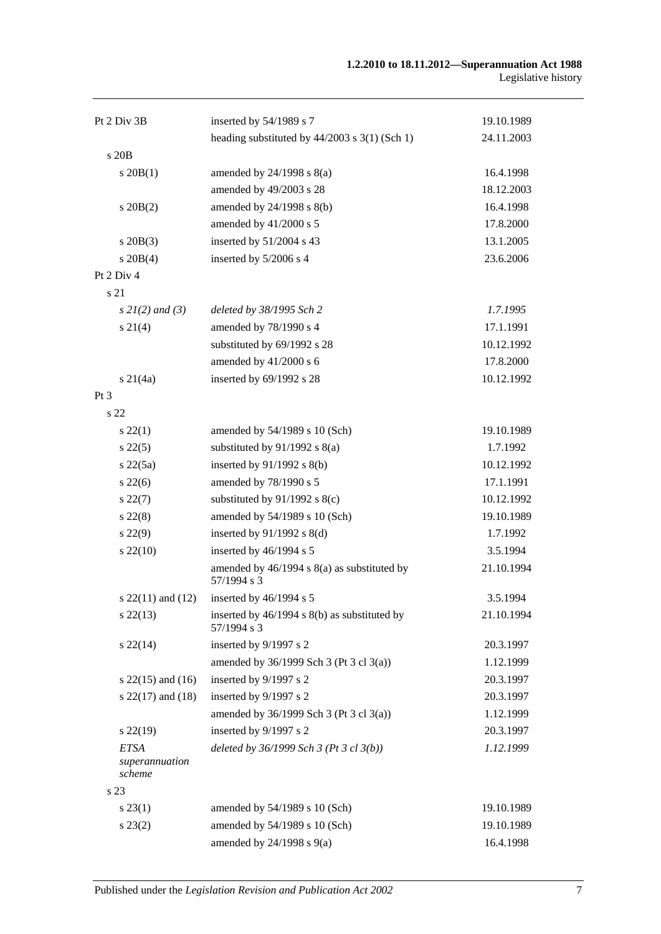| Pt 2 Div 3B                             | inserted by 54/1989 s 7                                     | 19.10.1989 |
|-----------------------------------------|-------------------------------------------------------------|------------|
|                                         | heading substituted by $44/2003$ s 3(1) (Sch 1)             | 24.11.2003 |
| s 20 <sub>B</sub>                       |                                                             |            |
| $s$ 20 $B(1)$                           | amended by $24/1998$ s $8(a)$                               | 16.4.1998  |
|                                         | amended by 49/2003 s 28                                     | 18.12.2003 |
| $s \, 20B(2)$                           | amended by 24/1998 s 8(b)                                   | 16.4.1998  |
|                                         | amended by 41/2000 s 5                                      | 17.8.2000  |
| $s \, 20B(3)$                           | inserted by 51/2004 s 43                                    | 13.1.2005  |
| $s \ 20B(4)$                            | inserted by 5/2006 s 4                                      | 23.6.2006  |
| Pt 2 Div 4                              |                                                             |            |
| s 21                                    |                                                             |            |
| $s \, 2I(2)$ and (3)                    | deleted by 38/1995 Sch 2                                    | 1.7.1995   |
| $s \, 21(4)$                            | amended by 78/1990 s 4                                      | 17.1.1991  |
|                                         | substituted by 69/1992 s 28                                 | 10.12.1992 |
|                                         | amended by 41/2000 s 6                                      | 17.8.2000  |
| $s \, 21(4a)$                           | inserted by 69/1992 s 28                                    | 10.12.1992 |
| $Pt\,3$                                 |                                                             |            |
| s 22                                    |                                                             |            |
| $s\,22(1)$                              | amended by 54/1989 s 10 (Sch)                               | 19.10.1989 |
| $s\,22(5)$                              | substituted by $91/1992$ s $8(a)$                           | 1.7.1992   |
| $s\ 22(5a)$                             | inserted by $91/1992$ s $8(b)$                              | 10.12.1992 |
| $s\,22(6)$                              | amended by 78/1990 s 5                                      | 17.1.1991  |
| $s\,22(7)$                              | substituted by $91/1992$ s $8(c)$                           | 10.12.1992 |
| $s\,22(8)$                              | amended by 54/1989 s 10 (Sch)                               | 19.10.1989 |
| $s\,22(9)$                              | inserted by $91/1992$ s $8(d)$                              | 1.7.1992   |
| $s\,22(10)$                             | inserted by 46/1994 s 5                                     | 3.5.1994   |
|                                         | amended by 46/1994 s 8(a) as substituted by<br>57/1994 s 3  | 21.10.1994 |
| s $22(11)$ and $(12)$                   | inserted by 46/1994 s 5                                     | 3.5.1994   |
| $s\,22(13)$                             | inserted by 46/1994 s 8(b) as substituted by<br>57/1994 s 3 | 21.10.1994 |
| $s\,22(14)$                             | inserted by 9/1997 s 2                                      | 20.3.1997  |
|                                         | amended by $36/1999$ Sch 3 (Pt 3 cl 3(a))                   | 1.12.1999  |
| s $22(15)$ and $(16)$                   | inserted by 9/1997 s 2                                      | 20.3.1997  |
| s $22(17)$ and $(18)$                   | inserted by 9/1997 s 2                                      | 20.3.1997  |
|                                         | amended by 36/1999 Sch 3 (Pt 3 cl 3(a))                     | 1.12.1999  |
| $s\,22(19)$                             | inserted by 9/1997 s 2                                      | 20.3.1997  |
| <b>ETSA</b><br>superannuation<br>scheme | deleted by $36/1999$ Sch 3 (Pt 3 cl 3(b))                   | 1.12.1999  |
| s 23                                    |                                                             |            |
| $s\,23(1)$                              | amended by 54/1989 s 10 (Sch)                               | 19.10.1989 |
| $s\,23(2)$                              | amended by 54/1989 s 10 (Sch)                               | 19.10.1989 |
|                                         | amended by $24/1998$ s $9(a)$                               | 16.4.1998  |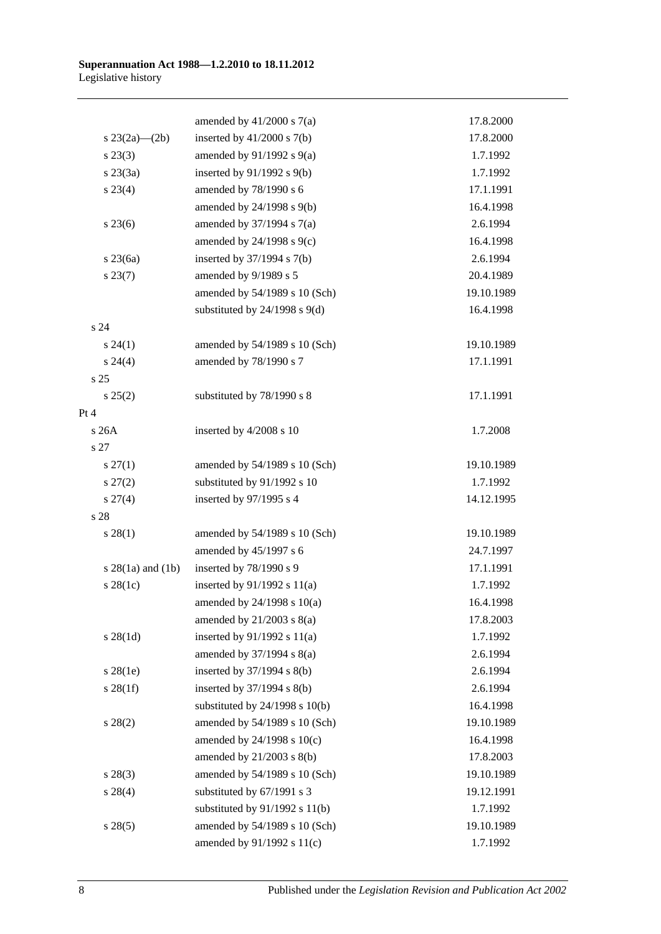|                     | amended by $41/2000$ s $7(a)$      | 17.8.2000  |
|---------------------|------------------------------------|------------|
| s $23(2a)$ — $(2b)$ | inserted by $41/2000$ s $7(b)$     | 17.8.2000  |
| $s\,23(3)$          | amended by $91/1992$ s $9(a)$      | 1.7.1992   |
| $s\,23(3a)$         | inserted by $91/1992$ s $9(b)$     | 1.7.1992   |
| $s\,23(4)$          | amended by 78/1990 s 6             | 17.1.1991  |
|                     | amended by 24/1998 s 9(b)          | 16.4.1998  |
| $s\,23(6)$          | amended by $37/1994$ s $7(a)$      | 2.6.1994   |
|                     | amended by $24/1998$ s $9(c)$      | 16.4.1998  |
| $s\,23(6a)$         | inserted by 37/1994 s 7(b)         | 2.6.1994   |
| $s\,23(7)$          | amended by 9/1989 s 5              | 20.4.1989  |
|                     | amended by 54/1989 s 10 (Sch)      | 19.10.1989 |
|                     | substituted by $24/1998$ s $9(d)$  | 16.4.1998  |
| s 24                |                                    |            |
| $s\,24(1)$          | amended by 54/1989 s 10 (Sch)      | 19.10.1989 |
| s 24(4)             | amended by 78/1990 s 7             | 17.1.1991  |
| s 25                |                                    |            |
| s 25(2)             | substituted by 78/1990 s 8         | 17.1.1991  |
| Pt 4                |                                    |            |
| s 26A               | inserted by 4/2008 s 10            | 1.7.2008   |
| s 27                |                                    |            |
| $s \, 27(1)$        | amended by 54/1989 s 10 (Sch)      | 19.10.1989 |
| $s\,27(2)$          | substituted by 91/1992 s 10        | 1.7.1992   |
| $s \, 27(4)$        | inserted by 97/1995 s 4            | 14.12.1995 |
| s 28                |                                    |            |
| $s\,28(1)$          | amended by 54/1989 s 10 (Sch)      | 19.10.1989 |
|                     | amended by 45/1997 s 6             | 24.7.1997  |
| $s$ 28(1a) and (1b) | inserted by 78/1990 s 9            | 17.1.1991  |
| $s$ 28(1c)          | inserted by $91/1992$ s $11(a)$    | 1.7.1992   |
|                     | amended by 24/1998 s 10(a)         | 16.4.1998  |
|                     | amended by $21/2003$ s $8(a)$      | 17.8.2003  |
| $s \, 28(1d)$       | inserted by $91/1992$ s $11(a)$    | 1.7.1992   |
|                     | amended by $37/1994$ s $8(a)$      | 2.6.1994   |
| $s$ 28(1e)          | inserted by 37/1994 s 8(b)         | 2.6.1994   |
| $s \, 28(1f)$       | inserted by $37/1994$ s $8(b)$     | 2.6.1994   |
|                     | substituted by $24/1998$ s $10(b)$ | 16.4.1998  |
| $s\,28(2)$          | amended by 54/1989 s 10 (Sch)      | 19.10.1989 |
|                     | amended by 24/1998 s 10(c)         | 16.4.1998  |
|                     | amended by 21/2003 s 8(b)          | 17.8.2003  |
| $s\,28(3)$          | amended by 54/1989 s 10 (Sch)      | 19.10.1989 |
| $s\ 28(4)$          | substituted by 67/1991 s 3         | 19.12.1991 |
|                     | substituted by $91/1992$ s $11(b)$ | 1.7.1992   |
| s 28(5)             | amended by 54/1989 s 10 (Sch)      | 19.10.1989 |
|                     | amended by 91/1992 s 11(c)         | 1.7.1992   |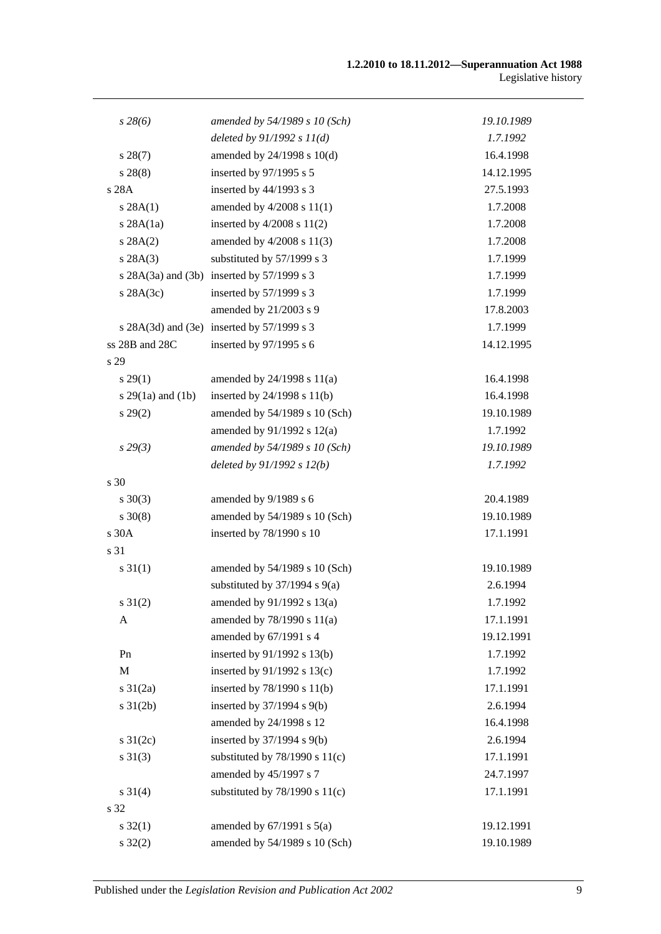| $s\,28(6)$            | amended by 54/1989 s 10 (Sch)              | 19.10.1989 |
|-----------------------|--------------------------------------------|------------|
|                       | deleted by $91/1992 s 11(d)$               | 1.7.1992   |
| $s\,28(7)$            | amended by 24/1998 s 10(d)                 | 16.4.1998  |
| $s\,28(8)$            | inserted by 97/1995 s 5                    | 14.12.1995 |
| s 28A                 | inserted by 44/1993 s 3                    | 27.5.1993  |
| s 28A(1)              | amended by $4/2008$ s $11(1)$              | 1.7.2008   |
| $s$ 28A $(1a)$        | inserted by $4/2008$ s $11(2)$             | 1.7.2008   |
| s 28A(2)              | amended by 4/2008 s 11(3)                  | 1.7.2008   |
| s 28A(3)              | substituted by 57/1999 s 3                 | 1.7.1999   |
|                       | s 28A(3a) and (3b) inserted by 57/1999 s 3 | 1.7.1999   |
| $s$ 28A $(3c)$        | inserted by 57/1999 s 3                    | 1.7.1999   |
|                       | amended by 21/2003 s 9                     | 17.8.2003  |
|                       | s 28A(3d) and (3e) inserted by 57/1999 s 3 | 1.7.1999   |
| ss 28B and 28C        | inserted by 97/1995 s 6                    | 14.12.1995 |
| s 29                  |                                            |            |
| $s\,29(1)$            | amended by $24/1998$ s $11(a)$             | 16.4.1998  |
| s $29(1a)$ and $(1b)$ | inserted by 24/1998 s 11(b)                | 16.4.1998  |
| $s\,29(2)$            | amended by 54/1989 s 10 (Sch)              | 19.10.1989 |
|                       | amended by 91/1992 s 12(a)                 | 1.7.1992   |
| $s\,29(3)$            | amended by 54/1989 s 10 (Sch)              | 19.10.1989 |
|                       | deleted by $91/1992 s 12(b)$               | 1.7.1992   |
| s 30                  |                                            |            |
| $s \ 30(3)$           | amended by 9/1989 s 6                      | 20.4.1989  |
| $s \ 30(8)$           | amended by 54/1989 s 10 (Sch)              | 19.10.1989 |
| s 30A                 | inserted by 78/1990 s 10                   | 17.1.1991  |
| s 31                  |                                            |            |
| $s \, 31(1)$          | amended by 54/1989 s 10 (Sch)              | 19.10.1989 |
|                       | substituted by $37/1994$ s $9(a)$          | 2.6.1994   |
| $s \, 31(2)$          | amended by 91/1992 s 13(a)                 | 1.7.1992   |
| A                     | amended by 78/1990 s 11(a)                 | 17.1.1991  |
|                       | amended by 67/1991 s 4                     | 19.12.1991 |
| Pn                    | inserted by 91/1992 s 13(b)                | 1.7.1992   |
| M                     | inserted by $91/1992$ s $13(c)$            | 1.7.1992   |
| $s \frac{31}{2a}$     | inserted by 78/1990 s 11(b)                | 17.1.1991  |
| $s \, 31(2b)$         | inserted by 37/1994 s 9(b)                 | 2.6.1994   |
|                       | amended by 24/1998 s 12                    | 16.4.1998  |
| s $31(2c)$            | inserted by 37/1994 s 9(b)                 | 2.6.1994   |
| $s \ 31(3)$           | substituted by $78/1990$ s $11(c)$         | 17.1.1991  |
|                       | amended by 45/1997 s 7                     | 24.7.1997  |
| $s \ 31(4)$           | substituted by $78/1990$ s $11(c)$         | 17.1.1991  |
| s 32                  |                                            |            |
| $s \, 32(1)$          | amended by $67/1991$ s $5(a)$              | 19.12.1991 |
| $s \, 32(2)$          | amended by 54/1989 s 10 (Sch)              | 19.10.1989 |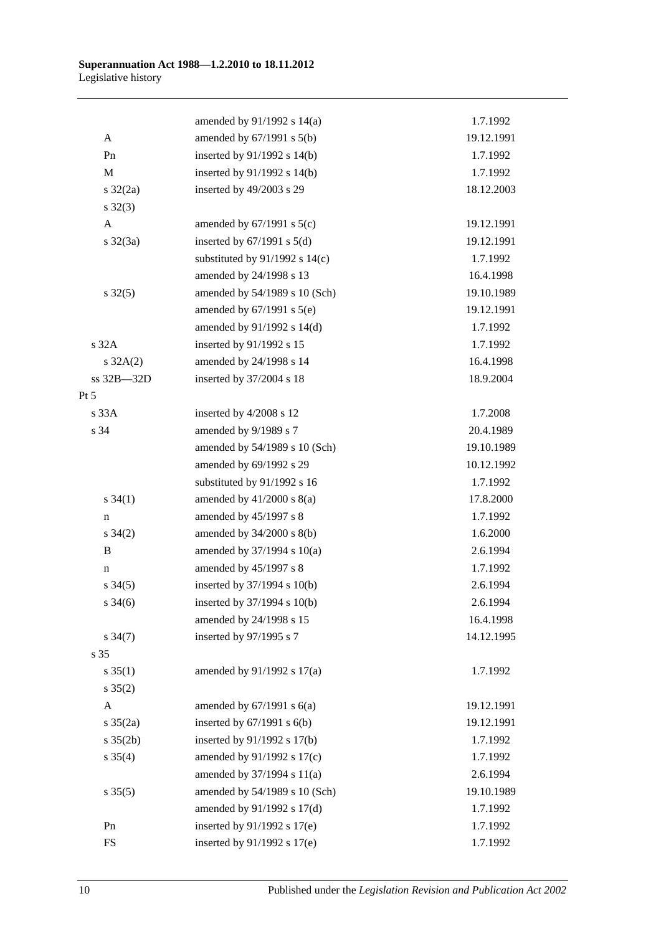|                     | amended by $91/1992$ s $14(a)$     | 1.7.1992   |
|---------------------|------------------------------------|------------|
| A                   | amended by 67/1991 s 5(b)          | 19.12.1991 |
| Pn                  | inserted by 91/1992 s 14(b)        | 1.7.1992   |
| M                   | inserted by 91/1992 s 14(b)        | 1.7.1992   |
| $s \frac{32}{2a}$   | inserted by 49/2003 s 29           | 18.12.2003 |
| $s \, 32(3)$        |                                    |            |
| $\mathbf{A}$        | amended by $67/1991$ s $5(c)$      | 19.12.1991 |
| $s \frac{32}{3a}$   | inserted by $67/1991$ s $5(d)$     | 19.12.1991 |
|                     | substituted by $91/1992$ s $14(c)$ | 1.7.1992   |
|                     | amended by 24/1998 s 13            | 16.4.1998  |
| $s \, 32(5)$        | amended by 54/1989 s 10 (Sch)      | 19.10.1989 |
|                     | amended by $67/1991$ s $5(e)$      | 19.12.1991 |
|                     | amended by 91/1992 s 14(d)         | 1.7.1992   |
| s32A                | inserted by 91/1992 s 15           | 1.7.1992   |
| $s \, 32A(2)$       | amended by 24/1998 s 14            | 16.4.1998  |
| ss 32B-32D          | inserted by 37/2004 s 18           | 18.9.2004  |
| $Pt\,5$             |                                    |            |
| s33A                | inserted by 4/2008 s 12            | 1.7.2008   |
| s 34                | amended by 9/1989 s 7              | 20.4.1989  |
|                     | amended by 54/1989 s 10 (Sch)      | 19.10.1989 |
|                     | amended by 69/1992 s 29            | 10.12.1992 |
|                     | substituted by 91/1992 s 16        | 1.7.1992   |
| $s \, 34(1)$        | amended by $41/2000$ s $8(a)$      | 17.8.2000  |
| n                   | amended by 45/1997 s 8             | 1.7.1992   |
| $s \; 34(2)$        | amended by 34/2000 s 8(b)          | 1.6.2000   |
| B                   | amended by $37/1994$ s $10(a)$     | 2.6.1994   |
| n                   | amended by 45/1997 s 8             | 1.7.1992   |
| $s \; 34(5)$        | inserted by 37/1994 s 10(b)        | 2.6.1994   |
| $s \; 34(6)$        | inserted by 37/1994 s 10(b)        | 2.6.1994   |
|                     | amended by 24/1998 s 15            | 16.4.1998  |
| $s \frac{34(7)}{2}$ | inserted by 97/1995 s 7            | 14.12.1995 |
| s 35                |                                    |            |
| $s \; 35(1)$        | amended by 91/1992 s 17(a)         | 1.7.1992   |
| $s \; 35(2)$        |                                    |            |
| A                   | amended by $67/1991$ s $6(a)$      | 19.12.1991 |
| $s \; 35(2a)$       | inserted by $67/1991$ s $6(b)$     | 19.12.1991 |
| $s \, 35(2b)$       | inserted by 91/1992 s 17(b)        | 1.7.1992   |
| $s \; 35(4)$        | amended by 91/1992 s 17(c)         | 1.7.1992   |
|                     | amended by 37/1994 s 11(a)         | 2.6.1994   |
| $s \, 35(5)$        | amended by 54/1989 s 10 (Sch)      | 19.10.1989 |
|                     | amended by 91/1992 s 17(d)         | 1.7.1992   |
| Pn                  | inserted by 91/1992 s 17(e)        | 1.7.1992   |
| ${\rm FS}$          | inserted by 91/1992 s 17(e)        | 1.7.1992   |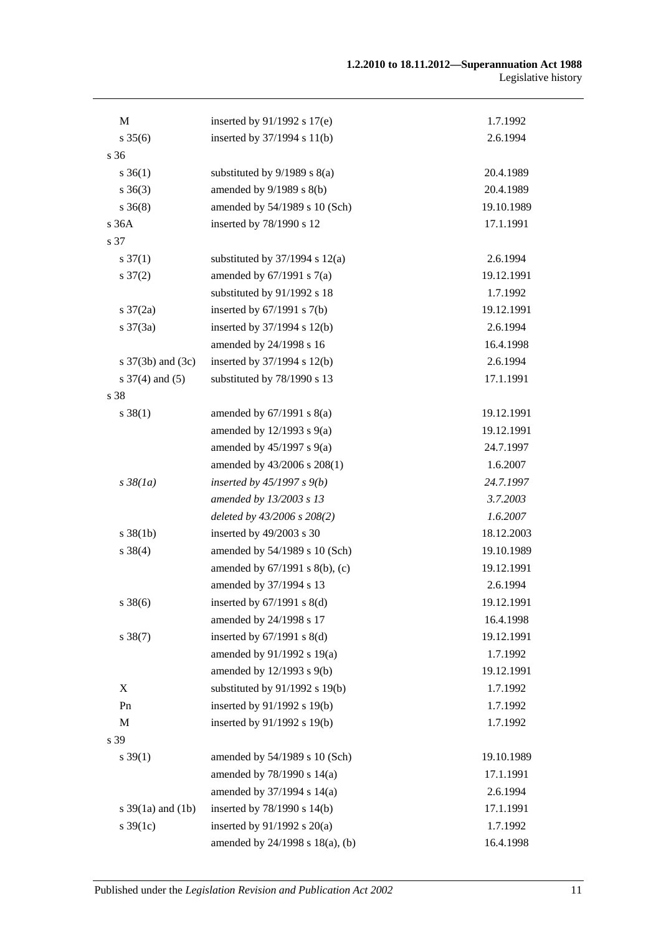| M                        | inserted by $91/1992$ s $17(e)$    | 1.7.1992   |
|--------------------------|------------------------------------|------------|
| $s \, 35(6)$             | inserted by 37/1994 s 11(b)        | 2.6.1994   |
| s 36                     |                                    |            |
| $s \; 36(1)$             | substituted by $9/1989$ s $8(a)$   | 20.4.1989  |
| $s \; 36(3)$             | amended by 9/1989 s 8(b)           | 20.4.1989  |
| $s \; 36(8)$             | amended by 54/1989 s 10 (Sch)      | 19.10.1989 |
| s 36A                    | inserted by 78/1990 s 12           | 17.1.1991  |
| s 37                     |                                    |            |
| $s \frac{37(1)}{2}$      | substituted by $37/1994$ s $12(a)$ | 2.6.1994   |
| $s \frac{37(2)}{2}$      | amended by $67/1991$ s $7(a)$      | 19.12.1991 |
|                          | substituted by 91/1992 s 18        | 1.7.1992   |
| $s \frac{37}{2a}$        | inserted by $67/1991$ s $7(b)$     | 19.12.1991 |
| $s \frac{37(3a)}{2}$     | inserted by 37/1994 s 12(b)        | 2.6.1994   |
|                          | amended by 24/1998 s 16            | 16.4.1998  |
| s $37(3b)$ and $(3c)$    | inserted by 37/1994 s 12(b)        | 2.6.1994   |
| $s \frac{37}{4}$ and (5) | substituted by 78/1990 s 13        | 17.1.1991  |
| s 38                     |                                    |            |
| $s \ 38(1)$              | amended by $67/1991$ s $8(a)$      | 19.12.1991 |
|                          | amended by $12/1993$ s $9(a)$      | 19.12.1991 |
|                          | amended by $45/1997$ s $9(a)$      | 24.7.1997  |
|                          | amended by 43/2006 s 208(1)        | 1.6.2007   |
| $s\,38(1a)$              | inserted by $45/1997 s 9(b)$       | 24.7.1997  |
|                          | amended by 13/2003 s 13            | 3.7.2003   |
|                          | deleted by 43/2006 s 208(2)        | 1.6.2007   |
| $s \, 38(1b)$            | inserted by 49/2003 s 30           | 18.12.2003 |
| $s \ 38(4)$              | amended by 54/1989 s 10 (Sch)      | 19.10.1989 |
|                          | amended by 67/1991 s 8(b), (c)     | 19.12.1991 |
|                          | amended by 37/1994 s 13            | 2.6.1994   |
| $s \ 38(6)$              | inserted by $67/1991$ s $8(d)$     | 19.12.1991 |
|                          | amended by 24/1998 s 17            | 16.4.1998  |
| $s \, 38(7)$             | inserted by $67/1991$ s $8(d)$     | 19.12.1991 |
|                          | amended by 91/1992 s 19(a)         | 1.7.1992   |
|                          | amended by 12/1993 s 9(b)          | 19.12.1991 |
| X                        | substituted by 91/1992 s 19(b)     | 1.7.1992   |
| Pn                       | inserted by 91/1992 s 19(b)        | 1.7.1992   |
| $\mathbf{M}$             | inserted by 91/1992 s 19(b)        | 1.7.1992   |
| s 39                     |                                    |            |
| $s \, 39(1)$             | amended by 54/1989 s 10 (Sch)      | 19.10.1989 |
|                          | amended by 78/1990 s 14(a)         | 17.1.1991  |
|                          | amended by 37/1994 s 14(a)         | 2.6.1994   |
| s $39(1a)$ and $(1b)$    | inserted by 78/1990 s 14(b)        | 17.1.1991  |
| s $39(1c)$               | inserted by $91/1992$ s $20(a)$    | 1.7.1992   |
|                          | amended by 24/1998 s 18(a), (b)    | 16.4.1998  |
|                          |                                    |            |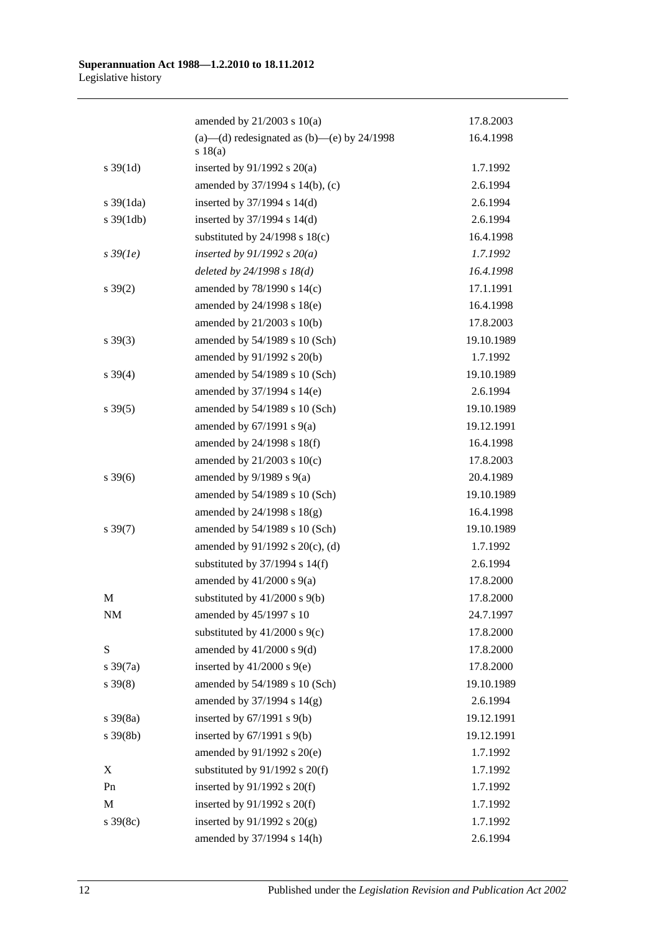|                       | amended by $21/2003$ s $10(a)$                          | 17.8.2003  |
|-----------------------|---------------------------------------------------------|------------|
|                       | (a)—(d) redesignated as (b)—(e) by $24/1998$<br>s 18(a) | 16.4.1998  |
| $s \, 39(1d)$         | inserted by $91/1992$ s $20(a)$                         | 1.7.1992   |
|                       | amended by 37/1994 s 14(b), (c)                         | 2.6.1994   |
| $s \frac{39(1da)}{2}$ | inserted by $37/1994$ s $14(d)$                         | 2.6.1994   |
| $s \frac{39(1db)}{2}$ | inserted by $37/1994$ s $14(d)$                         | 2.6.1994   |
|                       | substituted by $24/1998$ s $18(c)$                      | 16.4.1998  |
| $s\,39(1e)$           | inserted by $91/1992$ s $20(a)$                         | 1.7.1992   |
|                       | deleted by $24/1998 s 18(d)$                            | 16.4.1998  |
| $s \, 39(2)$          | amended by $78/1990$ s $14(c)$                          | 17.1.1991  |
|                       | amended by 24/1998 s 18(e)                              | 16.4.1998  |
|                       | amended by 21/2003 s 10(b)                              | 17.8.2003  |
| $s\,39(3)$            | amended by 54/1989 s 10 (Sch)                           | 19.10.1989 |
|                       | amended by 91/1992 s 20(b)                              | 1.7.1992   |
| $s \, 39(4)$          | amended by 54/1989 s 10 (Sch)                           | 19.10.1989 |
|                       | amended by 37/1994 s 14(e)                              | 2.6.1994   |
| $s \, 39(5)$          | amended by 54/1989 s 10 (Sch)                           | 19.10.1989 |
|                       | amended by $67/1991$ s $9(a)$                           | 19.12.1991 |
|                       | amended by 24/1998 s 18(f)                              | 16.4.1998  |
|                       | amended by $21/2003$ s $10(c)$                          | 17.8.2003  |
| $s \, 39(6)$          | amended by $9/1989$ s $9(a)$                            | 20.4.1989  |
|                       | amended by 54/1989 s 10 (Sch)                           | 19.10.1989 |
|                       | amended by $24/1998$ s $18(g)$                          | 16.4.1998  |
| $s \, 39(7)$          | amended by 54/1989 s 10 (Sch)                           | 19.10.1989 |
|                       | amended by $91/1992$ s $20(c)$ , (d)                    | 1.7.1992   |
|                       | substituted by $37/1994$ s $14(f)$                      | 2.6.1994   |
|                       | amended by $41/2000$ s $9(a)$                           | 17.8.2000  |
| M                     | substituted by $41/2000$ s $9(b)$                       | 17.8.2000  |
| NM                    | amended by 45/1997 s 10                                 | 24.7.1997  |
|                       | substituted by $41/2000$ s $9(c)$                       | 17.8.2000  |
| ${\bf S}$             | amended by $41/2000$ s $9(d)$                           | 17.8.2000  |
| $s \frac{39(7a)}{2}$  | inserted by $41/2000$ s $9(e)$                          | 17.8.2000  |
| $s \, 39(8)$          | amended by 54/1989 s 10 (Sch)                           | 19.10.1989 |
|                       | amended by 37/1994 s 14(g)                              | 2.6.1994   |
| $s \frac{39(8a)}{2}$  | inserted by $67/1991$ s $9(b)$                          | 19.12.1991 |
| $s \frac{39(8b)}{2}$  | inserted by $67/1991$ s $9(b)$                          | 19.12.1991 |
|                       | amended by 91/1992 s 20(e)                              | 1.7.1992   |
| X                     | substituted by $91/1992$ s $20(f)$                      | 1.7.1992   |
| Pn                    | inserted by $91/1992$ s $20(f)$                         | 1.7.1992   |
| M                     | inserted by $91/1992$ s $20(f)$                         | 1.7.1992   |
| $s \, 39(8c)$         | inserted by $91/1992$ s $20(g)$                         | 1.7.1992   |
|                       | amended by 37/1994 s 14(h)                              | 2.6.1994   |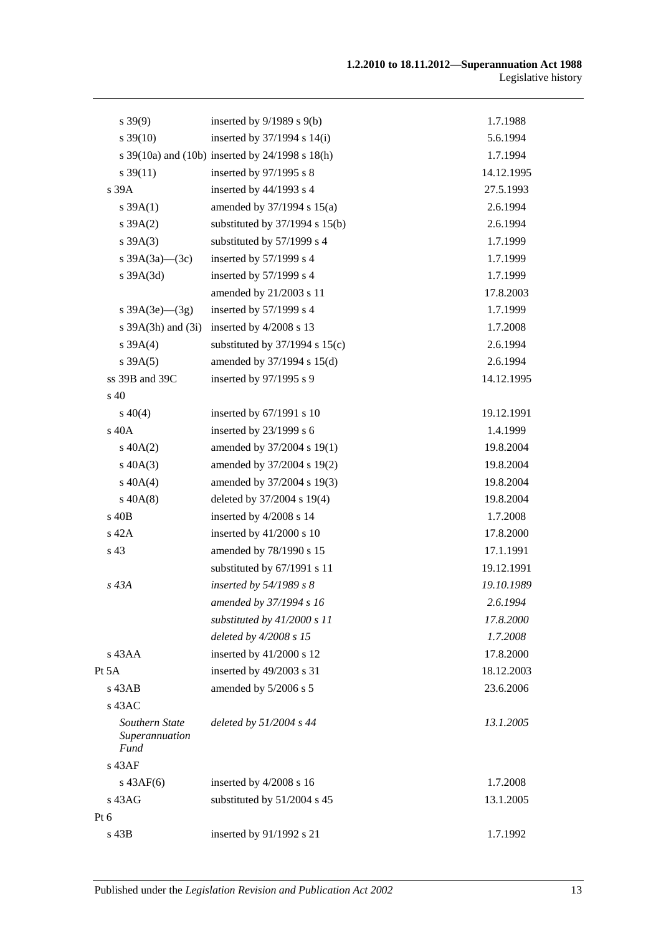| $s\,39(9)$                                      | inserted by $9/1989$ s $9(b)$                   | 1.7.1988   |
|-------------------------------------------------|-------------------------------------------------|------------|
| $s\,39(10)$                                     | inserted by $37/1994$ s $14(i)$                 | 5.6.1994   |
|                                                 | s 39(10a) and (10b) inserted by 24/1998 s 18(h) | 1.7.1994   |
| $s \, 39(11)$                                   | inserted by 97/1995 s 8                         | 14.12.1995 |
| s 39A                                           | inserted by 44/1993 s 4                         | 27.5.1993  |
| $s \, 39A(1)$                                   | amended by 37/1994 s 15(a)                      | 2.6.1994   |
| s 39A(2)                                        | substituted by $37/1994$ s $15(b)$              | 2.6.1994   |
| $s \, 39A(3)$                                   | substituted by 57/1999 s 4                      | 1.7.1999   |
| s $39A(3a)$ (3c)                                | inserted by 57/1999 s 4                         | 1.7.1999   |
| $s$ 39A $(3d)$                                  | inserted by 57/1999 s 4                         | 1.7.1999   |
|                                                 | amended by 21/2003 s 11                         | 17.8.2003  |
| s $39A(3e)$ (3g)                                | inserted by 57/1999 s 4                         | 1.7.1999   |
| s 39A(3h) and (3i)                              | inserted by 4/2008 s 13                         | 1.7.2008   |
| s 39A(4)                                        | substituted by $37/1994$ s $15(c)$              | 2.6.1994   |
| s 39A(5)                                        | amended by 37/1994 s 15(d)                      | 2.6.1994   |
| ss 39B and 39C                                  | inserted by 97/1995 s 9                         | 14.12.1995 |
| s 40                                            |                                                 |            |
| $s\ 40(4)$                                      | inserted by 67/1991 s 10                        | 19.12.1991 |
| s 40A                                           | inserted by 23/1999 s 6                         | 1.4.1999   |
| $s\ 40A(2)$                                     | amended by 37/2004 s 19(1)                      | 19.8.2004  |
| $s\ 40A(3)$                                     | amended by 37/2004 s 19(2)                      | 19.8.2004  |
| $s\ 40A(4)$                                     | amended by 37/2004 s 19(3)                      | 19.8.2004  |
| $s\,40A(8)$                                     | deleted by 37/2004 s 19(4)                      | 19.8.2004  |
| s 40B                                           | inserted by 4/2008 s 14                         | 1.7.2008   |
| s 42A                                           | inserted by $41/2000$ s 10                      | 17.8.2000  |
| s 43                                            | amended by 78/1990 s 15                         | 17.1.1991  |
|                                                 | substituted by 67/1991 s 11                     | 19.12.1991 |
| s 43A                                           | inserted by 54/1989 s 8                         | 19.10.1989 |
|                                                 | amended by 37/1994 s 16                         | 2.6.1994   |
|                                                 | substituted by $41/2000 s 11$                   | 17.8.2000  |
|                                                 | deleted by 4/2008 s 15                          | 1.7.2008   |
| s 43AA                                          | inserted by 41/2000 s 12                        | 17.8.2000  |
| Pt $5A$                                         | inserted by 49/2003 s 31                        | 18.12.2003 |
| $s$ 43AB                                        | amended by 5/2006 s 5                           | 23.6.2006  |
| $s$ 43AC                                        |                                                 |            |
| Southern State<br>Superannuation<br><b>Fund</b> | deleted by 51/2004 s 44                         | 13.1.2005  |
| s 43AF                                          |                                                 |            |
| $s\,43AF(6)$                                    | inserted by 4/2008 s 16                         | 1.7.2008   |
| s 43AG                                          | substituted by 51/2004 s 45                     | 13.1.2005  |
| Pt $6$                                          |                                                 |            |
| s 43B                                           | inserted by 91/1992 s 21                        | 1.7.1992   |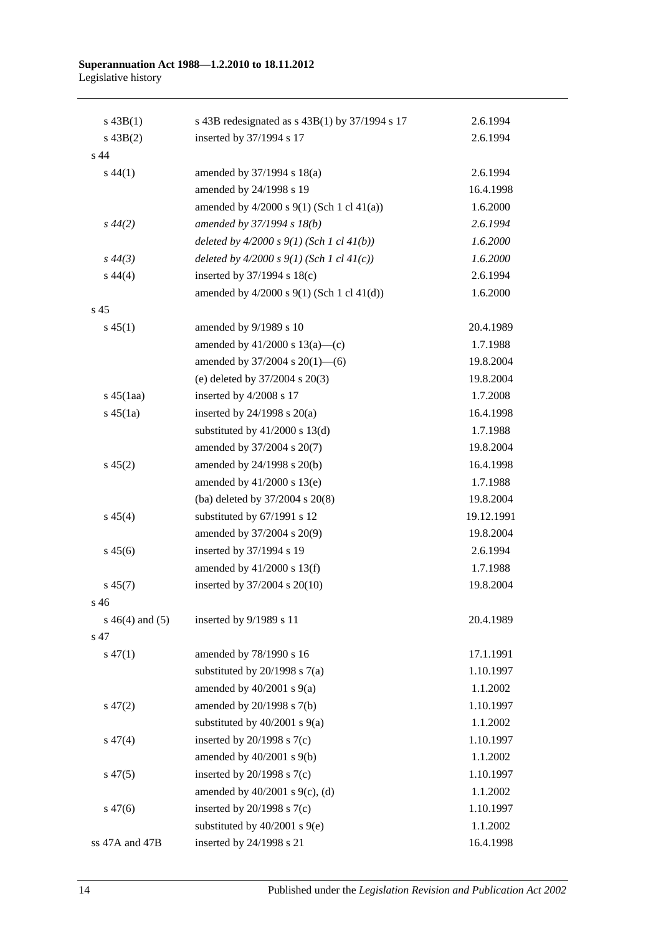#### **Superannuation Act 1988—1.2.2010 to 18.11.2012** Legislative history

| $s\,43B(1)$        | s 43B redesignated as $s$ 43B(1) by 37/1994 s 17 | 2.6.1994   |
|--------------------|--------------------------------------------------|------------|
| $s\,43B(2)$        | inserted by 37/1994 s 17                         | 2.6.1994   |
| s 44               |                                                  |            |
| $s\,44(1)$         | amended by 37/1994 s 18(a)                       | 2.6.1994   |
|                    | amended by 24/1998 s 19                          | 16.4.1998  |
|                    | amended by $4/2000$ s $9(1)$ (Sch 1 cl $41(a)$ ) | 1.6.2000   |
| $s\,44(2)$         | amended by 37/1994 s 18(b)                       | 2.6.1994   |
|                    | deleted by $4/2000 s 9(1)$ (Sch 1 cl $41(b)$ )   | 1.6.2000   |
| $s\,44(3)$         | deleted by $4/2000 s 9(1)$ (Sch 1 cl $41(c)$ )   | 1.6.2000   |
| $s\,44(4)$         | inserted by 37/1994 s 18(c)                      | 2.6.1994   |
|                    | amended by $4/2000$ s $9(1)$ (Sch 1 cl $41(d)$ ) | 1.6.2000   |
| s <sub>45</sub>    |                                                  |            |
| $s\,45(1)$         | amended by 9/1989 s 10                           | 20.4.1989  |
|                    | amended by $41/2000$ s $13(a)$ —(c)              | 1.7.1988   |
|                    | amended by $37/2004$ s $20(1)$ —(6)              | 19.8.2004  |
|                    | (e) deleted by $37/2004$ s $20(3)$               | 19.8.2004  |
| $s\,45(1aa)$       | inserted by 4/2008 s 17                          | 1.7.2008   |
| $s\,45(1a)$        | inserted by $24/1998$ s $20(a)$                  | 16.4.1998  |
|                    | substituted by $41/2000$ s $13(d)$               | 1.7.1988   |
|                    | amended by 37/2004 s 20(7)                       | 19.8.2004  |
| $s\,45(2)$         | amended by 24/1998 s 20(b)                       | 16.4.1998  |
|                    | amended by 41/2000 s 13(e)                       | 1.7.1988   |
|                    | (ba) deleted by 37/2004 s 20(8)                  | 19.8.2004  |
| $s\,45(4)$         | substituted by 67/1991 s 12                      | 19.12.1991 |
|                    | amended by 37/2004 s 20(9)                       | 19.8.2004  |
| $s\,45(6)$         | inserted by 37/1994 s 19                         | 2.6.1994   |
|                    | amended by $41/2000$ s $13(f)$                   | 1.7.1988   |
| $s\,45(7)$         | inserted by $37/2004$ s $20(10)$                 | 19.8.2004  |
| s 46               |                                                  |            |
| $s\ 46(4)$ and (5) | inserted by 9/1989 s 11                          | 20.4.1989  |
| s 47               |                                                  |            |
| $s\,47(1)$         | amended by 78/1990 s 16                          | 17.1.1991  |
|                    | substituted by $20/1998$ s $7(a)$                | 1.10.1997  |
|                    | amended by $40/2001$ s $9(a)$                    | 1.1.2002   |
| $s\,47(2)$         | amended by 20/1998 s 7(b)                        | 1.10.1997  |
|                    | substituted by $40/2001$ s $9(a)$                | 1.1.2002   |
| $s\,47(4)$         | inserted by $20/1998$ s $7(c)$                   | 1.10.1997  |
|                    | amended by $40/2001$ s $9(b)$                    | 1.1.2002   |
| $s\,47(5)$         | inserted by $20/1998$ s $7(c)$                   | 1.10.1997  |
|                    | amended by $40/2001$ s $9(c)$ , (d)              | 1.1.2002   |
| $s\,47(6)$         | inserted by $20/1998$ s $7(c)$                   | 1.10.1997  |
|                    | substituted by $40/2001$ s $9(e)$                | 1.1.2002   |
| ss 47A and 47B     | inserted by 24/1998 s 21                         | 16.4.1998  |
|                    |                                                  |            |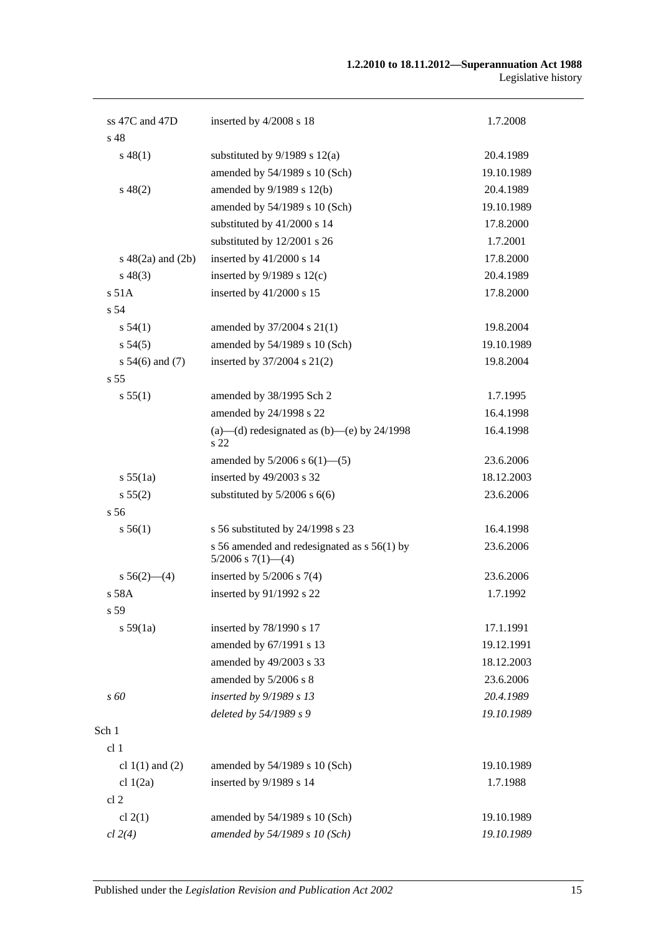| ss $47C$ and $47D$     | inserted by 4/2008 s 18                                                 | 1.7.2008   |
|------------------------|-------------------------------------------------------------------------|------------|
| s <sub>48</sub>        |                                                                         |            |
| $s\,48(1)$             | substituted by $9/1989$ s $12(a)$                                       | 20.4.1989  |
|                        | amended by 54/1989 s 10 (Sch)                                           | 19.10.1989 |
| $s\,48(2)$             | amended by 9/1989 s 12(b)                                               | 20.4.1989  |
|                        | amended by 54/1989 s 10 (Sch)                                           | 19.10.1989 |
|                        | substituted by 41/2000 s 14                                             | 17.8.2000  |
|                        | substituted by 12/2001 s 26                                             | 1.7.2001   |
| $s\ 48(2a)$ and $(2b)$ | inserted by 41/2000 s 14                                                | 17.8.2000  |
| $s\,48(3)$             | inserted by $9/1989$ s $12(c)$                                          | 20.4.1989  |
| s 51A                  | inserted by 41/2000 s 15                                                | 17.8.2000  |
| s <sub>54</sub>        |                                                                         |            |
| s 54(1)                | amended by 37/2004 s 21(1)                                              | 19.8.2004  |
| s 54(5)                | amended by 54/1989 s 10 (Sch)                                           | 19.10.1989 |
| s $54(6)$ and $(7)$    | inserted by 37/2004 s 21(2)                                             | 19.8.2004  |
| s <sub>55</sub>        |                                                                         |            |
| s 55(1)                | amended by 38/1995 Sch 2                                                | 1.7.1995   |
|                        | amended by 24/1998 s 22                                                 | 16.4.1998  |
|                        | (a)—(d) redesignated as (b)—(e) by $24/1998$<br>s 22                    | 16.4.1998  |
|                        | amended by $5/2006$ s $6(1)$ — $(5)$                                    | 23.6.2006  |
| s 55(1a)               | inserted by 49/2003 s 32                                                | 18.12.2003 |
| s 55(2)                | substituted by $5/2006$ s $6(6)$                                        | 23.6.2006  |
| s <sub>56</sub>        |                                                                         |            |
| s 56(1)                | s 56 substituted by 24/1998 s 23                                        | 16.4.1998  |
|                        | s 56 amended and redesignated as $s$ 56(1) by<br>$5/2006$ s $7(1)$ —(4) | 23.6.2006  |
| $s\,56(2)$ —(4)        | inserted by $5/2006$ s $7(4)$                                           | 23.6.2006  |
| s 58A                  | inserted by 91/1992 s 22                                                | 1.7.1992   |
| s 59                   |                                                                         |            |
| s 59(1a)               | inserted by 78/1990 s 17                                                | 17.1.1991  |
|                        | amended by 67/1991 s 13                                                 | 19.12.1991 |
|                        | amended by 49/2003 s 33                                                 | 18.12.2003 |
|                        | amended by 5/2006 s 8                                                   | 23.6.2006  |
| s 60                   | inserted by 9/1989 s 13                                                 | 20.4.1989  |
|                        | deleted by 54/1989 s 9                                                  | 19.10.1989 |
| Sch 1                  |                                                                         |            |
| cl 1                   |                                                                         |            |
| cl $1(1)$ and $(2)$    | amended by 54/1989 s 10 (Sch)                                           | 19.10.1989 |
| cl $1(2a)$             | inserted by 9/1989 s 14                                                 | 1.7.1988   |
| cl <sub>2</sub>        |                                                                         |            |
| cl $2(1)$              | amended by 54/1989 s 10 (Sch)                                           | 19.10.1989 |
| cl 2(4)                | amended by 54/1989 s 10 (Sch)                                           | 19.10.1989 |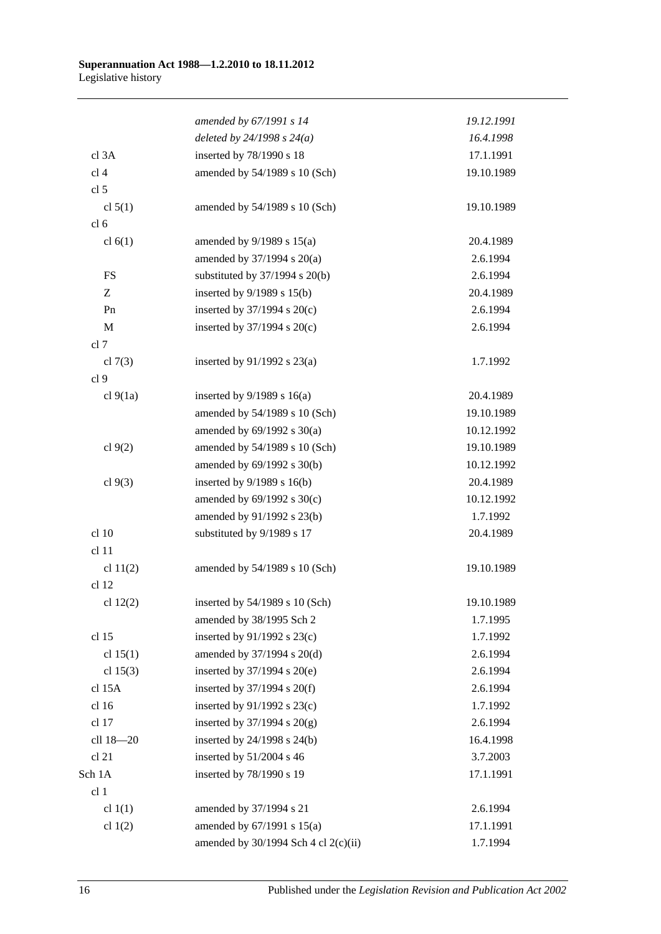|                  | amended by 67/1991 s 14              | 19.12.1991 |
|------------------|--------------------------------------|------------|
|                  | deleted by $24/1998 s 24(a)$         | 16.4.1998  |
| cl 3A            | inserted by 78/1990 s 18             | 17.1.1991  |
| cl <sub>4</sub>  | amended by 54/1989 s 10 (Sch)        | 19.10.1989 |
| cl 5             |                                      |            |
| cl $5(1)$        | amended by 54/1989 s 10 (Sch)        | 19.10.1989 |
| cl <sub>6</sub>  |                                      |            |
| cl $6(1)$        | amended by $9/1989$ s $15(a)$        | 20.4.1989  |
|                  | amended by 37/1994 s 20(a)           | 2.6.1994   |
| FS               | substituted by $37/1994$ s $20(b)$   | 2.6.1994   |
| Z                | inserted by $9/1989$ s $15(b)$       | 20.4.1989  |
| Pn               | inserted by $37/1994$ s $20(c)$      | 2.6.1994   |
| $\mathbf M$      | inserted by 37/1994 s 20(c)          | 2.6.1994   |
| cl 7             |                                      |            |
| cl $7(3)$        | inserted by $91/1992$ s $23(a)$      | 1.7.1992   |
| cl 9             |                                      |            |
| cl 9(1a)         | inserted by $9/1989$ s $16(a)$       | 20.4.1989  |
|                  | amended by 54/1989 s 10 (Sch)        | 19.10.1989 |
|                  | amended by $69/1992$ s $30(a)$       | 10.12.1992 |
| cl $9(2)$        | amended by 54/1989 s 10 (Sch)        | 19.10.1989 |
|                  | amended by 69/1992 s 30(b)           | 10.12.1992 |
| cl $9(3)$        | inserted by $9/1989$ s $16(b)$       | 20.4.1989  |
|                  | amended by $69/1992$ s $30(c)$       | 10.12.1992 |
|                  | amended by 91/1992 s 23(b)           | 1.7.1992   |
| cl 10            | substituted by 9/1989 s 17           | 20.4.1989  |
| cl <sub>11</sub> |                                      |            |
| cl $11(2)$       | amended by 54/1989 s 10 (Sch)        | 19.10.1989 |
| cl 12            |                                      |            |
| cl $12(2)$       | inserted by 54/1989 s 10 (Sch)       | 19.10.1989 |
|                  | amended by 38/1995 Sch 2             | 1.7.1995   |
| cl 15            | inserted by 91/1992 s 23(c)          | 1.7.1992   |
| cl $15(1)$       | amended by 37/1994 s 20(d)           | 2.6.1994   |
| cl $15(3)$       | inserted by $37/1994$ s $20(e)$      | 2.6.1994   |
| cl 15A           | inserted by $37/1994$ s $20(f)$      | 2.6.1994   |
| cl 16            | inserted by $91/1992$ s $23(c)$      | 1.7.1992   |
| cl 17            | inserted by $37/1994$ s $20(g)$      | 2.6.1994   |
| cll 18-20        | inserted by 24/1998 s 24(b)          | 16.4.1998  |
| cl 21            | inserted by 51/2004 s 46             | 3.7.2003   |
| Sch 1A           | inserted by 78/1990 s 19             | 17.1.1991  |
| cl 1             |                                      |            |
| cl $1(1)$        | amended by 37/1994 s 21              | 2.6.1994   |
| cl $1(2)$        | amended by 67/1991 s 15(a)           | 17.1.1991  |
|                  | amended by 30/1994 Sch 4 cl 2(c)(ii) | 1.7.1994   |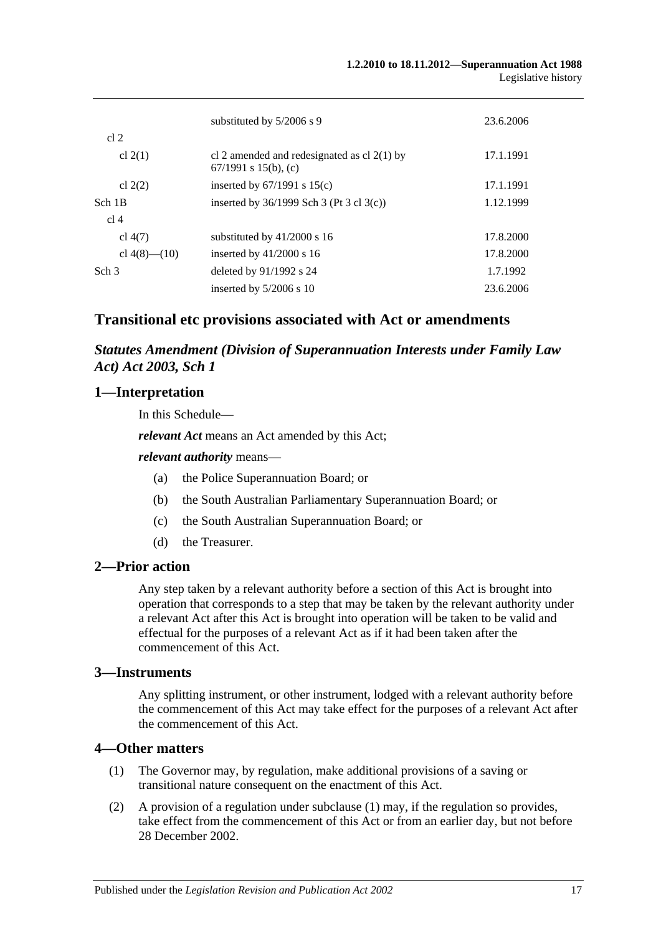|                    | substituted by $5/2006$ s 9                                             | 23.6.2006 |
|--------------------|-------------------------------------------------------------------------|-----------|
| cl <sub>2</sub>    |                                                                         |           |
| cl $2(1)$          | cl 2 amended and redesignated as cl $2(1)$ by<br>$67/1991$ s 15(b), (c) | 17.1.1991 |
| cl $2(2)$          | inserted by $67/1991$ s $15(c)$                                         | 17.1.1991 |
| Sch 1B             | inserted by $36/1999$ Sch 3 (Pt 3 cl 3(c))                              | 1.12.1999 |
| cl 4               |                                                                         |           |
| cl $4(7)$          | substituted by $41/2000$ s 16                                           | 17.8.2000 |
| cl $4(8)$ — $(10)$ | inserted by $41/2000$ s 16                                              | 17.8.2000 |
| Sch <sub>3</sub>   | deleted by $91/1992$ s 24                                               | 1.7.1992  |
|                    | inserted by $5/2006$ s 10                                               | 23.6.2006 |

# **Transitional etc provisions associated with Act or amendments**

*Statutes Amendment (Division of Superannuation Interests under Family Law Act) Act 2003, Sch 1*

# **1—Interpretation**

In this Schedule—

*relevant Act* means an Act amended by this Act;

### *relevant authority* means—

- (a) the Police Superannuation Board; or
- (b) the South Australian Parliamentary Superannuation Board; or
- (c) the South Australian Superannuation Board; or
- (d) the Treasurer.

# **2—Prior action**

Any step taken by a relevant authority before a section of this Act is brought into operation that corresponds to a step that may be taken by the relevant authority under a relevant Act after this Act is brought into operation will be taken to be valid and effectual for the purposes of a relevant Act as if it had been taken after the commencement of this Act.

# **3—Instruments**

Any splitting instrument, or other instrument, lodged with a relevant authority before the commencement of this Act may take effect for the purposes of a relevant Act after the commencement of this Act.

# **4—Other matters**

- (1) The Governor may, by regulation, make additional provisions of a saving or transitional nature consequent on the enactment of this Act.
- (2) A provision of a regulation under subclause (1) may, if the regulation so provides, take effect from the commencement of this Act or from an earlier day, but not before 28 December 2002.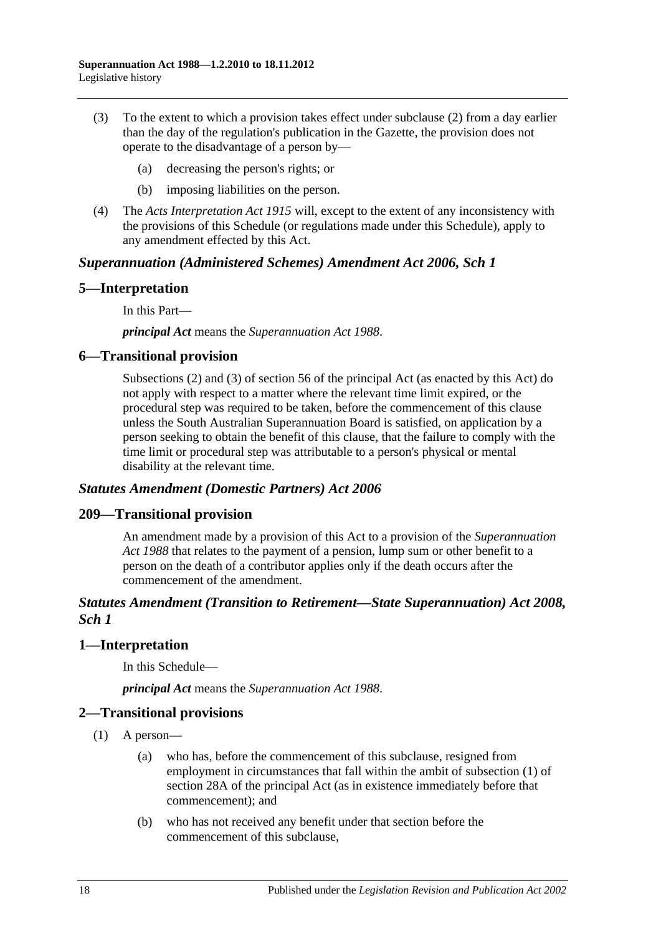- (3) To the extent to which a provision takes effect under subclause (2) from a day earlier than the day of the regulation's publication in the Gazette, the provision does not operate to the disadvantage of a person by—
	- (a) decreasing the person's rights; or
	- (b) imposing liabilities on the person.
- (4) The *[Acts Interpretation Act](http://www.legislation.sa.gov.au/index.aspx?action=legref&type=act&legtitle=Acts%20Interpretation%20Act%201915) 1915* will, except to the extent of any inconsistency with the provisions of this Schedule (or regulations made under this Schedule), apply to any amendment effected by this Act.

### *Superannuation (Administered Schemes) Amendment Act 2006, Sch 1*

# **5—Interpretation**

In this Part—

*principal Act* means the *[Superannuation Act](http://www.legislation.sa.gov.au/index.aspx?action=legref&type=act&legtitle=Superannuation%20Act%201988) 1988*.

# **6—Transitional provision**

Subsections (2) and (3) of section 56 of the principal Act (as enacted by this Act) do not apply with respect to a matter where the relevant time limit expired, or the procedural step was required to be taken, before the commencement of this clause unless the South Australian Superannuation Board is satisfied, on application by a person seeking to obtain the benefit of this clause, that the failure to comply with the time limit or procedural step was attributable to a person's physical or mental disability at the relevant time.

### *Statutes Amendment (Domestic Partners) Act 2006*

### **209—Transitional provision**

An amendment made by a provision of this Act to a provision of the *[Superannuation](http://www.legislation.sa.gov.au/index.aspx?action=legref&type=act&legtitle=Superannuation%20Act%201988)  Act [1988](http://www.legislation.sa.gov.au/index.aspx?action=legref&type=act&legtitle=Superannuation%20Act%201988)* that relates to the payment of a pension, lump sum or other benefit to a person on the death of a contributor applies only if the death occurs after the commencement of the amendment.

# *Statutes Amendment (Transition to Retirement—State Superannuation) Act 2008, Sch 1*

### **1—Interpretation**

In this Schedule—

*principal Act* means the *[Superannuation Act](http://www.legislation.sa.gov.au/index.aspx?action=legref&type=act&legtitle=Superannuation%20Act%201988) 1988*.

### **2—Transitional provisions**

- (1) A person—
	- (a) who has, before the commencement of this subclause, resigned from employment in circumstances that fall within the ambit of subsection (1) of section 28A of the principal Act (as in existence immediately before that commencement); and
	- (b) who has not received any benefit under that section before the commencement of this subclause,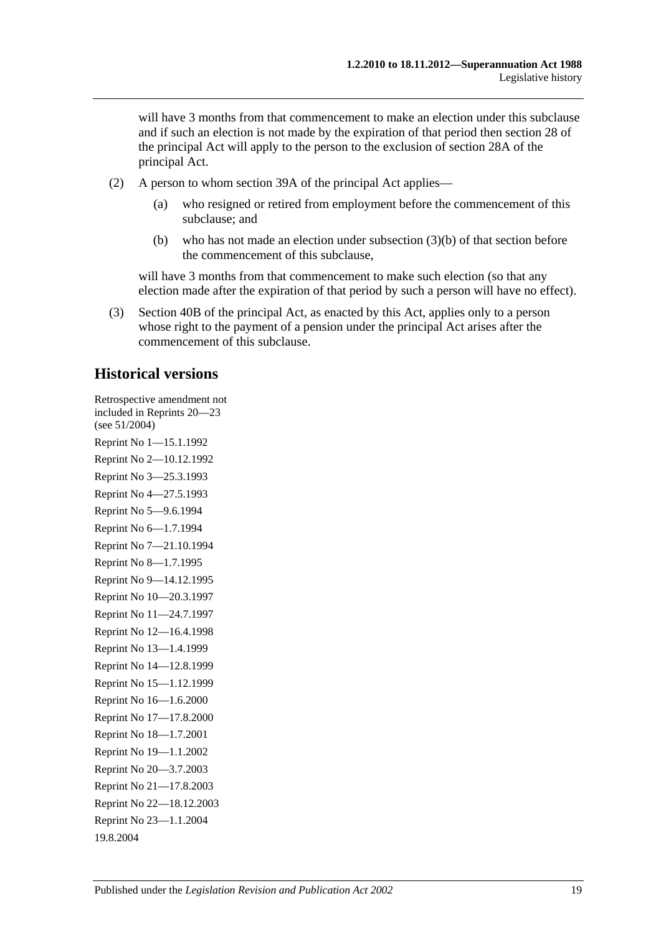will have 3 months from that commencement to make an election under this subclause and if such an election is not made by the expiration of that period then section 28 of the principal Act will apply to the person to the exclusion of section 28A of the principal Act.

- (2) A person to whom section 39A of the principal Act applies—
	- (a) who resigned or retired from employment before the commencement of this subclause; and
	- (b) who has not made an election under subsection (3)(b) of that section before the commencement of this subclause,

will have 3 months from that commencement to make such election (so that any election made after the expiration of that period by such a person will have no effect).

(3) Section 40B of the principal Act, as enacted by this Act, applies only to a person whose right to the payment of a pension under the principal Act arises after the commencement of this subclause.

# **Historical versions**

Retrospective amendment not included in Reprints 20—23 (see 51/2004) Reprint No 1—15.1.1992 Reprint No 2—10.12.1992 Reprint No 3—25.3.1993 Reprint No 4—27.5.1993 Reprint No 5—9.6.1994 Reprint No 6—1.7.1994 Reprint No 7—21.10.1994 Reprint No 8—1.7.1995 Reprint No 9—14.12.1995 Reprint No 10—20.3.1997 Reprint No 11—24.7.1997 Reprint No 12—16.4.1998 Reprint No 13—1.4.1999 Reprint No 14—12.8.1999 Reprint No 15—1.12.1999 Reprint No 16—1.6.2000 Reprint No 17—17.8.2000 Reprint No 18—1.7.2001 Reprint No 19—1.1.2002 Reprint No 20—3.7.2003 Reprint No 21—17.8.2003 Reprint No 22—18.12.2003 Reprint No 23—1.1.2004 19.8.2004